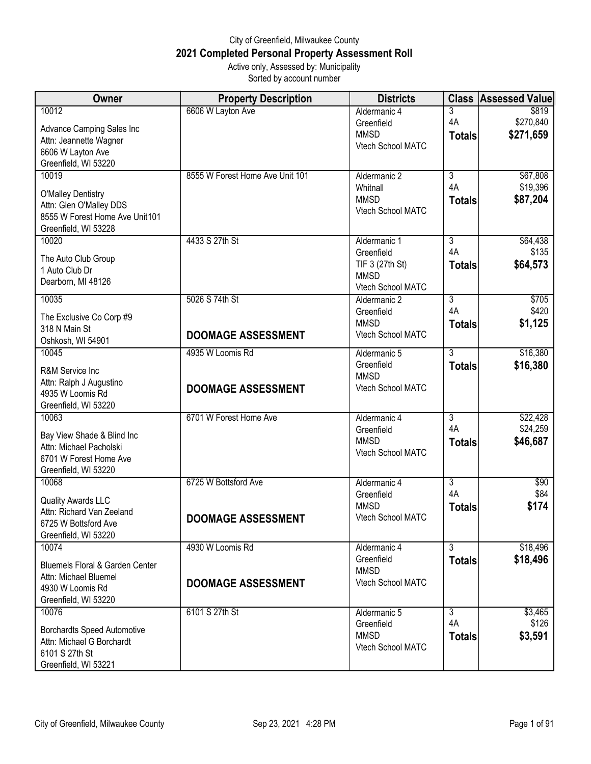## City of Greenfield, Milwaukee County **2021 Completed Personal Property Assessment Roll** Active only, Assessed by: Municipality

Sorted by account number

| <b>Owner</b>                                                                                                            | <b>Property Description</b>                       | <b>Districts</b>                                                                  | <b>Class</b>                          | <b>Assessed Value</b>            |
|-------------------------------------------------------------------------------------------------------------------------|---------------------------------------------------|-----------------------------------------------------------------------------------|---------------------------------------|----------------------------------|
| 10012<br>Advance Camping Sales Inc<br>Attn: Jeannette Wagner<br>6606 W Layton Ave<br>Greenfield, WI 53220               | 6606 W Layton Ave                                 | Aldermanic 4<br>Greenfield<br><b>MMSD</b><br>Vtech School MATC                    | 3<br>4A<br><b>Totals</b>              | \$819<br>\$270,840<br>\$271,659  |
| 10019<br><b>O'Malley Dentistry</b><br>Attn: Glen O'Malley DDS<br>8555 W Forest Home Ave Unit101<br>Greenfield, WI 53228 | 8555 W Forest Home Ave Unit 101                   | Aldermanic 2<br>Whitnall<br><b>MMSD</b><br>Vtech School MATC                      | $\overline{3}$<br>4A<br><b>Totals</b> | \$67,808<br>\$19,396<br>\$87,204 |
| 10020<br>The Auto Club Group<br>1 Auto Club Dr<br>Dearborn, MI 48126                                                    | 4433 S 27th St                                    | Aldermanic 1<br>Greenfield<br>TIF 3 (27th St)<br><b>MMSD</b><br>Vtech School MATC | $\overline{3}$<br>4A<br><b>Totals</b> | \$64,438<br>\$135<br>\$64,573    |
| 10035<br>The Exclusive Co Corp #9<br>318 N Main St<br>Oshkosh, WI 54901                                                 | 5026 S 74th St<br><b>DOOMAGE ASSESSMENT</b>       | Aldermanic 2<br>Greenfield<br><b>MMSD</b><br>Vtech School MATC                    | $\overline{3}$<br>4A<br><b>Totals</b> | \$705<br>\$420<br>\$1,125        |
| 10045<br>R&M Service Inc<br>Attn: Ralph J Augustino<br>4935 W Loomis Rd<br>Greenfield, WI 53220                         | 4935 W Loomis Rd<br><b>DOOMAGE ASSESSMENT</b>     | Aldermanic 5<br>Greenfield<br><b>MMSD</b><br>Vtech School MATC                    | $\overline{3}$<br><b>Totals</b>       | \$16,380<br>\$16,380             |
| 10063<br>Bay View Shade & Blind Inc<br>Attn: Michael Pacholski<br>6701 W Forest Home Ave<br>Greenfield, WI 53220        | 6701 W Forest Home Ave                            | Aldermanic 4<br>Greenfield<br><b>MMSD</b><br>Vtech School MATC                    | $\overline{3}$<br>4A<br><b>Totals</b> | \$22,428<br>\$24,259<br>\$46,687 |
| 10068<br>Quality Awards LLC<br>Attn: Richard Van Zeeland<br>6725 W Bottsford Ave<br>Greenfield, WI 53220                | 6725 W Bottsford Ave<br><b>DOOMAGE ASSESSMENT</b> | Aldermanic 4<br>Greenfield<br><b>MMSD</b><br>Vtech School MATC                    | $\overline{3}$<br>4A<br><b>Totals</b> | \$90<br>\$84<br>\$174            |
| 10074<br>Bluemels Floral & Garden Center<br>Attn: Michael Bluemel<br>4930 W Loomis Rd<br>Greenfield, WI 53220           | 4930 W Loomis Rd<br><b>DOOMAGE ASSESSMENT</b>     | Aldermanic 4<br>Greenfield<br><b>MMSD</b><br>Vtech School MATC                    | 3<br><b>Totals</b>                    | \$18,496<br>\$18,496             |
| 10076<br><b>Borchardts Speed Automotive</b><br>Attn: Michael G Borchardt<br>6101 S 27th St<br>Greenfield, WI 53221      | 6101 S 27th St                                    | Aldermanic 5<br>Greenfield<br><b>MMSD</b><br>Vtech School MATC                    | $\overline{3}$<br>4A<br><b>Totals</b> | \$3,465<br>\$126<br>\$3,591      |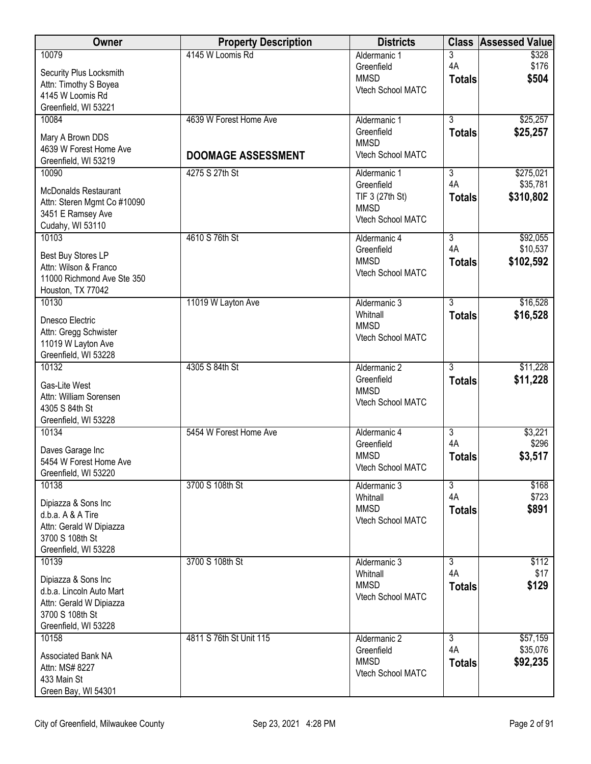| Owner                                            | <b>Property Description</b> | <b>Districts</b>                 | <b>Class</b>   | <b>Assessed Value</b> |
|--------------------------------------------------|-----------------------------|----------------------------------|----------------|-----------------------|
| 10079                                            | 4145 W Loomis Rd            | Aldermanic 1                     | 3              | \$328                 |
| Security Plus Locksmith                          |                             | Greenfield<br><b>MMSD</b>        | 4A             | \$176<br>\$504        |
| Attn: Timothy S Boyea                            |                             | Vtech School MATC                | <b>Totals</b>  |                       |
| 4145 W Loomis Rd                                 |                             |                                  |                |                       |
| Greenfield, WI 53221<br>10084                    | 4639 W Forest Home Ave      | Aldermanic 1                     | $\overline{3}$ | \$25,257              |
|                                                  |                             | Greenfield                       | <b>Totals</b>  | \$25,257              |
| Mary A Brown DDS                                 |                             | <b>MMSD</b>                      |                |                       |
| 4639 W Forest Home Ave                           | <b>DOOMAGE ASSESSMENT</b>   | Vtech School MATC                |                |                       |
| Greenfield, WI 53219<br>10090                    | 4275 S 27th St              | Aldermanic 1                     | $\overline{3}$ | \$275,021             |
|                                                  |                             | Greenfield                       | 4A             | \$35,781              |
| <b>McDonalds Restaurant</b>                      |                             | TIF 3 (27th St)                  | <b>Totals</b>  | \$310,802             |
| Attn: Steren Mgmt Co #10090<br>3451 E Ramsey Ave |                             | <b>MMSD</b>                      |                |                       |
| Cudahy, WI 53110                                 |                             | Vtech School MATC                |                |                       |
| 10103                                            | 4610 S 76th St              | Aldermanic 4                     | $\overline{3}$ | \$92,055              |
| Best Buy Stores LP                               |                             | Greenfield                       | 4A             | \$10,537              |
| Attn: Wilson & Franco                            |                             | <b>MMSD</b>                      | <b>Totals</b>  | \$102,592             |
| 11000 Richmond Ave Ste 350                       |                             | Vtech School MATC                |                |                       |
| Houston, TX 77042                                |                             |                                  |                |                       |
| 10130                                            | 11019 W Layton Ave          | Aldermanic 3                     | $\overline{3}$ | \$16,528              |
| Dnesco Electric                                  |                             | Whitnall                         | <b>Totals</b>  | \$16,528              |
| Attn: Gregg Schwister                            |                             | <b>MMSD</b><br>Vtech School MATC |                |                       |
| 11019 W Layton Ave                               |                             |                                  |                |                       |
| Greenfield, WI 53228                             |                             |                                  | $\overline{3}$ |                       |
| 10132                                            | 4305 S 84th St              | Aldermanic 2<br>Greenfield       | <b>Totals</b>  | \$11,228<br>\$11,228  |
| Gas-Lite West                                    |                             | <b>MMSD</b>                      |                |                       |
| Attn: William Sorensen                           |                             | Vtech School MATC                |                |                       |
| 4305 S 84th St<br>Greenfield, WI 53228           |                             |                                  |                |                       |
| 10134                                            | 5454 W Forest Home Ave      | Aldermanic 4                     | $\overline{3}$ | \$3,221               |
| Daves Garage Inc                                 |                             | Greenfield                       | 4A             | \$296                 |
| 5454 W Forest Home Ave                           |                             | <b>MMSD</b>                      | <b>Totals</b>  | \$3,517               |
| Greenfield, WI 53220                             |                             | Vtech School MATC                |                |                       |
| 10138                                            | 3700 S 108th St             | Aldermanic 3                     | $\overline{3}$ | \$168                 |
| Dipiazza & Sons Inc                              |                             | Whitnall                         | 4A             | \$723                 |
| d.b.a. A & A Tire                                |                             | <b>MMSD</b>                      | <b>Totals</b>  | \$891                 |
| Attn: Gerald W Dipiazza                          |                             | Vtech School MATC                |                |                       |
| 3700 S 108th St                                  |                             |                                  |                |                       |
| Greenfield, WI 53228                             | 3700 S 108th St             |                                  | $\overline{3}$ |                       |
| 10139                                            |                             | Aldermanic 3<br>Whitnall         | 4A             | \$112<br>\$17         |
| Dipiazza & Sons Inc                              |                             | <b>MMSD</b>                      | <b>Totals</b>  | \$129                 |
| d.b.a. Lincoln Auto Mart                         |                             | Vtech School MATC                |                |                       |
| Attn: Gerald W Dipiazza<br>3700 S 108th St       |                             |                                  |                |                       |
| Greenfield, WI 53228                             |                             |                                  |                |                       |
| 10158                                            | 4811 S 76th St Unit 115     | Aldermanic 2                     | $\overline{3}$ | \$57,159              |
| Associated Bank NA                               |                             | Greenfield                       | 4A             | \$35,076              |
| Attn: MS# 8227                                   |                             | <b>MMSD</b>                      | <b>Totals</b>  | \$92,235              |
| 433 Main St                                      |                             | Vtech School MATC                |                |                       |
| Green Bay, WI 54301                              |                             |                                  |                |                       |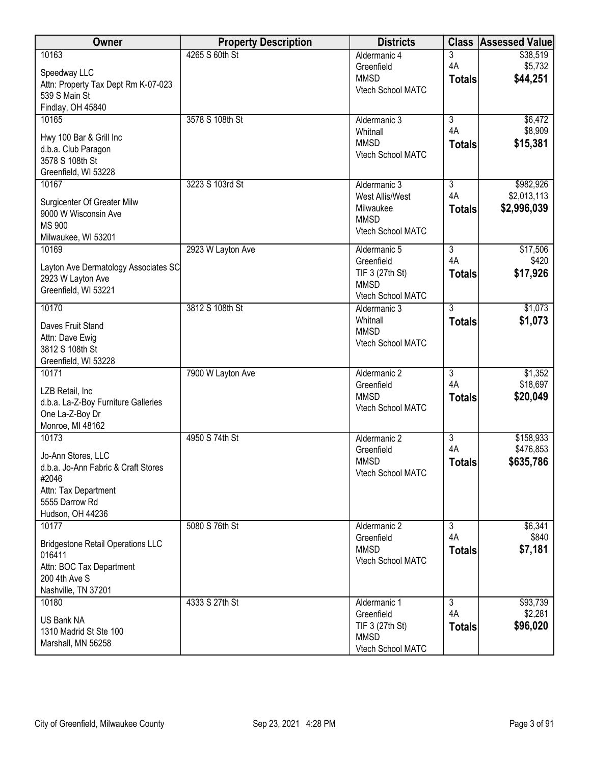| Owner                                                                                                                                     | <b>Property Description</b> | <b>Districts</b>                                                                  |                                       | <b>Class Assessed Value</b>             |
|-------------------------------------------------------------------------------------------------------------------------------------------|-----------------------------|-----------------------------------------------------------------------------------|---------------------------------------|-----------------------------------------|
| 10163<br>Speedway LLC<br>Attn: Property Tax Dept Rm K-07-023<br>539 S Main St                                                             | 4265 S 60th St              | Aldermanic 4<br>Greenfield<br><b>MMSD</b><br>Vtech School MATC                    | 3<br>4A<br><b>Totals</b>              | \$38,519<br>\$5,732<br>\$44,251         |
| Findlay, OH 45840<br>10165                                                                                                                | 3578 S 108th St             | Aldermanic 3                                                                      | $\overline{3}$                        | \$6,472                                 |
| Hwy 100 Bar & Grill Inc<br>d.b.a. Club Paragon<br>3578 S 108th St<br>Greenfield, WI 53228                                                 |                             | Whitnall<br><b>MMSD</b><br>Vtech School MATC                                      | 4A<br><b>Totals</b>                   | \$8,909<br>\$15,381                     |
| 10167<br>Surgicenter Of Greater Milw<br>9000 W Wisconsin Ave<br><b>MS 900</b><br>Milwaukee, WI 53201                                      | 3223 S 103rd St             | Aldermanic 3<br>West Allis/West<br>Milwaukee<br><b>MMSD</b><br>Vtech School MATC  | $\overline{3}$<br>4A<br><b>Totals</b> | \$982,926<br>\$2,013,113<br>\$2,996,039 |
| 10169<br>Layton Ave Dermatology Associates SC<br>2923 W Layton Ave<br>Greenfield, WI 53221                                                | 2923 W Layton Ave           | Aldermanic 5<br>Greenfield<br>TIF 3 (27th St)<br><b>MMSD</b><br>Vtech School MATC | $\overline{3}$<br>4A<br><b>Totals</b> | \$17,506<br>\$420<br>\$17,926           |
| 10170<br>Daves Fruit Stand<br>Attn: Dave Ewig<br>3812 S 108th St<br>Greenfield, WI 53228                                                  | 3812 S 108th St             | Aldermanic 3<br>Whitnall<br><b>MMSD</b><br>Vtech School MATC                      | $\overline{3}$<br><b>Totals</b>       | \$1,073<br>\$1,073                      |
| 10171<br>LZB Retail, Inc<br>d.b.a. La-Z-Boy Furniture Galleries<br>One La-Z-Boy Dr<br>Monroe, MI 48162                                    | 7900 W Layton Ave           | Aldermanic 2<br>Greenfield<br><b>MMSD</b><br>Vtech School MATC                    | $\overline{3}$<br>4A<br><b>Totals</b> | \$1,352<br>\$18,697<br>\$20,049         |
| 10173<br>Jo-Ann Stores, LLC<br>d.b.a. Jo-Ann Fabric & Craft Stores<br>#2046<br>Attn: Tax Department<br>5555 Darrow Rd<br>Hudson, OH 44236 | 4950 S 74th St              | Aldermanic 2<br>Greenfield<br><b>MMSD</b><br>Vtech School MATC                    | $\overline{3}$<br>4A<br><b>Totals</b> | \$158,933<br>\$476,853<br>\$635,786     |
| 10177<br><b>Bridgestone Retail Operations LLC</b><br>016411<br>Attn: BOC Tax Department<br>200 4th Ave S<br>Nashville, TN 37201           | 5080 S 76th St              | Aldermanic 2<br>Greenfield<br><b>MMSD</b><br>Vtech School MATC                    | $\overline{3}$<br>4A<br><b>Totals</b> | \$6,341<br>\$840<br>\$7,181             |
| 10180<br>US Bank NA<br>1310 Madrid St Ste 100<br>Marshall, MN 56258                                                                       | 4333 S 27th St              | Aldermanic 1<br>Greenfield<br>TIF 3 (27th St)<br><b>MMSD</b><br>Vtech School MATC | $\overline{3}$<br>4A<br><b>Totals</b> | \$93,739<br>\$2,281<br>\$96,020         |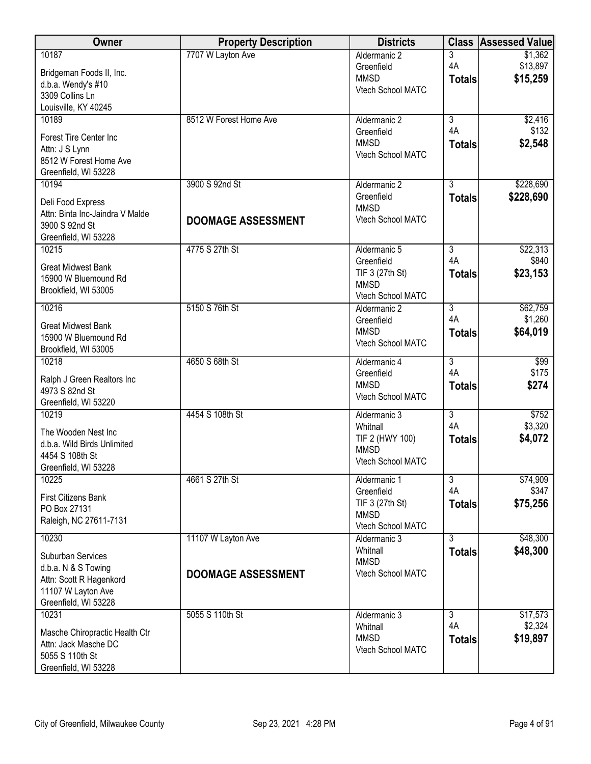| Owner                                                                                                                      | <b>Property Description</b>                     | <b>Districts</b>                                                                  | <b>Class</b>                          | <b>Assessed Value</b>           |
|----------------------------------------------------------------------------------------------------------------------------|-------------------------------------------------|-----------------------------------------------------------------------------------|---------------------------------------|---------------------------------|
| 10187<br>Bridgeman Foods II, Inc.<br>d.b.a. Wendy's #10<br>3309 Collins Ln<br>Louisville, KY 40245                         | 7707 W Layton Ave                               | Aldermanic 2<br>Greenfield<br><b>MMSD</b><br>Vtech School MATC                    | 3<br>4A<br><b>Totals</b>              | \$1,362<br>\$13,897<br>\$15,259 |
| 10189<br><b>Forest Tire Center Inc</b><br>Attn: J S Lynn<br>8512 W Forest Home Ave<br>Greenfield, WI 53228                 | 8512 W Forest Home Ave                          | Aldermanic 2<br>Greenfield<br><b>MMSD</b><br>Vtech School MATC                    | $\overline{3}$<br>4A<br><b>Totals</b> | \$2,416<br>\$132<br>\$2,548     |
| 10194<br>Deli Food Express<br>Attn: Binta Inc-Jaindra V Malde<br>3900 S 92nd St<br>Greenfield, WI 53228                    | 3900 S 92nd St<br><b>DOOMAGE ASSESSMENT</b>     | Aldermanic 2<br>Greenfield<br><b>MMSD</b><br>Vtech School MATC                    | $\overline{3}$<br><b>Totals</b>       | \$228,690<br>\$228,690          |
| 10215<br><b>Great Midwest Bank</b><br>15900 W Bluemound Rd<br>Brookfield, WI 53005                                         | 4775 S 27th St                                  | Aldermanic 5<br>Greenfield<br>TIF 3 (27th St)<br><b>MMSD</b><br>Vtech School MATC | $\overline{3}$<br>4A<br><b>Totals</b> | \$22,313<br>\$840<br>\$23,153   |
| 10216<br><b>Great Midwest Bank</b><br>15900 W Bluemound Rd<br>Brookfield, WI 53005                                         | 5150 S 76th St                                  | Aldermanic 2<br>Greenfield<br><b>MMSD</b><br>Vtech School MATC                    | 3<br>4A<br><b>Totals</b>              | \$62,759<br>\$1,260<br>\$64,019 |
| 10218<br>Ralph J Green Realtors Inc<br>4973 S 82nd St<br>Greenfield, WI 53220                                              | 4650 S 68th St                                  | Aldermanic 4<br>Greenfield<br><b>MMSD</b><br>Vtech School MATC                    | $\overline{3}$<br>4A<br><b>Totals</b> | \$99<br>\$175<br>\$274          |
| 10219<br>The Wooden Nest Inc<br>d.b.a. Wild Birds Unlimited<br>4454 S 108th St<br>Greenfield, WI 53228                     | 4454 S 108th St                                 | Aldermanic 3<br>Whitnall<br>TIF 2 (HWY 100)<br><b>MMSD</b><br>Vtech School MATC   | $\overline{3}$<br>4A<br><b>Totals</b> | \$752<br>\$3,320<br>\$4,072     |
| 10225<br><b>First Citizens Bank</b><br>PO Box 27131<br>Raleigh, NC 27611-7131                                              | 4661 S 27th St                                  | Aldermanic 1<br>Greenfield<br>TIF 3 (27th St)<br><b>MMSD</b><br>Vtech School MATC | $\overline{3}$<br>4A<br><b>Totals</b> | \$74,909<br>\$347<br>\$75,256   |
| 10230<br>Suburban Services<br>d.b.a. N & S Towing<br>Attn: Scott R Hagenkord<br>11107 W Layton Ave<br>Greenfield, WI 53228 | 11107 W Layton Ave<br><b>DOOMAGE ASSESSMENT</b> | Aldermanic 3<br>Whitnall<br><b>MMSD</b><br>Vtech School MATC                      | $\overline{3}$<br><b>Totals</b>       | \$48,300<br>\$48,300            |
| 10231<br>Masche Chiropractic Health Ctr<br>Attn: Jack Masche DC<br>5055 S 110th St<br>Greenfield, WI 53228                 | 5055 S 110th St                                 | Aldermanic 3<br>Whitnall<br><b>MMSD</b><br>Vtech School MATC                      | 3<br>4A<br><b>Totals</b>              | \$17,573<br>\$2,324<br>\$19,897 |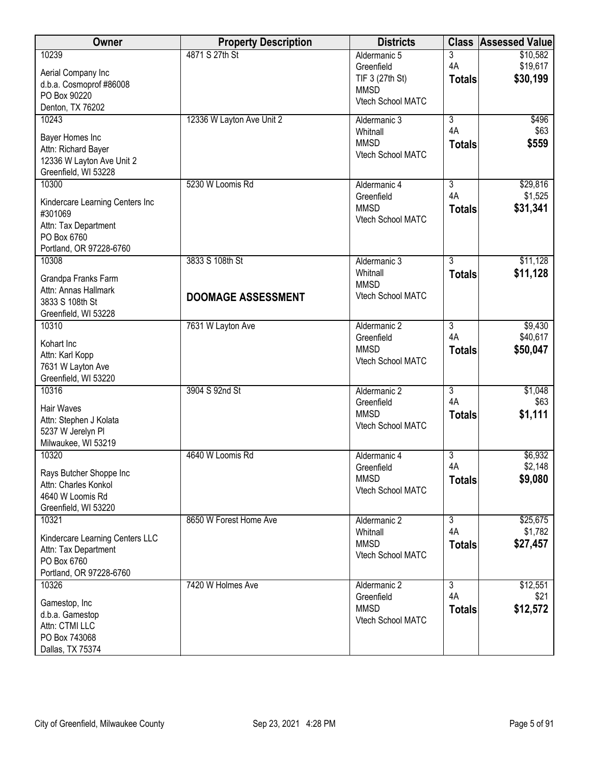| Owner                                                   | <b>Property Description</b> | <b>Districts</b>               | <b>Class</b>   | <b>Assessed Value</b> |
|---------------------------------------------------------|-----------------------------|--------------------------------|----------------|-----------------------|
| 10239                                                   | 4871 S 27th St              | Aldermanic 5                   | 3              | \$10,582              |
| Aerial Company Inc                                      |                             | Greenfield                     | 4A             | \$19,617              |
| d.b.a. Cosmoprof #86008                                 |                             | TIF 3 (27th St)<br><b>MMSD</b> | <b>Totals</b>  | \$30,199              |
| PO Box 90220                                            |                             | Vtech School MATC              |                |                       |
| Denton, TX 76202                                        |                             |                                |                |                       |
| 10243                                                   | 12336 W Layton Ave Unit 2   | Aldermanic 3                   | $\overline{3}$ | \$496                 |
| Bayer Homes Inc                                         |                             | Whitnall<br><b>MMSD</b>        | 4A             | \$63                  |
| Attn: Richard Bayer                                     |                             | Vtech School MATC              | <b>Totals</b>  | \$559                 |
| 12336 W Layton Ave Unit 2                               |                             |                                |                |                       |
| Greenfield, WI 53228                                    |                             |                                |                |                       |
| 10300                                                   | 5230 W Loomis Rd            | Aldermanic 4                   | $\overline{3}$ | \$29,816              |
| Kindercare Learning Centers Inc                         |                             | Greenfield                     | 4A             | \$1,525               |
| #301069                                                 |                             | <b>MMSD</b>                    | <b>Totals</b>  | \$31,341              |
| Attn: Tax Department                                    |                             | Vtech School MATC              |                |                       |
| PO Box 6760                                             |                             |                                |                |                       |
| Portland, OR 97228-6760                                 |                             |                                |                |                       |
| 10308                                                   | 3833 S 108th St             | Aldermanic 3                   | 3              | \$11,128              |
| Grandpa Franks Farm                                     |                             | Whitnall                       | <b>Totals</b>  | \$11,128              |
| Attn: Annas Hallmark                                    |                             | <b>MMSD</b>                    |                |                       |
| 3833 S 108th St                                         | <b>DOOMAGE ASSESSMENT</b>   | Vtech School MATC              |                |                       |
| Greenfield, WI 53228                                    |                             |                                |                |                       |
| 10310                                                   | 7631 W Layton Ave           | Aldermanic 2                   | $\overline{3}$ | \$9,430               |
| Kohart Inc                                              |                             | Greenfield                     | 4A             | \$40,617              |
| Attn: Karl Kopp                                         |                             | <b>MMSD</b>                    | <b>Totals</b>  | \$50,047              |
| 7631 W Layton Ave                                       |                             | Vtech School MATC              |                |                       |
| Greenfield, WI 53220                                    |                             |                                |                |                       |
| 10316                                                   | 3904 S 92nd St              | Aldermanic 2                   | $\overline{3}$ | \$1,048               |
| Hair Waves                                              |                             | Greenfield                     | 4A             | \$63                  |
| Attn: Stephen J Kolata                                  |                             | <b>MMSD</b>                    | <b>Totals</b>  | \$1,111               |
| 5237 W Jerelyn Pl                                       |                             | Vtech School MATC              |                |                       |
| Milwaukee, WI 53219                                     |                             |                                |                |                       |
| 10320                                                   | 4640 W Loomis Rd            | Aldermanic 4                   | 3              | \$6,932               |
|                                                         |                             | Greenfield                     | 4A             | \$2,148               |
| Rays Butcher Shoppe Inc<br>Attn: Charles Konkol         |                             | <b>MMSD</b>                    | <b>Totals</b>  | \$9,080               |
| 4640 W Loomis Rd                                        |                             | Vtech School MATC              |                |                       |
| Greenfield, WI 53220                                    |                             |                                |                |                       |
| 10321                                                   | 8650 W Forest Home Ave      | Aldermanic 2                   | $\overline{3}$ | \$25,675              |
|                                                         |                             | Whitnall                       | 4A             | \$1,782               |
| Kindercare Learning Centers LLC<br>Attn: Tax Department |                             | <b>MMSD</b>                    | <b>Totals</b>  | \$27,457              |
| PO Box 6760                                             |                             | Vtech School MATC              |                |                       |
| Portland, OR 97228-6760                                 |                             |                                |                |                       |
| 10326                                                   | 7420 W Holmes Ave           | Aldermanic 2                   | 3              | \$12,551              |
|                                                         |                             | Greenfield                     | 4A             | \$21                  |
| Gamestop, Inc.                                          |                             | <b>MMSD</b>                    | <b>Totals</b>  | \$12,572              |
| d.b.a. Gamestop                                         |                             | Vtech School MATC              |                |                       |
| Attn: CTMI LLC<br>PO Box 743068                         |                             |                                |                |                       |
| Dallas, TX 75374                                        |                             |                                |                |                       |
|                                                         |                             |                                |                |                       |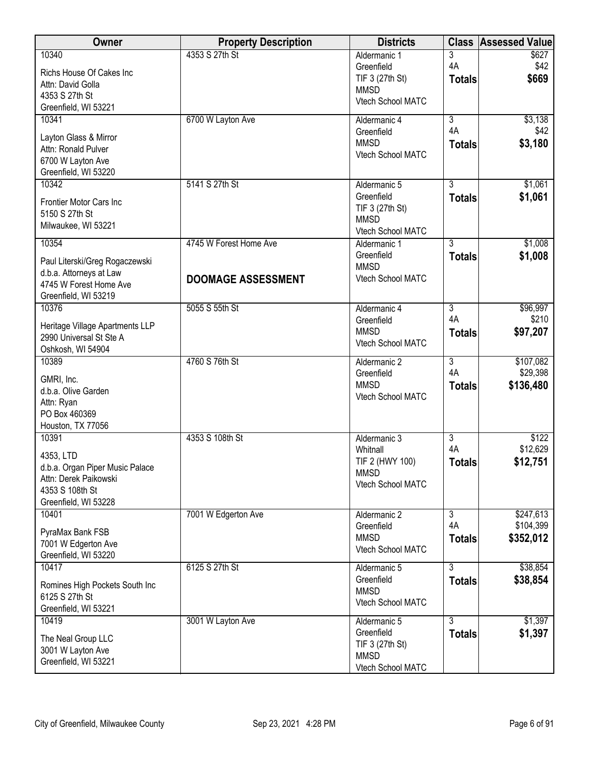| Owner                                                                                                                     | <b>Property Description</b>                         | <b>Districts</b>                                                                  | <b>Class</b>                          | <b>Assessed Value</b>               |
|---------------------------------------------------------------------------------------------------------------------------|-----------------------------------------------------|-----------------------------------------------------------------------------------|---------------------------------------|-------------------------------------|
| 10340<br>Richs House Of Cakes Inc<br>Attn: David Golla<br>4353 S 27th St<br>Greenfield, WI 53221                          | 4353 S 27th St                                      | Aldermanic 1<br>Greenfield<br>TIF 3 (27th St)<br><b>MMSD</b><br>Vtech School MATC | 3<br>4A<br><b>Totals</b>              | \$627<br>\$42<br>\$669              |
| 10341<br>Layton Glass & Mirror<br>Attn: Ronald Pulver<br>6700 W Layton Ave<br>Greenfield, WI 53220                        | 6700 W Layton Ave                                   | Aldermanic 4<br>Greenfield<br><b>MMSD</b><br>Vtech School MATC                    | $\overline{3}$<br>4A<br><b>Totals</b> | \$3,138<br>\$42<br>\$3,180          |
| 10342<br>Frontier Motor Cars Inc<br>5150 S 27th St<br>Milwaukee, WI 53221                                                 | 5141 S 27th St                                      | Aldermanic 5<br>Greenfield<br>TIF 3 (27th St)<br><b>MMSD</b><br>Vtech School MATC | $\overline{3}$<br><b>Totals</b>       | \$1,061<br>\$1,061                  |
| 10354<br>Paul Literski/Greg Rogaczewski<br>d.b.a. Attorneys at Law<br>4745 W Forest Home Ave<br>Greenfield, WI 53219      | 4745 W Forest Home Ave<br><b>DOOMAGE ASSESSMENT</b> | Aldermanic 1<br>Greenfield<br><b>MMSD</b><br>Vtech School MATC                    | 3<br><b>Totals</b>                    | \$1,008<br>\$1,008                  |
| 10376<br>Heritage Village Apartments LLP<br>2990 Universal St Ste A<br>Oshkosh, WI 54904                                  | 5055 S 55th St                                      | Aldermanic 4<br>Greenfield<br><b>MMSD</b><br>Vtech School MATC                    | 3<br>4A<br><b>Totals</b>              | \$96,997<br>\$210<br>\$97,207       |
| 10389<br>GMRI, Inc.<br>d.b.a. Olive Garden<br>Attn: Ryan<br>PO Box 460369<br>Houston, TX 77056                            | 4760 S 76th St                                      | Aldermanic 2<br>Greenfield<br><b>MMSD</b><br>Vtech School MATC                    | $\overline{3}$<br>4A<br><b>Totals</b> | \$107,082<br>\$29,398<br>\$136,480  |
| 10391<br>4353, LTD<br>d.b.a. Organ Piper Music Palace<br>Attn: Derek Paikowski<br>4353 S 108th St<br>Greenfield, WI 53228 | 4353 S 108th St                                     | Aldermanic 3<br>Whitnall<br>TIF 2 (HWY 100)<br><b>MMSD</b><br>Vtech School MATC   | $\overline{3}$<br>4A<br><b>Totals</b> | \$122<br>\$12,629<br>\$12,751       |
| 10401<br>PyraMax Bank FSB<br>7001 W Edgerton Ave<br>Greenfield, WI 53220                                                  | 7001 W Edgerton Ave                                 | Aldermanic 2<br>Greenfield<br><b>MMSD</b><br>Vtech School MATC                    | 3<br>4A<br><b>Totals</b>              | \$247,613<br>\$104,399<br>\$352,012 |
| 10417<br>Romines High Pockets South Inc<br>6125 S 27th St<br>Greenfield, WI 53221                                         | 6125 S 27th St                                      | Aldermanic 5<br>Greenfield<br><b>MMSD</b><br>Vtech School MATC                    | $\overline{3}$<br><b>Totals</b>       | \$38,854<br>\$38,854                |
| 10419<br>The Neal Group LLC<br>3001 W Layton Ave<br>Greenfield, WI 53221                                                  | 3001 W Layton Ave                                   | Aldermanic 5<br>Greenfield<br>TIF 3 (27th St)<br><b>MMSD</b><br>Vtech School MATC | $\overline{3}$<br><b>Totals</b>       | \$1,397<br>\$1,397                  |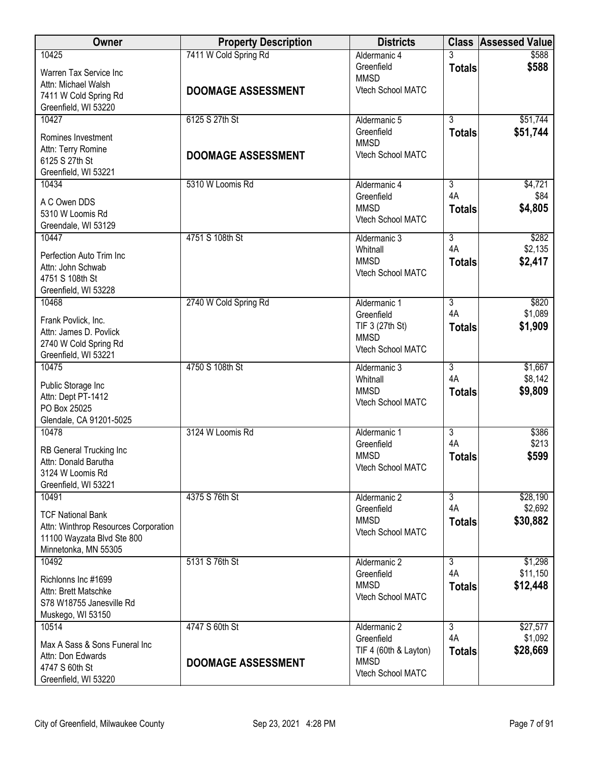| \$588<br>Greenfield<br><b>Totals</b><br>Warren Tax Service Inc<br><b>MMSD</b><br>Attn: Michael Walsh<br>Vtech School MATC<br><b>DOOMAGE ASSESSMENT</b><br>7411 W Cold Spring Rd<br>Greenfield, WI 53220<br>6125 S 27th St<br>$\overline{3}$<br>\$51,744<br>10427<br>Aldermanic 5<br>\$51,744<br>Greenfield<br><b>Totals</b><br>Romines Investment<br><b>MMSD</b><br>Attn: Terry Romine<br>Vtech School MATC<br><b>DOOMAGE ASSESSMENT</b><br>6125 S 27th St<br>Greenfield, WI 53221<br>10434<br>5310 W Loomis Rd<br>3<br>\$4,721<br>Aldermanic 4<br>4A<br>\$84<br>Greenfield<br>A C Owen DDS<br><b>MMSD</b><br>\$4,805<br><b>Totals</b><br>5310 W Loomis Rd<br>Vtech School MATC<br>Greendale, WI 53129<br>\$282<br>4751 S 108th St<br>$\overline{3}$<br>10447<br>Aldermanic 3<br>4A<br>\$2,135<br>Whitnall<br>Perfection Auto Trim Inc<br><b>MMSD</b><br>\$2,417<br><b>Totals</b><br>Attn: John Schwab<br>Vtech School MATC<br>4751 S 108th St<br>Greenfield, WI 53228<br>2740 W Cold Spring Rd<br>$\overline{3}$<br>\$820<br>10468<br>Aldermanic 1<br>4A<br>\$1,089<br>Greenfield<br>Frank Povlick, Inc.<br>\$1,909<br>TIF 3 (27th St)<br><b>Totals</b><br>Attn: James D. Povlick<br><b>MMSD</b><br>2740 W Cold Spring Rd<br>Vtech School MATC<br>Greenfield, WI 53221<br>10475<br>4750 S 108th St<br>\$1,667<br>$\overline{3}$<br>Aldermanic 3<br>4A<br>\$8,142<br>Whitnall<br>Public Storage Inc<br><b>MMSD</b><br>\$9,809<br><b>Totals</b><br>Attn: Dept PT-1412<br>Vtech School MATC<br>PO Box 25025<br>Glendale, CA 91201-5025<br>\$386<br>10478<br>3124 W Loomis Rd<br>Aldermanic 1<br>$\overline{3}$<br>4A<br>\$213<br>Greenfield<br>RB General Trucking Inc<br><b>MMSD</b><br>\$599<br><b>Totals</b><br>Attn: Donald Barutha<br>Vtech School MATC<br>3124 W Loomis Rd<br>Greenfield, WI 53221<br>4375 S 76th St<br>$\overline{3}$<br>\$28,190<br>10491<br>Aldermanic 2<br>4A<br>\$2,692<br>Greenfield<br><b>TCF National Bank</b><br><b>MMSD</b><br>\$30,882<br><b>Totals</b><br>Attn: Winthrop Resources Corporation<br>Vtech School MATC<br>11100 Wayzata Blvd Ste 800<br>Minnetonka, MN 55305<br>5131 S 76th St<br>\$1,298<br>10492<br>Aldermanic 2<br>3<br>4A<br>\$11,150<br>Greenfield<br>Richlonns Inc #1699<br><b>MMSD</b><br>\$12,448<br><b>Totals</b><br>Attn: Brett Matschke<br>Vtech School MATC<br>S78 W18755 Janesville Rd<br>Muskego, WI 53150<br>4747 S 60th St<br>$\overline{3}$<br>10514<br>Aldermanic 2<br>\$27,577<br>4A<br>\$1,092<br>Greenfield<br>Max A Sass & Sons Funeral Inc<br>\$28,669<br>TIF 4 (60th & Layton)<br><b>Totals</b><br>Attn: Don Edwards<br><b>MMSD</b><br><b>DOOMAGE ASSESSMENT</b><br>4747 S 60th St<br>Vtech School MATC | Owner                | <b>Property Description</b> | <b>Districts</b> | <b>Class Assessed Value</b> |
|------------------------------------------------------------------------------------------------------------------------------------------------------------------------------------------------------------------------------------------------------------------------------------------------------------------------------------------------------------------------------------------------------------------------------------------------------------------------------------------------------------------------------------------------------------------------------------------------------------------------------------------------------------------------------------------------------------------------------------------------------------------------------------------------------------------------------------------------------------------------------------------------------------------------------------------------------------------------------------------------------------------------------------------------------------------------------------------------------------------------------------------------------------------------------------------------------------------------------------------------------------------------------------------------------------------------------------------------------------------------------------------------------------------------------------------------------------------------------------------------------------------------------------------------------------------------------------------------------------------------------------------------------------------------------------------------------------------------------------------------------------------------------------------------------------------------------------------------------------------------------------------------------------------------------------------------------------------------------------------------------------------------------------------------------------------------------------------------------------------------------------------------------------------------------------------------------------------------------------------------------------------------------------------------------------------------------------------------------------------------------------------------------------------------------------------------------------------------------------------------------------------------------------------------------------------------------------------------------------------------------------------------------------------------------|----------------------|-----------------------------|------------------|-----------------------------|
|                                                                                                                                                                                                                                                                                                                                                                                                                                                                                                                                                                                                                                                                                                                                                                                                                                                                                                                                                                                                                                                                                                                                                                                                                                                                                                                                                                                                                                                                                                                                                                                                                                                                                                                                                                                                                                                                                                                                                                                                                                                                                                                                                                                                                                                                                                                                                                                                                                                                                                                                                                                                                                                                              | 10425                | 7411 W Cold Spring Rd       | Aldermanic 4     | \$588                       |
|                                                                                                                                                                                                                                                                                                                                                                                                                                                                                                                                                                                                                                                                                                                                                                                                                                                                                                                                                                                                                                                                                                                                                                                                                                                                                                                                                                                                                                                                                                                                                                                                                                                                                                                                                                                                                                                                                                                                                                                                                                                                                                                                                                                                                                                                                                                                                                                                                                                                                                                                                                                                                                                                              |                      |                             |                  |                             |
|                                                                                                                                                                                                                                                                                                                                                                                                                                                                                                                                                                                                                                                                                                                                                                                                                                                                                                                                                                                                                                                                                                                                                                                                                                                                                                                                                                                                                                                                                                                                                                                                                                                                                                                                                                                                                                                                                                                                                                                                                                                                                                                                                                                                                                                                                                                                                                                                                                                                                                                                                                                                                                                                              |                      |                             |                  |                             |
|                                                                                                                                                                                                                                                                                                                                                                                                                                                                                                                                                                                                                                                                                                                                                                                                                                                                                                                                                                                                                                                                                                                                                                                                                                                                                                                                                                                                                                                                                                                                                                                                                                                                                                                                                                                                                                                                                                                                                                                                                                                                                                                                                                                                                                                                                                                                                                                                                                                                                                                                                                                                                                                                              |                      |                             |                  |                             |
|                                                                                                                                                                                                                                                                                                                                                                                                                                                                                                                                                                                                                                                                                                                                                                                                                                                                                                                                                                                                                                                                                                                                                                                                                                                                                                                                                                                                                                                                                                                                                                                                                                                                                                                                                                                                                                                                                                                                                                                                                                                                                                                                                                                                                                                                                                                                                                                                                                                                                                                                                                                                                                                                              |                      |                             |                  |                             |
|                                                                                                                                                                                                                                                                                                                                                                                                                                                                                                                                                                                                                                                                                                                                                                                                                                                                                                                                                                                                                                                                                                                                                                                                                                                                                                                                                                                                                                                                                                                                                                                                                                                                                                                                                                                                                                                                                                                                                                                                                                                                                                                                                                                                                                                                                                                                                                                                                                                                                                                                                                                                                                                                              |                      |                             |                  |                             |
|                                                                                                                                                                                                                                                                                                                                                                                                                                                                                                                                                                                                                                                                                                                                                                                                                                                                                                                                                                                                                                                                                                                                                                                                                                                                                                                                                                                                                                                                                                                                                                                                                                                                                                                                                                                                                                                                                                                                                                                                                                                                                                                                                                                                                                                                                                                                                                                                                                                                                                                                                                                                                                                                              |                      |                             |                  |                             |
|                                                                                                                                                                                                                                                                                                                                                                                                                                                                                                                                                                                                                                                                                                                                                                                                                                                                                                                                                                                                                                                                                                                                                                                                                                                                                                                                                                                                                                                                                                                                                                                                                                                                                                                                                                                                                                                                                                                                                                                                                                                                                                                                                                                                                                                                                                                                                                                                                                                                                                                                                                                                                                                                              |                      |                             |                  |                             |
|                                                                                                                                                                                                                                                                                                                                                                                                                                                                                                                                                                                                                                                                                                                                                                                                                                                                                                                                                                                                                                                                                                                                                                                                                                                                                                                                                                                                                                                                                                                                                                                                                                                                                                                                                                                                                                                                                                                                                                                                                                                                                                                                                                                                                                                                                                                                                                                                                                                                                                                                                                                                                                                                              |                      |                             |                  |                             |
|                                                                                                                                                                                                                                                                                                                                                                                                                                                                                                                                                                                                                                                                                                                                                                                                                                                                                                                                                                                                                                                                                                                                                                                                                                                                                                                                                                                                                                                                                                                                                                                                                                                                                                                                                                                                                                                                                                                                                                                                                                                                                                                                                                                                                                                                                                                                                                                                                                                                                                                                                                                                                                                                              |                      |                             |                  |                             |
|                                                                                                                                                                                                                                                                                                                                                                                                                                                                                                                                                                                                                                                                                                                                                                                                                                                                                                                                                                                                                                                                                                                                                                                                                                                                                                                                                                                                                                                                                                                                                                                                                                                                                                                                                                                                                                                                                                                                                                                                                                                                                                                                                                                                                                                                                                                                                                                                                                                                                                                                                                                                                                                                              |                      |                             |                  |                             |
|                                                                                                                                                                                                                                                                                                                                                                                                                                                                                                                                                                                                                                                                                                                                                                                                                                                                                                                                                                                                                                                                                                                                                                                                                                                                                                                                                                                                                                                                                                                                                                                                                                                                                                                                                                                                                                                                                                                                                                                                                                                                                                                                                                                                                                                                                                                                                                                                                                                                                                                                                                                                                                                                              |                      |                             |                  |                             |
|                                                                                                                                                                                                                                                                                                                                                                                                                                                                                                                                                                                                                                                                                                                                                                                                                                                                                                                                                                                                                                                                                                                                                                                                                                                                                                                                                                                                                                                                                                                                                                                                                                                                                                                                                                                                                                                                                                                                                                                                                                                                                                                                                                                                                                                                                                                                                                                                                                                                                                                                                                                                                                                                              |                      |                             |                  |                             |
|                                                                                                                                                                                                                                                                                                                                                                                                                                                                                                                                                                                                                                                                                                                                                                                                                                                                                                                                                                                                                                                                                                                                                                                                                                                                                                                                                                                                                                                                                                                                                                                                                                                                                                                                                                                                                                                                                                                                                                                                                                                                                                                                                                                                                                                                                                                                                                                                                                                                                                                                                                                                                                                                              |                      |                             |                  |                             |
|                                                                                                                                                                                                                                                                                                                                                                                                                                                                                                                                                                                                                                                                                                                                                                                                                                                                                                                                                                                                                                                                                                                                                                                                                                                                                                                                                                                                                                                                                                                                                                                                                                                                                                                                                                                                                                                                                                                                                                                                                                                                                                                                                                                                                                                                                                                                                                                                                                                                                                                                                                                                                                                                              |                      |                             |                  |                             |
|                                                                                                                                                                                                                                                                                                                                                                                                                                                                                                                                                                                                                                                                                                                                                                                                                                                                                                                                                                                                                                                                                                                                                                                                                                                                                                                                                                                                                                                                                                                                                                                                                                                                                                                                                                                                                                                                                                                                                                                                                                                                                                                                                                                                                                                                                                                                                                                                                                                                                                                                                                                                                                                                              |                      |                             |                  |                             |
|                                                                                                                                                                                                                                                                                                                                                                                                                                                                                                                                                                                                                                                                                                                                                                                                                                                                                                                                                                                                                                                                                                                                                                                                                                                                                                                                                                                                                                                                                                                                                                                                                                                                                                                                                                                                                                                                                                                                                                                                                                                                                                                                                                                                                                                                                                                                                                                                                                                                                                                                                                                                                                                                              |                      |                             |                  |                             |
|                                                                                                                                                                                                                                                                                                                                                                                                                                                                                                                                                                                                                                                                                                                                                                                                                                                                                                                                                                                                                                                                                                                                                                                                                                                                                                                                                                                                                                                                                                                                                                                                                                                                                                                                                                                                                                                                                                                                                                                                                                                                                                                                                                                                                                                                                                                                                                                                                                                                                                                                                                                                                                                                              |                      |                             |                  |                             |
|                                                                                                                                                                                                                                                                                                                                                                                                                                                                                                                                                                                                                                                                                                                                                                                                                                                                                                                                                                                                                                                                                                                                                                                                                                                                                                                                                                                                                                                                                                                                                                                                                                                                                                                                                                                                                                                                                                                                                                                                                                                                                                                                                                                                                                                                                                                                                                                                                                                                                                                                                                                                                                                                              |                      |                             |                  |                             |
|                                                                                                                                                                                                                                                                                                                                                                                                                                                                                                                                                                                                                                                                                                                                                                                                                                                                                                                                                                                                                                                                                                                                                                                                                                                                                                                                                                                                                                                                                                                                                                                                                                                                                                                                                                                                                                                                                                                                                                                                                                                                                                                                                                                                                                                                                                                                                                                                                                                                                                                                                                                                                                                                              |                      |                             |                  |                             |
|                                                                                                                                                                                                                                                                                                                                                                                                                                                                                                                                                                                                                                                                                                                                                                                                                                                                                                                                                                                                                                                                                                                                                                                                                                                                                                                                                                                                                                                                                                                                                                                                                                                                                                                                                                                                                                                                                                                                                                                                                                                                                                                                                                                                                                                                                                                                                                                                                                                                                                                                                                                                                                                                              |                      |                             |                  |                             |
|                                                                                                                                                                                                                                                                                                                                                                                                                                                                                                                                                                                                                                                                                                                                                                                                                                                                                                                                                                                                                                                                                                                                                                                                                                                                                                                                                                                                                                                                                                                                                                                                                                                                                                                                                                                                                                                                                                                                                                                                                                                                                                                                                                                                                                                                                                                                                                                                                                                                                                                                                                                                                                                                              |                      |                             |                  |                             |
|                                                                                                                                                                                                                                                                                                                                                                                                                                                                                                                                                                                                                                                                                                                                                                                                                                                                                                                                                                                                                                                                                                                                                                                                                                                                                                                                                                                                                                                                                                                                                                                                                                                                                                                                                                                                                                                                                                                                                                                                                                                                                                                                                                                                                                                                                                                                                                                                                                                                                                                                                                                                                                                                              |                      |                             |                  |                             |
|                                                                                                                                                                                                                                                                                                                                                                                                                                                                                                                                                                                                                                                                                                                                                                                                                                                                                                                                                                                                                                                                                                                                                                                                                                                                                                                                                                                                                                                                                                                                                                                                                                                                                                                                                                                                                                                                                                                                                                                                                                                                                                                                                                                                                                                                                                                                                                                                                                                                                                                                                                                                                                                                              |                      |                             |                  |                             |
|                                                                                                                                                                                                                                                                                                                                                                                                                                                                                                                                                                                                                                                                                                                                                                                                                                                                                                                                                                                                                                                                                                                                                                                                                                                                                                                                                                                                                                                                                                                                                                                                                                                                                                                                                                                                                                                                                                                                                                                                                                                                                                                                                                                                                                                                                                                                                                                                                                                                                                                                                                                                                                                                              |                      |                             |                  |                             |
|                                                                                                                                                                                                                                                                                                                                                                                                                                                                                                                                                                                                                                                                                                                                                                                                                                                                                                                                                                                                                                                                                                                                                                                                                                                                                                                                                                                                                                                                                                                                                                                                                                                                                                                                                                                                                                                                                                                                                                                                                                                                                                                                                                                                                                                                                                                                                                                                                                                                                                                                                                                                                                                                              |                      |                             |                  |                             |
|                                                                                                                                                                                                                                                                                                                                                                                                                                                                                                                                                                                                                                                                                                                                                                                                                                                                                                                                                                                                                                                                                                                                                                                                                                                                                                                                                                                                                                                                                                                                                                                                                                                                                                                                                                                                                                                                                                                                                                                                                                                                                                                                                                                                                                                                                                                                                                                                                                                                                                                                                                                                                                                                              |                      |                             |                  |                             |
|                                                                                                                                                                                                                                                                                                                                                                                                                                                                                                                                                                                                                                                                                                                                                                                                                                                                                                                                                                                                                                                                                                                                                                                                                                                                                                                                                                                                                                                                                                                                                                                                                                                                                                                                                                                                                                                                                                                                                                                                                                                                                                                                                                                                                                                                                                                                                                                                                                                                                                                                                                                                                                                                              |                      |                             |                  |                             |
|                                                                                                                                                                                                                                                                                                                                                                                                                                                                                                                                                                                                                                                                                                                                                                                                                                                                                                                                                                                                                                                                                                                                                                                                                                                                                                                                                                                                                                                                                                                                                                                                                                                                                                                                                                                                                                                                                                                                                                                                                                                                                                                                                                                                                                                                                                                                                                                                                                                                                                                                                                                                                                                                              |                      |                             |                  |                             |
|                                                                                                                                                                                                                                                                                                                                                                                                                                                                                                                                                                                                                                                                                                                                                                                                                                                                                                                                                                                                                                                                                                                                                                                                                                                                                                                                                                                                                                                                                                                                                                                                                                                                                                                                                                                                                                                                                                                                                                                                                                                                                                                                                                                                                                                                                                                                                                                                                                                                                                                                                                                                                                                                              |                      |                             |                  |                             |
|                                                                                                                                                                                                                                                                                                                                                                                                                                                                                                                                                                                                                                                                                                                                                                                                                                                                                                                                                                                                                                                                                                                                                                                                                                                                                                                                                                                                                                                                                                                                                                                                                                                                                                                                                                                                                                                                                                                                                                                                                                                                                                                                                                                                                                                                                                                                                                                                                                                                                                                                                                                                                                                                              |                      |                             |                  |                             |
|                                                                                                                                                                                                                                                                                                                                                                                                                                                                                                                                                                                                                                                                                                                                                                                                                                                                                                                                                                                                                                                                                                                                                                                                                                                                                                                                                                                                                                                                                                                                                                                                                                                                                                                                                                                                                                                                                                                                                                                                                                                                                                                                                                                                                                                                                                                                                                                                                                                                                                                                                                                                                                                                              |                      |                             |                  |                             |
|                                                                                                                                                                                                                                                                                                                                                                                                                                                                                                                                                                                                                                                                                                                                                                                                                                                                                                                                                                                                                                                                                                                                                                                                                                                                                                                                                                                                                                                                                                                                                                                                                                                                                                                                                                                                                                                                                                                                                                                                                                                                                                                                                                                                                                                                                                                                                                                                                                                                                                                                                                                                                                                                              |                      |                             |                  |                             |
|                                                                                                                                                                                                                                                                                                                                                                                                                                                                                                                                                                                                                                                                                                                                                                                                                                                                                                                                                                                                                                                                                                                                                                                                                                                                                                                                                                                                                                                                                                                                                                                                                                                                                                                                                                                                                                                                                                                                                                                                                                                                                                                                                                                                                                                                                                                                                                                                                                                                                                                                                                                                                                                                              |                      |                             |                  |                             |
|                                                                                                                                                                                                                                                                                                                                                                                                                                                                                                                                                                                                                                                                                                                                                                                                                                                                                                                                                                                                                                                                                                                                                                                                                                                                                                                                                                                                                                                                                                                                                                                                                                                                                                                                                                                                                                                                                                                                                                                                                                                                                                                                                                                                                                                                                                                                                                                                                                                                                                                                                                                                                                                                              |                      |                             |                  |                             |
|                                                                                                                                                                                                                                                                                                                                                                                                                                                                                                                                                                                                                                                                                                                                                                                                                                                                                                                                                                                                                                                                                                                                                                                                                                                                                                                                                                                                                                                                                                                                                                                                                                                                                                                                                                                                                                                                                                                                                                                                                                                                                                                                                                                                                                                                                                                                                                                                                                                                                                                                                                                                                                                                              |                      |                             |                  |                             |
|                                                                                                                                                                                                                                                                                                                                                                                                                                                                                                                                                                                                                                                                                                                                                                                                                                                                                                                                                                                                                                                                                                                                                                                                                                                                                                                                                                                                                                                                                                                                                                                                                                                                                                                                                                                                                                                                                                                                                                                                                                                                                                                                                                                                                                                                                                                                                                                                                                                                                                                                                                                                                                                                              |                      |                             |                  |                             |
|                                                                                                                                                                                                                                                                                                                                                                                                                                                                                                                                                                                                                                                                                                                                                                                                                                                                                                                                                                                                                                                                                                                                                                                                                                                                                                                                                                                                                                                                                                                                                                                                                                                                                                                                                                                                                                                                                                                                                                                                                                                                                                                                                                                                                                                                                                                                                                                                                                                                                                                                                                                                                                                                              |                      |                             |                  |                             |
|                                                                                                                                                                                                                                                                                                                                                                                                                                                                                                                                                                                                                                                                                                                                                                                                                                                                                                                                                                                                                                                                                                                                                                                                                                                                                                                                                                                                                                                                                                                                                                                                                                                                                                                                                                                                                                                                                                                                                                                                                                                                                                                                                                                                                                                                                                                                                                                                                                                                                                                                                                                                                                                                              |                      |                             |                  |                             |
|                                                                                                                                                                                                                                                                                                                                                                                                                                                                                                                                                                                                                                                                                                                                                                                                                                                                                                                                                                                                                                                                                                                                                                                                                                                                                                                                                                                                                                                                                                                                                                                                                                                                                                                                                                                                                                                                                                                                                                                                                                                                                                                                                                                                                                                                                                                                                                                                                                                                                                                                                                                                                                                                              |                      |                             |                  |                             |
|                                                                                                                                                                                                                                                                                                                                                                                                                                                                                                                                                                                                                                                                                                                                                                                                                                                                                                                                                                                                                                                                                                                                                                                                                                                                                                                                                                                                                                                                                                                                                                                                                                                                                                                                                                                                                                                                                                                                                                                                                                                                                                                                                                                                                                                                                                                                                                                                                                                                                                                                                                                                                                                                              |                      |                             |                  |                             |
|                                                                                                                                                                                                                                                                                                                                                                                                                                                                                                                                                                                                                                                                                                                                                                                                                                                                                                                                                                                                                                                                                                                                                                                                                                                                                                                                                                                                                                                                                                                                                                                                                                                                                                                                                                                                                                                                                                                                                                                                                                                                                                                                                                                                                                                                                                                                                                                                                                                                                                                                                                                                                                                                              |                      |                             |                  |                             |
|                                                                                                                                                                                                                                                                                                                                                                                                                                                                                                                                                                                                                                                                                                                                                                                                                                                                                                                                                                                                                                                                                                                                                                                                                                                                                                                                                                                                                                                                                                                                                                                                                                                                                                                                                                                                                                                                                                                                                                                                                                                                                                                                                                                                                                                                                                                                                                                                                                                                                                                                                                                                                                                                              |                      |                             |                  |                             |
|                                                                                                                                                                                                                                                                                                                                                                                                                                                                                                                                                                                                                                                                                                                                                                                                                                                                                                                                                                                                                                                                                                                                                                                                                                                                                                                                                                                                                                                                                                                                                                                                                                                                                                                                                                                                                                                                                                                                                                                                                                                                                                                                                                                                                                                                                                                                                                                                                                                                                                                                                                                                                                                                              |                      |                             |                  |                             |
|                                                                                                                                                                                                                                                                                                                                                                                                                                                                                                                                                                                                                                                                                                                                                                                                                                                                                                                                                                                                                                                                                                                                                                                                                                                                                                                                                                                                                                                                                                                                                                                                                                                                                                                                                                                                                                                                                                                                                                                                                                                                                                                                                                                                                                                                                                                                                                                                                                                                                                                                                                                                                                                                              | Greenfield, WI 53220 |                             |                  |                             |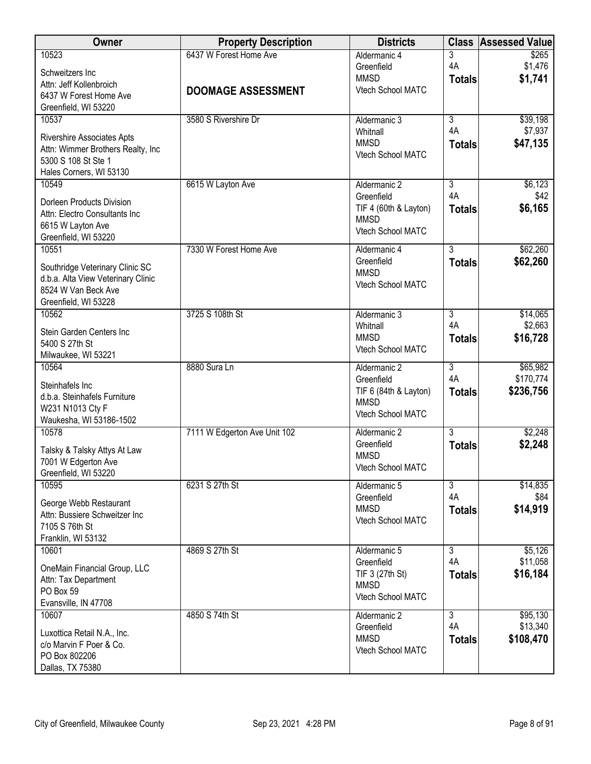| Owner                                                                                                                         | <b>Property Description</b>                         | <b>Districts</b>                                                                        | <b>Class</b>                          | <b>Assessed Value</b>              |
|-------------------------------------------------------------------------------------------------------------------------------|-----------------------------------------------------|-----------------------------------------------------------------------------------------|---------------------------------------|------------------------------------|
| 10523<br>Schweitzers Inc<br>Attn: Jeff Kollenbroich<br>6437 W Forest Home Ave                                                 | 6437 W Forest Home Ave<br><b>DOOMAGE ASSESSMENT</b> | Aldermanic 4<br>Greenfield<br><b>MMSD</b><br>Vtech School MATC                          | 3<br>4A<br><b>Totals</b>              | \$265<br>\$1,476<br>\$1,741        |
| Greenfield, WI 53220                                                                                                          |                                                     |                                                                                         |                                       |                                    |
| 10537                                                                                                                         | 3580 S Rivershire Dr                                | Aldermanic 3                                                                            | $\overline{3}$                        | \$39,198                           |
| Rivershire Associates Apts<br>Attn: Wimmer Brothers Realty, Inc<br>5300 S 108 St Ste 1<br>Hales Corners, WI 53130             |                                                     | Whitnall<br><b>MMSD</b><br>Vtech School MATC                                            | 4A<br><b>Totals</b>                   | \$7,937<br>\$47,135                |
| 10549                                                                                                                         | 6615 W Layton Ave                                   | Aldermanic 2<br>Greenfield                                                              | 3<br>4A                               | \$6,123<br>\$42                    |
| Dorleen Products Division<br>Attn: Electro Consultants Inc<br>6615 W Layton Ave<br>Greenfield, WI 53220                       |                                                     | TIF 4 (60th & Layton)<br><b>MMSD</b><br>Vtech School MATC                               | <b>Totals</b>                         | \$6,165                            |
| 10551<br>Southridge Veterinary Clinic SC<br>d.b.a. Alta View Veterinary Clinic<br>8524 W Van Beck Ave<br>Greenfield, WI 53228 | 7330 W Forest Home Ave                              | Aldermanic 4<br>Greenfield<br><b>MMSD</b><br>Vtech School MATC                          | $\overline{3}$<br><b>Totals</b>       | \$62,260<br>\$62,260               |
| 10562                                                                                                                         | 3725 S 108th St                                     | Aldermanic 3                                                                            | 3                                     | \$14,065                           |
| Stein Garden Centers Inc<br>5400 S 27th St<br>Milwaukee, WI 53221                                                             |                                                     | Whitnall<br><b>MMSD</b><br>Vtech School MATC                                            | 4A<br><b>Totals</b>                   | \$2,663<br>\$16,728                |
| 10564<br>Steinhafels Inc<br>d.b.a. Steinhafels Furniture<br>W231 N1013 Cty F<br>Waukesha, WI 53186-1502                       | 8880 Sura Ln                                        | Aldermanic 2<br>Greenfield<br>TIF 6 (84th & Layton)<br><b>MMSD</b><br>Vtech School MATC | $\overline{3}$<br>4A<br><b>Totals</b> | \$65,982<br>\$170,774<br>\$236,756 |
| 10578<br>Talsky & Talsky Attys At Law<br>7001 W Edgerton Ave<br>Greenfield, WI 53220                                          | 7111 W Edgerton Ave Unit 102                        | Aldermanic 2<br>Greenfield<br><b>MMSD</b><br>Vtech School MATC                          | $\overline{3}$<br><b>Totals</b>       | \$2,248<br>\$2,248                 |
| 10595<br>George Webb Restaurant<br>Attn: Bussiere Schweitzer Inc<br>7105 S 76th St<br>Franklin, WI 53132                      | 6231 S 27th St                                      | Aldermanic 5<br>Greenfield<br><b>MMSD</b><br>Vtech School MATC                          | $\overline{3}$<br>4A<br><b>Totals</b> | \$14,835<br>\$84<br>\$14,919       |
| 10601                                                                                                                         | 4869 S 27th St                                      | Aldermanic 5<br>Greenfield                                                              | $\overline{3}$<br>4A                  | \$5,126<br>\$11,058                |
| OneMain Financial Group, LLC<br>Attn: Tax Department<br>PO Box 59<br>Evansville, IN 47708                                     |                                                     | TIF 3 (27th St)<br><b>MMSD</b><br>Vtech School MATC                                     | <b>Totals</b>                         | \$16,184                           |
| 10607<br>Luxottica Retail N.A., Inc.<br>c/o Marvin F Poer & Co.                                                               | 4850 S 74th St                                      | Aldermanic 2<br>Greenfield<br><b>MMSD</b>                                               | $\overline{3}$<br>4A<br><b>Totals</b> | \$95,130<br>\$13,340<br>\$108,470  |
| PO Box 802206<br>Dallas, TX 75380                                                                                             |                                                     | Vtech School MATC                                                                       |                                       |                                    |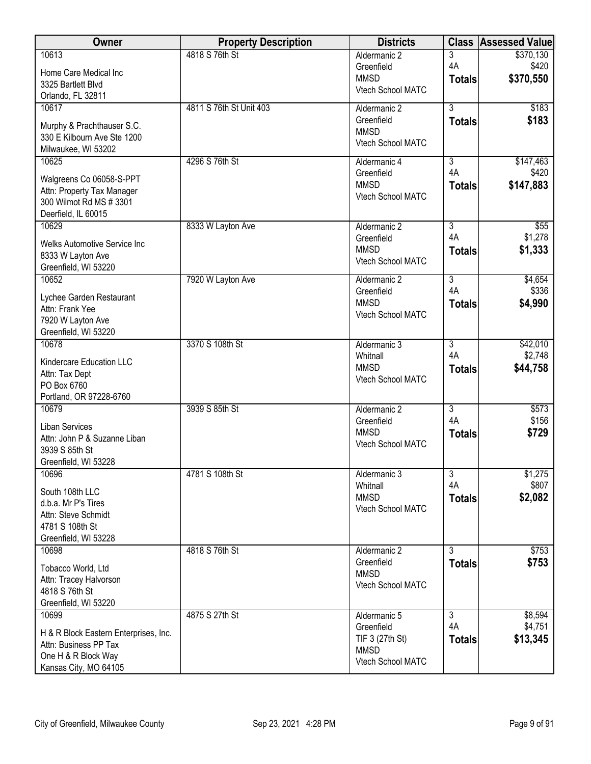| Owner                                          | <b>Property Description</b> | <b>Districts</b>                 | <b>Class</b>         | <b>Assessed Value</b> |
|------------------------------------------------|-----------------------------|----------------------------------|----------------------|-----------------------|
| 10613                                          | 4818 S 76th St              | Aldermanic 2                     | 3                    | \$370,130             |
| Home Care Medical Inc                          |                             | Greenfield<br><b>MMSD</b>        | 4A                   | \$420<br>\$370,550    |
| 3325 Bartlett Blvd                             |                             | Vtech School MATC                | <b>Totals</b>        |                       |
| Orlando, FL 32811                              |                             |                                  |                      |                       |
| 10617                                          | 4811 S 76th St Unit 403     | Aldermanic 2<br>Greenfield       | $\overline{3}$       | \$183                 |
| Murphy & Prachthauser S.C.                     |                             | <b>MMSD</b>                      | <b>Totals</b>        | \$183                 |
| 330 E Kilbourn Ave Ste 1200                    |                             | Vtech School MATC                |                      |                       |
| Milwaukee, WI 53202                            |                             |                                  |                      |                       |
| 10625                                          | 4296 S 76th St              | Aldermanic 4<br>Greenfield       | $\overline{3}$<br>4A | \$147,463<br>\$420    |
| Walgreens Co 06058-S-PPT                       |                             | <b>MMSD</b>                      | <b>Totals</b>        | \$147,883             |
| Attn: Property Tax Manager                     |                             | Vtech School MATC                |                      |                       |
| 300 Wilmot Rd MS # 3301                        |                             |                                  |                      |                       |
| Deerfield, IL 60015                            |                             |                                  |                      |                       |
| 10629                                          | 8333 W Layton Ave           | Aldermanic 2<br>Greenfield       | $\overline{3}$<br>4A | \$55<br>\$1,278       |
| <b>Welks Automotive Service Inc</b>            |                             | <b>MMSD</b>                      | <b>Totals</b>        | \$1,333               |
| 8333 W Layton Ave                              |                             | Vtech School MATC                |                      |                       |
| Greenfield, WI 53220                           |                             |                                  |                      |                       |
| 10652                                          | 7920 W Layton Ave           | Aldermanic 2<br>Greenfield       | $\overline{3}$<br>4A | \$4,654<br>\$336      |
| Lychee Garden Restaurant                       |                             | <b>MMSD</b>                      | <b>Totals</b>        | \$4,990               |
| Attn: Frank Yee                                |                             | Vtech School MATC                |                      |                       |
| 7920 W Layton Ave                              |                             |                                  |                      |                       |
| Greenfield, WI 53220<br>10678                  | 3370 S 108th St             | Aldermanic 3                     | $\overline{3}$       | \$42,010              |
|                                                |                             | Whitnall                         | 4A                   | \$2,748               |
| Kindercare Education LLC                       |                             | <b>MMSD</b>                      | <b>Totals</b>        | \$44,758              |
| Attn: Tax Dept                                 |                             | Vtech School MATC                |                      |                       |
| PO Box 6760<br>Portland, OR 97228-6760         |                             |                                  |                      |                       |
| 10679                                          | 3939 S 85th St              | Aldermanic 2                     | $\overline{3}$       | \$573                 |
|                                                |                             | Greenfield                       | 4A                   | \$156                 |
| <b>Liban Services</b>                          |                             | <b>MMSD</b>                      | <b>Totals</b>        | \$729                 |
| Attn: John P & Suzanne Liban<br>3939 S 85th St |                             | Vtech School MATC                |                      |                       |
| Greenfield, WI 53228                           |                             |                                  |                      |                       |
| 10696                                          | 4781 S 108th St             | Aldermanic 3                     | 3                    | \$1,275               |
|                                                |                             | Whitnall                         | 4A                   | \$807                 |
| South 108th LLC<br>d.b.a. Mr P's Tires         |                             | <b>MMSD</b>                      | <b>Totals</b>        | \$2,082               |
| Attn: Steve Schmidt                            |                             | Vtech School MATC                |                      |                       |
| 4781 S 108th St                                |                             |                                  |                      |                       |
| Greenfield, WI 53228                           |                             |                                  |                      |                       |
| 10698                                          | 4818 S 76th St              | Aldermanic 2                     | $\overline{3}$       | \$753                 |
| Tobacco World, Ltd                             |                             | Greenfield                       | <b>Totals</b>        | \$753                 |
| Attn: Tracey Halvorson                         |                             | <b>MMSD</b>                      |                      |                       |
| 4818 S 76th St                                 |                             | Vtech School MATC                |                      |                       |
| Greenfield, WI 53220                           |                             |                                  |                      |                       |
| 10699                                          | 4875 S 27th St              | Aldermanic 5                     | $\overline{3}$       | \$8,594               |
| H & R Block Eastern Enterprises, Inc.          |                             | Greenfield                       | 4A                   | \$4,751               |
| Attn: Business PP Tax                          |                             | TIF 3 (27th St)                  | <b>Totals</b>        | \$13,345              |
| One H & R Block Way                            |                             | <b>MMSD</b><br>Vtech School MATC |                      |                       |
| Kansas City, MO 64105                          |                             |                                  |                      |                       |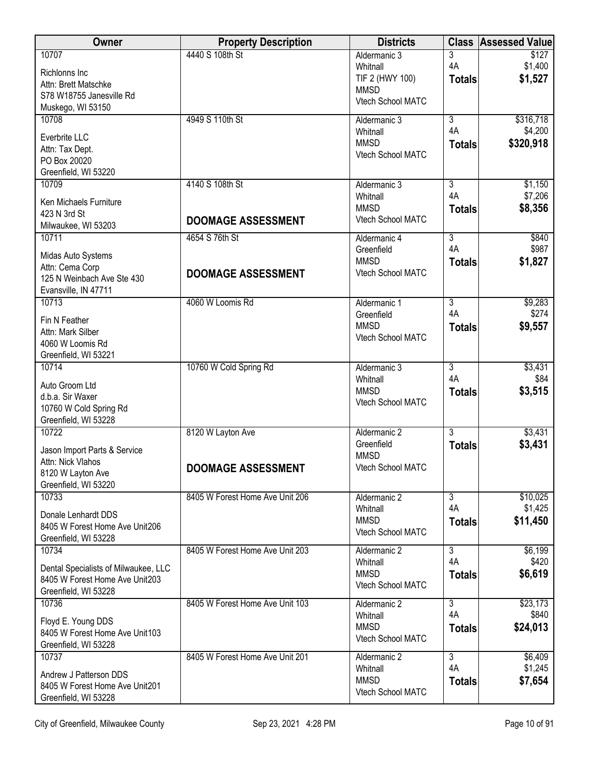| <b>Owner</b>                                   | <b>Property Description</b>     | <b>Districts</b>               |                      | <b>Class Assessed Value</b> |
|------------------------------------------------|---------------------------------|--------------------------------|----------------------|-----------------------------|
| 10707                                          | 4440 S 108th St                 | Aldermanic 3                   | 3                    | \$127                       |
| Richlonns Inc                                  |                                 | Whitnall                       | 4A                   | \$1,400                     |
| Attn: Brett Matschke                           |                                 | TIF 2 (HWY 100)<br><b>MMSD</b> | <b>Totals</b>        | \$1,527                     |
| S78 W18755 Janesville Rd                       |                                 | Vtech School MATC              |                      |                             |
| Muskego, WI 53150                              |                                 |                                |                      |                             |
| 10708                                          | 4949 S 110th St                 | Aldermanic 3                   | $\overline{3}$       | \$316,718                   |
| Everbrite LLC                                  |                                 | Whitnall<br><b>MMSD</b>        | 4A                   | \$4,200                     |
| Attn: Tax Dept.                                |                                 | Vtech School MATC              | <b>Totals</b>        | \$320,918                   |
| PO Box 20020                                   |                                 |                                |                      |                             |
| Greenfield, WI 53220                           |                                 |                                |                      |                             |
| 10709                                          | 4140 S 108th St                 | Aldermanic 3                   | $\overline{3}$       | \$1,150                     |
| Ken Michaels Furniture                         |                                 | Whitnall                       | 4A                   | \$7,206                     |
| 423 N 3rd St                                   |                                 | <b>MMSD</b>                    | <b>Totals</b>        | \$8,356                     |
| Milwaukee, WI 53203                            | <b>DOOMAGE ASSESSMENT</b>       | Vtech School MATC              |                      |                             |
| 10711                                          | 4654 S 76th St                  | Aldermanic 4                   | $\overline{3}$       | \$840                       |
| Midas Auto Systems                             |                                 | Greenfield                     | 4A                   | \$987                       |
| Attn: Cema Corp                                |                                 | <b>MMSD</b>                    | <b>Totals</b>        | \$1,827                     |
| 125 N Weinbach Ave Ste 430                     | <b>DOOMAGE ASSESSMENT</b>       | Vtech School MATC              |                      |                             |
| Evansville, IN 47711                           |                                 |                                |                      |                             |
| 10713                                          | 4060 W Loomis Rd                | Aldermanic 1                   | $\overline{3}$       | \$9,283                     |
|                                                |                                 | Greenfield                     | 4A                   | \$274                       |
| Fin N Feather                                  |                                 | <b>MMSD</b>                    | <b>Totals</b>        | \$9,557                     |
| Attn: Mark Silber<br>4060 W Loomis Rd          |                                 | Vtech School MATC              |                      |                             |
| Greenfield, WI 53221                           |                                 |                                |                      |                             |
| 10714                                          | 10760 W Cold Spring Rd          | Aldermanic 3                   | $\overline{3}$       | \$3,431                     |
|                                                |                                 | Whitnall                       | 4A                   | \$84                        |
| Auto Groom Ltd                                 |                                 | <b>MMSD</b>                    | <b>Totals</b>        | \$3,515                     |
| d.b.a. Sir Waxer                               |                                 | Vtech School MATC              |                      |                             |
| 10760 W Cold Spring Rd<br>Greenfield, WI 53228 |                                 |                                |                      |                             |
| 10722                                          | 8120 W Layton Ave               | Aldermanic 2                   | $\overline{3}$       | \$3,431                     |
|                                                |                                 | Greenfield                     | <b>Totals</b>        | \$3,431                     |
| Jason Import Parts & Service                   |                                 | <b>MMSD</b>                    |                      |                             |
| Attn: Nick Vlahos                              | <b>DOOMAGE ASSESSMENT</b>       | Vtech School MATC              |                      |                             |
| 8120 W Layton Ave<br>Greenfield, WI 53220      |                                 |                                |                      |                             |
| 10733                                          | 8405 W Forest Home Ave Unit 206 | Aldermanic 2                   | $\overline{3}$       | \$10,025                    |
|                                                |                                 | Whitnall                       | 4A                   | \$1,425                     |
| Donale Lenhardt DDS                            |                                 | <b>MMSD</b>                    | <b>Totals</b>        | \$11,450                    |
| 8405 W Forest Home Ave Unit206                 |                                 | Vtech School MATC              |                      |                             |
| Greenfield, WI 53228                           |                                 |                                |                      |                             |
| 10734                                          | 8405 W Forest Home Ave Unit 203 | Aldermanic 2<br>Whitnall       | $\overline{3}$<br>4A | \$6,199<br>\$420            |
| Dental Specialists of Milwaukee, LLC           |                                 | <b>MMSD</b>                    | <b>Totals</b>        | \$6,619                     |
| 8405 W Forest Home Ave Unit203                 |                                 | Vtech School MATC              |                      |                             |
| Greenfield, WI 53228                           |                                 |                                |                      |                             |
| 10736                                          | 8405 W Forest Home Ave Unit 103 | Aldermanic 2                   | $\overline{3}$       | \$23,173                    |
| Floyd E. Young DDS                             |                                 | Whitnall<br><b>MMSD</b>        | 4A                   | \$840                       |
| 8405 W Forest Home Ave Unit103                 |                                 | Vtech School MATC              | <b>Totals</b>        | \$24,013                    |
| Greenfield, WI 53228                           |                                 |                                |                      |                             |
| 10737                                          | 8405 W Forest Home Ave Unit 201 | Aldermanic 2                   | $\overline{3}$       | \$6,409                     |
| Andrew J Patterson DDS                         |                                 | Whitnall                       | 4A                   | \$1,245                     |
| 8405 W Forest Home Ave Unit201                 |                                 | <b>MMSD</b>                    | <b>Totals</b>        | \$7,654                     |
| Greenfield, WI 53228                           |                                 | Vtech School MATC              |                      |                             |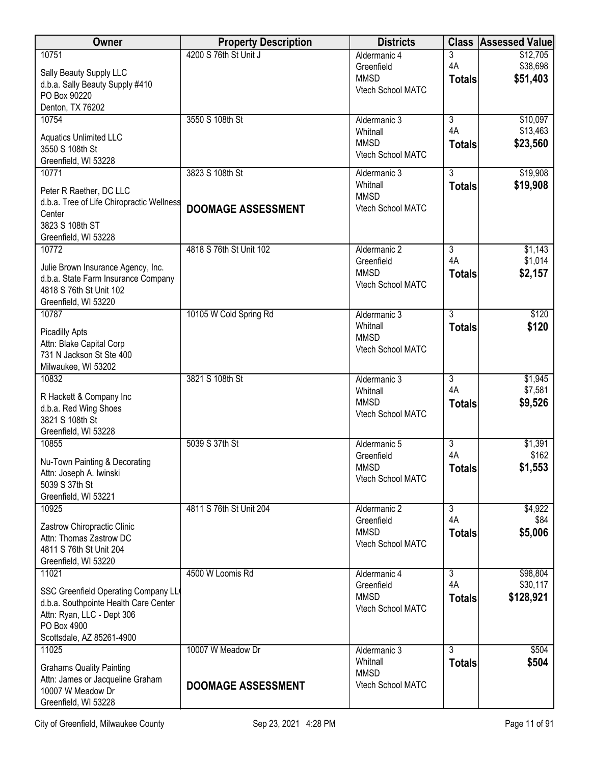| 10751<br>4200 S 76th St Unit J<br>3<br>\$12,705<br>Aldermanic 4<br>4A<br>\$38,698<br>Greenfield<br>Sally Beauty Supply LLC<br>\$51,403<br><b>MMSD</b><br><b>Totals</b><br>d.b.a. Sally Beauty Supply #410<br>Vtech School MATC<br>PO Box 90220<br>Denton, TX 76202<br>3550 S 108th St<br>\$10,097<br>10754<br>$\overline{3}$<br>Aldermanic 3<br>4A<br>\$13,463<br>Whitnall<br><b>Aquatics Unlimited LLC</b><br><b>MMSD</b><br>\$23,560<br><b>Totals</b><br>3550 S 108th St<br>Vtech School MATC<br>Greenfield, WI 53228<br>\$19,908<br>3823 S 108th St<br>3<br>10771<br>Aldermanic 3<br>Whitnall<br>\$19,908<br><b>Totals</b><br>Peter R Raether, DC LLC<br><b>MMSD</b><br>d.b.a. Tree of Life Chiropractic Wellness<br>Vtech School MATC<br><b>DOOMAGE ASSESSMENT</b><br>Center<br>3823 S 108th ST<br>Greenfield, WI 53228<br>10772<br>4818 S 76th St Unit 102<br>\$1,143<br>Aldermanic 2<br>$\overline{3}$<br>\$1,014<br>4A<br>Greenfield<br>Julie Brown Insurance Agency, Inc.<br>\$2,157<br><b>MMSD</b><br><b>Totals</b><br>d.b.a. State Farm Insurance Company<br>Vtech School MATC<br>4818 S 76th St Unit 102<br>Greenfield, WI 53220<br>$\overline{3}$<br>\$120<br>10787<br>10105 W Cold Spring Rd<br>Aldermanic 3<br>\$120<br>Whitnall<br><b>Totals</b><br><b>Picadilly Apts</b><br><b>MMSD</b><br>Attn: Blake Capital Corp<br>Vtech School MATC<br>731 N Jackson St Ste 400<br>Milwaukee, WI 53202<br>3821 S 108th St<br>\$1,945<br>10832<br>Aldermanic 3<br>$\overline{3}$<br>4A<br>\$7,581<br>Whitnall<br>R Hackett & Company Inc<br>\$9,526<br><b>MMSD</b><br><b>Totals</b><br>d.b.a. Red Wing Shoes<br>Vtech School MATC<br>3821 S 108th St<br>Greenfield, WI 53228<br>10855<br>5039 S 37th St<br>$\overline{3}$<br>\$1,391<br>Aldermanic 5<br>\$162<br>4A<br>Greenfield<br>Nu-Town Painting & Decorating<br>\$1,553<br><b>MMSD</b><br><b>Totals</b><br>Attn: Joseph A. Iwinski<br>Vtech School MATC<br>5039 S 37th St<br>Greenfield, WI 53221<br>4811 S 76th St Unit 204<br>$\overline{3}$<br>\$4,922<br>10925<br>Aldermanic 2<br>4A<br>\$84<br>Greenfield<br>Zastrow Chiropractic Clinic<br><b>MMSD</b><br>\$5,006<br><b>Totals</b><br>Attn: Thomas Zastrow DC<br>Vtech School MATC<br>4811 S 76th St Unit 204<br>Greenfield, WI 53220<br>\$98,804<br>11021<br>4500 W Loomis Rd<br>$\overline{3}$<br>Aldermanic 4<br>4A<br>\$30,117<br>Greenfield<br>SSC Greenfield Operating Company LL<br>\$128,921<br><b>MMSD</b><br><b>Totals</b><br>d.b.a. Southpointe Health Care Center<br>Vtech School MATC<br>Attn: Ryan, LLC - Dept 306<br>PO Box 4900<br>Scottsdale, AZ 85261-4900<br>10007 W Meadow Dr<br>\$504<br>11025<br>Aldermanic 3<br>3 | Owner                           | <b>Property Description</b> | <b>Districts</b> |               | <b>Class Assessed Value</b> |
|----------------------------------------------------------------------------------------------------------------------------------------------------------------------------------------------------------------------------------------------------------------------------------------------------------------------------------------------------------------------------------------------------------------------------------------------------------------------------------------------------------------------------------------------------------------------------------------------------------------------------------------------------------------------------------------------------------------------------------------------------------------------------------------------------------------------------------------------------------------------------------------------------------------------------------------------------------------------------------------------------------------------------------------------------------------------------------------------------------------------------------------------------------------------------------------------------------------------------------------------------------------------------------------------------------------------------------------------------------------------------------------------------------------------------------------------------------------------------------------------------------------------------------------------------------------------------------------------------------------------------------------------------------------------------------------------------------------------------------------------------------------------------------------------------------------------------------------------------------------------------------------------------------------------------------------------------------------------------------------------------------------------------------------------------------------------------------------------------------------------------------------------------------------------------------------------------------------------------------------------------------------------------------------------------------------------------------------------------------------------------------------------------------------------------------------------------------------------------------------------------------------------------------------------------------------------------------------------------------------------------------------------------------|---------------------------------|-----------------------------|------------------|---------------|-----------------------------|
|                                                                                                                                                                                                                                                                                                                                                                                                                                                                                                                                                                                                                                                                                                                                                                                                                                                                                                                                                                                                                                                                                                                                                                                                                                                                                                                                                                                                                                                                                                                                                                                                                                                                                                                                                                                                                                                                                                                                                                                                                                                                                                                                                                                                                                                                                                                                                                                                                                                                                                                                                                                                                                                          |                                 |                             |                  |               |                             |
|                                                                                                                                                                                                                                                                                                                                                                                                                                                                                                                                                                                                                                                                                                                                                                                                                                                                                                                                                                                                                                                                                                                                                                                                                                                                                                                                                                                                                                                                                                                                                                                                                                                                                                                                                                                                                                                                                                                                                                                                                                                                                                                                                                                                                                                                                                                                                                                                                                                                                                                                                                                                                                                          |                                 |                             |                  |               |                             |
|                                                                                                                                                                                                                                                                                                                                                                                                                                                                                                                                                                                                                                                                                                                                                                                                                                                                                                                                                                                                                                                                                                                                                                                                                                                                                                                                                                                                                                                                                                                                                                                                                                                                                                                                                                                                                                                                                                                                                                                                                                                                                                                                                                                                                                                                                                                                                                                                                                                                                                                                                                                                                                                          |                                 |                             |                  |               |                             |
|                                                                                                                                                                                                                                                                                                                                                                                                                                                                                                                                                                                                                                                                                                                                                                                                                                                                                                                                                                                                                                                                                                                                                                                                                                                                                                                                                                                                                                                                                                                                                                                                                                                                                                                                                                                                                                                                                                                                                                                                                                                                                                                                                                                                                                                                                                                                                                                                                                                                                                                                                                                                                                                          |                                 |                             |                  |               |                             |
|                                                                                                                                                                                                                                                                                                                                                                                                                                                                                                                                                                                                                                                                                                                                                                                                                                                                                                                                                                                                                                                                                                                                                                                                                                                                                                                                                                                                                                                                                                                                                                                                                                                                                                                                                                                                                                                                                                                                                                                                                                                                                                                                                                                                                                                                                                                                                                                                                                                                                                                                                                                                                                                          |                                 |                             |                  |               |                             |
|                                                                                                                                                                                                                                                                                                                                                                                                                                                                                                                                                                                                                                                                                                                                                                                                                                                                                                                                                                                                                                                                                                                                                                                                                                                                                                                                                                                                                                                                                                                                                                                                                                                                                                                                                                                                                                                                                                                                                                                                                                                                                                                                                                                                                                                                                                                                                                                                                                                                                                                                                                                                                                                          |                                 |                             |                  |               |                             |
|                                                                                                                                                                                                                                                                                                                                                                                                                                                                                                                                                                                                                                                                                                                                                                                                                                                                                                                                                                                                                                                                                                                                                                                                                                                                                                                                                                                                                                                                                                                                                                                                                                                                                                                                                                                                                                                                                                                                                                                                                                                                                                                                                                                                                                                                                                                                                                                                                                                                                                                                                                                                                                                          |                                 |                             |                  |               |                             |
|                                                                                                                                                                                                                                                                                                                                                                                                                                                                                                                                                                                                                                                                                                                                                                                                                                                                                                                                                                                                                                                                                                                                                                                                                                                                                                                                                                                                                                                                                                                                                                                                                                                                                                                                                                                                                                                                                                                                                                                                                                                                                                                                                                                                                                                                                                                                                                                                                                                                                                                                                                                                                                                          |                                 |                             |                  |               |                             |
|                                                                                                                                                                                                                                                                                                                                                                                                                                                                                                                                                                                                                                                                                                                                                                                                                                                                                                                                                                                                                                                                                                                                                                                                                                                                                                                                                                                                                                                                                                                                                                                                                                                                                                                                                                                                                                                                                                                                                                                                                                                                                                                                                                                                                                                                                                                                                                                                                                                                                                                                                                                                                                                          |                                 |                             |                  |               |                             |
|                                                                                                                                                                                                                                                                                                                                                                                                                                                                                                                                                                                                                                                                                                                                                                                                                                                                                                                                                                                                                                                                                                                                                                                                                                                                                                                                                                                                                                                                                                                                                                                                                                                                                                                                                                                                                                                                                                                                                                                                                                                                                                                                                                                                                                                                                                                                                                                                                                                                                                                                                                                                                                                          |                                 |                             |                  |               |                             |
|                                                                                                                                                                                                                                                                                                                                                                                                                                                                                                                                                                                                                                                                                                                                                                                                                                                                                                                                                                                                                                                                                                                                                                                                                                                                                                                                                                                                                                                                                                                                                                                                                                                                                                                                                                                                                                                                                                                                                                                                                                                                                                                                                                                                                                                                                                                                                                                                                                                                                                                                                                                                                                                          |                                 |                             |                  |               |                             |
|                                                                                                                                                                                                                                                                                                                                                                                                                                                                                                                                                                                                                                                                                                                                                                                                                                                                                                                                                                                                                                                                                                                                                                                                                                                                                                                                                                                                                                                                                                                                                                                                                                                                                                                                                                                                                                                                                                                                                                                                                                                                                                                                                                                                                                                                                                                                                                                                                                                                                                                                                                                                                                                          |                                 |                             |                  |               |                             |
|                                                                                                                                                                                                                                                                                                                                                                                                                                                                                                                                                                                                                                                                                                                                                                                                                                                                                                                                                                                                                                                                                                                                                                                                                                                                                                                                                                                                                                                                                                                                                                                                                                                                                                                                                                                                                                                                                                                                                                                                                                                                                                                                                                                                                                                                                                                                                                                                                                                                                                                                                                                                                                                          |                                 |                             |                  |               |                             |
|                                                                                                                                                                                                                                                                                                                                                                                                                                                                                                                                                                                                                                                                                                                                                                                                                                                                                                                                                                                                                                                                                                                                                                                                                                                                                                                                                                                                                                                                                                                                                                                                                                                                                                                                                                                                                                                                                                                                                                                                                                                                                                                                                                                                                                                                                                                                                                                                                                                                                                                                                                                                                                                          |                                 |                             |                  |               |                             |
|                                                                                                                                                                                                                                                                                                                                                                                                                                                                                                                                                                                                                                                                                                                                                                                                                                                                                                                                                                                                                                                                                                                                                                                                                                                                                                                                                                                                                                                                                                                                                                                                                                                                                                                                                                                                                                                                                                                                                                                                                                                                                                                                                                                                                                                                                                                                                                                                                                                                                                                                                                                                                                                          |                                 |                             |                  |               |                             |
|                                                                                                                                                                                                                                                                                                                                                                                                                                                                                                                                                                                                                                                                                                                                                                                                                                                                                                                                                                                                                                                                                                                                                                                                                                                                                                                                                                                                                                                                                                                                                                                                                                                                                                                                                                                                                                                                                                                                                                                                                                                                                                                                                                                                                                                                                                                                                                                                                                                                                                                                                                                                                                                          |                                 |                             |                  |               |                             |
|                                                                                                                                                                                                                                                                                                                                                                                                                                                                                                                                                                                                                                                                                                                                                                                                                                                                                                                                                                                                                                                                                                                                                                                                                                                                                                                                                                                                                                                                                                                                                                                                                                                                                                                                                                                                                                                                                                                                                                                                                                                                                                                                                                                                                                                                                                                                                                                                                                                                                                                                                                                                                                                          |                                 |                             |                  |               |                             |
|                                                                                                                                                                                                                                                                                                                                                                                                                                                                                                                                                                                                                                                                                                                                                                                                                                                                                                                                                                                                                                                                                                                                                                                                                                                                                                                                                                                                                                                                                                                                                                                                                                                                                                                                                                                                                                                                                                                                                                                                                                                                                                                                                                                                                                                                                                                                                                                                                                                                                                                                                                                                                                                          |                                 |                             |                  |               |                             |
|                                                                                                                                                                                                                                                                                                                                                                                                                                                                                                                                                                                                                                                                                                                                                                                                                                                                                                                                                                                                                                                                                                                                                                                                                                                                                                                                                                                                                                                                                                                                                                                                                                                                                                                                                                                                                                                                                                                                                                                                                                                                                                                                                                                                                                                                                                                                                                                                                                                                                                                                                                                                                                                          |                                 |                             |                  |               |                             |
|                                                                                                                                                                                                                                                                                                                                                                                                                                                                                                                                                                                                                                                                                                                                                                                                                                                                                                                                                                                                                                                                                                                                                                                                                                                                                                                                                                                                                                                                                                                                                                                                                                                                                                                                                                                                                                                                                                                                                                                                                                                                                                                                                                                                                                                                                                                                                                                                                                                                                                                                                                                                                                                          |                                 |                             |                  |               |                             |
|                                                                                                                                                                                                                                                                                                                                                                                                                                                                                                                                                                                                                                                                                                                                                                                                                                                                                                                                                                                                                                                                                                                                                                                                                                                                                                                                                                                                                                                                                                                                                                                                                                                                                                                                                                                                                                                                                                                                                                                                                                                                                                                                                                                                                                                                                                                                                                                                                                                                                                                                                                                                                                                          |                                 |                             |                  |               |                             |
|                                                                                                                                                                                                                                                                                                                                                                                                                                                                                                                                                                                                                                                                                                                                                                                                                                                                                                                                                                                                                                                                                                                                                                                                                                                                                                                                                                                                                                                                                                                                                                                                                                                                                                                                                                                                                                                                                                                                                                                                                                                                                                                                                                                                                                                                                                                                                                                                                                                                                                                                                                                                                                                          |                                 |                             |                  |               |                             |
|                                                                                                                                                                                                                                                                                                                                                                                                                                                                                                                                                                                                                                                                                                                                                                                                                                                                                                                                                                                                                                                                                                                                                                                                                                                                                                                                                                                                                                                                                                                                                                                                                                                                                                                                                                                                                                                                                                                                                                                                                                                                                                                                                                                                                                                                                                                                                                                                                                                                                                                                                                                                                                                          |                                 |                             |                  |               |                             |
|                                                                                                                                                                                                                                                                                                                                                                                                                                                                                                                                                                                                                                                                                                                                                                                                                                                                                                                                                                                                                                                                                                                                                                                                                                                                                                                                                                                                                                                                                                                                                                                                                                                                                                                                                                                                                                                                                                                                                                                                                                                                                                                                                                                                                                                                                                                                                                                                                                                                                                                                                                                                                                                          |                                 |                             |                  |               |                             |
|                                                                                                                                                                                                                                                                                                                                                                                                                                                                                                                                                                                                                                                                                                                                                                                                                                                                                                                                                                                                                                                                                                                                                                                                                                                                                                                                                                                                                                                                                                                                                                                                                                                                                                                                                                                                                                                                                                                                                                                                                                                                                                                                                                                                                                                                                                                                                                                                                                                                                                                                                                                                                                                          |                                 |                             |                  |               |                             |
|                                                                                                                                                                                                                                                                                                                                                                                                                                                                                                                                                                                                                                                                                                                                                                                                                                                                                                                                                                                                                                                                                                                                                                                                                                                                                                                                                                                                                                                                                                                                                                                                                                                                                                                                                                                                                                                                                                                                                                                                                                                                                                                                                                                                                                                                                                                                                                                                                                                                                                                                                                                                                                                          |                                 |                             |                  |               |                             |
|                                                                                                                                                                                                                                                                                                                                                                                                                                                                                                                                                                                                                                                                                                                                                                                                                                                                                                                                                                                                                                                                                                                                                                                                                                                                                                                                                                                                                                                                                                                                                                                                                                                                                                                                                                                                                                                                                                                                                                                                                                                                                                                                                                                                                                                                                                                                                                                                                                                                                                                                                                                                                                                          |                                 |                             |                  |               |                             |
|                                                                                                                                                                                                                                                                                                                                                                                                                                                                                                                                                                                                                                                                                                                                                                                                                                                                                                                                                                                                                                                                                                                                                                                                                                                                                                                                                                                                                                                                                                                                                                                                                                                                                                                                                                                                                                                                                                                                                                                                                                                                                                                                                                                                                                                                                                                                                                                                                                                                                                                                                                                                                                                          |                                 |                             |                  |               |                             |
|                                                                                                                                                                                                                                                                                                                                                                                                                                                                                                                                                                                                                                                                                                                                                                                                                                                                                                                                                                                                                                                                                                                                                                                                                                                                                                                                                                                                                                                                                                                                                                                                                                                                                                                                                                                                                                                                                                                                                                                                                                                                                                                                                                                                                                                                                                                                                                                                                                                                                                                                                                                                                                                          |                                 |                             |                  |               |                             |
|                                                                                                                                                                                                                                                                                                                                                                                                                                                                                                                                                                                                                                                                                                                                                                                                                                                                                                                                                                                                                                                                                                                                                                                                                                                                                                                                                                                                                                                                                                                                                                                                                                                                                                                                                                                                                                                                                                                                                                                                                                                                                                                                                                                                                                                                                                                                                                                                                                                                                                                                                                                                                                                          |                                 |                             |                  |               |                             |
|                                                                                                                                                                                                                                                                                                                                                                                                                                                                                                                                                                                                                                                                                                                                                                                                                                                                                                                                                                                                                                                                                                                                                                                                                                                                                                                                                                                                                                                                                                                                                                                                                                                                                                                                                                                                                                                                                                                                                                                                                                                                                                                                                                                                                                                                                                                                                                                                                                                                                                                                                                                                                                                          |                                 |                             |                  |               |                             |
|                                                                                                                                                                                                                                                                                                                                                                                                                                                                                                                                                                                                                                                                                                                                                                                                                                                                                                                                                                                                                                                                                                                                                                                                                                                                                                                                                                                                                                                                                                                                                                                                                                                                                                                                                                                                                                                                                                                                                                                                                                                                                                                                                                                                                                                                                                                                                                                                                                                                                                                                                                                                                                                          |                                 |                             |                  |               |                             |
|                                                                                                                                                                                                                                                                                                                                                                                                                                                                                                                                                                                                                                                                                                                                                                                                                                                                                                                                                                                                                                                                                                                                                                                                                                                                                                                                                                                                                                                                                                                                                                                                                                                                                                                                                                                                                                                                                                                                                                                                                                                                                                                                                                                                                                                                                                                                                                                                                                                                                                                                                                                                                                                          |                                 |                             |                  |               |                             |
|                                                                                                                                                                                                                                                                                                                                                                                                                                                                                                                                                                                                                                                                                                                                                                                                                                                                                                                                                                                                                                                                                                                                                                                                                                                                                                                                                                                                                                                                                                                                                                                                                                                                                                                                                                                                                                                                                                                                                                                                                                                                                                                                                                                                                                                                                                                                                                                                                                                                                                                                                                                                                                                          |                                 |                             |                  |               |                             |
|                                                                                                                                                                                                                                                                                                                                                                                                                                                                                                                                                                                                                                                                                                                                                                                                                                                                                                                                                                                                                                                                                                                                                                                                                                                                                                                                                                                                                                                                                                                                                                                                                                                                                                                                                                                                                                                                                                                                                                                                                                                                                                                                                                                                                                                                                                                                                                                                                                                                                                                                                                                                                                                          |                                 |                             |                  |               |                             |
|                                                                                                                                                                                                                                                                                                                                                                                                                                                                                                                                                                                                                                                                                                                                                                                                                                                                                                                                                                                                                                                                                                                                                                                                                                                                                                                                                                                                                                                                                                                                                                                                                                                                                                                                                                                                                                                                                                                                                                                                                                                                                                                                                                                                                                                                                                                                                                                                                                                                                                                                                                                                                                                          |                                 |                             |                  |               |                             |
|                                                                                                                                                                                                                                                                                                                                                                                                                                                                                                                                                                                                                                                                                                                                                                                                                                                                                                                                                                                                                                                                                                                                                                                                                                                                                                                                                                                                                                                                                                                                                                                                                                                                                                                                                                                                                                                                                                                                                                                                                                                                                                                                                                                                                                                                                                                                                                                                                                                                                                                                                                                                                                                          |                                 |                             |                  |               |                             |
|                                                                                                                                                                                                                                                                                                                                                                                                                                                                                                                                                                                                                                                                                                                                                                                                                                                                                                                                                                                                                                                                                                                                                                                                                                                                                                                                                                                                                                                                                                                                                                                                                                                                                                                                                                                                                                                                                                                                                                                                                                                                                                                                                                                                                                                                                                                                                                                                                                                                                                                                                                                                                                                          |                                 |                             |                  |               |                             |
|                                                                                                                                                                                                                                                                                                                                                                                                                                                                                                                                                                                                                                                                                                                                                                                                                                                                                                                                                                                                                                                                                                                                                                                                                                                                                                                                                                                                                                                                                                                                                                                                                                                                                                                                                                                                                                                                                                                                                                                                                                                                                                                                                                                                                                                                                                                                                                                                                                                                                                                                                                                                                                                          |                                 |                             |                  |               |                             |
|                                                                                                                                                                                                                                                                                                                                                                                                                                                                                                                                                                                                                                                                                                                                                                                                                                                                                                                                                                                                                                                                                                                                                                                                                                                                                                                                                                                                                                                                                                                                                                                                                                                                                                                                                                                                                                                                                                                                                                                                                                                                                                                                                                                                                                                                                                                                                                                                                                                                                                                                                                                                                                                          |                                 |                             |                  |               |                             |
|                                                                                                                                                                                                                                                                                                                                                                                                                                                                                                                                                                                                                                                                                                                                                                                                                                                                                                                                                                                                                                                                                                                                                                                                                                                                                                                                                                                                                                                                                                                                                                                                                                                                                                                                                                                                                                                                                                                                                                                                                                                                                                                                                                                                                                                                                                                                                                                                                                                                                                                                                                                                                                                          |                                 |                             |                  |               |                             |
|                                                                                                                                                                                                                                                                                                                                                                                                                                                                                                                                                                                                                                                                                                                                                                                                                                                                                                                                                                                                                                                                                                                                                                                                                                                                                                                                                                                                                                                                                                                                                                                                                                                                                                                                                                                                                                                                                                                                                                                                                                                                                                                                                                                                                                                                                                                                                                                                                                                                                                                                                                                                                                                          |                                 |                             |                  |               |                             |
|                                                                                                                                                                                                                                                                                                                                                                                                                                                                                                                                                                                                                                                                                                                                                                                                                                                                                                                                                                                                                                                                                                                                                                                                                                                                                                                                                                                                                                                                                                                                                                                                                                                                                                                                                                                                                                                                                                                                                                                                                                                                                                                                                                                                                                                                                                                                                                                                                                                                                                                                                                                                                                                          | <b>Grahams Quality Painting</b> |                             | Whitnall         | <b>Totals</b> | \$504                       |
| <b>MMSD</b><br>Attn: James or Jacqueline Graham<br>Vtech School MATC<br><b>DOOMAGE ASSESSMENT</b>                                                                                                                                                                                                                                                                                                                                                                                                                                                                                                                                                                                                                                                                                                                                                                                                                                                                                                                                                                                                                                                                                                                                                                                                                                                                                                                                                                                                                                                                                                                                                                                                                                                                                                                                                                                                                                                                                                                                                                                                                                                                                                                                                                                                                                                                                                                                                                                                                                                                                                                                                        |                                 |                             |                  |               |                             |
| 10007 W Meadow Dr<br>Greenfield, WI 53228                                                                                                                                                                                                                                                                                                                                                                                                                                                                                                                                                                                                                                                                                                                                                                                                                                                                                                                                                                                                                                                                                                                                                                                                                                                                                                                                                                                                                                                                                                                                                                                                                                                                                                                                                                                                                                                                                                                                                                                                                                                                                                                                                                                                                                                                                                                                                                                                                                                                                                                                                                                                                |                                 |                             |                  |               |                             |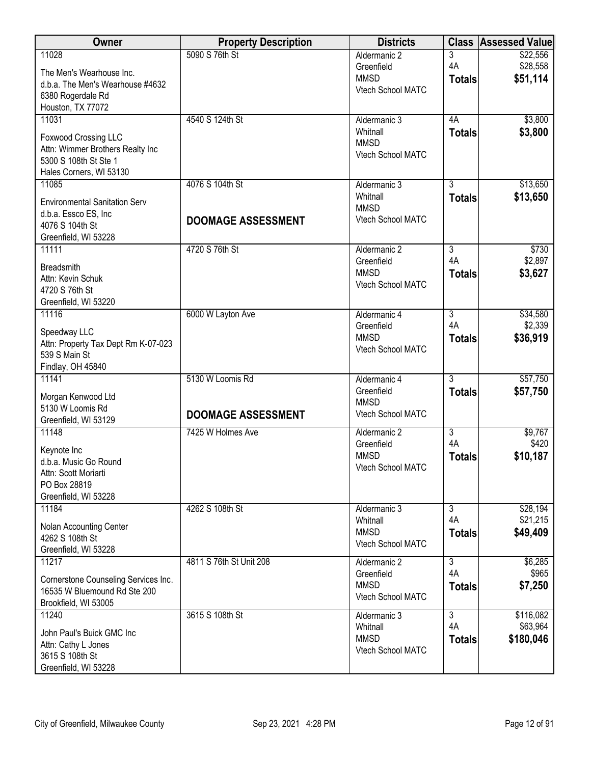| Owner                                                                                                                 | <b>Property Description</b>                   | <b>Districts</b>                                               |                                       | <b>Class Assessed Value</b>        |
|-----------------------------------------------------------------------------------------------------------------------|-----------------------------------------------|----------------------------------------------------------------|---------------------------------------|------------------------------------|
| 11028<br>The Men's Wearhouse Inc.<br>d.b.a. The Men's Wearhouse #4632                                                 | 5090 S 76th St                                | Aldermanic 2<br>Greenfield<br><b>MMSD</b>                      | 3<br>4A<br><b>Totals</b>              | \$22,556<br>\$28,558<br>\$51,114   |
| 6380 Rogerdale Rd<br>Houston, TX 77072                                                                                |                                               | Vtech School MATC                                              |                                       |                                    |
| 11031<br>Foxwood Crossing LLC<br>Attn: Wimmer Brothers Realty Inc<br>5300 S 108th St Ste 1<br>Hales Corners, WI 53130 | 4540 S 124th St                               | Aldermanic 3<br>Whitnall<br><b>MMSD</b><br>Vtech School MATC   | 4A<br><b>Totals</b>                   | \$3,800<br>\$3,800                 |
| 11085<br><b>Environmental Sanitation Serv</b><br>d.b.a. Essco ES, Inc                                                 | 4076 S 104th St                               | Aldermanic 3<br>Whitnall<br><b>MMSD</b>                        | 3<br><b>Totals</b>                    | \$13,650<br>\$13,650               |
| 4076 S 104th St<br>Greenfield, WI 53228                                                                               | <b>DOOMAGE ASSESSMENT</b>                     | Vtech School MATC                                              |                                       |                                    |
| 11111<br>Breadsmith<br>Attn: Kevin Schuk<br>4720 S 76th St<br>Greenfield, WI 53220                                    | 4720 S 76th St                                | Aldermanic 2<br>Greenfield<br><b>MMSD</b><br>Vtech School MATC | $\overline{3}$<br>4A<br><b>Totals</b> | \$730<br>\$2,897<br>\$3,627        |
| 11116<br>Speedway LLC<br>Attn: Property Tax Dept Rm K-07-023<br>539 S Main St<br>Findlay, OH 45840                    | 6000 W Layton Ave                             | Aldermanic 4<br>Greenfield<br><b>MMSD</b><br>Vtech School MATC | $\overline{3}$<br>4A<br><b>Totals</b> | \$34,580<br>\$2,339<br>\$36,919    |
| 11141<br>Morgan Kenwood Ltd<br>5130 W Loomis Rd<br>Greenfield, WI 53129                                               | 5130 W Loomis Rd<br><b>DOOMAGE ASSESSMENT</b> | Aldermanic 4<br>Greenfield<br><b>MMSD</b><br>Vtech School MATC | $\overline{3}$<br><b>Totals</b>       | \$57,750<br>\$57,750               |
| 11148<br>Keynote Inc<br>d.b.a. Music Go Round<br>Attn: Scott Moriarti<br>PO Box 28819<br>Greenfield, WI 53228         | 7425 W Holmes Ave                             | Aldermanic 2<br>Greenfield<br><b>MMSD</b><br>Vtech School MATC | $\overline{3}$<br>4A<br><b>Totals</b> | \$9,767<br>\$420<br>\$10,187       |
| 11184<br>Nolan Accounting Center<br>4262 S 108th St<br>Greenfield, WI 53228                                           | 4262 S 108th St                               | Aldermanic 3<br>Whitnall<br><b>MMSD</b><br>Vtech School MATC   | $\overline{3}$<br>4A<br><b>Totals</b> | \$28,194<br>\$21,215<br>\$49,409   |
| 11217<br>Cornerstone Counseling Services Inc.<br>16535 W Bluemound Rd Ste 200<br>Brookfield, WI 53005                 | 4811 S 76th St Unit 208                       | Aldermanic 2<br>Greenfield<br><b>MMSD</b><br>Vtech School MATC | $\overline{3}$<br>4A<br><b>Totals</b> | \$6,285<br>\$965<br>\$7,250        |
| 11240<br>John Paul's Buick GMC Inc<br>Attn: Cathy L Jones<br>3615 S 108th St<br>Greenfield, WI 53228                  | 3615 S 108th St                               | Aldermanic 3<br>Whitnall<br><b>MMSD</b><br>Vtech School MATC   | $\overline{3}$<br>4A<br><b>Totals</b> | \$116,082<br>\$63,964<br>\$180,046 |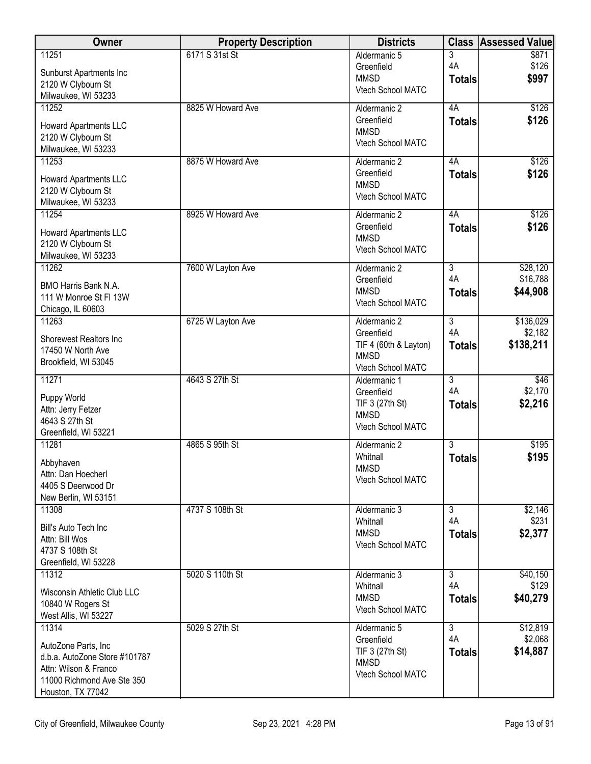| 3<br>4A<br>\$126<br>Greenfield<br>Sunburst Apartments Inc<br>\$997<br><b>MMSD</b><br><b>Totals</b><br>2120 W Clybourn St<br>Vtech School MATC<br>Milwaukee, WI 53233<br>11252<br>\$126<br>8825 W Howard Ave<br>4A<br>Aldermanic 2<br>\$126<br>Greenfield<br><b>Totals</b><br><b>Howard Apartments LLC</b><br><b>MMSD</b><br>2120 W Clybourn St<br>Vtech School MATC<br>Milwaukee, WI 53233<br>\$126<br>8875 W Howard Ave<br>11253<br>Aldermanic 2<br>4A<br>\$126<br>Greenfield<br><b>Totals</b><br><b>Howard Apartments LLC</b><br><b>MMSD</b><br>2120 W Clybourn St<br>Vtech School MATC<br>Milwaukee, WI 53233<br>11254<br>8925 W Howard Ave<br>4A<br>\$126<br>Aldermanic 2<br>Greenfield<br>\$126<br><b>Totals</b><br><b>Howard Apartments LLC</b><br><b>MMSD</b><br>2120 W Clybourn St<br>Vtech School MATC<br>Milwaukee, WI 53233<br>\$28,120<br>11262<br>7600 W Layton Ave<br>Aldermanic 2<br>$\overline{3}$<br>4A<br>\$16,788<br>Greenfield<br>BMO Harris Bank N.A.<br><b>MMSD</b><br>\$44,908<br><b>Totals</b><br>111 W Monroe St FI 13W<br>Vtech School MATC<br>Chicago, IL 60603<br>$\overline{3}$<br>\$136,029<br>11263<br>6725 W Layton Ave<br>Aldermanic 2<br>4A<br>\$2,182<br>Greenfield<br><b>Shorewest Realtors Inc</b><br>\$138,211<br>TIF 4 (60th & Layton)<br><b>Totals</b><br>17450 W North Ave<br><b>MMSD</b><br>Brookfield, WI 53045<br>Vtech School MATC<br>11271<br>4643 S 27th St<br>$\overline{3}$<br>\$46<br>Aldermanic 1<br>4A<br>\$2,170<br>Greenfield<br>Puppy World<br>TIF 3 (27th St)<br>\$2,216<br><b>Totals</b><br>Attn: Jerry Fetzer<br><b>MMSD</b><br>4643 S 27th St<br>Vtech School MATC<br>Greenfield, WI 53221<br>$\overline{3}$<br>11281<br>4865 S 95th St<br>\$195<br>Aldermanic 2<br>Whitnall<br>\$195<br><b>Totals</b><br>Abbyhaven<br><b>MMSD</b><br>Attn: Dan Hoecherl<br>Vtech School MATC<br>4405 S Deerwood Dr<br>New Berlin, WI 53151<br>11308<br>4737 S 108th St<br>$\overline{3}$<br>\$2,146<br>Aldermanic 3<br>\$231<br>4A<br>Whitnall<br>Bill's Auto Tech Inc<br><b>MMSD</b><br>\$2,377<br><b>Totals</b><br>Attn: Bill Wos<br>Vtech School MATC<br>4737 S 108th St<br>Greenfield, WI 53228<br>5020 S 110th St<br>\$40,150<br>11312<br>Aldermanic 3<br>$\overline{3}$<br>4A<br>\$129<br>Whitnall<br>Wisconsin Athletic Club LLC<br><b>MMSD</b><br>\$40,279<br><b>Totals</b><br>10840 W Rogers St<br>Vtech School MATC<br>West Allis, WI 53227<br>5029 S 27th St<br>$\overline{3}$<br>\$12,819<br>11314<br>Aldermanic 5<br>4A<br>\$2,068<br>Greenfield<br>AutoZone Parts, Inc<br>\$14,887<br>TIF 3 (27th St)<br><b>Totals</b><br>d.b.a. AutoZone Store #101787<br><b>MMSD</b><br>Attn: Wilson & Franco | Owner | <b>Property Description</b> | <b>Districts</b>  | <b>Class</b> | <b>Assessed Value</b> |
|-----------------------------------------------------------------------------------------------------------------------------------------------------------------------------------------------------------------------------------------------------------------------------------------------------------------------------------------------------------------------------------------------------------------------------------------------------------------------------------------------------------------------------------------------------------------------------------------------------------------------------------------------------------------------------------------------------------------------------------------------------------------------------------------------------------------------------------------------------------------------------------------------------------------------------------------------------------------------------------------------------------------------------------------------------------------------------------------------------------------------------------------------------------------------------------------------------------------------------------------------------------------------------------------------------------------------------------------------------------------------------------------------------------------------------------------------------------------------------------------------------------------------------------------------------------------------------------------------------------------------------------------------------------------------------------------------------------------------------------------------------------------------------------------------------------------------------------------------------------------------------------------------------------------------------------------------------------------------------------------------------------------------------------------------------------------------------------------------------------------------------------------------------------------------------------------------------------------------------------------------------------------------------------------------------------------------------------------------------------------------------------------------------------------------------------------------------------------------------------------------------------------------------------------------------------------------------------------------------------------------------------------------------------|-------|-----------------------------|-------------------|--------------|-----------------------|
|                                                                                                                                                                                                                                                                                                                                                                                                                                                                                                                                                                                                                                                                                                                                                                                                                                                                                                                                                                                                                                                                                                                                                                                                                                                                                                                                                                                                                                                                                                                                                                                                                                                                                                                                                                                                                                                                                                                                                                                                                                                                                                                                                                                                                                                                                                                                                                                                                                                                                                                                                                                                                                                           | 11251 | 6171 S 31st St              | Aldermanic 5      |              | \$871                 |
|                                                                                                                                                                                                                                                                                                                                                                                                                                                                                                                                                                                                                                                                                                                                                                                                                                                                                                                                                                                                                                                                                                                                                                                                                                                                                                                                                                                                                                                                                                                                                                                                                                                                                                                                                                                                                                                                                                                                                                                                                                                                                                                                                                                                                                                                                                                                                                                                                                                                                                                                                                                                                                                           |       |                             |                   |              |                       |
|                                                                                                                                                                                                                                                                                                                                                                                                                                                                                                                                                                                                                                                                                                                                                                                                                                                                                                                                                                                                                                                                                                                                                                                                                                                                                                                                                                                                                                                                                                                                                                                                                                                                                                                                                                                                                                                                                                                                                                                                                                                                                                                                                                                                                                                                                                                                                                                                                                                                                                                                                                                                                                                           |       |                             |                   |              |                       |
|                                                                                                                                                                                                                                                                                                                                                                                                                                                                                                                                                                                                                                                                                                                                                                                                                                                                                                                                                                                                                                                                                                                                                                                                                                                                                                                                                                                                                                                                                                                                                                                                                                                                                                                                                                                                                                                                                                                                                                                                                                                                                                                                                                                                                                                                                                                                                                                                                                                                                                                                                                                                                                                           |       |                             |                   |              |                       |
|                                                                                                                                                                                                                                                                                                                                                                                                                                                                                                                                                                                                                                                                                                                                                                                                                                                                                                                                                                                                                                                                                                                                                                                                                                                                                                                                                                                                                                                                                                                                                                                                                                                                                                                                                                                                                                                                                                                                                                                                                                                                                                                                                                                                                                                                                                                                                                                                                                                                                                                                                                                                                                                           |       |                             |                   |              |                       |
|                                                                                                                                                                                                                                                                                                                                                                                                                                                                                                                                                                                                                                                                                                                                                                                                                                                                                                                                                                                                                                                                                                                                                                                                                                                                                                                                                                                                                                                                                                                                                                                                                                                                                                                                                                                                                                                                                                                                                                                                                                                                                                                                                                                                                                                                                                                                                                                                                                                                                                                                                                                                                                                           |       |                             |                   |              |                       |
|                                                                                                                                                                                                                                                                                                                                                                                                                                                                                                                                                                                                                                                                                                                                                                                                                                                                                                                                                                                                                                                                                                                                                                                                                                                                                                                                                                                                                                                                                                                                                                                                                                                                                                                                                                                                                                                                                                                                                                                                                                                                                                                                                                                                                                                                                                                                                                                                                                                                                                                                                                                                                                                           |       |                             |                   |              |                       |
|                                                                                                                                                                                                                                                                                                                                                                                                                                                                                                                                                                                                                                                                                                                                                                                                                                                                                                                                                                                                                                                                                                                                                                                                                                                                                                                                                                                                                                                                                                                                                                                                                                                                                                                                                                                                                                                                                                                                                                                                                                                                                                                                                                                                                                                                                                                                                                                                                                                                                                                                                                                                                                                           |       |                             |                   |              |                       |
|                                                                                                                                                                                                                                                                                                                                                                                                                                                                                                                                                                                                                                                                                                                                                                                                                                                                                                                                                                                                                                                                                                                                                                                                                                                                                                                                                                                                                                                                                                                                                                                                                                                                                                                                                                                                                                                                                                                                                                                                                                                                                                                                                                                                                                                                                                                                                                                                                                                                                                                                                                                                                                                           |       |                             |                   |              |                       |
|                                                                                                                                                                                                                                                                                                                                                                                                                                                                                                                                                                                                                                                                                                                                                                                                                                                                                                                                                                                                                                                                                                                                                                                                                                                                                                                                                                                                                                                                                                                                                                                                                                                                                                                                                                                                                                                                                                                                                                                                                                                                                                                                                                                                                                                                                                                                                                                                                                                                                                                                                                                                                                                           |       |                             |                   |              |                       |
|                                                                                                                                                                                                                                                                                                                                                                                                                                                                                                                                                                                                                                                                                                                                                                                                                                                                                                                                                                                                                                                                                                                                                                                                                                                                                                                                                                                                                                                                                                                                                                                                                                                                                                                                                                                                                                                                                                                                                                                                                                                                                                                                                                                                                                                                                                                                                                                                                                                                                                                                                                                                                                                           |       |                             |                   |              |                       |
|                                                                                                                                                                                                                                                                                                                                                                                                                                                                                                                                                                                                                                                                                                                                                                                                                                                                                                                                                                                                                                                                                                                                                                                                                                                                                                                                                                                                                                                                                                                                                                                                                                                                                                                                                                                                                                                                                                                                                                                                                                                                                                                                                                                                                                                                                                                                                                                                                                                                                                                                                                                                                                                           |       |                             |                   |              |                       |
|                                                                                                                                                                                                                                                                                                                                                                                                                                                                                                                                                                                                                                                                                                                                                                                                                                                                                                                                                                                                                                                                                                                                                                                                                                                                                                                                                                                                                                                                                                                                                                                                                                                                                                                                                                                                                                                                                                                                                                                                                                                                                                                                                                                                                                                                                                                                                                                                                                                                                                                                                                                                                                                           |       |                             |                   |              |                       |
|                                                                                                                                                                                                                                                                                                                                                                                                                                                                                                                                                                                                                                                                                                                                                                                                                                                                                                                                                                                                                                                                                                                                                                                                                                                                                                                                                                                                                                                                                                                                                                                                                                                                                                                                                                                                                                                                                                                                                                                                                                                                                                                                                                                                                                                                                                                                                                                                                                                                                                                                                                                                                                                           |       |                             |                   |              |                       |
|                                                                                                                                                                                                                                                                                                                                                                                                                                                                                                                                                                                                                                                                                                                                                                                                                                                                                                                                                                                                                                                                                                                                                                                                                                                                                                                                                                                                                                                                                                                                                                                                                                                                                                                                                                                                                                                                                                                                                                                                                                                                                                                                                                                                                                                                                                                                                                                                                                                                                                                                                                                                                                                           |       |                             |                   |              |                       |
|                                                                                                                                                                                                                                                                                                                                                                                                                                                                                                                                                                                                                                                                                                                                                                                                                                                                                                                                                                                                                                                                                                                                                                                                                                                                                                                                                                                                                                                                                                                                                                                                                                                                                                                                                                                                                                                                                                                                                                                                                                                                                                                                                                                                                                                                                                                                                                                                                                                                                                                                                                                                                                                           |       |                             |                   |              |                       |
|                                                                                                                                                                                                                                                                                                                                                                                                                                                                                                                                                                                                                                                                                                                                                                                                                                                                                                                                                                                                                                                                                                                                                                                                                                                                                                                                                                                                                                                                                                                                                                                                                                                                                                                                                                                                                                                                                                                                                                                                                                                                                                                                                                                                                                                                                                                                                                                                                                                                                                                                                                                                                                                           |       |                             |                   |              |                       |
|                                                                                                                                                                                                                                                                                                                                                                                                                                                                                                                                                                                                                                                                                                                                                                                                                                                                                                                                                                                                                                                                                                                                                                                                                                                                                                                                                                                                                                                                                                                                                                                                                                                                                                                                                                                                                                                                                                                                                                                                                                                                                                                                                                                                                                                                                                                                                                                                                                                                                                                                                                                                                                                           |       |                             |                   |              |                       |
|                                                                                                                                                                                                                                                                                                                                                                                                                                                                                                                                                                                                                                                                                                                                                                                                                                                                                                                                                                                                                                                                                                                                                                                                                                                                                                                                                                                                                                                                                                                                                                                                                                                                                                                                                                                                                                                                                                                                                                                                                                                                                                                                                                                                                                                                                                                                                                                                                                                                                                                                                                                                                                                           |       |                             |                   |              |                       |
|                                                                                                                                                                                                                                                                                                                                                                                                                                                                                                                                                                                                                                                                                                                                                                                                                                                                                                                                                                                                                                                                                                                                                                                                                                                                                                                                                                                                                                                                                                                                                                                                                                                                                                                                                                                                                                                                                                                                                                                                                                                                                                                                                                                                                                                                                                                                                                                                                                                                                                                                                                                                                                                           |       |                             |                   |              |                       |
|                                                                                                                                                                                                                                                                                                                                                                                                                                                                                                                                                                                                                                                                                                                                                                                                                                                                                                                                                                                                                                                                                                                                                                                                                                                                                                                                                                                                                                                                                                                                                                                                                                                                                                                                                                                                                                                                                                                                                                                                                                                                                                                                                                                                                                                                                                                                                                                                                                                                                                                                                                                                                                                           |       |                             |                   |              |                       |
|                                                                                                                                                                                                                                                                                                                                                                                                                                                                                                                                                                                                                                                                                                                                                                                                                                                                                                                                                                                                                                                                                                                                                                                                                                                                                                                                                                                                                                                                                                                                                                                                                                                                                                                                                                                                                                                                                                                                                                                                                                                                                                                                                                                                                                                                                                                                                                                                                                                                                                                                                                                                                                                           |       |                             |                   |              |                       |
|                                                                                                                                                                                                                                                                                                                                                                                                                                                                                                                                                                                                                                                                                                                                                                                                                                                                                                                                                                                                                                                                                                                                                                                                                                                                                                                                                                                                                                                                                                                                                                                                                                                                                                                                                                                                                                                                                                                                                                                                                                                                                                                                                                                                                                                                                                                                                                                                                                                                                                                                                                                                                                                           |       |                             |                   |              |                       |
|                                                                                                                                                                                                                                                                                                                                                                                                                                                                                                                                                                                                                                                                                                                                                                                                                                                                                                                                                                                                                                                                                                                                                                                                                                                                                                                                                                                                                                                                                                                                                                                                                                                                                                                                                                                                                                                                                                                                                                                                                                                                                                                                                                                                                                                                                                                                                                                                                                                                                                                                                                                                                                                           |       |                             |                   |              |                       |
|                                                                                                                                                                                                                                                                                                                                                                                                                                                                                                                                                                                                                                                                                                                                                                                                                                                                                                                                                                                                                                                                                                                                                                                                                                                                                                                                                                                                                                                                                                                                                                                                                                                                                                                                                                                                                                                                                                                                                                                                                                                                                                                                                                                                                                                                                                                                                                                                                                                                                                                                                                                                                                                           |       |                             |                   |              |                       |
|                                                                                                                                                                                                                                                                                                                                                                                                                                                                                                                                                                                                                                                                                                                                                                                                                                                                                                                                                                                                                                                                                                                                                                                                                                                                                                                                                                                                                                                                                                                                                                                                                                                                                                                                                                                                                                                                                                                                                                                                                                                                                                                                                                                                                                                                                                                                                                                                                                                                                                                                                                                                                                                           |       |                             |                   |              |                       |
|                                                                                                                                                                                                                                                                                                                                                                                                                                                                                                                                                                                                                                                                                                                                                                                                                                                                                                                                                                                                                                                                                                                                                                                                                                                                                                                                                                                                                                                                                                                                                                                                                                                                                                                                                                                                                                                                                                                                                                                                                                                                                                                                                                                                                                                                                                                                                                                                                                                                                                                                                                                                                                                           |       |                             |                   |              |                       |
|                                                                                                                                                                                                                                                                                                                                                                                                                                                                                                                                                                                                                                                                                                                                                                                                                                                                                                                                                                                                                                                                                                                                                                                                                                                                                                                                                                                                                                                                                                                                                                                                                                                                                                                                                                                                                                                                                                                                                                                                                                                                                                                                                                                                                                                                                                                                                                                                                                                                                                                                                                                                                                                           |       |                             |                   |              |                       |
|                                                                                                                                                                                                                                                                                                                                                                                                                                                                                                                                                                                                                                                                                                                                                                                                                                                                                                                                                                                                                                                                                                                                                                                                                                                                                                                                                                                                                                                                                                                                                                                                                                                                                                                                                                                                                                                                                                                                                                                                                                                                                                                                                                                                                                                                                                                                                                                                                                                                                                                                                                                                                                                           |       |                             |                   |              |                       |
|                                                                                                                                                                                                                                                                                                                                                                                                                                                                                                                                                                                                                                                                                                                                                                                                                                                                                                                                                                                                                                                                                                                                                                                                                                                                                                                                                                                                                                                                                                                                                                                                                                                                                                                                                                                                                                                                                                                                                                                                                                                                                                                                                                                                                                                                                                                                                                                                                                                                                                                                                                                                                                                           |       |                             |                   |              |                       |
|                                                                                                                                                                                                                                                                                                                                                                                                                                                                                                                                                                                                                                                                                                                                                                                                                                                                                                                                                                                                                                                                                                                                                                                                                                                                                                                                                                                                                                                                                                                                                                                                                                                                                                                                                                                                                                                                                                                                                                                                                                                                                                                                                                                                                                                                                                                                                                                                                                                                                                                                                                                                                                                           |       |                             |                   |              |                       |
|                                                                                                                                                                                                                                                                                                                                                                                                                                                                                                                                                                                                                                                                                                                                                                                                                                                                                                                                                                                                                                                                                                                                                                                                                                                                                                                                                                                                                                                                                                                                                                                                                                                                                                                                                                                                                                                                                                                                                                                                                                                                                                                                                                                                                                                                                                                                                                                                                                                                                                                                                                                                                                                           |       |                             |                   |              |                       |
|                                                                                                                                                                                                                                                                                                                                                                                                                                                                                                                                                                                                                                                                                                                                                                                                                                                                                                                                                                                                                                                                                                                                                                                                                                                                                                                                                                                                                                                                                                                                                                                                                                                                                                                                                                                                                                                                                                                                                                                                                                                                                                                                                                                                                                                                                                                                                                                                                                                                                                                                                                                                                                                           |       |                             |                   |              |                       |
|                                                                                                                                                                                                                                                                                                                                                                                                                                                                                                                                                                                                                                                                                                                                                                                                                                                                                                                                                                                                                                                                                                                                                                                                                                                                                                                                                                                                                                                                                                                                                                                                                                                                                                                                                                                                                                                                                                                                                                                                                                                                                                                                                                                                                                                                                                                                                                                                                                                                                                                                                                                                                                                           |       |                             |                   |              |                       |
|                                                                                                                                                                                                                                                                                                                                                                                                                                                                                                                                                                                                                                                                                                                                                                                                                                                                                                                                                                                                                                                                                                                                                                                                                                                                                                                                                                                                                                                                                                                                                                                                                                                                                                                                                                                                                                                                                                                                                                                                                                                                                                                                                                                                                                                                                                                                                                                                                                                                                                                                                                                                                                                           |       |                             |                   |              |                       |
|                                                                                                                                                                                                                                                                                                                                                                                                                                                                                                                                                                                                                                                                                                                                                                                                                                                                                                                                                                                                                                                                                                                                                                                                                                                                                                                                                                                                                                                                                                                                                                                                                                                                                                                                                                                                                                                                                                                                                                                                                                                                                                                                                                                                                                                                                                                                                                                                                                                                                                                                                                                                                                                           |       |                             |                   |              |                       |
|                                                                                                                                                                                                                                                                                                                                                                                                                                                                                                                                                                                                                                                                                                                                                                                                                                                                                                                                                                                                                                                                                                                                                                                                                                                                                                                                                                                                                                                                                                                                                                                                                                                                                                                                                                                                                                                                                                                                                                                                                                                                                                                                                                                                                                                                                                                                                                                                                                                                                                                                                                                                                                                           |       |                             |                   |              |                       |
|                                                                                                                                                                                                                                                                                                                                                                                                                                                                                                                                                                                                                                                                                                                                                                                                                                                                                                                                                                                                                                                                                                                                                                                                                                                                                                                                                                                                                                                                                                                                                                                                                                                                                                                                                                                                                                                                                                                                                                                                                                                                                                                                                                                                                                                                                                                                                                                                                                                                                                                                                                                                                                                           |       |                             |                   |              |                       |
|                                                                                                                                                                                                                                                                                                                                                                                                                                                                                                                                                                                                                                                                                                                                                                                                                                                                                                                                                                                                                                                                                                                                                                                                                                                                                                                                                                                                                                                                                                                                                                                                                                                                                                                                                                                                                                                                                                                                                                                                                                                                                                                                                                                                                                                                                                                                                                                                                                                                                                                                                                                                                                                           |       |                             |                   |              |                       |
|                                                                                                                                                                                                                                                                                                                                                                                                                                                                                                                                                                                                                                                                                                                                                                                                                                                                                                                                                                                                                                                                                                                                                                                                                                                                                                                                                                                                                                                                                                                                                                                                                                                                                                                                                                                                                                                                                                                                                                                                                                                                                                                                                                                                                                                                                                                                                                                                                                                                                                                                                                                                                                                           |       |                             |                   |              |                       |
|                                                                                                                                                                                                                                                                                                                                                                                                                                                                                                                                                                                                                                                                                                                                                                                                                                                                                                                                                                                                                                                                                                                                                                                                                                                                                                                                                                                                                                                                                                                                                                                                                                                                                                                                                                                                                                                                                                                                                                                                                                                                                                                                                                                                                                                                                                                                                                                                                                                                                                                                                                                                                                                           |       |                             |                   |              |                       |
|                                                                                                                                                                                                                                                                                                                                                                                                                                                                                                                                                                                                                                                                                                                                                                                                                                                                                                                                                                                                                                                                                                                                                                                                                                                                                                                                                                                                                                                                                                                                                                                                                                                                                                                                                                                                                                                                                                                                                                                                                                                                                                                                                                                                                                                                                                                                                                                                                                                                                                                                                                                                                                                           |       |                             |                   |              |                       |
|                                                                                                                                                                                                                                                                                                                                                                                                                                                                                                                                                                                                                                                                                                                                                                                                                                                                                                                                                                                                                                                                                                                                                                                                                                                                                                                                                                                                                                                                                                                                                                                                                                                                                                                                                                                                                                                                                                                                                                                                                                                                                                                                                                                                                                                                                                                                                                                                                                                                                                                                                                                                                                                           |       |                             |                   |              |                       |
|                                                                                                                                                                                                                                                                                                                                                                                                                                                                                                                                                                                                                                                                                                                                                                                                                                                                                                                                                                                                                                                                                                                                                                                                                                                                                                                                                                                                                                                                                                                                                                                                                                                                                                                                                                                                                                                                                                                                                                                                                                                                                                                                                                                                                                                                                                                                                                                                                                                                                                                                                                                                                                                           |       |                             |                   |              |                       |
|                                                                                                                                                                                                                                                                                                                                                                                                                                                                                                                                                                                                                                                                                                                                                                                                                                                                                                                                                                                                                                                                                                                                                                                                                                                                                                                                                                                                                                                                                                                                                                                                                                                                                                                                                                                                                                                                                                                                                                                                                                                                                                                                                                                                                                                                                                                                                                                                                                                                                                                                                                                                                                                           |       |                             |                   |              |                       |
|                                                                                                                                                                                                                                                                                                                                                                                                                                                                                                                                                                                                                                                                                                                                                                                                                                                                                                                                                                                                                                                                                                                                                                                                                                                                                                                                                                                                                                                                                                                                                                                                                                                                                                                                                                                                                                                                                                                                                                                                                                                                                                                                                                                                                                                                                                                                                                                                                                                                                                                                                                                                                                                           |       |                             |                   |              |                       |
|                                                                                                                                                                                                                                                                                                                                                                                                                                                                                                                                                                                                                                                                                                                                                                                                                                                                                                                                                                                                                                                                                                                                                                                                                                                                                                                                                                                                                                                                                                                                                                                                                                                                                                                                                                                                                                                                                                                                                                                                                                                                                                                                                                                                                                                                                                                                                                                                                                                                                                                                                                                                                                                           |       |                             |                   |              |                       |
|                                                                                                                                                                                                                                                                                                                                                                                                                                                                                                                                                                                                                                                                                                                                                                                                                                                                                                                                                                                                                                                                                                                                                                                                                                                                                                                                                                                                                                                                                                                                                                                                                                                                                                                                                                                                                                                                                                                                                                                                                                                                                                                                                                                                                                                                                                                                                                                                                                                                                                                                                                                                                                                           |       |                             |                   |              |                       |
| 11000 Richmond Ave Ste 350                                                                                                                                                                                                                                                                                                                                                                                                                                                                                                                                                                                                                                                                                                                                                                                                                                                                                                                                                                                                                                                                                                                                                                                                                                                                                                                                                                                                                                                                                                                                                                                                                                                                                                                                                                                                                                                                                                                                                                                                                                                                                                                                                                                                                                                                                                                                                                                                                                                                                                                                                                                                                                |       |                             | Vtech School MATC |              |                       |
| Houston, TX 77042                                                                                                                                                                                                                                                                                                                                                                                                                                                                                                                                                                                                                                                                                                                                                                                                                                                                                                                                                                                                                                                                                                                                                                                                                                                                                                                                                                                                                                                                                                                                                                                                                                                                                                                                                                                                                                                                                                                                                                                                                                                                                                                                                                                                                                                                                                                                                                                                                                                                                                                                                                                                                                         |       |                             |                   |              |                       |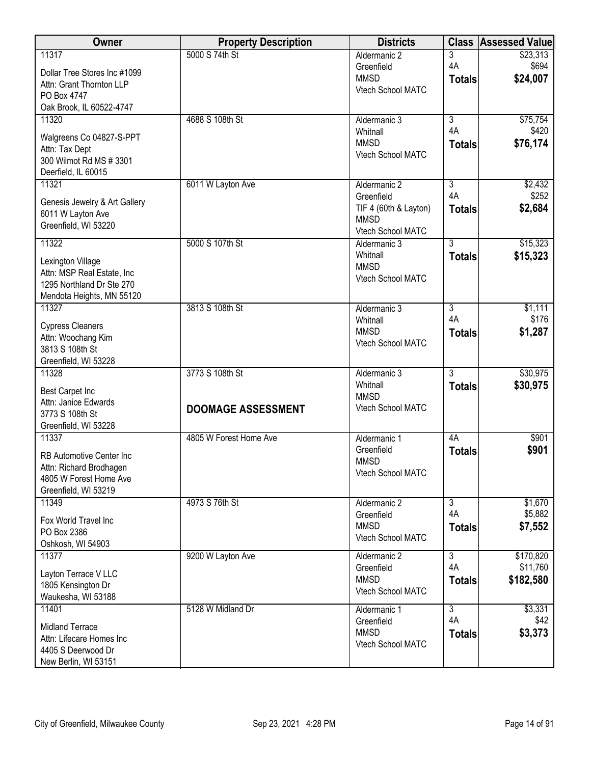| Owner                                              | <b>Property Description</b> | <b>Districts</b>                 |                      | <b>Class Assessed Value</b> |
|----------------------------------------------------|-----------------------------|----------------------------------|----------------------|-----------------------------|
| 11317                                              | 5000 S 74th St              | Aldermanic 2                     | 3                    | \$23,313                    |
| Dollar Tree Stores Inc #1099                       |                             | Greenfield                       | 4A                   | \$694                       |
| Attn: Grant Thornton LLP                           |                             | <b>MMSD</b><br>Vtech School MATC | <b>Totals</b>        | \$24,007                    |
| PO Box 4747                                        |                             |                                  |                      |                             |
| Oak Brook, IL 60522-4747                           |                             |                                  |                      |                             |
| 11320                                              | 4688 S 108th St             | Aldermanic 3                     | $\overline{3}$       | \$75,754                    |
| Walgreens Co 04827-S-PPT                           |                             | Whitnall                         | 4A                   | \$420                       |
| Attn: Tax Dept                                     |                             | <b>MMSD</b>                      | <b>Totals</b>        | \$76,174                    |
| 300 Wilmot Rd MS # 3301                            |                             | Vtech School MATC                |                      |                             |
| Deerfield, IL 60015                                |                             |                                  |                      |                             |
| 11321                                              | 6011 W Layton Ave           | Aldermanic 2                     | $\overline{3}$       | \$2,432                     |
|                                                    |                             | Greenfield                       | 4A                   | \$252                       |
| Genesis Jewelry & Art Gallery<br>6011 W Layton Ave |                             | TIF 4 (60th & Layton)            | <b>Totals</b>        | \$2,684                     |
| Greenfield, WI 53220                               |                             | <b>MMSD</b>                      |                      |                             |
|                                                    |                             | Vtech School MATC                |                      |                             |
| 11322                                              | 5000 S 107th St             | Aldermanic 3                     | 3                    | \$15,323                    |
| Lexington Village                                  |                             | Whitnall                         | <b>Totals</b>        | \$15,323                    |
| Attn: MSP Real Estate, Inc                         |                             | <b>MMSD</b><br>Vtech School MATC |                      |                             |
| 1295 Northland Dr Ste 270                          |                             |                                  |                      |                             |
| Mendota Heights, MN 55120                          |                             |                                  |                      |                             |
| 11327                                              | 3813 S 108th St             | Aldermanic 3                     | $\overline{3}$       | \$1,111                     |
| <b>Cypress Cleaners</b>                            |                             | Whitnall                         | 4A                   | \$176                       |
| Attn: Woochang Kim                                 |                             | <b>MMSD</b>                      | <b>Totals</b>        | \$1,287                     |
| 3813 S 108th St                                    |                             | Vtech School MATC                |                      |                             |
| Greenfield, WI 53228                               |                             |                                  |                      |                             |
| 11328                                              | 3773 S 108th St             | Aldermanic 3                     | $\overline{3}$       | \$30,975                    |
| Best Carpet Inc                                    |                             | Whitnall                         | <b>Totals</b>        | \$30,975                    |
| Attn: Janice Edwards                               |                             | <b>MMSD</b>                      |                      |                             |
| 3773 S 108th St                                    | <b>DOOMAGE ASSESSMENT</b>   | Vtech School MATC                |                      |                             |
| Greenfield, WI 53228                               |                             |                                  |                      |                             |
| 11337                                              | 4805 W Forest Home Ave      | Aldermanic 1                     | 4A                   | \$901                       |
| RB Automotive Center Inc                           |                             | Greenfield                       | <b>Totals</b>        | \$901                       |
| Attn: Richard Brodhagen                            |                             | <b>MMSD</b>                      |                      |                             |
| 4805 W Forest Home Ave                             |                             | Vtech School MATC                |                      |                             |
| Greenfield, WI 53219                               |                             |                                  |                      |                             |
| 11349                                              | 4973 S 76th St              | Aldermanic 2                     | $\overline{3}$       | \$1,670                     |
|                                                    |                             | Greenfield                       | 4A                   | \$5,882                     |
| Fox World Travel Inc<br>PO Box 2386                |                             | <b>MMSD</b>                      | <b>Totals</b>        | \$7,552                     |
| Oshkosh, WI 54903                                  |                             | Vtech School MATC                |                      |                             |
| 11377                                              | 9200 W Layton Ave           | Aldermanic 2                     | $\overline{3}$       | \$170,820                   |
|                                                    |                             | Greenfield                       | 4A                   | \$11,760                    |
| Layton Terrace V LLC                               |                             | <b>MMSD</b>                      | <b>Totals</b>        | \$182,580                   |
| 1805 Kensington Dr                                 |                             | Vtech School MATC                |                      |                             |
| Waukesha, WI 53188                                 |                             |                                  |                      |                             |
| 11401                                              | 5128 W Midland Dr           | Aldermanic 1<br>Greenfield       | $\overline{3}$<br>4A | \$3,331<br>\$42             |
| <b>Midland Terrace</b>                             |                             | <b>MMSD</b>                      |                      |                             |
| Attn: Lifecare Homes Inc                           |                             | Vtech School MATC                | <b>Totals</b>        | \$3,373                     |
| 4405 S Deerwood Dr                                 |                             |                                  |                      |                             |
| New Berlin, WI 53151                               |                             |                                  |                      |                             |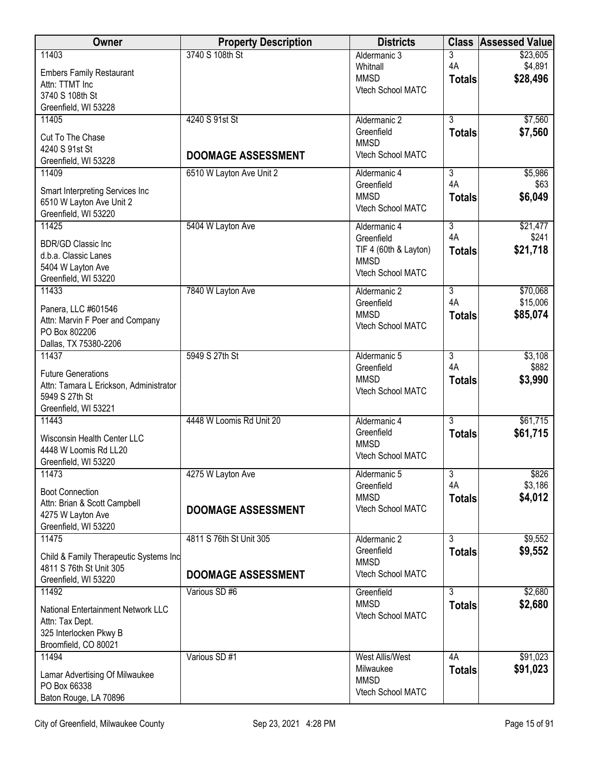| <b>Owner</b>                                                | <b>Property Description</b> | <b>Districts</b>                 | <b>Class</b>         | <b>Assessed Value</b> |
|-------------------------------------------------------------|-----------------------------|----------------------------------|----------------------|-----------------------|
| 11403                                                       | 3740 S 108th St             | Aldermanic 3                     | 3                    | \$23,605              |
| <b>Embers Family Restaurant</b>                             |                             | Whitnall<br><b>MMSD</b>          | 4A<br><b>Totals</b>  | \$4,891<br>\$28,496   |
| Attn: TTMT Inc                                              |                             | Vtech School MATC                |                      |                       |
| 3740 S 108th St<br>Greenfield, WI 53228                     |                             |                                  |                      |                       |
| 11405                                                       | 4240 S 91st St              | Aldermanic 2                     | $\overline{3}$       | \$7,560               |
|                                                             |                             | Greenfield                       | <b>Totals</b>        | \$7,560               |
| Cut To The Chase                                            |                             | <b>MMSD</b>                      |                      |                       |
| 4240 S 91st St<br>Greenfield, WI 53228                      | <b>DOOMAGE ASSESSMENT</b>   | Vtech School MATC                |                      |                       |
| 11409                                                       | 6510 W Layton Ave Unit 2    | Aldermanic 4                     | 3                    | \$5,986               |
|                                                             |                             | Greenfield                       | 4A                   | \$63                  |
| Smart Interpreting Services Inc<br>6510 W Layton Ave Unit 2 |                             | <b>MMSD</b>                      | <b>Totals</b>        | \$6,049               |
| Greenfield, WI 53220                                        |                             | Vtech School MATC                |                      |                       |
| 11425                                                       | 5404 W Layton Ave           | Aldermanic 4                     | $\overline{3}$       | \$21,477              |
| <b>BDR/GD Classic Inc.</b>                                  |                             | Greenfield                       | 4A                   | \$241                 |
| d.b.a. Classic Lanes                                        |                             | TIF 4 (60th & Layton)            | <b>Totals</b>        | \$21,718              |
| 5404 W Layton Ave                                           |                             | <b>MMSD</b>                      |                      |                       |
| Greenfield, WI 53220                                        |                             | Vtech School MATC                |                      |                       |
| 11433                                                       | 7840 W Layton Ave           | Aldermanic 2                     | $\overline{3}$       | \$70,068              |
| Panera, LLC #601546                                         |                             | Greenfield                       | 4A                   | \$15,006              |
| Attn: Marvin F Poer and Company                             |                             | <b>MMSD</b><br>Vtech School MATC | <b>Totals</b>        | \$85,074              |
| PO Box 802206                                               |                             |                                  |                      |                       |
| Dallas, TX 75380-2206                                       |                             |                                  |                      |                       |
| 11437                                                       | 5949 S 27th St              | Aldermanic 5<br>Greenfield       | $\overline{3}$<br>4A | \$3,108<br>\$882      |
| <b>Future Generations</b>                                   |                             | <b>MMSD</b>                      | <b>Totals</b>        | \$3,990               |
| Attn: Tamara L Erickson, Administrator                      |                             | Vtech School MATC                |                      |                       |
| 5949 S 27th St<br>Greenfield, WI 53221                      |                             |                                  |                      |                       |
| 11443                                                       | 4448 W Loomis Rd Unit 20    | Aldermanic 4                     | $\overline{3}$       | \$61,715              |
|                                                             |                             | Greenfield                       | <b>Totals</b>        | \$61,715              |
| Wisconsin Health Center LLC<br>4448 W Loomis Rd LL20        |                             | <b>MMSD</b>                      |                      |                       |
| Greenfield, WI 53220                                        |                             | Vtech School MATC                |                      |                       |
| 11473                                                       | 4275 W Layton Ave           | Aldermanic 5                     | 3                    | \$826                 |
| <b>Boot Connection</b>                                      |                             | Greenfield                       | 4A                   | \$3,186               |
| Attn: Brian & Scott Campbell                                |                             | <b>MMSD</b>                      | <b>Totals</b>        | \$4,012               |
| 4275 W Layton Ave                                           | <b>DOOMAGE ASSESSMENT</b>   | Vtech School MATC                |                      |                       |
| Greenfield, WI 53220                                        |                             |                                  |                      |                       |
| 11475                                                       | 4811 S 76th St Unit 305     | Aldermanic 2                     | $\overline{3}$       | \$9,552               |
| Child & Family Therapeutic Systems Inc                      |                             | Greenfield<br><b>MMSD</b>        | <b>Totals</b>        | \$9,552               |
| 4811 S 76th St Unit 305                                     | <b>DOOMAGE ASSESSMENT</b>   | Vtech School MATC                |                      |                       |
| Greenfield, WI 53220                                        |                             |                                  |                      |                       |
| 11492                                                       | Various SD #6               | Greenfield<br><b>MMSD</b>        | 3                    | \$2,680               |
| National Entertainment Network LLC                          |                             | Vtech School MATC                | <b>Totals</b>        | \$2,680               |
| Attn: Tax Dept.                                             |                             |                                  |                      |                       |
| 325 Interlocken Pkwy B                                      |                             |                                  |                      |                       |
| Broomfield, CO 80021<br>11494                               | Various SD #1               | West Allis/West                  | 4A                   | \$91,023              |
|                                                             |                             | Milwaukee                        | <b>Totals</b>        | \$91,023              |
| Lamar Advertising Of Milwaukee                              |                             | <b>MMSD</b>                      |                      |                       |
| PO Box 66338<br>Baton Rouge, LA 70896                       |                             | Vtech School MATC                |                      |                       |
|                                                             |                             |                                  |                      |                       |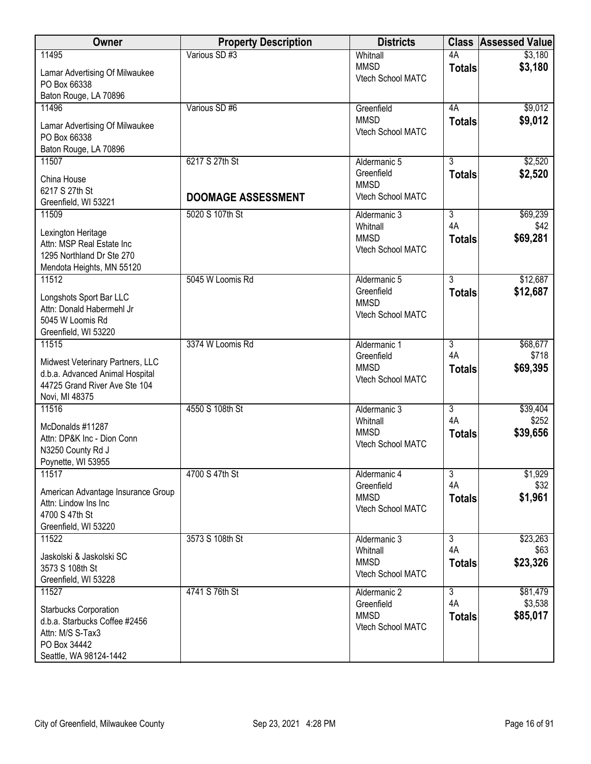| Owner                                                  | <b>Property Description</b> | <b>Districts</b>                 | <b>Class</b>         | <b>Assessed Value</b> |
|--------------------------------------------------------|-----------------------------|----------------------------------|----------------------|-----------------------|
| 11495                                                  | Various SD #3               | Whitnall                         | 4A                   | \$3,180               |
| Lamar Advertising Of Milwaukee                         |                             | <b>MMSD</b>                      | <b>Totals</b>        | \$3,180               |
| PO Box 66338                                           |                             | Vtech School MATC                |                      |                       |
| Baton Rouge, LA 70896                                  |                             |                                  |                      |                       |
| 11496                                                  | Various SD #6               | Greenfield                       | 4A                   | \$9,012               |
| Lamar Advertising Of Milwaukee                         |                             | <b>MMSD</b>                      | <b>Totals</b>        | \$9,012               |
| PO Box 66338                                           |                             | Vtech School MATC                |                      |                       |
| Baton Rouge, LA 70896                                  |                             |                                  |                      |                       |
| 11507                                                  | 6217 S 27th St              | Aldermanic 5                     | $\overline{3}$       | \$2,520               |
|                                                        |                             | Greenfield                       | <b>Totals</b>        | \$2,520               |
| China House<br>6217 S 27th St                          |                             | <b>MMSD</b>                      |                      |                       |
| Greenfield, WI 53221                                   | <b>DOOMAGE ASSESSMENT</b>   | Vtech School MATC                |                      |                       |
| 11509                                                  | 5020 S 107th St             | Aldermanic 3                     | $\overline{3}$       | \$69,239              |
|                                                        |                             | Whitnall                         | 4A                   | \$42                  |
| Lexington Heritage                                     |                             | <b>MMSD</b>                      | <b>Totals</b>        | \$69,281              |
| Attn: MSP Real Estate Inc<br>1295 Northland Dr Ste 270 |                             | Vtech School MATC                |                      |                       |
| Mendota Heights, MN 55120                              |                             |                                  |                      |                       |
| 11512                                                  | 5045 W Loomis Rd            | Aldermanic 5                     | $\overline{3}$       | \$12,687              |
|                                                        |                             | Greenfield                       | <b>Totals</b>        | \$12,687              |
| Longshots Sport Bar LLC                                |                             | <b>MMSD</b>                      |                      |                       |
| Attn: Donald Habermehl Jr                              |                             | Vtech School MATC                |                      |                       |
| 5045 W Loomis Rd                                       |                             |                                  |                      |                       |
| Greenfield, WI 53220<br>11515                          | 3374 W Loomis Rd            | Aldermanic 1                     | $\overline{3}$       |                       |
|                                                        |                             | Greenfield                       | 4A                   | \$68,677<br>\$718     |
| Midwest Veterinary Partners, LLC                       |                             | <b>MMSD</b>                      | <b>Totals</b>        | \$69,395              |
| d.b.a. Advanced Animal Hospital                        |                             | Vtech School MATC                |                      |                       |
| 44725 Grand River Ave Ste 104                          |                             |                                  |                      |                       |
| Novi, MI 48375                                         |                             |                                  |                      |                       |
| 11516                                                  | 4550 S 108th St             | Aldermanic 3<br>Whitnall         | $\overline{3}$<br>4A | \$39,404<br>\$252     |
| McDonalds #11287                                       |                             | <b>MMSD</b>                      | <b>Totals</b>        | \$39,656              |
| Attn: DP&K Inc - Dion Conn                             |                             | Vtech School MATC                |                      |                       |
| N3250 County Rd J                                      |                             |                                  |                      |                       |
| Poynette, WI 53955                                     |                             |                                  |                      |                       |
| 11517                                                  | 4700 S 47th St              | Aldermanic 4                     | $\overline{3}$<br>4A | \$1,929               |
| American Advantage Insurance Group                     |                             | Greenfield<br><b>MMSD</b>        |                      | \$32                  |
| Attn: Lindow Ins Inc                                   |                             | Vtech School MATC                | <b>Totals</b>        | \$1,961               |
| 4700 S 47th St                                         |                             |                                  |                      |                       |
| Greenfield, WI 53220                                   |                             |                                  |                      |                       |
| 11522                                                  | 3573 S 108th St             | Aldermanic 3                     | $\overline{3}$       | \$23,263              |
| Jaskolski & Jaskolski SC                               |                             | Whitnall                         | 4A                   | \$63                  |
| 3573 S 108th St                                        |                             | <b>MMSD</b><br>Vtech School MATC | <b>Totals</b>        | \$23,326              |
| Greenfield, WI 53228                                   |                             |                                  |                      |                       |
| 11527                                                  | 4741 S 76th St              | Aldermanic 2                     | $\overline{3}$       | \$81,479              |
| <b>Starbucks Corporation</b>                           |                             | Greenfield                       | 4A                   | \$3,538               |
| d.b.a. Starbucks Coffee #2456                          |                             | <b>MMSD</b>                      | <b>Totals</b>        | \$85,017              |
| Attn: M/S S-Tax3                                       |                             | Vtech School MATC                |                      |                       |
| PO Box 34442                                           |                             |                                  |                      |                       |
| Seattle, WA 98124-1442                                 |                             |                                  |                      |                       |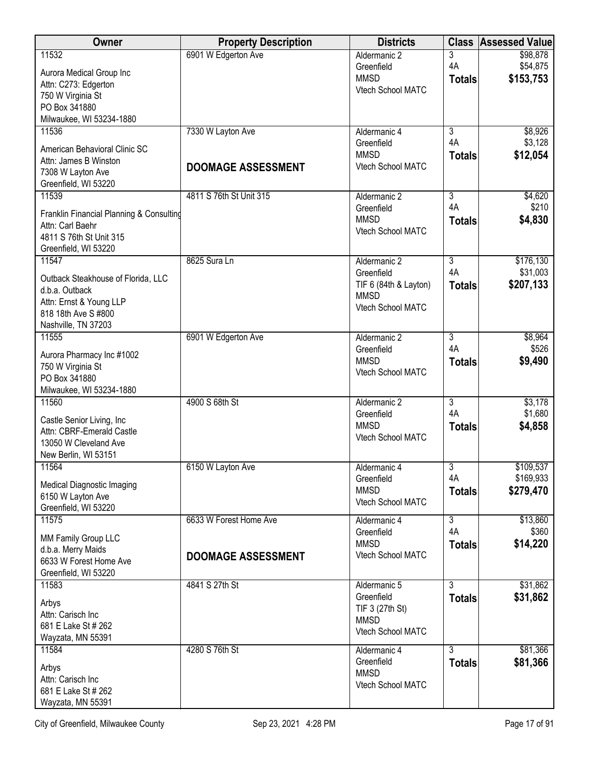| Owner                                          | <b>Property Description</b> | <b>Districts</b>                 | <b>Class</b>   | <b>Assessed Value</b> |
|------------------------------------------------|-----------------------------|----------------------------------|----------------|-----------------------|
| 11532                                          | 6901 W Edgerton Ave         | Aldermanic 2                     | 3              | \$98,878              |
| Aurora Medical Group Inc                       |                             | Greenfield                       | 4A             | \$54,875              |
| Attn: C273: Edgerton                           |                             | <b>MMSD</b><br>Vtech School MATC | <b>Totals</b>  | \$153,753             |
| 750 W Virginia St                              |                             |                                  |                |                       |
| PO Box 341880                                  |                             |                                  |                |                       |
| Milwaukee, WI 53234-1880                       |                             |                                  |                |                       |
| 11536                                          | 7330 W Layton Ave           | Aldermanic 4<br>Greenfield       | 3<br>4A        | \$8,926<br>\$3,128    |
| American Behavioral Clinic SC                  |                             | <b>MMSD</b>                      | <b>Totals</b>  | \$12,054              |
| Attn: James B Winston                          | <b>DOOMAGE ASSESSMENT</b>   | Vtech School MATC                |                |                       |
| 7308 W Layton Ave                              |                             |                                  |                |                       |
| Greenfield, WI 53220<br>11539                  | 4811 S 76th St Unit 315     | Aldermanic 2                     | 3              | \$4,620               |
|                                                |                             | Greenfield                       | 4A             | \$210                 |
| Franklin Financial Planning & Consulting       |                             | <b>MMSD</b>                      | <b>Totals</b>  | \$4,830               |
| Attn: Carl Baehr                               |                             | Vtech School MATC                |                |                       |
| 4811 S 76th St Unit 315                        |                             |                                  |                |                       |
| Greenfield, WI 53220<br>11547                  | 8625 Sura Ln                | Aldermanic 2                     | $\overline{3}$ | \$176,130             |
|                                                |                             | Greenfield                       | 4A             | \$31,003              |
| Outback Steakhouse of Florida, LLC             |                             | TIF 6 (84th & Layton)            | <b>Totals</b>  | \$207,133             |
| d.b.a. Outback                                 |                             | <b>MMSD</b>                      |                |                       |
| Attn: Ernst & Young LLP<br>818 18th Ave S #800 |                             | Vtech School MATC                |                |                       |
| Nashville, TN 37203                            |                             |                                  |                |                       |
| 11555                                          | 6901 W Edgerton Ave         | Aldermanic 2                     | 3              | \$8,964               |
|                                                |                             | Greenfield                       | 4A             | \$526                 |
| Aurora Pharmacy Inc #1002<br>750 W Virginia St |                             | <b>MMSD</b>                      | <b>Totals</b>  | \$9,490               |
| PO Box 341880                                  |                             | Vtech School MATC                |                |                       |
| Milwaukee, WI 53234-1880                       |                             |                                  |                |                       |
| 11560                                          | 4900 S 68th St              | Aldermanic 2                     | $\overline{3}$ | \$3,178               |
| Castle Senior Living, Inc                      |                             | Greenfield                       | 4A             | \$1,680               |
| Attn: CBRF-Emerald Castle                      |                             | <b>MMSD</b>                      | <b>Totals</b>  | \$4,858               |
| 13050 W Cleveland Ave                          |                             | Vtech School MATC                |                |                       |
| New Berlin, WI 53151                           |                             |                                  |                |                       |
| 11564                                          | 6150 W Layton Ave           | Aldermanic 4                     | $\overline{3}$ | \$109,537             |
| <b>Medical Diagnostic Imaging</b>              |                             | Greenfield                       | 4A             | \$169,933             |
| 6150 W Layton Ave                              |                             | <b>MMSD</b>                      | <b>Totals</b>  | \$279,470             |
| Greenfield, WI 53220                           |                             | Vtech School MATC                |                |                       |
| 11575                                          | 6633 W Forest Home Ave      | Aldermanic 4                     | $\overline{3}$ | \$13,860              |
| MM Family Group LLC                            |                             | Greenfield                       | 4A             | \$360                 |
| d.b.a. Merry Maids                             |                             | <b>MMSD</b>                      | <b>Totals</b>  | \$14,220              |
| 6633 W Forest Home Ave                         | <b>DOOMAGE ASSESSMENT</b>   | Vtech School MATC                |                |                       |
| Greenfield, WI 53220                           |                             |                                  |                |                       |
| 11583                                          | 4841 S 27th St              | Aldermanic 5                     | $\overline{3}$ | \$31,862              |
| Arbys                                          |                             | Greenfield                       | <b>Totals</b>  | \$31,862              |
| Attn: Carisch Inc                              |                             | TIF 3 (27th St)<br><b>MMSD</b>   |                |                       |
| 681 E Lake St # 262                            |                             | Vtech School MATC                |                |                       |
| Wayzata, MN 55391                              |                             |                                  |                |                       |
| 11584                                          | 4280 S 76th St              | Aldermanic 4                     | $\overline{3}$ | \$81,366              |
| Arbys                                          |                             | Greenfield<br><b>MMSD</b>        | <b>Totals</b>  | \$81,366              |
| Attn: Carisch Inc                              |                             | Vtech School MATC                |                |                       |
| 681 E Lake St # 262                            |                             |                                  |                |                       |
| Wayzata, MN 55391                              |                             |                                  |                |                       |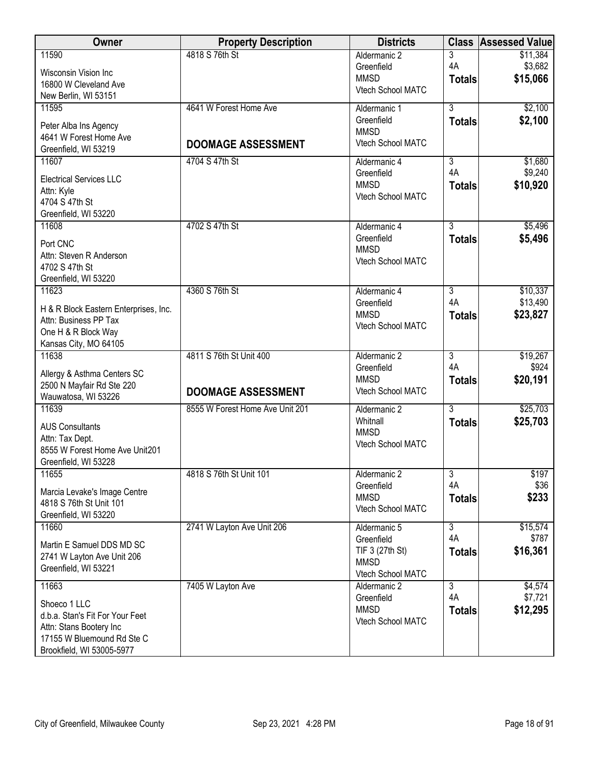| Owner                                                                                                                                          | <b>Property Description</b>                          | <b>Districts</b>                                                                  |                                       | <b>Class Assessed Value</b>      |
|------------------------------------------------------------------------------------------------------------------------------------------------|------------------------------------------------------|-----------------------------------------------------------------------------------|---------------------------------------|----------------------------------|
| 11590<br>Wisconsin Vision Inc<br>16800 W Cleveland Ave<br>New Berlin, WI 53151                                                                 | 4818 S 76th St                                       | Aldermanic 2<br>Greenfield<br><b>MMSD</b><br>Vtech School MATC                    | 3<br>4A<br><b>Totals</b>              | \$11,384<br>\$3,682<br>\$15,066  |
| 11595<br>Peter Alba Ins Agency<br>4641 W Forest Home Ave<br>Greenfield, WI 53219                                                               | 4641 W Forest Home Ave<br><b>DOOMAGE ASSESSMENT</b>  | Aldermanic 1<br>Greenfield<br><b>MMSD</b><br>Vtech School MATC                    | $\overline{3}$<br><b>Totals</b>       | \$2,100<br>\$2,100               |
| 11607<br><b>Electrical Services LLC</b><br>Attn: Kyle<br>4704 S 47th St<br>Greenfield, WI 53220                                                | 4704 S 47th St                                       | Aldermanic 4<br>Greenfield<br><b>MMSD</b><br>Vtech School MATC                    | $\overline{3}$<br>4A<br><b>Totals</b> | \$1,680<br>\$9,240<br>\$10,920   |
| 11608<br>Port CNC<br>Attn: Steven R Anderson<br>4702 S 47th St<br>Greenfield, WI 53220                                                         | 4702 S 47th St                                       | Aldermanic 4<br>Greenfield<br><b>MMSD</b><br>Vtech School MATC                    | $\overline{3}$<br><b>Totals</b>       | \$5,496<br>\$5,496               |
| 11623<br>H & R Block Eastern Enterprises, Inc.<br>Attn: Business PP Tax<br>One H & R Block Way<br>Kansas City, MO 64105                        | 4360 S 76th St                                       | Aldermanic 4<br>Greenfield<br><b>MMSD</b><br>Vtech School MATC                    | 3<br>4A<br><b>Totals</b>              | \$10,337<br>\$13,490<br>\$23,827 |
| 11638<br>Allergy & Asthma Centers SC<br>2500 N Mayfair Rd Ste 220<br>Wauwatosa, WI 53226                                                       | 4811 S 76th St Unit 400<br><b>DOOMAGE ASSESSMENT</b> | Aldermanic 2<br>Greenfield<br><b>MMSD</b><br>Vtech School MATC                    | $\overline{3}$<br>4A<br><b>Totals</b> | \$19,267<br>\$924<br>\$20,191    |
| 11639<br><b>AUS Consultants</b><br>Attn: Tax Dept.<br>8555 W Forest Home Ave Unit201<br>Greenfield, WI 53228                                   | 8555 W Forest Home Ave Unit 201                      | Aldermanic 2<br>Whitnall<br><b>MMSD</b><br>Vtech School MATC                      | $\overline{3}$<br><b>Totals</b>       | \$25,703<br>\$25,703             |
| 11655<br>Marcia Levake's Image Centre<br>4818 S 76th St Unit 101<br>Greenfield, WI 53220                                                       | 4818 S 76th St Unit 101                              | Aldermanic 2<br>Greenfield<br><b>MMSD</b><br>Vtech School MATC                    | $\overline{3}$<br>4A<br><b>Totals</b> | \$197<br>\$36<br>\$233           |
| 11660<br>Martin E Samuel DDS MD SC<br>2741 W Layton Ave Unit 206<br>Greenfield, WI 53221                                                       | 2741 W Layton Ave Unit 206                           | Aldermanic 5<br>Greenfield<br>TIF 3 (27th St)<br><b>MMSD</b><br>Vtech School MATC | $\overline{3}$<br>4A<br><b>Totals</b> | \$15,574<br>\$787<br>\$16,361    |
| 11663<br>Shoeco 1 LLC<br>d.b.a. Stan's Fit For Your Feet<br>Attn: Stans Bootery Inc<br>17155 W Bluemound Rd Ste C<br>Brookfield, WI 53005-5977 | 7405 W Layton Ave                                    | Aldermanic 2<br>Greenfield<br><b>MMSD</b><br>Vtech School MATC                    | 3<br>4A<br><b>Totals</b>              | \$4,574<br>\$7,721<br>\$12,295   |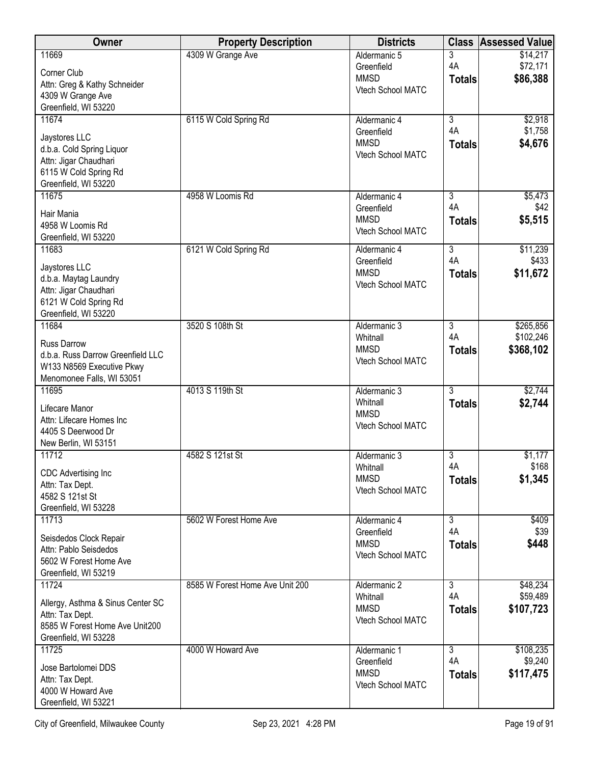| <b>Owner</b>                                                   | <b>Property Description</b>     | <b>Districts</b>                 | <b>Class</b>         | <b>Assessed Value</b> |
|----------------------------------------------------------------|---------------------------------|----------------------------------|----------------------|-----------------------|
| 11669                                                          | 4309 W Grange Ave               | Aldermanic 5                     | 3                    | \$14,217              |
| Corner Club                                                    |                                 | Greenfield                       | 4A                   | \$72,171              |
| Attn: Greg & Kathy Schneider                                   |                                 | <b>MMSD</b><br>Vtech School MATC | <b>Totals</b>        | \$86,388              |
| 4309 W Grange Ave                                              |                                 |                                  |                      |                       |
| Greenfield, WI 53220                                           |                                 |                                  |                      |                       |
| 11674                                                          | 6115 W Cold Spring Rd           | Aldermanic 4                     | $\overline{3}$<br>4A | \$2,918               |
| Jaystores LLC                                                  |                                 | Greenfield<br><b>MMSD</b>        |                      | \$1,758<br>\$4,676    |
| d.b.a. Cold Spring Liquor                                      |                                 | Vtech School MATC                | <b>Totals</b>        |                       |
| Attn: Jigar Chaudhari                                          |                                 |                                  |                      |                       |
| 6115 W Cold Spring Rd                                          |                                 |                                  |                      |                       |
| Greenfield, WI 53220<br>11675                                  | 4958 W Loomis Rd                | Aldermanic 4                     | 3                    | \$5,473               |
|                                                                |                                 | Greenfield                       | 4A                   | \$42                  |
| Hair Mania                                                     |                                 | <b>MMSD</b>                      | <b>Totals</b>        | \$5,515               |
| 4958 W Loomis Rd                                               |                                 | Vtech School MATC                |                      |                       |
| Greenfield, WI 53220                                           |                                 |                                  | $\overline{3}$       |                       |
| 11683                                                          | 6121 W Cold Spring Rd           | Aldermanic 4<br>Greenfield       | 4A                   | \$11,239<br>\$433     |
| Jaystores LLC                                                  |                                 | <b>MMSD</b>                      | <b>Totals</b>        | \$11,672              |
| d.b.a. Maytag Laundry                                          |                                 | Vtech School MATC                |                      |                       |
| Attn: Jigar Chaudhari                                          |                                 |                                  |                      |                       |
| 6121 W Cold Spring Rd<br>Greenfield, WI 53220                  |                                 |                                  |                      |                       |
| 11684                                                          | 3520 S 108th St                 | Aldermanic 3                     | 3                    | \$265,856             |
|                                                                |                                 | Whitnall                         | 4A                   | \$102,246             |
| <b>Russ Darrow</b>                                             |                                 | <b>MMSD</b>                      | <b>Totals</b>        | \$368,102             |
| d.b.a. Russ Darrow Greenfield LLC<br>W133 N8569 Executive Pkwy |                                 | Vtech School MATC                |                      |                       |
| Menomonee Falls, WI 53051                                      |                                 |                                  |                      |                       |
| 11695                                                          | 4013 S 119th St                 | Aldermanic 3                     | $\overline{3}$       | \$2,744               |
|                                                                |                                 | Whitnall                         | <b>Totals</b>        | \$2,744               |
| Lifecare Manor<br>Attn: Lifecare Homes Inc                     |                                 | <b>MMSD</b>                      |                      |                       |
| 4405 S Deerwood Dr                                             |                                 | Vtech School MATC                |                      |                       |
| New Berlin, WI 53151                                           |                                 |                                  |                      |                       |
| 11712                                                          | 4582 S 121st St                 | Aldermanic 3                     | $\overline{3}$       | \$1,177               |
| CDC Advertising Inc                                            |                                 | Whitnall                         | 4A                   | \$168                 |
| Attn: Tax Dept.                                                |                                 | <b>MMSD</b>                      | <b>Totals</b>        | \$1,345               |
| 4582 S 121st St                                                |                                 | Vtech School MATC                |                      |                       |
| Greenfield, WI 53228                                           |                                 |                                  |                      |                       |
| 11713                                                          | 5602 W Forest Home Ave          | Aldermanic 4                     | 3                    | \$409                 |
| Seisdedos Clock Repair                                         |                                 | Greenfield                       | 4A                   | \$39                  |
| Attn: Pablo Seisdedos                                          |                                 | <b>MMSD</b>                      | <b>Totals</b>        | \$448                 |
| 5602 W Forest Home Ave                                         |                                 | Vtech School MATC                |                      |                       |
| Greenfield, WI 53219                                           |                                 |                                  |                      |                       |
| 11724                                                          | 8585 W Forest Home Ave Unit 200 | Aldermanic 2                     | $\overline{3}$       | \$48,234              |
| Allergy, Asthma & Sinus Center SC                              |                                 | Whitnall                         | 4A                   | \$59,489              |
| Attn: Tax Dept.                                                |                                 | <b>MMSD</b>                      | <b>Totals</b>        | \$107,723             |
| 8585 W Forest Home Ave Unit200                                 |                                 | Vtech School MATC                |                      |                       |
| Greenfield, WI 53228                                           |                                 |                                  |                      |                       |
| 11725                                                          | 4000 W Howard Ave               | Aldermanic 1                     | $\overline{3}$       | \$108,235             |
| Jose Bartolomei DDS                                            |                                 | Greenfield                       | 4A                   | \$9,240               |
| Attn: Tax Dept.                                                |                                 | <b>MMSD</b><br>Vtech School MATC | <b>Totals</b>        | \$117,475             |
| 4000 W Howard Ave                                              |                                 |                                  |                      |                       |
| Greenfield, WI 53221                                           |                                 |                                  |                      |                       |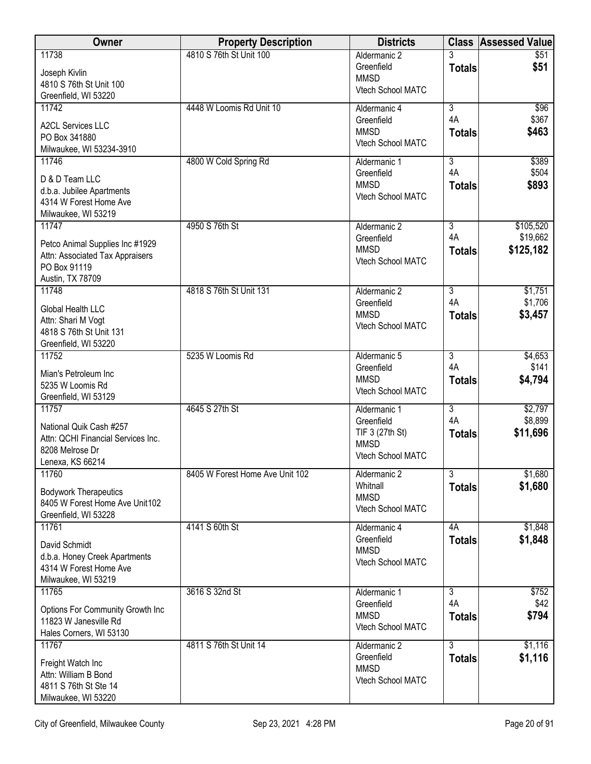| Owner                                                   | <b>Property Description</b>     | <b>Districts</b>               |                      | <b>Class Assessed Value</b> |
|---------------------------------------------------------|---------------------------------|--------------------------------|----------------------|-----------------------------|
| 11738                                                   | 4810 S 76th St Unit 100         | Aldermanic 2<br>Greenfield     | <b>Totals</b>        | \$51<br>\$51                |
| Joseph Kivlin                                           |                                 | <b>MMSD</b>                    |                      |                             |
| 4810 S 76th St Unit 100<br>Greenfield, WI 53220         |                                 | Vtech School MATC              |                      |                             |
| 11742                                                   | 4448 W Loomis Rd Unit 10        | Aldermanic 4                   | $\overline{3}$       | \$96                        |
| <b>A2CL Services LLC</b>                                |                                 | Greenfield<br><b>MMSD</b>      | 4A                   | \$367                       |
| PO Box 341880                                           |                                 | Vtech School MATC              | <b>Totals</b>        | \$463                       |
| Milwaukee, WI 53234-3910                                |                                 |                                |                      |                             |
| 11746                                                   | 4800 W Cold Spring Rd           | Aldermanic 1<br>Greenfield     | $\overline{3}$<br>4A | \$389<br>\$504              |
| D & D Team LLC                                          |                                 | <b>MMSD</b>                    | <b>Totals</b>        | \$893                       |
| d.b.a. Jubilee Apartments                               |                                 | Vtech School MATC              |                      |                             |
| 4314 W Forest Home Ave                                  |                                 |                                |                      |                             |
| Milwaukee, WI 53219<br>11747                            | 4950 S 76th St                  | Aldermanic 2                   | $\overline{3}$       | \$105,520                   |
|                                                         |                                 | Greenfield                     | 4A                   | \$19,662                    |
| Petco Animal Supplies Inc #1929                         |                                 | <b>MMSD</b>                    | <b>Totals</b>        | \$125,182                   |
| Attn: Associated Tax Appraisers<br>PO Box 91119         |                                 | Vtech School MATC              |                      |                             |
| Austin, TX 78709                                        |                                 |                                |                      |                             |
| 11748                                                   | 4818 S 76th St Unit 131         | Aldermanic 2                   | $\overline{3}$       | \$1,751                     |
|                                                         |                                 | Greenfield                     | 4A                   | \$1,706                     |
| Global Health LLC<br>Attn: Shari M Vogt                 |                                 | <b>MMSD</b>                    | <b>Totals</b>        | \$3,457                     |
| 4818 S 76th St Unit 131                                 |                                 | Vtech School MATC              |                      |                             |
| Greenfield, WI 53220                                    |                                 |                                |                      |                             |
| 11752                                                   | 5235 W Loomis Rd                | Aldermanic 5                   | $\overline{3}$       | \$4,653                     |
| Mian's Petroleum Inc                                    |                                 | Greenfield                     | 4A                   | \$141                       |
| 5235 W Loomis Rd                                        |                                 | <b>MMSD</b>                    | <b>Totals</b>        | \$4,794                     |
| Greenfield, WI 53129                                    |                                 | Vtech School MATC              |                      |                             |
| 11757                                                   | 4645 S 27th St                  | Aldermanic 1                   | $\overline{3}$       | \$2,797                     |
| National Quik Cash #257                                 |                                 | Greenfield                     | 4A                   | \$8,899                     |
| Attn: QCHI Financial Services Inc.                      |                                 | TIF 3 (27th St)<br><b>MMSD</b> | <b>Totals</b>        | \$11,696                    |
| 8208 Melrose Dr                                         |                                 | Vtech School MATC              |                      |                             |
| Lenexa, KS 66214                                        |                                 |                                |                      |                             |
| 11760                                                   | 8405 W Forest Home Ave Unit 102 | Aldermanic 2<br>Whitnall       | $\overline{3}$       | \$1,680<br>\$1,680          |
| <b>Bodywork Therapeutics</b>                            |                                 | <b>MMSD</b>                    | <b>Totals</b>        |                             |
| 8405 W Forest Home Ave Unit102                          |                                 | <b>Vtech School MATC</b>       |                      |                             |
| Greenfield, WI 53228<br>11761                           | 4141 S 60th St                  | Aldermanic 4                   | 4A                   | \$1,848                     |
|                                                         |                                 | Greenfield                     | <b>Totals</b>        | \$1,848                     |
| David Schmidt                                           |                                 | <b>MMSD</b>                    |                      |                             |
| d.b.a. Honey Creek Apartments<br>4314 W Forest Home Ave |                                 | Vtech School MATC              |                      |                             |
| Milwaukee, WI 53219                                     |                                 |                                |                      |                             |
| 11765                                                   | 3616 S 32nd St                  | Aldermanic 1                   | $\overline{3}$       | \$752                       |
| Options For Community Growth Inc                        |                                 | Greenfield                     | 4A                   | \$42                        |
| 11823 W Janesville Rd                                   |                                 | <b>MMSD</b>                    | <b>Totals</b>        | \$794                       |
| Hales Corners, WI 53130                                 |                                 | Vtech School MATC              |                      |                             |
| 11767                                                   | 4811 S 76th St Unit 14          | Aldermanic 2                   | $\overline{3}$       | \$1,116                     |
| Freight Watch Inc                                       |                                 | Greenfield                     | <b>Totals</b>        | \$1,116                     |
| Attn: William B Bond                                    |                                 | <b>MMSD</b>                    |                      |                             |
| 4811 S 76th St Ste 14                                   |                                 | Vtech School MATC              |                      |                             |
| Milwaukee, WI 53220                                     |                                 |                                |                      |                             |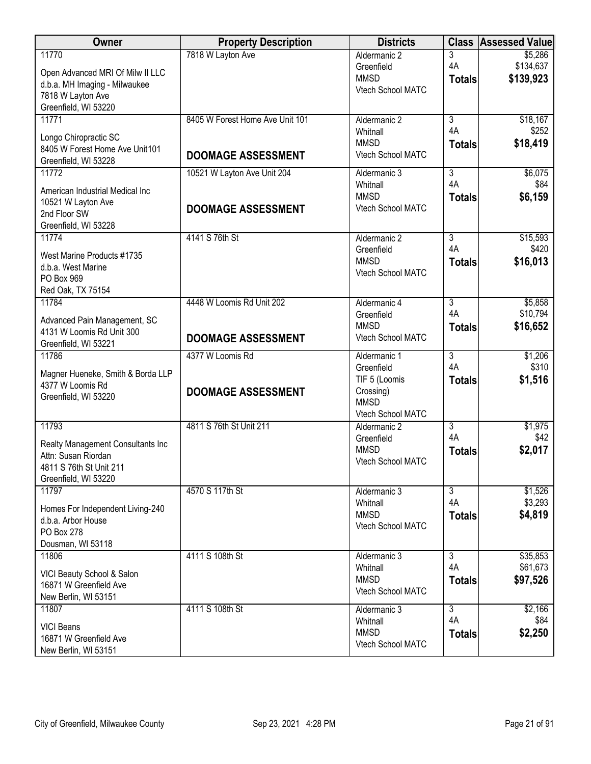| Owner                                                                                                                   | <b>Property Description</b>                                  | <b>Districts</b>                                                                             |                                       | <b>Class Assessed Value</b>       |
|-------------------------------------------------------------------------------------------------------------------------|--------------------------------------------------------------|----------------------------------------------------------------------------------------------|---------------------------------------|-----------------------------------|
| 11770<br>Open Advanced MRI Of Milw II LLC<br>d.b.a. MH Imaging - Milwaukee<br>7818 W Layton Ave<br>Greenfield, WI 53220 | 7818 W Layton Ave                                            | Aldermanic 2<br>Greenfield<br><b>MMSD</b><br>Vtech School MATC                               | 3<br>4A<br><b>Totals</b>              | \$5,286<br>\$134,637<br>\$139,923 |
| 11771<br>Longo Chiropractic SC<br>8405 W Forest Home Ave Unit101<br>Greenfield, WI 53228                                | 8405 W Forest Home Ave Unit 101<br><b>DOOMAGE ASSESSMENT</b> | Aldermanic 2<br>Whitnall<br><b>MMSD</b><br>Vtech School MATC                                 | $\overline{3}$<br>4A<br><b>Totals</b> | \$18,167<br>\$252<br>\$18,419     |
| 11772<br>American Industrial Medical Inc<br>10521 W Layton Ave<br>2nd Floor SW<br>Greenfield, WI 53228                  | 10521 W Layton Ave Unit 204<br><b>DOOMAGE ASSESSMENT</b>     | Aldermanic 3<br>Whitnall<br><b>MMSD</b><br>Vtech School MATC                                 | $\overline{3}$<br>4A<br><b>Totals</b> | \$6,075<br>\$84<br>\$6,159        |
| 11774<br>West Marine Products #1735<br>d.b.a. West Marine<br>PO Box 969<br>Red Oak, TX 75154                            | 4141 S 76th St                                               | Aldermanic 2<br>Greenfield<br><b>MMSD</b><br>Vtech School MATC                               | $\overline{3}$<br>4A<br><b>Totals</b> | \$15,593<br>\$420<br>\$16,013     |
| 11784<br>Advanced Pain Management, SC<br>4131 W Loomis Rd Unit 300<br>Greenfield, WI 53221                              | 4448 W Loomis Rd Unit 202<br><b>DOOMAGE ASSESSMENT</b>       | Aldermanic 4<br>Greenfield<br><b>MMSD</b><br>Vtech School MATC                               | $\overline{3}$<br>4A<br><b>Totals</b> | \$5,858<br>\$10,794<br>\$16,652   |
| 11786<br>Magner Hueneke, Smith & Borda LLP<br>4377 W Loomis Rd<br>Greenfield, WI 53220                                  | 4377 W Loomis Rd<br><b>DOOMAGE ASSESSMENT</b>                | Aldermanic 1<br>Greenfield<br>TIF 5 (Loomis<br>Crossing)<br><b>MMSD</b><br>Vtech School MATC | $\overline{3}$<br>4A<br><b>Totals</b> | \$1,206<br>\$310<br>\$1,516       |
| 11793<br>Realty Management Consultants Inc<br>Attn: Susan Riordan<br>4811 S 76th St Unit 211<br>Greenfield, WI 53220    | 4811 S 76th St Unit 211                                      | Aldermanic 2<br>Greenfield<br><b>MMSD</b><br>Vtech School MATC                               | $\overline{3}$<br>4A<br><b>Totals</b> | \$1,975<br>\$42<br>\$2,017        |
| 11797<br>Homes For Independent Living-240<br>d.b.a. Arbor House<br>PO Box 278<br>Dousman, WI 53118                      | 4570 S 117th St                                              | Aldermanic 3<br>Whitnall<br><b>MMSD</b><br>Vtech School MATC                                 | $\overline{3}$<br>4A<br><b>Totals</b> | \$1,526<br>\$3,293<br>\$4,819     |
| 11806<br>VICI Beauty School & Salon<br>16871 W Greenfield Ave<br>New Berlin, WI 53151                                   | 4111 S 108th St                                              | Aldermanic 3<br>Whitnall<br><b>MMSD</b><br>Vtech School MATC                                 | $\overline{3}$<br>4A<br><b>Totals</b> | \$35,853<br>\$61,673<br>\$97,526  |
| 11807<br><b>VICI Beans</b><br>16871 W Greenfield Ave<br>New Berlin, WI 53151                                            | 4111 S 108th St                                              | Aldermanic 3<br>Whitnall<br><b>MMSD</b><br>Vtech School MATC                                 | $\overline{3}$<br>4A<br><b>Totals</b> | \$2,166<br>\$84<br>\$2,250        |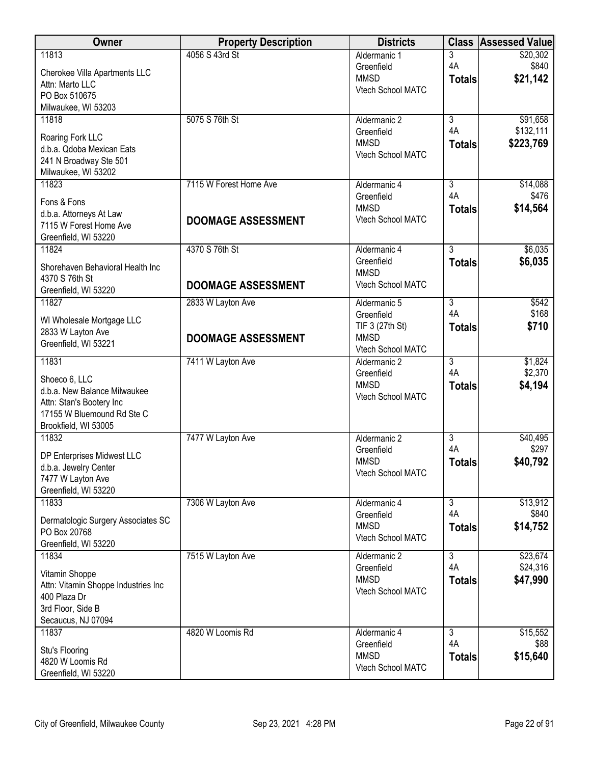| Owner                                     | <b>Property Description</b> | <b>Districts</b>           |                      | <b>Class Assessed Value</b> |
|-------------------------------------------|-----------------------------|----------------------------|----------------------|-----------------------------|
| 11813                                     | 4056 S 43rd St              | Aldermanic 1               | 3                    | \$20,302                    |
| Cherokee Villa Apartments LLC             |                             | Greenfield                 | 4A                   | \$840                       |
| Attn: Marto LLC                           |                             | <b>MMSD</b>                | <b>Totals</b>        | \$21,142                    |
| PO Box 510675                             |                             | <b>Vtech School MATC</b>   |                      |                             |
| Milwaukee, WI 53203                       |                             |                            |                      |                             |
| 11818                                     | 5075 S 76th St              | Aldermanic 2               | $\overline{3}$       | \$91,658                    |
| Roaring Fork LLC                          |                             | Greenfield                 | 4A                   | \$132,111                   |
| d.b.a. Qdoba Mexican Eats                 |                             | <b>MMSD</b>                | <b>Totals</b>        | \$223,769                   |
| 241 N Broadway Ste 501                    |                             | Vtech School MATC          |                      |                             |
| Milwaukee, WI 53202                       |                             |                            |                      |                             |
| 11823                                     | 7115 W Forest Home Ave      | Aldermanic 4               | 3                    | \$14,088                    |
| Fons & Fons                               |                             | Greenfield                 | 4A                   | \$476                       |
| d.b.a. Attorneys At Law                   |                             | <b>MMSD</b>                | <b>Totals</b>        | \$14,564                    |
| 7115 W Forest Home Ave                    | <b>DOOMAGE ASSESSMENT</b>   | Vtech School MATC          |                      |                             |
| Greenfield, WI 53220                      |                             |                            |                      |                             |
| 11824                                     | 4370 S 76th St              | Aldermanic 4               | $\overline{3}$       | \$6,035                     |
| Shorehaven Behavioral Health Inc          |                             | Greenfield                 | <b>Totals</b>        | \$6,035                     |
| 4370 S 76th St                            |                             | <b>MMSD</b>                |                      |                             |
| Greenfield, WI 53220                      | <b>DOOMAGE ASSESSMENT</b>   | Vtech School MATC          |                      |                             |
| 11827                                     | 2833 W Layton Ave           | Aldermanic 5               | 3                    | \$542                       |
| WI Wholesale Mortgage LLC                 |                             | Greenfield                 | 4A                   | \$168                       |
| 2833 W Layton Ave                         |                             | TIF 3 (27th St)            | <b>Totals</b>        | \$710                       |
| Greenfield, WI 53221                      | <b>DOOMAGE ASSESSMENT</b>   | <b>MMSD</b>                |                      |                             |
|                                           |                             | Vtech School MATC          |                      |                             |
| 11831                                     | 7411 W Layton Ave           | Aldermanic 2<br>Greenfield | $\overline{3}$<br>4A | \$1,824<br>\$2,370          |
| Shoeco 6, LLC                             |                             | <b>MMSD</b>                | <b>Totals</b>        | \$4,194                     |
| d.b.a. New Balance Milwaukee              |                             | Vtech School MATC          |                      |                             |
| Attn: Stan's Bootery Inc                  |                             |                            |                      |                             |
| 17155 W Bluemound Rd Ste C                |                             |                            |                      |                             |
| Brookfield, WI 53005<br>11832             | 7477 W Layton Ave           | Aldermanic 2               | 3                    | \$40,495                    |
|                                           |                             | Greenfield                 | 4A                   | \$297                       |
| DP Enterprises Midwest LLC                |                             | <b>MMSD</b>                | <b>Totals</b>        | \$40,792                    |
| d.b.a. Jewelry Center                     |                             | Vtech School MATC          |                      |                             |
| 7477 W Layton Ave<br>Greenfield, WI 53220 |                             |                            |                      |                             |
| 11833                                     | 7306 W Layton Ave           | Aldermanic 4               | $\overline{3}$       | \$13,912                    |
|                                           |                             | Greenfield                 | 4A                   | \$840                       |
| Dermatologic Surgery Associates SC        |                             | <b>MMSD</b>                | <b>Totals</b>        | \$14,752                    |
| PO Box 20768                              |                             | Vtech School MATC          |                      |                             |
| Greenfield, WI 53220<br>11834             |                             |                            |                      |                             |
|                                           | 7515 W Layton Ave           | Aldermanic 2<br>Greenfield | $\overline{3}$<br>4A | \$23,674<br>\$24,316        |
| Vitamin Shoppe                            |                             | <b>MMSD</b>                | <b>Totals</b>        | \$47,990                    |
| Attn: Vitamin Shoppe Industries Inc       |                             | Vtech School MATC          |                      |                             |
| 400 Plaza Dr                              |                             |                            |                      |                             |
| 3rd Floor, Side B<br>Secaucus, NJ 07094   |                             |                            |                      |                             |
| 11837                                     | 4820 W Loomis Rd            | Aldermanic 4               | 3                    | \$15,552                    |
|                                           |                             | Greenfield                 | 4A                   | \$88                        |
| Stu's Flooring                            |                             | <b>MMSD</b>                | <b>Totals</b>        | \$15,640                    |
| 4820 W Loomis Rd                          |                             | Vtech School MATC          |                      |                             |
| Greenfield, WI 53220                      |                             |                            |                      |                             |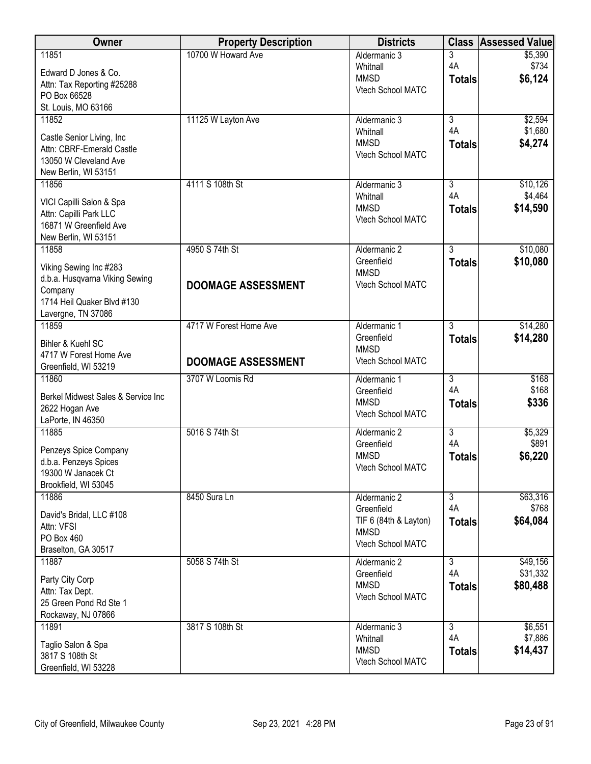| Owner                                                    | <b>Property Description</b> | <b>Districts</b>                 |                                 | <b>Class Assessed Value</b> |
|----------------------------------------------------------|-----------------------------|----------------------------------|---------------------------------|-----------------------------|
| 11851                                                    | 10700 W Howard Ave          | Aldermanic 3                     | 3                               | \$5,390                     |
| Edward D Jones & Co.                                     |                             | Whitnall<br><b>MMSD</b>          | 4A                              | \$734<br>\$6,124            |
| Attn: Tax Reporting #25288                               |                             | Vtech School MATC                | <b>Totals</b>                   |                             |
| PO Box 66528<br>St. Louis, MO 63166                      |                             |                                  |                                 |                             |
| 11852                                                    | 11125 W Layton Ave          | Aldermanic 3                     | $\overline{3}$                  | \$2,594                     |
|                                                          |                             | Whitnall                         | 4A                              | \$1,680                     |
| Castle Senior Living, Inc<br>Attn: CBRF-Emerald Castle   |                             | <b>MMSD</b>                      | <b>Totals</b>                   | \$4,274                     |
| 13050 W Cleveland Ave                                    |                             | Vtech School MATC                |                                 |                             |
| New Berlin, WI 53151                                     |                             |                                  |                                 |                             |
| 11856                                                    | 4111 S 108th St             | Aldermanic 3                     | $\overline{3}$                  | \$10,126                    |
| VICI Capilli Salon & Spa                                 |                             | Whitnall                         | 4A                              | \$4,464                     |
| Attn: Capilli Park LLC                                   |                             | <b>MMSD</b><br>Vtech School MATC | <b>Totals</b>                   | \$14,590                    |
| 16871 W Greenfield Ave                                   |                             |                                  |                                 |                             |
| New Berlin, WI 53151<br>11858                            | 4950 S 74th St              | Aldermanic 2                     | $\overline{3}$                  | \$10,080                    |
|                                                          |                             | Greenfield                       | <b>Totals</b>                   | \$10,080                    |
| Viking Sewing Inc #283<br>d.b.a. Husqvarna Viking Sewing |                             | <b>MMSD</b>                      |                                 |                             |
| Company                                                  | <b>DOOMAGE ASSESSMENT</b>   | Vtech School MATC                |                                 |                             |
| 1714 Heil Quaker Blvd #130                               |                             |                                  |                                 |                             |
| Lavergne, TN 37086                                       |                             |                                  |                                 |                             |
| 11859                                                    | 4717 W Forest Home Ave      | Aldermanic 1                     | $\overline{3}$                  | \$14,280                    |
| Bihler & Kuehl SC                                        |                             | Greenfield<br><b>MMSD</b>        | <b>Totals</b>                   | \$14,280                    |
| 4717 W Forest Home Ave                                   | <b>DOOMAGE ASSESSMENT</b>   | Vtech School MATC                |                                 |                             |
| Greenfield, WI 53219<br>11860                            | 3707 W Loomis Rd            | Aldermanic 1                     | $\overline{3}$                  | \$168                       |
|                                                          |                             | Greenfield                       | 4A                              | \$168                       |
| Berkel Midwest Sales & Service Inc                       |                             | <b>MMSD</b>                      | <b>Totals</b>                   | \$336                       |
| 2622 Hogan Ave<br>LaPorte, IN 46350                      |                             | Vtech School MATC                |                                 |                             |
| 11885                                                    | 5016 S 74th St              | Aldermanic 2                     | $\overline{3}$                  | \$5,329                     |
| Penzeys Spice Company                                    |                             | Greenfield                       | 4A                              | \$891                       |
| d.b.a. Penzeys Spices                                    |                             | <b>MMSD</b>                      | <b>Totals</b>                   | \$6,220                     |
| 19300 W Janacek Ct                                       |                             | Vtech School MATC                |                                 |                             |
| Brookfield, WI 53045                                     |                             |                                  |                                 |                             |
| 11886                                                    | 8450 Sura Ln                | Aldermanic 2<br>Greenfield       | $\overline{\overline{3}}$<br>4A | \$63,316<br>\$768           |
| David's Bridal, LLC #108                                 |                             | TIF 6 (84th & Layton)            | <b>Totals</b>                   | \$64,084                    |
| Attn: VFSI<br>PO Box 460                                 |                             | <b>MMSD</b>                      |                                 |                             |
| Braselton, GA 30517                                      |                             | <b>Vtech School MATC</b>         |                                 |                             |
| 11887                                                    | 5058 S 74th St              | Aldermanic 2                     | $\overline{3}$                  | \$49,156                    |
| Party City Corp                                          |                             | Greenfield                       | 4A                              | \$31,332                    |
| Attn: Tax Dept.                                          |                             | <b>MMSD</b>                      | <b>Totals</b>                   | \$80,488                    |
| 25 Green Pond Rd Ste 1                                   |                             | Vtech School MATC                |                                 |                             |
| Rockaway, NJ 07866                                       |                             |                                  |                                 |                             |
| 11891                                                    | 3817 S 108th St             | Aldermanic 3<br>Whitnall         | $\overline{3}$<br>4A            | \$6,551<br>\$7,886          |
| Taglio Salon & Spa                                       |                             | <b>MMSD</b>                      | <b>Totals</b>                   | \$14,437                    |
| 3817 S 108th St                                          |                             | Vtech School MATC                |                                 |                             |
| Greenfield, WI 53228                                     |                             |                                  |                                 |                             |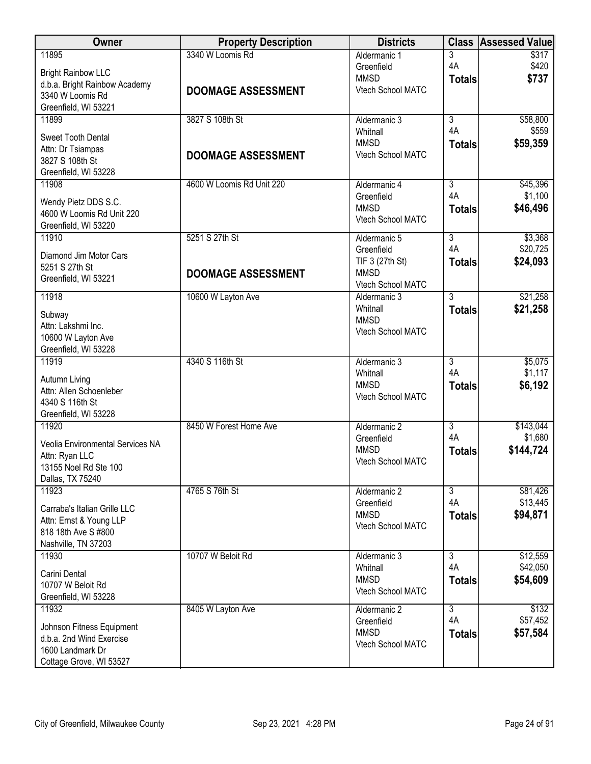| Owner                                                                                                           | <b>Property Description</b>                   | <b>Districts</b>                                                                  | <b>Class</b>                          | <b>Assessed Value</b>             |
|-----------------------------------------------------------------------------------------------------------------|-----------------------------------------------|-----------------------------------------------------------------------------------|---------------------------------------|-----------------------------------|
| 11895<br><b>Bright Rainbow LLC</b><br>d.b.a. Bright Rainbow Academy<br>3340 W Loomis Rd<br>Greenfield, WI 53221 | 3340 W Loomis Rd<br><b>DOOMAGE ASSESSMENT</b> | Aldermanic 1<br>Greenfield<br><b>MMSD</b><br>Vtech School MATC                    | 3<br>4A<br><b>Totals</b>              | \$317<br>\$420<br>\$737           |
| 11899<br>Sweet Tooth Dental<br>Attn: Dr Tsiampas<br>3827 S 108th St<br>Greenfield, WI 53228                     | 3827 S 108th St<br><b>DOOMAGE ASSESSMENT</b>  | Aldermanic 3<br>Whitnall<br><b>MMSD</b><br><b>Vtech School MATC</b>               | $\overline{3}$<br>4A<br><b>Totals</b> | \$58,800<br>\$559<br>\$59,359     |
| 11908<br>Wendy Pietz DDS S.C.<br>4600 W Loomis Rd Unit 220<br>Greenfield, WI 53220                              | 4600 W Loomis Rd Unit 220                     | Aldermanic 4<br>Greenfield<br><b>MMSD</b><br>Vtech School MATC                    | $\overline{3}$<br>4A<br><b>Totals</b> | \$45,396<br>\$1,100<br>\$46,496   |
| 11910<br>Diamond Jim Motor Cars<br>5251 S 27th St<br>Greenfield, WI 53221                                       | 5251 S 27th St<br><b>DOOMAGE ASSESSMENT</b>   | Aldermanic 5<br>Greenfield<br>TIF 3 (27th St)<br><b>MMSD</b><br>Vtech School MATC | $\overline{3}$<br>4A<br><b>Totals</b> | \$3,368<br>\$20,725<br>\$24,093   |
| 11918<br>Subway<br>Attn: Lakshmi Inc.<br>10600 W Layton Ave<br>Greenfield, WI 53228                             | 10600 W Layton Ave                            | Aldermanic 3<br>Whitnall<br><b>MMSD</b><br>Vtech School MATC                      | $\overline{3}$<br><b>Totals</b>       | \$21,258<br>\$21,258              |
| 11919<br>Autumn Living<br>Attn: Allen Schoenleber<br>4340 S 116th St<br>Greenfield, WI 53228                    | 4340 S 116th St                               | Aldermanic 3<br>Whitnall<br><b>MMSD</b><br>Vtech School MATC                      | $\overline{3}$<br>4A<br><b>Totals</b> | \$5,075<br>\$1,117<br>\$6,192     |
| 11920<br>Veolia Environmental Services NA<br>Attn: Ryan LLC<br>13155 Noel Rd Ste 100<br>Dallas, TX 75240        | 8450 W Forest Home Ave                        | Aldermanic 2<br>Greenfield<br><b>MMSD</b><br>Vtech School MATC                    | $\overline{3}$<br>4A<br><b>Totals</b> | \$143,044<br>\$1,680<br>\$144,724 |
| 11923<br>Carraba's Italian Grille LLC<br>Attn: Ernst & Young LLP<br>818 18th Ave S #800<br>Nashville, TN 37203  | 4765 S 76th St                                | Aldermanic 2<br>Greenfield<br><b>MMSD</b><br>Vtech School MATC                    | $\overline{3}$<br>4A<br><b>Totals</b> | \$81,426<br>\$13,445<br>\$94,871  |
| 11930<br>Carini Dental<br>10707 W Beloit Rd<br>Greenfield, WI 53228                                             | 10707 W Beloit Rd                             | Aldermanic 3<br>Whitnall<br><b>MMSD</b><br>Vtech School MATC                      | $\overline{3}$<br>4A<br><b>Totals</b> | \$12,559<br>\$42,050<br>\$54,609  |
| 11932<br>Johnson Fitness Equipment<br>d.b.a. 2nd Wind Exercise<br>1600 Landmark Dr<br>Cottage Grove, WI 53527   | 8405 W Layton Ave                             | Aldermanic 2<br>Greenfield<br><b>MMSD</b><br>Vtech School MATC                    | $\overline{3}$<br>4A<br><b>Totals</b> | \$132<br>\$57,452<br>\$57,584     |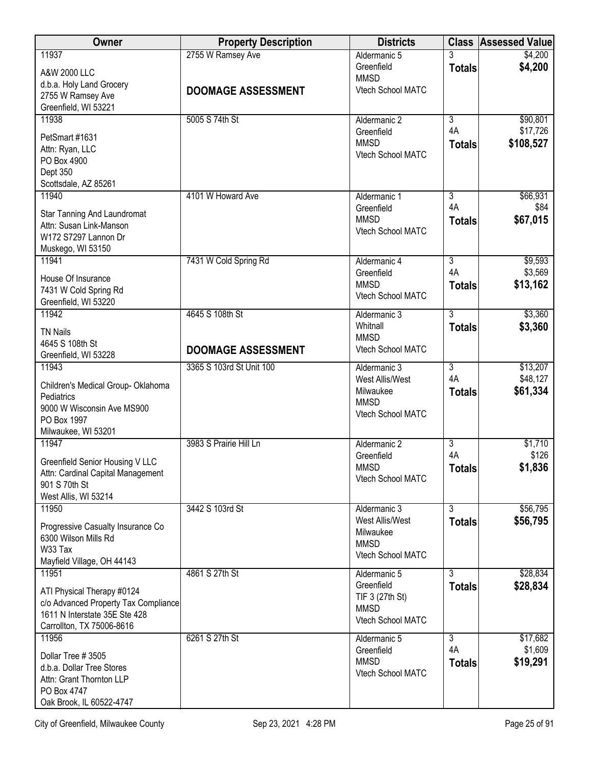| <b>Owner</b>                                    | <b>Property Description</b> | <b>Districts</b>                 | <b>Class</b>         | <b>Assessed Value</b> |
|-------------------------------------------------|-----------------------------|----------------------------------|----------------------|-----------------------|
| 11937                                           | 2755 W Ramsey Ave           | Aldermanic 5                     | 3                    | \$4,200               |
| A&W 2000 LLC                                    |                             | Greenfield<br><b>MMSD</b>        | <b>Totals</b>        | \$4,200               |
| d.b.a. Holy Land Grocery                        | <b>DOOMAGE ASSESSMENT</b>   | Vtech School MATC                |                      |                       |
| 2755 W Ramsey Ave                               |                             |                                  |                      |                       |
| Greenfield, WI 53221<br>11938                   | 5005 S 74th St              | Aldermanic 2                     | $\overline{3}$       | \$90,801              |
|                                                 |                             | Greenfield                       | 4A                   | \$17,726              |
| PetSmart #1631                                  |                             | <b>MMSD</b>                      | <b>Totals</b>        | \$108,527             |
| Attn: Ryan, LLC<br>PO Box 4900                  |                             | Vtech School MATC                |                      |                       |
| Dept 350                                        |                             |                                  |                      |                       |
| Scottsdale, AZ 85261                            |                             |                                  |                      |                       |
| 11940                                           | 4101 W Howard Ave           | Aldermanic 1                     | $\overline{3}$       | \$66,931              |
| Star Tanning And Laundromat                     |                             | Greenfield                       | 4A                   | \$84                  |
| Attn: Susan Link-Manson                         |                             | <b>MMSD</b><br>Vtech School MATC | <b>Totals</b>        | \$67,015              |
| W172 S7297 Lannon Dr                            |                             |                                  |                      |                       |
| Muskego, WI 53150                               |                             |                                  |                      |                       |
| 11941                                           | 7431 W Cold Spring Rd       | Aldermanic 4<br>Greenfield       | $\overline{3}$<br>4A | \$9,593<br>\$3,569    |
| House Of Insurance                              |                             | <b>MMSD</b>                      | <b>Totals</b>        | \$13,162              |
| 7431 W Cold Spring Rd                           |                             | Vtech School MATC                |                      |                       |
| Greenfield, WI 53220<br>11942                   | 4645 S 108th St             | Aldermanic 3                     | $\overline{3}$       | \$3,360               |
|                                                 |                             | Whitnall                         | <b>Totals</b>        | \$3,360               |
| <b>TN Nails</b>                                 |                             | <b>MMSD</b>                      |                      |                       |
| 4645 S 108th St<br>Greenfield, WI 53228         | <b>DOOMAGE ASSESSMENT</b>   | Vtech School MATC                |                      |                       |
| 11943                                           | 3365 S 103rd St Unit 100    | Aldermanic 3                     | $\overline{3}$       | \$13,207              |
|                                                 |                             | West Allis/West                  | 4A                   | \$48,127              |
| Children's Medical Group-Oklahoma<br>Pediatrics |                             | Milwaukee                        | <b>Totals</b>        | \$61,334              |
| 9000 W Wisconsin Ave MS900                      |                             | <b>MMSD</b>                      |                      |                       |
| PO Box 1997                                     |                             | Vtech School MATC                |                      |                       |
| Milwaukee, WI 53201                             |                             |                                  |                      |                       |
| 11947                                           | 3983 S Prairie Hill Ln      | Aldermanic 2                     | $\overline{3}$       | \$1,710               |
| <b>Greenfield Senior Housing V LLC</b>          |                             | Greenfield<br><b>MMSD</b>        | 4A                   | \$126<br>\$1,836      |
| Attn: Cardinal Capital Management               |                             | Vtech School MATC                | <b>Totals</b>        |                       |
| 901 S 70th St                                   |                             |                                  |                      |                       |
| West Allis, WI 53214<br>11950                   | 3442 S 103rd St             | Aldermanic 3                     | $\overline{3}$       | \$56,795              |
|                                                 |                             | West Allis/West                  | <b>Totals</b>        | \$56,795              |
| Progressive Casualty Insurance Co               |                             | Milwaukee                        |                      |                       |
| 6300 Wilson Mills Rd<br>W33 Tax                 |                             | <b>MMSD</b>                      |                      |                       |
| Mayfield Village, OH 44143                      |                             | Vtech School MATC                |                      |                       |
| 11951                                           | 4861 S 27th St              | Aldermanic 5                     | 3                    | \$28,834              |
| ATI Physical Therapy #0124                      |                             | Greenfield                       | <b>Totals</b>        | \$28,834              |
| c/o Advanced Property Tax Compliance            |                             | TIF 3 (27th St)                  |                      |                       |
| 1611 N Interstate 35E Ste 428                   |                             | <b>MMSD</b><br>Vtech School MATC |                      |                       |
| Carrollton, TX 75006-8616                       |                             |                                  |                      |                       |
| 11956                                           | 6261 S 27th St              | Aldermanic 5                     | $\overline{3}$       | \$17,682              |
| Dollar Tree # 3505                              |                             | Greenfield<br><b>MMSD</b>        | 4A                   | \$1,609<br>\$19,291   |
| d.b.a. Dollar Tree Stores                       |                             | Vtech School MATC                | <b>Totals</b>        |                       |
| Attn: Grant Thornton LLP                        |                             |                                  |                      |                       |
| PO Box 4747<br>Oak Brook, IL 60522-4747         |                             |                                  |                      |                       |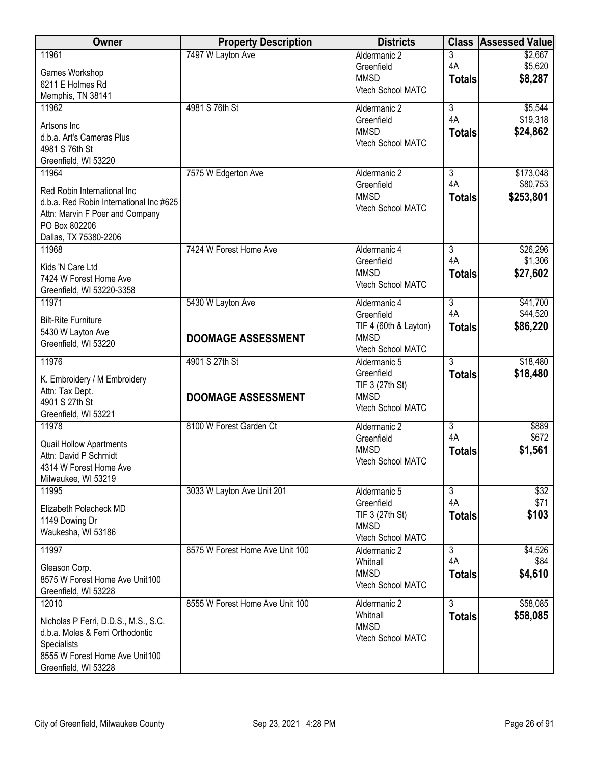| Owner                                           | <b>Property Description</b>     | <b>Districts</b>                     | <b>Class</b>         | <b>Assessed Value</b> |
|-------------------------------------------------|---------------------------------|--------------------------------------|----------------------|-----------------------|
| 11961                                           | 7497 W Layton Ave               | Aldermanic 2                         | 3                    | \$2,667               |
| Games Workshop                                  |                                 | Greenfield                           | 4A                   | \$5,620               |
| 6211 E Holmes Rd                                |                                 | <b>MMSD</b><br>Vtech School MATC     | <b>Totals</b>        | \$8,287               |
| Memphis, TN 38141                               |                                 |                                      |                      |                       |
| 11962                                           | 4981 S 76th St                  | Aldermanic 2                         | $\overline{3}$       | \$5,544               |
| Artsons Inc                                     |                                 | Greenfield                           | 4A                   | \$19,318              |
| d.b.a. Art's Cameras Plus                       |                                 | <b>MMSD</b>                          | <b>Totals</b>        | \$24,862              |
| 4981 S 76th St                                  |                                 | Vtech School MATC                    |                      |                       |
| Greenfield, WI 53220                            |                                 |                                      |                      |                       |
| 11964                                           | 7575 W Edgerton Ave             | Aldermanic 2                         | 3                    | \$173,048             |
| Red Robin International Inc                     |                                 | Greenfield                           | 4A                   | \$80,753              |
| d.b.a. Red Robin International Inc #625         |                                 | <b>MMSD</b>                          | <b>Totals</b>        | \$253,801             |
| Attn: Marvin F Poer and Company                 |                                 | Vtech School MATC                    |                      |                       |
| PO Box 802206                                   |                                 |                                      |                      |                       |
| Dallas, TX 75380-2206                           |                                 |                                      |                      |                       |
| 11968                                           | 7424 W Forest Home Ave          | Aldermanic 4                         | $\overline{3}$       | \$26,296              |
| Kids 'N Care Ltd                                |                                 | Greenfield<br><b>MMSD</b>            | 4A                   | \$1,306<br>\$27,602   |
| 7424 W Forest Home Ave                          |                                 | Vtech School MATC                    | <b>Totals</b>        |                       |
| Greenfield, WI 53220-3358                       |                                 |                                      |                      |                       |
| 11971                                           | 5430 W Layton Ave               | Aldermanic 4                         | $\overline{3}$<br>4A | \$41,700              |
| <b>Bilt-Rite Furniture</b>                      |                                 | Greenfield                           |                      | \$44,520              |
| 5430 W Layton Ave                               | <b>DOOMAGE ASSESSMENT</b>       | TIF 4 (60th & Layton)<br><b>MMSD</b> | <b>Totals</b>        | \$86,220              |
| Greenfield, WI 53220                            |                                 | Vtech School MATC                    |                      |                       |
| 11976                                           | 4901 S 27th St                  | Aldermanic 5                         | $\overline{3}$       | \$18,480              |
|                                                 |                                 | Greenfield                           | <b>Totals</b>        | \$18,480              |
| K. Embroidery / M Embroidery<br>Attn: Tax Dept. |                                 | TIF 3 (27th St)                      |                      |                       |
| 4901 S 27th St                                  | <b>DOOMAGE ASSESSMENT</b>       | <b>MMSD</b>                          |                      |                       |
| Greenfield, WI 53221                            |                                 | Vtech School MATC                    |                      |                       |
| 11978                                           | 8100 W Forest Garden Ct         | Aldermanic 2                         | 3                    | \$889                 |
| Quail Hollow Apartments                         |                                 | Greenfield                           | 4A                   | \$672                 |
| Attn: David P Schmidt                           |                                 | <b>MMSD</b>                          | <b>Totals</b>        | \$1,561               |
| 4314 W Forest Home Ave                          |                                 | Vtech School MATC                    |                      |                       |
| Milwaukee, WI 53219                             |                                 |                                      |                      |                       |
| 11995                                           | 3033 W Layton Ave Unit 201      | Aldermanic 5                         | $\overline{3}$       | \$32                  |
| Elizabeth Polacheck MD                          |                                 | Greenfield                           | 4A                   | \$71                  |
| 1149 Dowing Dr                                  |                                 | TIF 3 (27th St)                      | <b>Totals</b>        | \$103                 |
| Waukesha, WI 53186                              |                                 | <b>MMSD</b><br>Vtech School MATC     |                      |                       |
| 11997                                           | 8575 W Forest Home Ave Unit 100 | Aldermanic 2                         | $\overline{3}$       | \$4,526               |
|                                                 |                                 | Whitnall                             | 4A                   | \$84                  |
| Gleason Corp.<br>8575 W Forest Home Ave Unit100 |                                 | <b>MMSD</b>                          | <b>Totals</b>        | \$4,610               |
| Greenfield, WI 53228                            |                                 | Vtech School MATC                    |                      |                       |
| 12010                                           | 8555 W Forest Home Ave Unit 100 | Aldermanic 2                         | $\overline{3}$       | \$58,085              |
|                                                 |                                 | Whitnall                             | <b>Totals</b>        | \$58,085              |
| Nicholas P Ferri, D.D.S., M.S., S.C.            |                                 | <b>MMSD</b>                          |                      |                       |
| d.b.a. Moles & Ferri Orthodontic<br>Specialists |                                 | Vtech School MATC                    |                      |                       |
| 8555 W Forest Home Ave Unit100                  |                                 |                                      |                      |                       |
| Greenfield, WI 53228                            |                                 |                                      |                      |                       |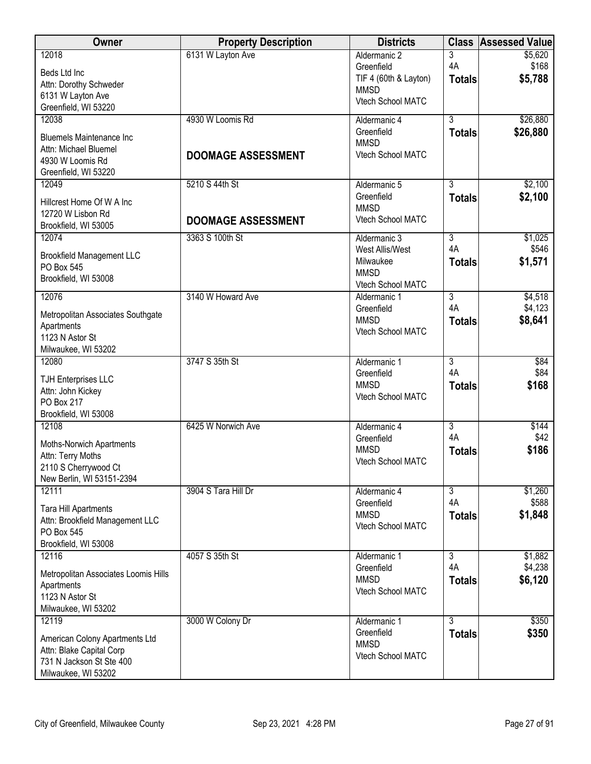| Owner                                | <b>Property Description</b> | <b>Districts</b>                  | <b>Class</b>         | <b>Assessed Value</b> |
|--------------------------------------|-----------------------------|-----------------------------------|----------------------|-----------------------|
| 12018                                | 6131 W Layton Ave           | Aldermanic 2                      | 3                    | \$5,620               |
| Beds Ltd Inc                         |                             | Greenfield                        | 4A                   | \$168                 |
| Attn: Dorothy Schweder               |                             | TIF 4 (60th & Layton)             | <b>Totals</b>        | \$5,788               |
| 6131 W Layton Ave                    |                             | <b>MMSD</b><br>Vtech School MATC  |                      |                       |
| Greenfield, WI 53220                 |                             |                                   |                      |                       |
| 12038                                | 4930 W Loomis Rd            | Aldermanic 4                      | $\overline{3}$       | \$26,880              |
| <b>Bluemels Maintenance Inc</b>      |                             | Greenfield                        | <b>Totals</b>        | \$26,880              |
| Attn: Michael Bluemel                |                             | <b>MMSD</b>                       |                      |                       |
| 4930 W Loomis Rd                     | <b>DOOMAGE ASSESSMENT</b>   | Vtech School MATC                 |                      |                       |
| Greenfield, WI 53220                 |                             |                                   |                      |                       |
| 12049                                | 5210 S 44th St              | Aldermanic 5                      | 3                    | \$2,100               |
| Hillcrest Home Of W A Inc.           |                             | Greenfield                        | <b>Totals</b>        | \$2,100               |
| 12720 W Lisbon Rd                    |                             | <b>MMSD</b>                       |                      |                       |
| Brookfield, WI 53005                 | <b>DOOMAGE ASSESSMENT</b>   | Vtech School MATC                 |                      |                       |
| 12074                                | 3363 S 100th St             | Aldermanic 3                      | $\overline{3}$       | \$1,025               |
| <b>Brookfield Management LLC</b>     |                             | West Allis/West                   | 4A                   | \$546                 |
| <b>PO Box 545</b>                    |                             | Milwaukee                         | <b>Totals</b>        | \$1,571               |
| Brookfield, WI 53008                 |                             | <b>MMSD</b>                       |                      |                       |
| 12076                                | 3140 W Howard Ave           | Vtech School MATC<br>Aldermanic 1 | 3                    | \$4,518               |
|                                      |                             | Greenfield                        | 4A                   | \$4,123               |
| Metropolitan Associates Southgate    |                             | <b>MMSD</b>                       | <b>Totals</b>        | \$8,641               |
| Apartments                           |                             | Vtech School MATC                 |                      |                       |
| 1123 N Astor St                      |                             |                                   |                      |                       |
| Milwaukee, WI 53202                  |                             |                                   |                      |                       |
| 12080                                | 3747 S 35th St              | Aldermanic 1<br>Greenfield        | $\overline{3}$<br>4A | \$84<br>\$84          |
| <b>TJH Enterprises LLC</b>           |                             | <b>MMSD</b>                       | <b>Totals</b>        | \$168                 |
| Attn: John Kickey                    |                             | Vtech School MATC                 |                      |                       |
| PO Box 217                           |                             |                                   |                      |                       |
| Brookfield, WI 53008                 |                             |                                   |                      |                       |
| 12108                                | 6425 W Norwich Ave          | Aldermanic 4<br>Greenfield        | 3<br>4A              | \$144<br>\$42         |
| Moths-Norwich Apartments             |                             | <b>MMSD</b>                       | <b>Totals</b>        | \$186                 |
| Attn: Terry Moths                    |                             | Vtech School MATC                 |                      |                       |
| 2110 S Cherrywood Ct                 |                             |                                   |                      |                       |
| New Berlin, WI 53151-2394            |                             |                                   |                      |                       |
| 12111                                | 3904 S Tara Hill Dr         | Aldermanic 4<br>Greenfield        | $\overline{3}$<br>4A | \$1,260<br>\$588      |
| <b>Tara Hill Apartments</b>          |                             | <b>MMSD</b>                       |                      | \$1,848               |
| Attn: Brookfield Management LLC      |                             | Vtech School MATC                 | <b>Totals</b>        |                       |
| PO Box 545                           |                             |                                   |                      |                       |
| Brookfield, WI 53008                 |                             |                                   |                      |                       |
| 12116                                | 4057 S 35th St              | Aldermanic 1<br>Greenfield        | $\overline{3}$<br>4A | \$1,882<br>\$4,238    |
| Metropolitan Associates Loomis Hills |                             | <b>MMSD</b>                       | <b>Totals</b>        | \$6,120               |
| Apartments                           |                             | Vtech School MATC                 |                      |                       |
| 1123 N Astor St                      |                             |                                   |                      |                       |
| Milwaukee, WI 53202                  |                             |                                   |                      |                       |
| 12119                                | 3000 W Colony Dr            | Aldermanic 1<br>Greenfield        | 3                    | \$350                 |
| American Colony Apartments Ltd       |                             | <b>MMSD</b>                       | <b>Totals</b>        | \$350                 |
| Attn: Blake Capital Corp             |                             | Vtech School MATC                 |                      |                       |
| 731 N Jackson St Ste 400             |                             |                                   |                      |                       |
| Milwaukee, WI 53202                  |                             |                                   |                      |                       |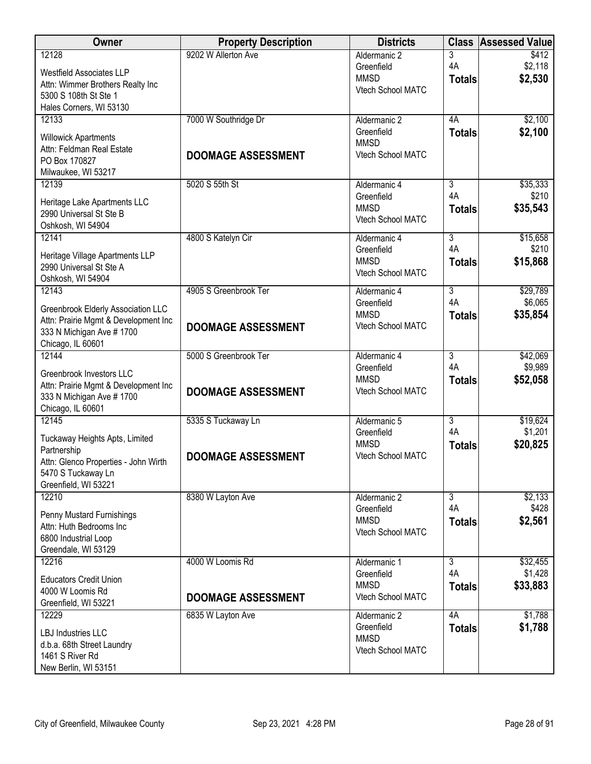| Owner                                         | <b>Property Description</b> | <b>Districts</b>                 | <b>Class</b>              | <b>Assessed Value</b> |
|-----------------------------------------------|-----------------------------|----------------------------------|---------------------------|-----------------------|
| 12128                                         | 9202 W Allerton Ave         | Aldermanic 2                     | 3                         | \$412                 |
| <b>Westfield Associates LLP</b>               |                             | Greenfield                       | 4A                        | \$2,118               |
| Attn: Wimmer Brothers Realty Inc              |                             | <b>MMSD</b><br>Vtech School MATC | <b>Totals</b>             | \$2,530               |
| 5300 S 108th St Ste 1                         |                             |                                  |                           |                       |
| Hales Corners, WI 53130                       |                             |                                  |                           |                       |
| 12133                                         | 7000 W Southridge Dr        | Aldermanic 2                     | 4A                        | \$2,100               |
| <b>Willowick Apartments</b>                   |                             | Greenfield                       | <b>Totals</b>             | \$2,100               |
| Attn: Feldman Real Estate                     |                             | <b>MMSD</b>                      |                           |                       |
| PO Box 170827                                 | <b>DOOMAGE ASSESSMENT</b>   | Vtech School MATC                |                           |                       |
| Milwaukee, WI 53217                           |                             |                                  |                           |                       |
| 12139                                         | 5020 S 55th St              | Aldermanic 4                     | 3                         | \$35,333              |
| Heritage Lake Apartments LLC                  |                             | Greenfield                       | 4A                        | \$210                 |
| 2990 Universal St Ste B                       |                             | <b>MMSD</b>                      | <b>Totals</b>             | \$35,543              |
| Oshkosh, WI 54904                             |                             | Vtech School MATC                |                           |                       |
| 12141                                         | 4800 S Katelyn Cir          | Aldermanic 4                     | $\overline{3}$            | \$15,658              |
| Heritage Village Apartments LLP               |                             | Greenfield                       | 4A                        | \$210                 |
| 2990 Universal St Ste A                       |                             | <b>MMSD</b>                      | <b>Totals</b>             | \$15,868              |
| Oshkosh, WI 54904                             |                             | Vtech School MATC                |                           |                       |
| 12143                                         | 4905 S Greenbrook Ter       | Aldermanic 4                     | $\overline{3}$            | \$29,789              |
| Greenbrook Elderly Association LLC            |                             | Greenfield                       | 4A                        | \$6,065               |
| Attn: Prairie Mgmt & Development Inc          |                             | <b>MMSD</b>                      | <b>Totals</b>             | \$35,854              |
| 333 N Michigan Ave # 1700                     | <b>DOOMAGE ASSESSMENT</b>   | Vtech School MATC                |                           |                       |
| Chicago, IL 60601                             |                             |                                  |                           |                       |
| 12144                                         | 5000 S Greenbrook Ter       | Aldermanic 4                     | $\overline{3}$            | \$42,069              |
| Greenbrook Investors LLC                      |                             | Greenfield                       | 4A                        | \$9,989               |
| Attn: Prairie Mgmt & Development Inc          |                             | <b>MMSD</b>                      | <b>Totals</b>             | \$52,058              |
| 333 N Michigan Ave # 1700                     | <b>DOOMAGE ASSESSMENT</b>   | Vtech School MATC                |                           |                       |
| Chicago, IL 60601                             |                             |                                  |                           |                       |
| 12145                                         | 5335 S Tuckaway Ln          | Aldermanic 5                     | $\overline{3}$            | \$19,624              |
|                                               |                             | Greenfield                       | 4A                        | \$1,201               |
| Tuckaway Heights Apts, Limited<br>Partnership |                             | <b>MMSD</b>                      | <b>Totals</b>             | \$20,825              |
| Attn: Glenco Properties - John Wirth          | <b>DOOMAGE ASSESSMENT</b>   | Vtech School MATC                |                           |                       |
| 5470 S Tuckaway Ln                            |                             |                                  |                           |                       |
| Greenfield, WI 53221                          |                             |                                  |                           |                       |
| 12210                                         | 8380 W Layton Ave           | Aldermanic 2                     | $\overline{\overline{3}}$ | \$2,133               |
| Penny Mustard Furnishings                     |                             | Greenfield                       | 4A                        | \$428                 |
| Attn: Huth Bedrooms Inc                       |                             | <b>MMSD</b>                      | <b>Totals</b>             | \$2,561               |
| 6800 Industrial Loop                          |                             | Vtech School MATC                |                           |                       |
| Greendale, WI 53129                           |                             |                                  |                           |                       |
| 12216                                         | 4000 W Loomis Rd            | Aldermanic 1                     | $\overline{3}$            | \$32,455              |
| <b>Educators Credit Union</b>                 |                             | Greenfield                       | 4A                        | \$1,428               |
| 4000 W Loomis Rd                              |                             | <b>MMSD</b>                      | <b>Totals</b>             | \$33,883              |
| Greenfield, WI 53221                          | <b>DOOMAGE ASSESSMENT</b>   | Vtech School MATC                |                           |                       |
| 12229                                         | 6835 W Layton Ave           | Aldermanic 2                     | 4A                        | \$1,788               |
| LBJ Industries LLC                            |                             | Greenfield                       | <b>Totals</b>             | \$1,788               |
| d.b.a. 68th Street Laundry                    |                             | <b>MMSD</b>                      |                           |                       |
| 1461 S River Rd                               |                             | Vtech School MATC                |                           |                       |
| New Berlin, WI 53151                          |                             |                                  |                           |                       |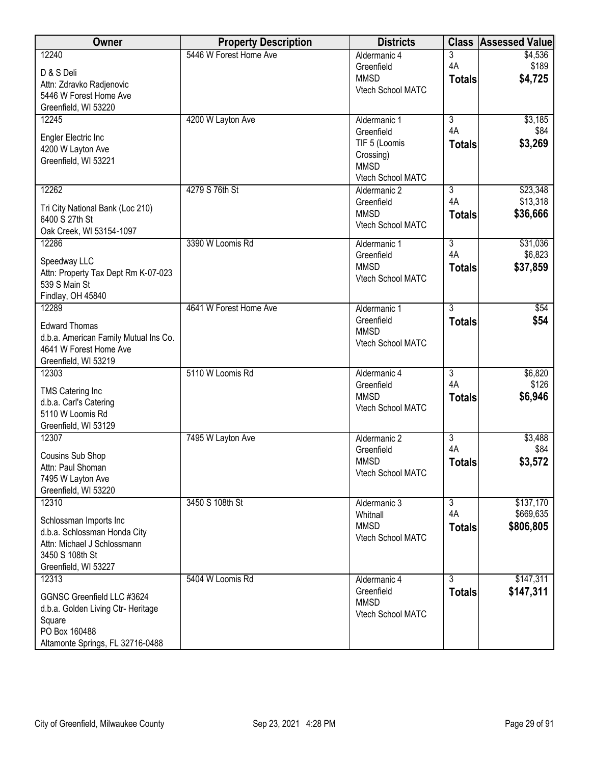| Owner                                 | <b>Property Description</b> | <b>Districts</b>                 | <b>Class</b>   | <b>Assessed Value</b> |
|---------------------------------------|-----------------------------|----------------------------------|----------------|-----------------------|
| 12240                                 | 5446 W Forest Home Ave      | Aldermanic 4                     | 3              | \$4,536               |
| D & S Deli                            |                             | Greenfield                       | 4A             | \$189                 |
| Attn: Zdravko Radjenovic              |                             | <b>MMSD</b><br>Vtech School MATC | <b>Totals</b>  | \$4,725               |
| 5446 W Forest Home Ave                |                             |                                  |                |                       |
| Greenfield, WI 53220                  |                             |                                  |                |                       |
| 12245                                 | 4200 W Layton Ave           | Aldermanic 1                     | $\overline{3}$ | \$3,185               |
| Engler Electric Inc                   |                             | Greenfield                       | 4A             | \$84                  |
| 4200 W Layton Ave                     |                             | TIF 5 (Loomis                    | <b>Totals</b>  | \$3,269               |
| Greenfield, WI 53221                  |                             | Crossing)<br><b>MMSD</b>         |                |                       |
|                                       |                             | Vtech School MATC                |                |                       |
| 12262                                 | 4279 S 76th St              | Aldermanic 2                     | $\overline{3}$ | \$23,348              |
|                                       |                             | Greenfield                       | 4A             | \$13,318              |
| Tri City National Bank (Loc 210)      |                             | <b>MMSD</b>                      | <b>Totals</b>  | \$36,666              |
| 6400 S 27th St                        |                             | Vtech School MATC                |                |                       |
| Oak Creek, WI 53154-1097<br>12286     | 3390 W Loomis Rd            | Aldermanic 1                     | $\overline{3}$ | \$31,036              |
|                                       |                             | Greenfield                       | 4A             | \$6,823               |
| Speedway LLC                          |                             | <b>MMSD</b>                      | <b>Totals</b>  | \$37,859              |
| Attn: Property Tax Dept Rm K-07-023   |                             | Vtech School MATC                |                |                       |
| 539 S Main St                         |                             |                                  |                |                       |
| Findlay, OH 45840                     |                             |                                  |                |                       |
| 12289                                 | 4641 W Forest Home Ave      | Aldermanic 1                     | $\overline{3}$ | \$54                  |
| <b>Edward Thomas</b>                  |                             | Greenfield<br><b>MMSD</b>        | <b>Totals</b>  | \$54                  |
| d.b.a. American Family Mutual Ins Co. |                             | Vtech School MATC                |                |                       |
| 4641 W Forest Home Ave                |                             |                                  |                |                       |
| Greenfield, WI 53219                  |                             |                                  |                |                       |
| 12303                                 | 5110 W Loomis Rd            | Aldermanic 4                     | $\overline{3}$ | \$6,820               |
| TMS Catering Inc                      |                             | Greenfield<br><b>MMSD</b>        | 4A             | \$126                 |
| d.b.a. Carl's Catering                |                             | Vtech School MATC                | <b>Totals</b>  | \$6,946               |
| 5110 W Loomis Rd                      |                             |                                  |                |                       |
| Greenfield, WI 53129                  |                             |                                  |                |                       |
| 12307                                 | 7495 W Layton Ave           | Aldermanic 2                     | $\overline{3}$ | \$3,488               |
| Cousins Sub Shop                      |                             | Greenfield                       | 4A             | \$84                  |
| Attn: Paul Shoman                     |                             | <b>MMSD</b>                      | <b>Totals</b>  | \$3,572               |
| 7495 W Layton Ave                     |                             | Vtech School MATC                |                |                       |
| Greenfield, WI 53220                  |                             |                                  |                |                       |
| 12310                                 | 3450 S 108th St             | Aldermanic 3                     | 3              | \$137,170             |
| Schlossman Imports Inc                |                             | Whitnall                         | 4A             | \$669,635             |
| d.b.a. Schlossman Honda City          |                             | <b>MMSD</b>                      | <b>Totals</b>  | \$806,805             |
| Attn: Michael J Schlossmann           |                             | Vtech School MATC                |                |                       |
| 3450 S 108th St                       |                             |                                  |                |                       |
| Greenfield, WI 53227                  |                             |                                  |                |                       |
| 12313                                 | 5404 W Loomis Rd            | Aldermanic 4                     | $\overline{3}$ | \$147,311             |
| GGNSC Greenfield LLC #3624            |                             | Greenfield                       | <b>Totals</b>  | \$147,311             |
| d.b.a. Golden Living Ctr- Heritage    |                             | <b>MMSD</b>                      |                |                       |
| Square                                |                             | Vtech School MATC                |                |                       |
| PO Box 160488                         |                             |                                  |                |                       |
| Altamonte Springs, FL 32716-0488      |                             |                                  |                |                       |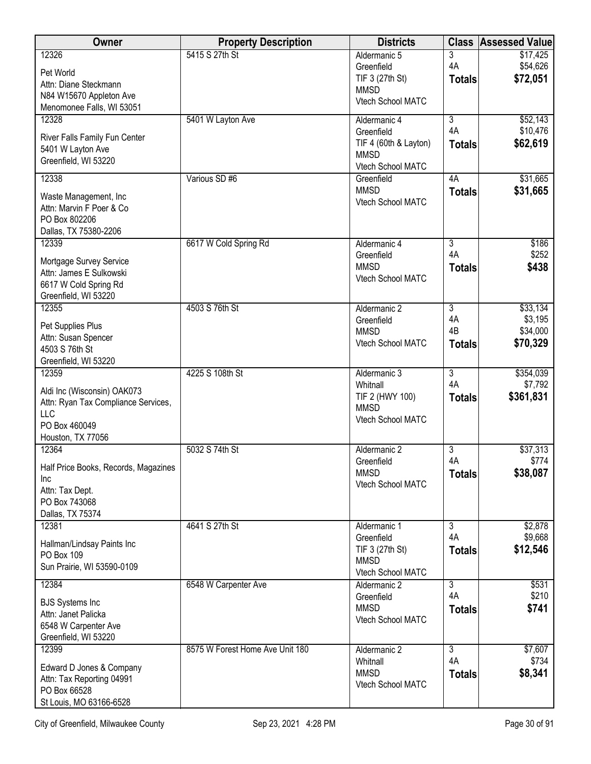| <b>Owner</b>                                       | <b>Property Description</b>     | <b>Districts</b>                 | <b>Class</b>   | <b>Assessed Value</b> |
|----------------------------------------------------|---------------------------------|----------------------------------|----------------|-----------------------|
| 12326                                              | 5415 S 27th St                  | Aldermanic 5                     | 3              | \$17,425              |
| Pet World                                          |                                 | Greenfield                       | 4A             | \$54,626              |
| Attn: Diane Steckmann                              |                                 | TIF 3 (27th St)<br><b>MMSD</b>   | <b>Totals</b>  | \$72,051              |
| N84 W15670 Appleton Ave                            |                                 | Vtech School MATC                |                |                       |
| Menomonee Falls, WI 53051<br>12328                 | 5401 W Layton Ave               | Aldermanic 4                     | $\overline{3}$ | \$52,143              |
|                                                    |                                 | Greenfield                       | 4A             | \$10,476              |
| River Falls Family Fun Center                      |                                 | TIF 4 (60th & Layton)            | <b>Totals</b>  | \$62,619              |
| 5401 W Layton Ave<br>Greenfield, WI 53220          |                                 | <b>MMSD</b>                      |                |                       |
|                                                    |                                 | Vtech School MATC                |                |                       |
| 12338                                              | Various SD #6                   | Greenfield<br><b>MMSD</b>        | 4A             | \$31,665              |
| Waste Management, Inc                              |                                 | Vtech School MATC                | <b>Totals</b>  | \$31,665              |
| Attn: Marvin F Poer & Co                           |                                 |                                  |                |                       |
| PO Box 802206<br>Dallas, TX 75380-2206             |                                 |                                  |                |                       |
| 12339                                              | 6617 W Cold Spring Rd           | Aldermanic 4                     | $\overline{3}$ | \$186                 |
|                                                    |                                 | Greenfield                       | 4A             | \$252                 |
| Mortgage Survey Service<br>Attn: James E Sulkowski |                                 | <b>MMSD</b>                      | <b>Totals</b>  | \$438                 |
| 6617 W Cold Spring Rd                              |                                 | Vtech School MATC                |                |                       |
| Greenfield, WI 53220                               |                                 |                                  |                |                       |
| 12355                                              | 4503 S 76th St                  | Aldermanic 2                     | 3              | \$33,134              |
| Pet Supplies Plus                                  |                                 | Greenfield                       | 4A<br>4B       | \$3,195               |
| Attn: Susan Spencer                                |                                 | <b>MMSD</b><br>Vtech School MATC | <b>Totals</b>  | \$34,000<br>\$70,329  |
| 4503 S 76th St                                     |                                 |                                  |                |                       |
| Greenfield, WI 53220                               | 4225 S 108th St                 |                                  | $\overline{3}$ |                       |
| 12359                                              |                                 | Aldermanic 3<br>Whitnall         | 4A             | \$354,039<br>\$7,792  |
| Aldi Inc (Wisconsin) OAK073                        |                                 | TIF 2 (HWY 100)                  | <b>Totals</b>  | \$361,831             |
| Attn: Ryan Tax Compliance Services,<br>LLC         |                                 | <b>MMSD</b>                      |                |                       |
| PO Box 460049                                      |                                 | Vtech School MATC                |                |                       |
| Houston, TX 77056                                  |                                 |                                  |                |                       |
| 12364                                              | 5032 S 74th St                  | Aldermanic 2                     | $\overline{3}$ | \$37,313              |
| Half Price Books, Records, Magazines               |                                 | Greenfield                       | 4A             | \$774                 |
| Inc                                                |                                 | <b>MMSD</b><br>Vtech School MATC | <b>Totals</b>  | \$38,087              |
| Attn: Tax Dept.                                    |                                 |                                  |                |                       |
| PO Box 743068<br>Dallas, TX 75374                  |                                 |                                  |                |                       |
| 12381                                              | 4641 S 27th St                  | Aldermanic 1                     | $\overline{3}$ | \$2,878               |
|                                                    |                                 | Greenfield                       | 4A             | \$9,668               |
| Hallman/Lindsay Paints Inc<br>PO Box 109           |                                 | TIF 3 (27th St)                  | <b>Totals</b>  | \$12,546              |
| Sun Prairie, WI 53590-0109                         |                                 | <b>MMSD</b>                      |                |                       |
|                                                    |                                 | Vtech School MATC                | $\overline{3}$ |                       |
| 12384                                              | 6548 W Carpenter Ave            | Aldermanic 2<br>Greenfield       | 4A             | \$531<br>\$210        |
| <b>BJS Systems Inc</b>                             |                                 | <b>MMSD</b>                      | <b>Totals</b>  | \$741                 |
| Attn: Janet Palicka<br>6548 W Carpenter Ave        |                                 | Vtech School MATC                |                |                       |
| Greenfield, WI 53220                               |                                 |                                  |                |                       |
| 12399                                              | 8575 W Forest Home Ave Unit 180 | Aldermanic 2                     | $\overline{3}$ | \$7,607               |
| Edward D Jones & Company                           |                                 | Whitnall                         | 4A             | \$734                 |
| Attn: Tax Reporting 04991                          |                                 | <b>MMSD</b>                      | <b>Totals</b>  | \$8,341               |
| PO Box 66528                                       |                                 | Vtech School MATC                |                |                       |
| St Louis, MO 63166-6528                            |                                 |                                  |                |                       |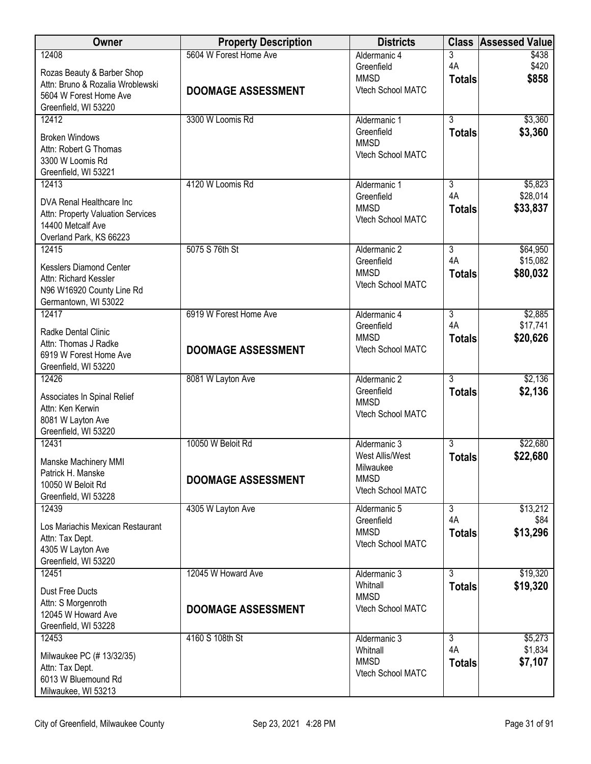| 12408<br>5604 W Forest Home Ave<br>\$438<br>3<br>Aldermanic 4<br>4A<br>\$420<br>Greenfield<br>Rozas Beauty & Barber Shop<br>\$858<br><b>MMSD</b><br><b>Totals</b><br>Attn: Bruno & Rozalia Wroblewski<br>Vtech School MATC<br><b>DOOMAGE ASSESSMENT</b><br>5604 W Forest Home Ave<br>Greenfield, WI 53220<br>3300 W Loomis Rd<br>$\overline{3}$<br>\$3,360<br>12412<br>Aldermanic 1<br>\$3,360<br>Greenfield<br><b>Totals</b><br><b>Broken Windows</b><br><b>MMSD</b><br>Attn: Robert G Thomas<br>Vtech School MATC<br>3300 W Loomis Rd<br>Greenfield, WI 53221<br>\$5,823<br>4120 W Loomis Rd<br>3<br>12413<br>Aldermanic 1<br>4A<br>\$28,014<br>Greenfield<br>DVA Renal Healthcare Inc<br><b>MMSD</b><br>\$33,837<br><b>Totals</b><br>Attn: Property Valuation Services<br>Vtech School MATC<br>14400 Metcalf Ave<br>Overland Park, KS 66223<br>$\overline{3}$<br>5075 S 76th St<br>\$64,950<br>12415<br>Aldermanic 2<br>4A<br>\$15,082<br>Greenfield<br><b>Kesslers Diamond Center</b><br><b>MMSD</b><br>\$80,032<br><b>Totals</b><br>Attn: Richard Kessler<br>Vtech School MATC<br>N96 W16920 County Line Rd<br>Germantown, WI 53022<br>6919 W Forest Home Ave<br>Aldermanic 4<br>12417<br>$\overline{3}$<br>\$2,885<br>4A<br>\$17,741<br>Greenfield<br>Radke Dental Clinic<br>\$20,626<br><b>MMSD</b><br><b>Totals</b><br>Attn: Thomas J Radke<br>Vtech School MATC<br><b>DOOMAGE ASSESSMENT</b><br>6919 W Forest Home Ave<br>Greenfield, WI 53220<br>$\overline{3}$<br>\$2,136<br>12426<br>8081 W Layton Ave<br>Aldermanic 2<br>\$2,136<br>Greenfield<br><b>Totals</b><br>Associates In Spinal Relief<br><b>MMSD</b><br>Attn: Ken Kerwin<br>Vtech School MATC<br>8081 W Layton Ave<br>Greenfield, WI 53220<br>$\overline{3}$<br>\$22,680<br>12431<br>10050 W Beloit Rd<br>Aldermanic 3<br>West Allis/West<br>\$22,680<br><b>Totals</b><br>Manske Machinery MMI<br>Milwaukee<br>Patrick H. Manske<br><b>MMSD</b><br><b>DOOMAGE ASSESSMENT</b><br>10050 W Beloit Rd<br>Vtech School MATC<br>Greenfield, WI 53228<br>12439<br>4305 W Layton Ave<br>$\overline{3}$<br>\$13,212<br>Aldermanic 5<br>4A<br>\$84<br>Greenfield<br>Los Mariachis Mexican Restaurant<br><b>MMSD</b><br>\$13,296<br><b>Totals</b><br>Attn: Tax Dept.<br>Vtech School MATC<br>4305 W Layton Ave<br>Greenfield, WI 53220<br>$\overline{3}$<br>12045 W Howard Ave<br>\$19,320<br>12451<br>Aldermanic 3<br>Whitnall<br>\$19,320<br><b>Totals</b><br>Dust Free Ducts<br><b>MMSD</b><br>Attn: S Morgenroth<br>Vtech School MATC<br><b>DOOMAGE ASSESSMENT</b><br>12045 W Howard Ave<br>Greenfield, WI 53228<br>4160 S 108th St<br>\$5,273<br>12453<br>Aldermanic 3<br>$\overline{3}$<br>4A<br>\$1,834<br>Whitnall<br>Milwaukee PC (# 13/32/35)<br>\$7,107<br><b>MMSD</b><br><b>Totals</b><br>Attn: Tax Dept. | Owner | <b>Property Description</b> | <b>Districts</b>  | <b>Class</b> | <b>Assessed Value</b> |
|----------------------------------------------------------------------------------------------------------------------------------------------------------------------------------------------------------------------------------------------------------------------------------------------------------------------------------------------------------------------------------------------------------------------------------------------------------------------------------------------------------------------------------------------------------------------------------------------------------------------------------------------------------------------------------------------------------------------------------------------------------------------------------------------------------------------------------------------------------------------------------------------------------------------------------------------------------------------------------------------------------------------------------------------------------------------------------------------------------------------------------------------------------------------------------------------------------------------------------------------------------------------------------------------------------------------------------------------------------------------------------------------------------------------------------------------------------------------------------------------------------------------------------------------------------------------------------------------------------------------------------------------------------------------------------------------------------------------------------------------------------------------------------------------------------------------------------------------------------------------------------------------------------------------------------------------------------------------------------------------------------------------------------------------------------------------------------------------------------------------------------------------------------------------------------------------------------------------------------------------------------------------------------------------------------------------------------------------------------------------------------------------------------------------------------------------------------------------------------------------------------------------------------------------------------------------------------------------------------------------------------------------------------------------------------------------------------------------------------------------------------------------------------|-------|-----------------------------|-------------------|--------------|-----------------------|
|                                                                                                                                                                                                                                                                                                                                                                                                                                                                                                                                                                                                                                                                                                                                                                                                                                                                                                                                                                                                                                                                                                                                                                                                                                                                                                                                                                                                                                                                                                                                                                                                                                                                                                                                                                                                                                                                                                                                                                                                                                                                                                                                                                                                                                                                                                                                                                                                                                                                                                                                                                                                                                                                                                                                                                                  |       |                             |                   |              |                       |
|                                                                                                                                                                                                                                                                                                                                                                                                                                                                                                                                                                                                                                                                                                                                                                                                                                                                                                                                                                                                                                                                                                                                                                                                                                                                                                                                                                                                                                                                                                                                                                                                                                                                                                                                                                                                                                                                                                                                                                                                                                                                                                                                                                                                                                                                                                                                                                                                                                                                                                                                                                                                                                                                                                                                                                                  |       |                             |                   |              |                       |
|                                                                                                                                                                                                                                                                                                                                                                                                                                                                                                                                                                                                                                                                                                                                                                                                                                                                                                                                                                                                                                                                                                                                                                                                                                                                                                                                                                                                                                                                                                                                                                                                                                                                                                                                                                                                                                                                                                                                                                                                                                                                                                                                                                                                                                                                                                                                                                                                                                                                                                                                                                                                                                                                                                                                                                                  |       |                             |                   |              |                       |
|                                                                                                                                                                                                                                                                                                                                                                                                                                                                                                                                                                                                                                                                                                                                                                                                                                                                                                                                                                                                                                                                                                                                                                                                                                                                                                                                                                                                                                                                                                                                                                                                                                                                                                                                                                                                                                                                                                                                                                                                                                                                                                                                                                                                                                                                                                                                                                                                                                                                                                                                                                                                                                                                                                                                                                                  |       |                             |                   |              |                       |
|                                                                                                                                                                                                                                                                                                                                                                                                                                                                                                                                                                                                                                                                                                                                                                                                                                                                                                                                                                                                                                                                                                                                                                                                                                                                                                                                                                                                                                                                                                                                                                                                                                                                                                                                                                                                                                                                                                                                                                                                                                                                                                                                                                                                                                                                                                                                                                                                                                                                                                                                                                                                                                                                                                                                                                                  |       |                             |                   |              |                       |
|                                                                                                                                                                                                                                                                                                                                                                                                                                                                                                                                                                                                                                                                                                                                                                                                                                                                                                                                                                                                                                                                                                                                                                                                                                                                                                                                                                                                                                                                                                                                                                                                                                                                                                                                                                                                                                                                                                                                                                                                                                                                                                                                                                                                                                                                                                                                                                                                                                                                                                                                                                                                                                                                                                                                                                                  |       |                             |                   |              |                       |
|                                                                                                                                                                                                                                                                                                                                                                                                                                                                                                                                                                                                                                                                                                                                                                                                                                                                                                                                                                                                                                                                                                                                                                                                                                                                                                                                                                                                                                                                                                                                                                                                                                                                                                                                                                                                                                                                                                                                                                                                                                                                                                                                                                                                                                                                                                                                                                                                                                                                                                                                                                                                                                                                                                                                                                                  |       |                             |                   |              |                       |
|                                                                                                                                                                                                                                                                                                                                                                                                                                                                                                                                                                                                                                                                                                                                                                                                                                                                                                                                                                                                                                                                                                                                                                                                                                                                                                                                                                                                                                                                                                                                                                                                                                                                                                                                                                                                                                                                                                                                                                                                                                                                                                                                                                                                                                                                                                                                                                                                                                                                                                                                                                                                                                                                                                                                                                                  |       |                             |                   |              |                       |
|                                                                                                                                                                                                                                                                                                                                                                                                                                                                                                                                                                                                                                                                                                                                                                                                                                                                                                                                                                                                                                                                                                                                                                                                                                                                                                                                                                                                                                                                                                                                                                                                                                                                                                                                                                                                                                                                                                                                                                                                                                                                                                                                                                                                                                                                                                                                                                                                                                                                                                                                                                                                                                                                                                                                                                                  |       |                             |                   |              |                       |
|                                                                                                                                                                                                                                                                                                                                                                                                                                                                                                                                                                                                                                                                                                                                                                                                                                                                                                                                                                                                                                                                                                                                                                                                                                                                                                                                                                                                                                                                                                                                                                                                                                                                                                                                                                                                                                                                                                                                                                                                                                                                                                                                                                                                                                                                                                                                                                                                                                                                                                                                                                                                                                                                                                                                                                                  |       |                             |                   |              |                       |
|                                                                                                                                                                                                                                                                                                                                                                                                                                                                                                                                                                                                                                                                                                                                                                                                                                                                                                                                                                                                                                                                                                                                                                                                                                                                                                                                                                                                                                                                                                                                                                                                                                                                                                                                                                                                                                                                                                                                                                                                                                                                                                                                                                                                                                                                                                                                                                                                                                                                                                                                                                                                                                                                                                                                                                                  |       |                             |                   |              |                       |
|                                                                                                                                                                                                                                                                                                                                                                                                                                                                                                                                                                                                                                                                                                                                                                                                                                                                                                                                                                                                                                                                                                                                                                                                                                                                                                                                                                                                                                                                                                                                                                                                                                                                                                                                                                                                                                                                                                                                                                                                                                                                                                                                                                                                                                                                                                                                                                                                                                                                                                                                                                                                                                                                                                                                                                                  |       |                             |                   |              |                       |
|                                                                                                                                                                                                                                                                                                                                                                                                                                                                                                                                                                                                                                                                                                                                                                                                                                                                                                                                                                                                                                                                                                                                                                                                                                                                                                                                                                                                                                                                                                                                                                                                                                                                                                                                                                                                                                                                                                                                                                                                                                                                                                                                                                                                                                                                                                                                                                                                                                                                                                                                                                                                                                                                                                                                                                                  |       |                             |                   |              |                       |
|                                                                                                                                                                                                                                                                                                                                                                                                                                                                                                                                                                                                                                                                                                                                                                                                                                                                                                                                                                                                                                                                                                                                                                                                                                                                                                                                                                                                                                                                                                                                                                                                                                                                                                                                                                                                                                                                                                                                                                                                                                                                                                                                                                                                                                                                                                                                                                                                                                                                                                                                                                                                                                                                                                                                                                                  |       |                             |                   |              |                       |
|                                                                                                                                                                                                                                                                                                                                                                                                                                                                                                                                                                                                                                                                                                                                                                                                                                                                                                                                                                                                                                                                                                                                                                                                                                                                                                                                                                                                                                                                                                                                                                                                                                                                                                                                                                                                                                                                                                                                                                                                                                                                                                                                                                                                                                                                                                                                                                                                                                                                                                                                                                                                                                                                                                                                                                                  |       |                             |                   |              |                       |
|                                                                                                                                                                                                                                                                                                                                                                                                                                                                                                                                                                                                                                                                                                                                                                                                                                                                                                                                                                                                                                                                                                                                                                                                                                                                                                                                                                                                                                                                                                                                                                                                                                                                                                                                                                                                                                                                                                                                                                                                                                                                                                                                                                                                                                                                                                                                                                                                                                                                                                                                                                                                                                                                                                                                                                                  |       |                             |                   |              |                       |
|                                                                                                                                                                                                                                                                                                                                                                                                                                                                                                                                                                                                                                                                                                                                                                                                                                                                                                                                                                                                                                                                                                                                                                                                                                                                                                                                                                                                                                                                                                                                                                                                                                                                                                                                                                                                                                                                                                                                                                                                                                                                                                                                                                                                                                                                                                                                                                                                                                                                                                                                                                                                                                                                                                                                                                                  |       |                             |                   |              |                       |
|                                                                                                                                                                                                                                                                                                                                                                                                                                                                                                                                                                                                                                                                                                                                                                                                                                                                                                                                                                                                                                                                                                                                                                                                                                                                                                                                                                                                                                                                                                                                                                                                                                                                                                                                                                                                                                                                                                                                                                                                                                                                                                                                                                                                                                                                                                                                                                                                                                                                                                                                                                                                                                                                                                                                                                                  |       |                             |                   |              |                       |
|                                                                                                                                                                                                                                                                                                                                                                                                                                                                                                                                                                                                                                                                                                                                                                                                                                                                                                                                                                                                                                                                                                                                                                                                                                                                                                                                                                                                                                                                                                                                                                                                                                                                                                                                                                                                                                                                                                                                                                                                                                                                                                                                                                                                                                                                                                                                                                                                                                                                                                                                                                                                                                                                                                                                                                                  |       |                             |                   |              |                       |
|                                                                                                                                                                                                                                                                                                                                                                                                                                                                                                                                                                                                                                                                                                                                                                                                                                                                                                                                                                                                                                                                                                                                                                                                                                                                                                                                                                                                                                                                                                                                                                                                                                                                                                                                                                                                                                                                                                                                                                                                                                                                                                                                                                                                                                                                                                                                                                                                                                                                                                                                                                                                                                                                                                                                                                                  |       |                             |                   |              |                       |
|                                                                                                                                                                                                                                                                                                                                                                                                                                                                                                                                                                                                                                                                                                                                                                                                                                                                                                                                                                                                                                                                                                                                                                                                                                                                                                                                                                                                                                                                                                                                                                                                                                                                                                                                                                                                                                                                                                                                                                                                                                                                                                                                                                                                                                                                                                                                                                                                                                                                                                                                                                                                                                                                                                                                                                                  |       |                             |                   |              |                       |
|                                                                                                                                                                                                                                                                                                                                                                                                                                                                                                                                                                                                                                                                                                                                                                                                                                                                                                                                                                                                                                                                                                                                                                                                                                                                                                                                                                                                                                                                                                                                                                                                                                                                                                                                                                                                                                                                                                                                                                                                                                                                                                                                                                                                                                                                                                                                                                                                                                                                                                                                                                                                                                                                                                                                                                                  |       |                             |                   |              |                       |
|                                                                                                                                                                                                                                                                                                                                                                                                                                                                                                                                                                                                                                                                                                                                                                                                                                                                                                                                                                                                                                                                                                                                                                                                                                                                                                                                                                                                                                                                                                                                                                                                                                                                                                                                                                                                                                                                                                                                                                                                                                                                                                                                                                                                                                                                                                                                                                                                                                                                                                                                                                                                                                                                                                                                                                                  |       |                             |                   |              |                       |
|                                                                                                                                                                                                                                                                                                                                                                                                                                                                                                                                                                                                                                                                                                                                                                                                                                                                                                                                                                                                                                                                                                                                                                                                                                                                                                                                                                                                                                                                                                                                                                                                                                                                                                                                                                                                                                                                                                                                                                                                                                                                                                                                                                                                                                                                                                                                                                                                                                                                                                                                                                                                                                                                                                                                                                                  |       |                             |                   |              |                       |
|                                                                                                                                                                                                                                                                                                                                                                                                                                                                                                                                                                                                                                                                                                                                                                                                                                                                                                                                                                                                                                                                                                                                                                                                                                                                                                                                                                                                                                                                                                                                                                                                                                                                                                                                                                                                                                                                                                                                                                                                                                                                                                                                                                                                                                                                                                                                                                                                                                                                                                                                                                                                                                                                                                                                                                                  |       |                             |                   |              |                       |
|                                                                                                                                                                                                                                                                                                                                                                                                                                                                                                                                                                                                                                                                                                                                                                                                                                                                                                                                                                                                                                                                                                                                                                                                                                                                                                                                                                                                                                                                                                                                                                                                                                                                                                                                                                                                                                                                                                                                                                                                                                                                                                                                                                                                                                                                                                                                                                                                                                                                                                                                                                                                                                                                                                                                                                                  |       |                             |                   |              |                       |
|                                                                                                                                                                                                                                                                                                                                                                                                                                                                                                                                                                                                                                                                                                                                                                                                                                                                                                                                                                                                                                                                                                                                                                                                                                                                                                                                                                                                                                                                                                                                                                                                                                                                                                                                                                                                                                                                                                                                                                                                                                                                                                                                                                                                                                                                                                                                                                                                                                                                                                                                                                                                                                                                                                                                                                                  |       |                             |                   |              |                       |
|                                                                                                                                                                                                                                                                                                                                                                                                                                                                                                                                                                                                                                                                                                                                                                                                                                                                                                                                                                                                                                                                                                                                                                                                                                                                                                                                                                                                                                                                                                                                                                                                                                                                                                                                                                                                                                                                                                                                                                                                                                                                                                                                                                                                                                                                                                                                                                                                                                                                                                                                                                                                                                                                                                                                                                                  |       |                             |                   |              |                       |
|                                                                                                                                                                                                                                                                                                                                                                                                                                                                                                                                                                                                                                                                                                                                                                                                                                                                                                                                                                                                                                                                                                                                                                                                                                                                                                                                                                                                                                                                                                                                                                                                                                                                                                                                                                                                                                                                                                                                                                                                                                                                                                                                                                                                                                                                                                                                                                                                                                                                                                                                                                                                                                                                                                                                                                                  |       |                             |                   |              |                       |
|                                                                                                                                                                                                                                                                                                                                                                                                                                                                                                                                                                                                                                                                                                                                                                                                                                                                                                                                                                                                                                                                                                                                                                                                                                                                                                                                                                                                                                                                                                                                                                                                                                                                                                                                                                                                                                                                                                                                                                                                                                                                                                                                                                                                                                                                                                                                                                                                                                                                                                                                                                                                                                                                                                                                                                                  |       |                             |                   |              |                       |
|                                                                                                                                                                                                                                                                                                                                                                                                                                                                                                                                                                                                                                                                                                                                                                                                                                                                                                                                                                                                                                                                                                                                                                                                                                                                                                                                                                                                                                                                                                                                                                                                                                                                                                                                                                                                                                                                                                                                                                                                                                                                                                                                                                                                                                                                                                                                                                                                                                                                                                                                                                                                                                                                                                                                                                                  |       |                             |                   |              |                       |
|                                                                                                                                                                                                                                                                                                                                                                                                                                                                                                                                                                                                                                                                                                                                                                                                                                                                                                                                                                                                                                                                                                                                                                                                                                                                                                                                                                                                                                                                                                                                                                                                                                                                                                                                                                                                                                                                                                                                                                                                                                                                                                                                                                                                                                                                                                                                                                                                                                                                                                                                                                                                                                                                                                                                                                                  |       |                             |                   |              |                       |
|                                                                                                                                                                                                                                                                                                                                                                                                                                                                                                                                                                                                                                                                                                                                                                                                                                                                                                                                                                                                                                                                                                                                                                                                                                                                                                                                                                                                                                                                                                                                                                                                                                                                                                                                                                                                                                                                                                                                                                                                                                                                                                                                                                                                                                                                                                                                                                                                                                                                                                                                                                                                                                                                                                                                                                                  |       |                             |                   |              |                       |
|                                                                                                                                                                                                                                                                                                                                                                                                                                                                                                                                                                                                                                                                                                                                                                                                                                                                                                                                                                                                                                                                                                                                                                                                                                                                                                                                                                                                                                                                                                                                                                                                                                                                                                                                                                                                                                                                                                                                                                                                                                                                                                                                                                                                                                                                                                                                                                                                                                                                                                                                                                                                                                                                                                                                                                                  |       |                             |                   |              |                       |
|                                                                                                                                                                                                                                                                                                                                                                                                                                                                                                                                                                                                                                                                                                                                                                                                                                                                                                                                                                                                                                                                                                                                                                                                                                                                                                                                                                                                                                                                                                                                                                                                                                                                                                                                                                                                                                                                                                                                                                                                                                                                                                                                                                                                                                                                                                                                                                                                                                                                                                                                                                                                                                                                                                                                                                                  |       |                             |                   |              |                       |
|                                                                                                                                                                                                                                                                                                                                                                                                                                                                                                                                                                                                                                                                                                                                                                                                                                                                                                                                                                                                                                                                                                                                                                                                                                                                                                                                                                                                                                                                                                                                                                                                                                                                                                                                                                                                                                                                                                                                                                                                                                                                                                                                                                                                                                                                                                                                                                                                                                                                                                                                                                                                                                                                                                                                                                                  |       |                             |                   |              |                       |
|                                                                                                                                                                                                                                                                                                                                                                                                                                                                                                                                                                                                                                                                                                                                                                                                                                                                                                                                                                                                                                                                                                                                                                                                                                                                                                                                                                                                                                                                                                                                                                                                                                                                                                                                                                                                                                                                                                                                                                                                                                                                                                                                                                                                                                                                                                                                                                                                                                                                                                                                                                                                                                                                                                                                                                                  |       |                             |                   |              |                       |
|                                                                                                                                                                                                                                                                                                                                                                                                                                                                                                                                                                                                                                                                                                                                                                                                                                                                                                                                                                                                                                                                                                                                                                                                                                                                                                                                                                                                                                                                                                                                                                                                                                                                                                                                                                                                                                                                                                                                                                                                                                                                                                                                                                                                                                                                                                                                                                                                                                                                                                                                                                                                                                                                                                                                                                                  |       |                             |                   |              |                       |
|                                                                                                                                                                                                                                                                                                                                                                                                                                                                                                                                                                                                                                                                                                                                                                                                                                                                                                                                                                                                                                                                                                                                                                                                                                                                                                                                                                                                                                                                                                                                                                                                                                                                                                                                                                                                                                                                                                                                                                                                                                                                                                                                                                                                                                                                                                                                                                                                                                                                                                                                                                                                                                                                                                                                                                                  |       |                             |                   |              |                       |
|                                                                                                                                                                                                                                                                                                                                                                                                                                                                                                                                                                                                                                                                                                                                                                                                                                                                                                                                                                                                                                                                                                                                                                                                                                                                                                                                                                                                                                                                                                                                                                                                                                                                                                                                                                                                                                                                                                                                                                                                                                                                                                                                                                                                                                                                                                                                                                                                                                                                                                                                                                                                                                                                                                                                                                                  |       |                             |                   |              |                       |
|                                                                                                                                                                                                                                                                                                                                                                                                                                                                                                                                                                                                                                                                                                                                                                                                                                                                                                                                                                                                                                                                                                                                                                                                                                                                                                                                                                                                                                                                                                                                                                                                                                                                                                                                                                                                                                                                                                                                                                                                                                                                                                                                                                                                                                                                                                                                                                                                                                                                                                                                                                                                                                                                                                                                                                                  |       |                             |                   |              |                       |
|                                                                                                                                                                                                                                                                                                                                                                                                                                                                                                                                                                                                                                                                                                                                                                                                                                                                                                                                                                                                                                                                                                                                                                                                                                                                                                                                                                                                                                                                                                                                                                                                                                                                                                                                                                                                                                                                                                                                                                                                                                                                                                                                                                                                                                                                                                                                                                                                                                                                                                                                                                                                                                                                                                                                                                                  |       |                             | Vtech School MATC |              |                       |
| 6013 W Bluemound Rd<br>Milwaukee, WI 53213                                                                                                                                                                                                                                                                                                                                                                                                                                                                                                                                                                                                                                                                                                                                                                                                                                                                                                                                                                                                                                                                                                                                                                                                                                                                                                                                                                                                                                                                                                                                                                                                                                                                                                                                                                                                                                                                                                                                                                                                                                                                                                                                                                                                                                                                                                                                                                                                                                                                                                                                                                                                                                                                                                                                       |       |                             |                   |              |                       |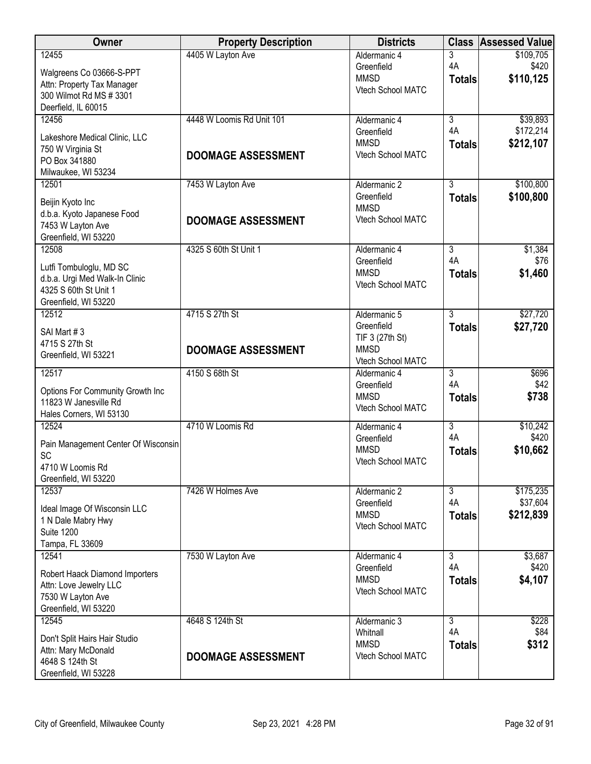| Owner                                                   | <b>Property Description</b> | <b>Districts</b>                 |                      | <b>Class Assessed Value</b> |
|---------------------------------------------------------|-----------------------------|----------------------------------|----------------------|-----------------------------|
| 12455                                                   | 4405 W Layton Ave           | Aldermanic 4                     | 3                    | \$109,705                   |
| Walgreens Co 03666-S-PPT                                |                             | Greenfield                       | 4A                   | \$420                       |
| Attn: Property Tax Manager                              |                             | <b>MMSD</b><br>Vtech School MATC | <b>Totals</b>        | \$110,125                   |
| 300 Wilmot Rd MS # 3301                                 |                             |                                  |                      |                             |
| Deerfield, IL 60015                                     |                             |                                  |                      |                             |
| 12456                                                   | 4448 W Loomis Rd Unit 101   | Aldermanic 4                     | $\overline{3}$<br>4A | \$39,893<br>\$172,214       |
| Lakeshore Medical Clinic, LLC                           |                             | Greenfield<br><b>MMSD</b>        | <b>Totals</b>        | \$212,107                   |
| 750 W Virginia St                                       | <b>DOOMAGE ASSESSMENT</b>   | Vtech School MATC                |                      |                             |
| PO Box 341880                                           |                             |                                  |                      |                             |
| Milwaukee, WI 53234                                     |                             |                                  | $\overline{3}$       | \$100,800                   |
| 12501                                                   | 7453 W Layton Ave           | Aldermanic 2<br>Greenfield       |                      | \$100,800                   |
| Beijin Kyoto Inc                                        |                             | <b>MMSD</b>                      | <b>Totals</b>        |                             |
| d.b.a. Kyoto Japanese Food                              | <b>DOOMAGE ASSESSMENT</b>   | Vtech School MATC                |                      |                             |
| 7453 W Layton Ave                                       |                             |                                  |                      |                             |
| Greenfield, WI 53220<br>12508                           | 4325 S 60th St Unit 1       | Aldermanic 4                     | $\overline{3}$       | \$1,384                     |
|                                                         |                             | Greenfield                       | 4A                   | \$76                        |
| Lutfi Tombuloglu, MD SC                                 |                             | <b>MMSD</b>                      | <b>Totals</b>        | \$1,460                     |
| d.b.a. Urgi Med Walk-In Clinic<br>4325 S 60th St Unit 1 |                             | Vtech School MATC                |                      |                             |
| Greenfield, WI 53220                                    |                             |                                  |                      |                             |
| 12512                                                   | 4715 S 27th St              | Aldermanic 5                     | $\overline{3}$       | \$27,720                    |
|                                                         |                             | Greenfield                       | <b>Totals</b>        | \$27,720                    |
| SAI Mart #3<br>4715 S 27th St                           |                             | TIF 3 (27th St)                  |                      |                             |
| Greenfield, WI 53221                                    | <b>DOOMAGE ASSESSMENT</b>   | <b>MMSD</b>                      |                      |                             |
|                                                         |                             | Vtech School MATC                |                      |                             |
| 12517                                                   | 4150 S 68th St              | Aldermanic 4                     | $\overline{3}$<br>4A | \$696                       |
| Options For Community Growth Inc                        |                             | Greenfield<br><b>MMSD</b>        |                      | \$42<br>\$738               |
| 11823 W Janesville Rd                                   |                             | Vtech School MATC                | <b>Totals</b>        |                             |
| Hales Corners, WI 53130                                 |                             |                                  |                      |                             |
| 12524                                                   | 4710 W Loomis Rd            | Aldermanic 4                     | $\overline{3}$<br>4A | \$10,242<br>\$420           |
| Pain Management Center Of Wisconsin                     |                             | Greenfield<br><b>MMSD</b>        | <b>Totals</b>        | \$10,662                    |
| SC                                                      |                             | Vtech School MATC                |                      |                             |
| 4710 W Loomis Rd                                        |                             |                                  |                      |                             |
| Greenfield, WI 53220<br>12537                           | 7426 W Holmes Ave           | Aldermanic 2                     | $\overline{3}$       | \$175,235                   |
|                                                         |                             | Greenfield                       | 4A                   | \$37,604                    |
| Ideal Image Of Wisconsin LLC                            |                             | <b>MMSD</b>                      | <b>Totals</b>        | \$212,839                   |
| 1 N Dale Mabry Hwy<br><b>Suite 1200</b>                 |                             | Vtech School MATC                |                      |                             |
| Tampa, FL 33609                                         |                             |                                  |                      |                             |
| 12541                                                   | 7530 W Layton Ave           | Aldermanic 4                     | $\overline{3}$       | \$3,687                     |
|                                                         |                             | Greenfield                       | 4A                   | \$420                       |
| Robert Haack Diamond Importers                          |                             | <b>MMSD</b>                      | <b>Totals</b>        | \$4,107                     |
| Attn: Love Jewelry LLC<br>7530 W Layton Ave             |                             | Vtech School MATC                |                      |                             |
| Greenfield, WI 53220                                    |                             |                                  |                      |                             |
| 12545                                                   | 4648 S 124th St             | Aldermanic 3                     | $\overline{3}$       | \$228                       |
|                                                         |                             | Whitnall                         | 4A                   | \$84                        |
| Don't Split Hairs Hair Studio<br>Attn: Mary McDonald    |                             | <b>MMSD</b>                      | <b>Totals</b>        | \$312                       |
| 4648 S 124th St                                         | <b>DOOMAGE ASSESSMENT</b>   | Vtech School MATC                |                      |                             |
| Greenfield, WI 53228                                    |                             |                                  |                      |                             |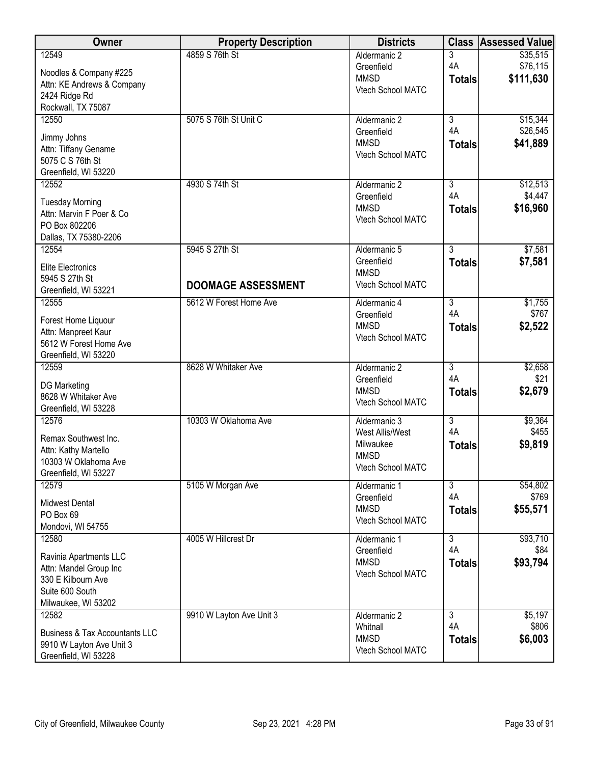| Owner                                     | <b>Property Description</b> | <b>Districts</b>           |                | <b>Class Assessed Value</b> |
|-------------------------------------------|-----------------------------|----------------------------|----------------|-----------------------------|
| 12549                                     | 4859 S 76th St              | Aldermanic 2               | 3              | \$35,515                    |
| Noodles & Company #225                    |                             | Greenfield                 | 4A             | \$76,115                    |
| Attn: KE Andrews & Company                |                             | <b>MMSD</b>                | <b>Totals</b>  | \$111,630                   |
| 2424 Ridge Rd                             |                             | Vtech School MATC          |                |                             |
| Rockwall, TX 75087                        |                             |                            |                |                             |
| 12550                                     | 5075 S 76th St Unit C       | Aldermanic 2               | $\overline{3}$ | \$15,344                    |
|                                           |                             | Greenfield                 | 4A             | \$26,545                    |
| Jimmy Johns                               |                             | <b>MMSD</b>                | <b>Totals</b>  | \$41,889                    |
| Attn: Tiffany Gename                      |                             | Vtech School MATC          |                |                             |
| 5075 C S 76th St                          |                             |                            |                |                             |
| Greenfield, WI 53220<br>12552             | 4930 S 74th St              |                            | $\overline{3}$ | \$12,513                    |
|                                           |                             | Aldermanic 2<br>Greenfield | 4A             | \$4,447                     |
| <b>Tuesday Morning</b>                    |                             | <b>MMSD</b>                |                |                             |
| Attn: Marvin F Poer & Co                  |                             | Vtech School MATC          | <b>Totals</b>  | \$16,960                    |
| PO Box 802206                             |                             |                            |                |                             |
| Dallas, TX 75380-2206                     |                             |                            |                |                             |
| 12554                                     | 5945 S 27th St              | Aldermanic 5               | $\overline{3}$ | \$7,581                     |
| <b>Elite Electronics</b>                  |                             | Greenfield                 | <b>Totals</b>  | \$7,581                     |
| 5945 S 27th St                            |                             | <b>MMSD</b>                |                |                             |
| Greenfield, WI 53221                      | <b>DOOMAGE ASSESSMENT</b>   | Vtech School MATC          |                |                             |
| 12555                                     | 5612 W Forest Home Ave      | Aldermanic 4               | $\overline{3}$ | \$1,755                     |
|                                           |                             | Greenfield                 | 4A             | \$767                       |
| Forest Home Liquour                       |                             | <b>MMSD</b>                | <b>Totals</b>  | \$2,522                     |
| Attn: Manpreet Kaur                       |                             | Vtech School MATC          |                |                             |
| 5612 W Forest Home Ave                    |                             |                            |                |                             |
| Greenfield, WI 53220                      |                             |                            |                |                             |
| 12559                                     | 8628 W Whitaker Ave         | Aldermanic 2               | $\overline{3}$ | \$2,658                     |
| DG Marketing                              |                             | Greenfield                 | 4A             | \$21                        |
| 8628 W Whitaker Ave                       |                             | <b>MMSD</b>                | <b>Totals</b>  | \$2,679                     |
| Greenfield, WI 53228                      |                             | Vtech School MATC          |                |                             |
| 12576                                     | 10303 W Oklahoma Ave        | Aldermanic 3               | $\overline{3}$ | \$9,364                     |
|                                           |                             | West Allis/West            | 4A             | \$455                       |
| Remax Southwest Inc.                      |                             | Milwaukee                  | <b>Totals</b>  | \$9,819                     |
| Attn: Kathy Martello                      |                             | <b>MMSD</b>                |                |                             |
| 10303 W Oklahoma Ave                      |                             | Vtech School MATC          |                |                             |
| Greenfield, WI 53227<br>12579             | 5105 W Morgan Ave           | Aldermanic 1               | $\overline{3}$ | \$54,802                    |
|                                           |                             | Greenfield                 | 4A             | \$769                       |
| <b>Midwest Dental</b>                     |                             | <b>MMSD</b>                | <b>Totals</b>  | \$55,571                    |
| PO Box 69                                 |                             | Vtech School MATC          |                |                             |
| Mondovi, WI 54755                         |                             |                            |                |                             |
| 12580                                     | 4005 W Hillcrest Dr         | Aldermanic 1               | $\overline{3}$ | \$93,710                    |
| Ravinia Apartments LLC                    |                             | Greenfield                 | 4A             | \$84                        |
| Attn: Mandel Group Inc                    |                             | <b>MMSD</b>                | <b>Totals</b>  | \$93,794                    |
| 330 E Kilbourn Ave                        |                             | Vtech School MATC          |                |                             |
| Suite 600 South                           |                             |                            |                |                             |
| Milwaukee, WI 53202                       |                             |                            |                |                             |
| 12582                                     | 9910 W Layton Ave Unit 3    | Aldermanic 2               | $\overline{3}$ | \$5,197                     |
|                                           |                             | Whitnall                   | 4A             | \$806                       |
| <b>Business &amp; Tax Accountants LLC</b> |                             | <b>MMSD</b>                | <b>Totals</b>  | \$6,003                     |
| 9910 W Layton Ave Unit 3                  |                             | Vtech School MATC          |                |                             |
| Greenfield, WI 53228                      |                             |                            |                |                             |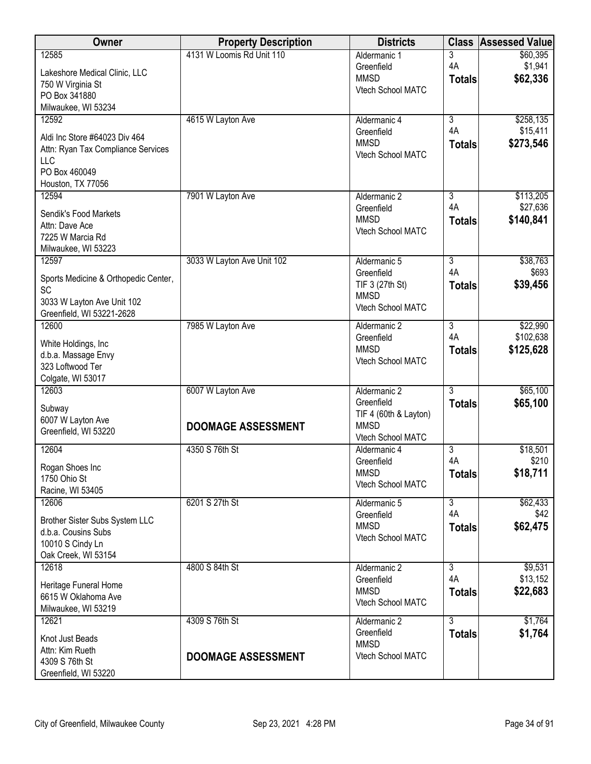| Owner                                        | <b>Property Description</b> | <b>Districts</b>      | <b>Class</b>   | <b>Assessed Value</b> |
|----------------------------------------------|-----------------------------|-----------------------|----------------|-----------------------|
| 12585                                        | 4131 W Loomis Rd Unit 110   | Aldermanic 1          | 3              | \$60,395              |
| Lakeshore Medical Clinic, LLC                |                             | Greenfield            | 4A             | \$1,941               |
| 750 W Virginia St                            |                             | <b>MMSD</b>           | <b>Totals</b>  | \$62,336              |
| PO Box 341880                                |                             | Vtech School MATC     |                |                       |
| Milwaukee, WI 53234                          |                             |                       |                |                       |
| 12592                                        | 4615 W Layton Ave           | Aldermanic 4          | $\overline{3}$ | \$258,135             |
| Aldi Inc Store #64023 Div 464                |                             | Greenfield            | 4A             | \$15,411              |
| Attn: Ryan Tax Compliance Services           |                             | <b>MMSD</b>           | <b>Totals</b>  | \$273,546             |
| <b>LLC</b>                                   |                             | Vtech School MATC     |                |                       |
| PO Box 460049                                |                             |                       |                |                       |
| Houston, TX 77056                            |                             |                       |                |                       |
| 12594                                        | 7901 W Layton Ave           | Aldermanic 2          | $\overline{3}$ | \$113,205             |
| Sendik's Food Markets                        |                             | Greenfield            | 4A             | \$27,636              |
| Attn: Dave Ace                               |                             | <b>MMSD</b>           | <b>Totals</b>  | \$140,841             |
| 7225 W Marcia Rd                             |                             | Vtech School MATC     |                |                       |
| Milwaukee, WI 53223                          |                             |                       |                |                       |
| 12597                                        | 3033 W Layton Ave Unit 102  | Aldermanic 5          | $\overline{3}$ | \$38,763              |
|                                              |                             | Greenfield            | 4A             | \$693                 |
| Sports Medicine & Orthopedic Center,<br>SC   |                             | TIF 3 (27th St)       | <b>Totals</b>  | \$39,456              |
| 3033 W Layton Ave Unit 102                   |                             | <b>MMSD</b>           |                |                       |
| Greenfield, WI 53221-2628                    |                             | Vtech School MATC     |                |                       |
| 12600                                        | 7985 W Layton Ave           | Aldermanic 2          | $\overline{3}$ | \$22,990              |
|                                              |                             | Greenfield            | 4A             | \$102,638             |
| White Holdings, Inc                          |                             | <b>MMSD</b>           | <b>Totals</b>  | \$125,628             |
| d.b.a. Massage Envy<br>323 Loftwood Ter      |                             | Vtech School MATC     |                |                       |
| Colgate, WI 53017                            |                             |                       |                |                       |
| 12603                                        | 6007 W Layton Ave           | Aldermanic 2          | $\overline{3}$ | \$65,100              |
|                                              |                             | Greenfield            | <b>Totals</b>  | \$65,100              |
| Subway                                       |                             | TIF 4 (60th & Layton) |                |                       |
| 6007 W Layton Ave<br>Greenfield, WI 53220    | <b>DOOMAGE ASSESSMENT</b>   | <b>MMSD</b>           |                |                       |
|                                              |                             | Vtech School MATC     |                |                       |
| 12604                                        | 4350 S 76th St              | Aldermanic 4          | $\overline{3}$ | \$18,501              |
| Rogan Shoes Inc                              |                             | Greenfield            | 4A             | \$210                 |
| 1750 Ohio St                                 |                             | <b>MMSD</b>           | <b>Totals</b>  | \$18,711              |
| Racine, WI 53405                             |                             | Vtech School MATC     |                |                       |
| 12606                                        | 6201 S 27th St              | Aldermanic 5          | $\overline{3}$ | \$62,433              |
| Brother Sister Subs System LLC               |                             | Greenfield            | 4A             | \$42                  |
| d.b.a. Cousins Subs                          |                             | <b>MMSD</b>           | <b>Totals</b>  | \$62,475              |
| 10010 S Cindy Ln                             |                             | Vtech School MATC     |                |                       |
| Oak Creek, WI 53154                          |                             |                       |                |                       |
| 12618                                        | 4800 S 84th St              | Aldermanic 2          | $\overline{3}$ | \$9,531               |
|                                              |                             | Greenfield            | 4A             | \$13,152              |
| Heritage Funeral Home<br>6615 W Oklahoma Ave |                             | <b>MMSD</b>           | <b>Totals</b>  | \$22,683              |
| Milwaukee, WI 53219                          |                             | Vtech School MATC     |                |                       |
| 12621                                        | 4309 S 76th St              | Aldermanic 2          | $\overline{3}$ | \$1,764               |
|                                              |                             | Greenfield            | <b>Totals</b>  | \$1,764               |
| Knot Just Beads                              |                             | <b>MMSD</b>           |                |                       |
| Attn: Kim Rueth                              | <b>DOOMAGE ASSESSMENT</b>   | Vtech School MATC     |                |                       |
| 4309 S 76th St                               |                             |                       |                |                       |
| Greenfield, WI 53220                         |                             |                       |                |                       |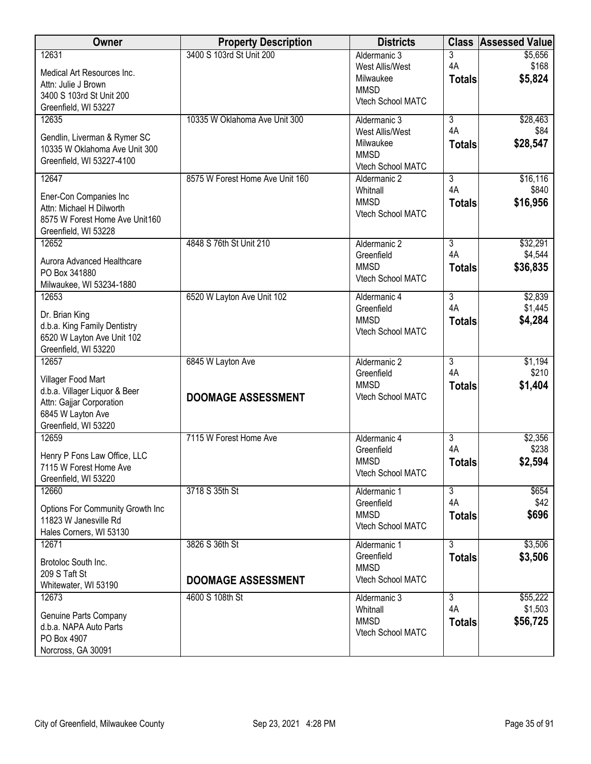| Owner                                                                                                                                 | <b>Property Description</b>                    | <b>Districts</b>                                                                 |                                       | <b>Class Assessed Value</b>     |
|---------------------------------------------------------------------------------------------------------------------------------------|------------------------------------------------|----------------------------------------------------------------------------------|---------------------------------------|---------------------------------|
| 12631<br>Medical Art Resources Inc.<br>Attn: Julie J Brown<br>3400 S 103rd St Unit 200<br>Greenfield, WI 53227                        | 3400 S 103rd St Unit 200                       | Aldermanic 3<br>West Allis/West<br>Milwaukee<br><b>MMSD</b><br>Vtech School MATC | 3<br>4A<br><b>Totals</b>              | \$5,656<br>\$168<br>\$5,824     |
| 12635<br>Gendlin, Liverman & Rymer SC<br>10335 W Oklahoma Ave Unit 300<br>Greenfield, WI 53227-4100                                   | 10335 W Oklahoma Ave Unit 300                  | Aldermanic 3<br>West Allis/West<br>Milwaukee<br><b>MMSD</b><br>Vtech School MATC | $\overline{3}$<br>4A<br><b>Totals</b> | \$28,463<br>\$84<br>\$28,547    |
| 12647<br>Ener-Con Companies Inc<br>Attn: Michael H Dilworth<br>8575 W Forest Home Ave Unit160<br>Greenfield, WI 53228                 | 8575 W Forest Home Ave Unit 160                | Aldermanic 2<br>Whitnall<br><b>MMSD</b><br>Vtech School MATC                     | $\overline{3}$<br>4A<br><b>Totals</b> | \$16, 116<br>\$840<br>\$16,956  |
| 12652<br>Aurora Advanced Healthcare<br>PO Box 341880<br>Milwaukee, WI 53234-1880                                                      | 4848 S 76th St Unit 210                        | Aldermanic 2<br>Greenfield<br><b>MMSD</b><br>Vtech School MATC                   | 3<br>4A<br><b>Totals</b>              | \$32,291<br>\$4,544<br>\$36,835 |
| 12653<br>Dr. Brian King<br>d.b.a. King Family Dentistry<br>6520 W Layton Ave Unit 102<br>Greenfield, WI 53220                         | 6520 W Layton Ave Unit 102                     | Aldermanic 4<br>Greenfield<br><b>MMSD</b><br>Vtech School MATC                   | $\overline{3}$<br>4A<br><b>Totals</b> | \$2,839<br>\$1,445<br>\$4,284   |
| 12657<br>Villager Food Mart<br>d.b.a. Villager Liquor & Beer<br>Attn: Gajjar Corporation<br>6845 W Layton Ave<br>Greenfield, WI 53220 | 6845 W Layton Ave<br><b>DOOMAGE ASSESSMENT</b> | Aldermanic 2<br>Greenfield<br><b>MMSD</b><br>Vtech School MATC                   | $\overline{3}$<br>4A<br><b>Totals</b> | \$1,194<br>\$210<br>\$1,404     |
| 12659<br>Henry P Fons Law Office, LLC<br>7115 W Forest Home Ave<br>Greenfield, WI 53220                                               | 7115 W Forest Home Ave                         | Aldermanic 4<br>Greenfield<br><b>MMSD</b><br>Vtech School MATC                   | $\overline{3}$<br>4A<br><b>Totals</b> | \$2,356<br>\$238<br>\$2,594     |
| 12660<br>Options For Community Growth Inc<br>11823 W Janesville Rd<br>Hales Corners, WI 53130                                         | 3718 S 35th St                                 | Aldermanic 1<br>Greenfield<br><b>MMSD</b><br>Vtech School MATC                   | $\overline{3}$<br>4A<br><b>Totals</b> | \$654<br>\$42<br>\$696          |
| 12671<br>Brotoloc South Inc.<br>209 S Taft St<br>Whitewater, WI 53190                                                                 | 3826 S 36th St<br><b>DOOMAGE ASSESSMENT</b>    | Aldermanic 1<br>Greenfield<br><b>MMSD</b><br>Vtech School MATC                   | $\overline{3}$<br><b>Totals</b>       | \$3,506<br>\$3,506              |
| 12673<br>Genuine Parts Company<br>d.b.a. NAPA Auto Parts<br>PO Box 4907<br>Norcross, GA 30091                                         | 4600 S 108th St                                | Aldermanic 3<br>Whitnall<br><b>MMSD</b><br>Vtech School MATC                     | 3<br>4A<br><b>Totals</b>              | \$55,222<br>\$1,503<br>\$56,725 |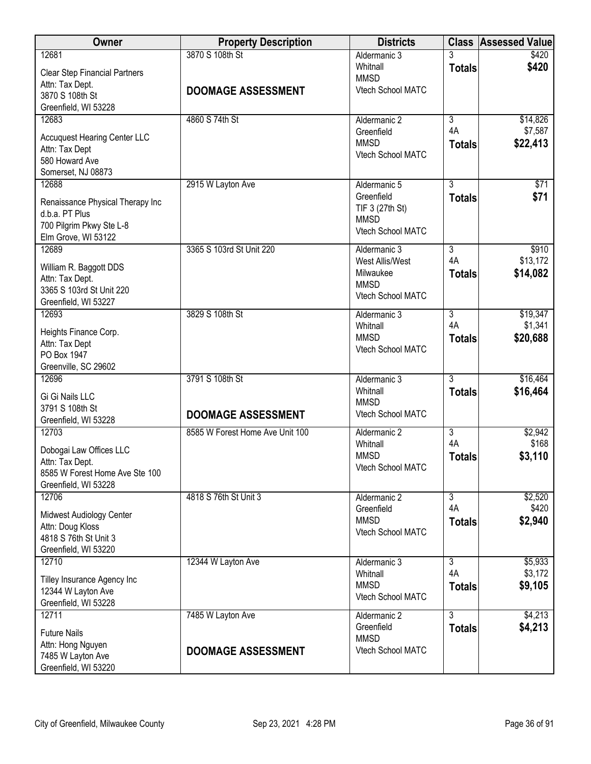| <b>Owner</b>                                      | <b>Property Description</b>     | <b>Districts</b>          | <b>Class</b>         | <b>Assessed Value</b> |
|---------------------------------------------------|---------------------------------|---------------------------|----------------------|-----------------------|
| 12681                                             | 3870 S 108th St                 | Aldermanic 3              |                      | \$420                 |
| <b>Clear Step Financial Partners</b>              |                                 | Whitnall<br><b>MMSD</b>   | <b>Totals</b>        | \$420                 |
| Attn: Tax Dept.                                   | <b>DOOMAGE ASSESSMENT</b>       | Vtech School MATC         |                      |                       |
| 3870 S 108th St                                   |                                 |                           |                      |                       |
| Greenfield, WI 53228<br>12683                     | 4860 S 74th St                  | Aldermanic 2              | $\overline{3}$       | \$14,826              |
|                                                   |                                 | Greenfield                | 4A                   | \$7,587               |
| <b>Accuquest Hearing Center LLC</b>               |                                 | <b>MMSD</b>               | <b>Totals</b>        | \$22,413              |
| Attn: Tax Dept<br>580 Howard Ave                  |                                 | Vtech School MATC         |                      |                       |
| Somerset, NJ 08873                                |                                 |                           |                      |                       |
| 12688                                             | 2915 W Layton Ave               | Aldermanic 5              | $\overline{3}$       | \$71                  |
| Renaissance Physical Therapy Inc                  |                                 | Greenfield                | <b>Totals</b>        | \$71                  |
| d.b.a. PT Plus                                    |                                 | TIF 3 (27th St)           |                      |                       |
| 700 Pilgrim Pkwy Ste L-8                          |                                 | <b>MMSD</b>               |                      |                       |
| Elm Grove, WI 53122                               |                                 | Vtech School MATC         |                      |                       |
| 12689                                             | 3365 S 103rd St Unit 220        | Aldermanic 3              | $\overline{3}$       | \$910                 |
| William R. Baggott DDS                            |                                 | West Allis/West           | 4A                   | \$13,172              |
| Attn: Tax Dept.                                   |                                 | Milwaukee<br><b>MMSD</b>  | <b>Totals</b>        | \$14,082              |
| 3365 S 103rd St Unit 220                          |                                 | Vtech School MATC         |                      |                       |
| Greenfield, WI 53227                              |                                 |                           |                      |                       |
| 12693                                             | 3829 S 108th St                 | Aldermanic 3<br>Whitnall  | $\overline{3}$<br>4A | \$19,347<br>\$1,341   |
| Heights Finance Corp.                             |                                 | <b>MMSD</b>               | <b>Totals</b>        | \$20,688              |
| Attn: Tax Dept                                    |                                 | Vtech School MATC         |                      |                       |
| PO Box 1947<br>Greenville, SC 29602               |                                 |                           |                      |                       |
| 12696                                             | 3791 S 108th St                 | Aldermanic 3              | $\overline{3}$       | \$16,464              |
|                                                   |                                 | Whitnall                  | <b>Totals</b>        | \$16,464              |
| Gi Gi Nails LLC<br>3791 S 108th St                |                                 | <b>MMSD</b>               |                      |                       |
| Greenfield, WI 53228                              | <b>DOOMAGE ASSESSMENT</b>       | Vtech School MATC         |                      |                       |
| 12703                                             | 8585 W Forest Home Ave Unit 100 | Aldermanic 2              | $\overline{3}$       | \$2,942               |
| Dobogai Law Offices LLC                           |                                 | Whitnall                  | 4A                   | \$168                 |
| Attn: Tax Dept.                                   |                                 | <b>MMSD</b>               | <b>Totals</b>        | \$3,110               |
| 8585 W Forest Home Ave Ste 100                    |                                 | Vtech School MATC         |                      |                       |
| Greenfield, WI 53228                              |                                 |                           |                      |                       |
| 12706                                             | 4818 S 76th St Unit 3           | Aldermanic 2              | $\overline{3}$<br>4A | \$2,520               |
| Midwest Audiology Center                          |                                 | Greenfield<br><b>MMSD</b> | <b>Totals</b>        | \$420<br>\$2,940      |
| Attn: Doug Kloss                                  |                                 | Vtech School MATC         |                      |                       |
| 4818 S 76th St Unit 3                             |                                 |                           |                      |                       |
| Greenfield, WI 53220<br>12710                     | 12344 W Layton Ave              | Aldermanic 3              | $\overline{3}$       | \$5,933               |
|                                                   |                                 | Whitnall                  | 4A                   | \$3,172               |
| Tilley Insurance Agency Inc<br>12344 W Layton Ave |                                 | <b>MMSD</b>               | <b>Totals</b>        | \$9,105               |
| Greenfield, WI 53228                              |                                 | Vtech School MATC         |                      |                       |
| 12711                                             | 7485 W Layton Ave               | Aldermanic 2              | $\overline{3}$       | \$4,213               |
|                                                   |                                 | Greenfield                | <b>Totals</b>        | \$4,213               |
| <b>Future Nails</b><br>Attn: Hong Nguyen          |                                 | <b>MMSD</b>               |                      |                       |
| 7485 W Layton Ave                                 | <b>DOOMAGE ASSESSMENT</b>       | Vtech School MATC         |                      |                       |
| Greenfield, WI 53220                              |                                 |                           |                      |                       |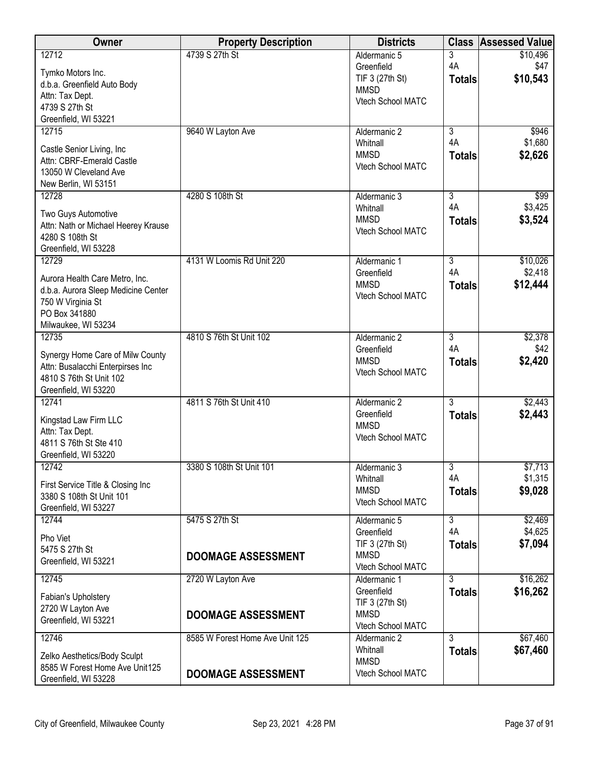| Owner                                                         | <b>Property Description</b>     | <b>Districts</b>                  | <b>Class</b>   | <b>Assessed Value</b> |
|---------------------------------------------------------------|---------------------------------|-----------------------------------|----------------|-----------------------|
| 12712                                                         | 4739 S 27th St                  | Aldermanic 5                      | 3              | \$10,496              |
| Tymko Motors Inc.                                             |                                 | Greenfield                        | 4A             | \$47                  |
| d.b.a. Greenfield Auto Body                                   |                                 | TIF 3 (27th St)<br><b>MMSD</b>    | <b>Totals</b>  | \$10,543              |
| Attn: Tax Dept.                                               |                                 | Vtech School MATC                 |                |                       |
| 4739 S 27th St                                                |                                 |                                   |                |                       |
| Greenfield, WI 53221<br>12715                                 |                                 |                                   | $\overline{3}$ |                       |
|                                                               | 9640 W Layton Ave               | Aldermanic 2<br>Whitnall          | 4A             | \$946<br>\$1,680      |
| Castle Senior Living, Inc                                     |                                 | <b>MMSD</b>                       | <b>Totals</b>  | \$2,626               |
| Attn: CBRF-Emerald Castle                                     |                                 | Vtech School MATC                 |                |                       |
| 13050 W Cleveland Ave<br>New Berlin, WI 53151                 |                                 |                                   |                |                       |
| 12728                                                         | 4280 S 108th St                 | Aldermanic 3                      | $\overline{3}$ | \$99                  |
|                                                               |                                 | Whitnall                          | 4A             | \$3,425               |
| Two Guys Automotive                                           |                                 | <b>MMSD</b>                       | <b>Totals</b>  | \$3,524               |
| Attn: Nath or Michael Heerey Krause<br>4280 S 108th St        |                                 | Vtech School MATC                 |                |                       |
| Greenfield, WI 53228                                          |                                 |                                   |                |                       |
| 12729                                                         | 4131 W Loomis Rd Unit 220       | Aldermanic 1                      | $\overline{3}$ | \$10,026              |
| Aurora Health Care Metro, Inc.                                |                                 | Greenfield                        | 4A             | \$2,418               |
| d.b.a. Aurora Sleep Medicine Center                           |                                 | <b>MMSD</b>                       | <b>Totals</b>  | \$12,444              |
| 750 W Virginia St                                             |                                 | Vtech School MATC                 |                |                       |
| PO Box 341880                                                 |                                 |                                   |                |                       |
| Milwaukee, WI 53234                                           |                                 |                                   |                |                       |
| 12735                                                         | 4810 S 76th St Unit 102         | Aldermanic 2                      | $\overline{3}$ | \$2,378               |
| Synergy Home Care of Milw County                              |                                 | Greenfield<br><b>MMSD</b>         | 4A             | \$42                  |
| Attn: Busalacchi Enterpirses Inc                              |                                 | Vtech School MATC                 | <b>Totals</b>  | \$2,420               |
| 4810 S 76th St Unit 102                                       |                                 |                                   |                |                       |
| Greenfield, WI 53220                                          |                                 |                                   | $\overline{3}$ |                       |
| 12741                                                         | 4811 S 76th St Unit 410         | Aldermanic 2<br>Greenfield        | <b>Totals</b>  | \$2,443<br>\$2,443    |
| Kingstad Law Firm LLC                                         |                                 | <b>MMSD</b>                       |                |                       |
| Attn: Tax Dept.                                               |                                 | Vtech School MATC                 |                |                       |
| 4811 S 76th St Ste 410<br>Greenfield, WI 53220                |                                 |                                   |                |                       |
| 12742                                                         | 3380 S 108th St Unit 101        | Aldermanic 3                      | $\overline{3}$ | \$7,713               |
|                                                               |                                 | Whitnall                          | 4A             | \$1,315               |
| First Service Title & Closing Inc<br>3380 S 108th St Unit 101 |                                 | <b>MMSD</b>                       | <b>Totals</b>  | \$9,028               |
| Greenfield, WI 53227                                          |                                 | Vtech School MATC                 |                |                       |
| 12744                                                         | 5475 S 27th St                  | Aldermanic 5                      | $\overline{3}$ | \$2,469               |
| Pho Viet                                                      |                                 | Greenfield                        | 4A             | \$4,625               |
| 5475 S 27th St                                                |                                 | TIF 3 (27th St)                   | <b>Totals</b>  | \$7,094               |
| Greenfield, WI 53221                                          | <b>DOOMAGE ASSESSMENT</b>       | <b>MMSD</b>                       |                |                       |
| 12745                                                         | 2720 W Layton Ave               | Vtech School MATC<br>Aldermanic 1 | $\overline{3}$ | \$16,262              |
|                                                               |                                 | Greenfield                        | <b>Totals</b>  | \$16,262              |
| Fabian's Upholstery                                           |                                 | TIF 3 (27th St)                   |                |                       |
| 2720 W Layton Ave<br>Greenfield, WI 53221                     | <b>DOOMAGE ASSESSMENT</b>       | <b>MMSD</b>                       |                |                       |
|                                                               |                                 | Vtech School MATC                 |                |                       |
| 12746                                                         | 8585 W Forest Home Ave Unit 125 | Aldermanic 2                      | 3              | \$67,460              |
| Zelko Aesthetics/Body Sculpt                                  |                                 | Whitnall<br><b>MMSD</b>           | <b>Totals</b>  | \$67,460              |
| 8585 W Forest Home Ave Unit125                                | <b>DOOMAGE ASSESSMENT</b>       | Vtech School MATC                 |                |                       |
| Greenfield, WI 53228                                          |                                 |                                   |                |                       |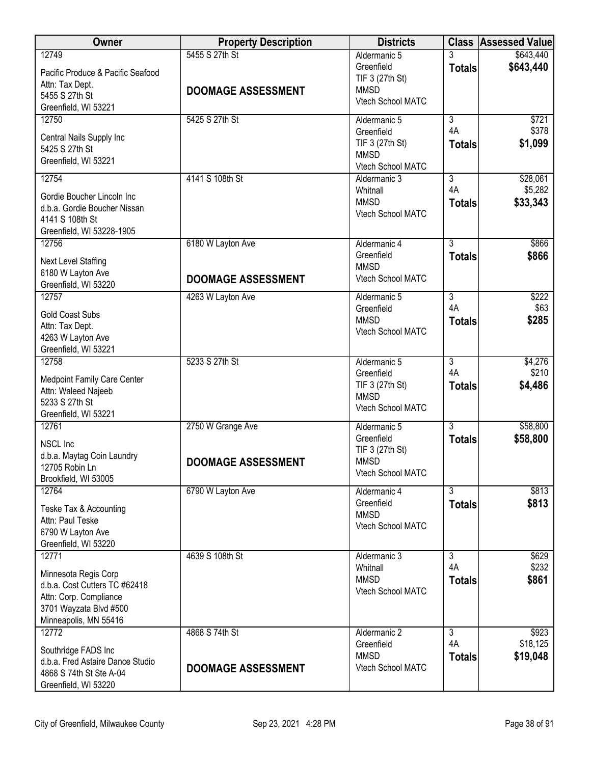| Owner                                                                                                                                       | <b>Property Description</b>                    | <b>Districts</b>                                                                  |                                       | <b>Class Assessed Value</b>     |
|---------------------------------------------------------------------------------------------------------------------------------------------|------------------------------------------------|-----------------------------------------------------------------------------------|---------------------------------------|---------------------------------|
| 12749<br>Pacific Produce & Pacific Seafood<br>Attn: Tax Dept.<br>5455 S 27th St<br>Greenfield, WI 53221                                     | 5455 S 27th St<br><b>DOOMAGE ASSESSMENT</b>    | Aldermanic 5<br>Greenfield<br>TIF 3 (27th St)<br><b>MMSD</b><br>Vtech School MATC | <b>Totals</b>                         | \$643,440<br>\$643,440          |
| 12750<br>Central Nails Supply Inc<br>5425 S 27th St<br>Greenfield, WI 53221                                                                 | 5425 S 27th St                                 | Aldermanic 5<br>Greenfield<br>TIF 3 (27th St)<br><b>MMSD</b><br>Vtech School MATC | $\overline{3}$<br>4A<br><b>Totals</b> | \$721<br>\$378<br>\$1,099       |
| 12754<br>Gordie Boucher Lincoln Inc<br>d.b.a. Gordie Boucher Nissan<br>4141 S 108th St<br>Greenfield, WI 53228-1905                         | 4141 S 108th St                                | Aldermanic 3<br>Whitnall<br><b>MMSD</b><br>Vtech School MATC                      | $\overline{3}$<br>4A<br><b>Totals</b> | \$28,061<br>\$5,282<br>\$33,343 |
| 12756<br>Next Level Staffing<br>6180 W Layton Ave<br>Greenfield, WI 53220                                                                   | 6180 W Layton Ave<br><b>DOOMAGE ASSESSMENT</b> | Aldermanic 4<br>Greenfield<br><b>MMSD</b><br>Vtech School MATC                    | $\overline{3}$<br><b>Totals</b>       | \$866<br>\$866                  |
| 12757<br><b>Gold Coast Subs</b><br>Attn: Tax Dept.<br>4263 W Layton Ave<br>Greenfield, WI 53221                                             | 4263 W Layton Ave                              | Aldermanic 5<br>Greenfield<br><b>MMSD</b><br>Vtech School MATC                    | $\overline{3}$<br>4A<br><b>Totals</b> | \$222<br>\$63<br>\$285          |
| 12758<br>Medpoint Family Care Center<br>Attn: Waleed Najeeb<br>5233 S 27th St<br>Greenfield, WI 53221                                       | 5233 S 27th St                                 | Aldermanic 5<br>Greenfield<br>TIF 3 (27th St)<br><b>MMSD</b><br>Vtech School MATC | $\overline{3}$<br>4A<br><b>Totals</b> | \$4,276<br>\$210<br>\$4,486     |
| 12761<br>NSCL Inc<br>d.b.a. Maytag Coin Laundry<br>12705 Robin Ln<br>Brookfield, WI 53005                                                   | 2750 W Grange Ave<br><b>DOOMAGE ASSESSMENT</b> | Aldermanic 5<br>Greenfield<br>TIF 3 (27th St)<br><b>MMSD</b><br>Vtech School MATC | $\overline{3}$<br><b>Totals</b>       | \$58,800<br>\$58,800            |
| 12764<br>Teske Tax & Accounting<br>Attn: Paul Teske<br>6790 W Layton Ave<br>Greenfield, WI 53220                                            | 6790 W Layton Ave                              | Aldermanic 4<br>Greenfield<br><b>MMSD</b><br>Vtech School MATC                    | 3<br><b>Totals</b>                    | \$813<br>\$813                  |
| 12771<br>Minnesota Regis Corp<br>d.b.a. Cost Cutters TC #62418<br>Attn: Corp. Compliance<br>3701 Wayzata Blvd #500<br>Minneapolis, MN 55416 | 4639 S 108th St                                | Aldermanic 3<br>Whitnall<br><b>MMSD</b><br>Vtech School MATC                      | $\overline{3}$<br>4A<br><b>Totals</b> | \$629<br>\$232<br>\$861         |
| 12772<br>Southridge FADS Inc<br>d.b.a. Fred Astaire Dance Studio<br>4868 S 74th St Ste A-04<br>Greenfield, WI 53220                         | 4868 S 74th St<br><b>DOOMAGE ASSESSMENT</b>    | Aldermanic 2<br>Greenfield<br><b>MMSD</b><br>Vtech School MATC                    | 3<br>4A<br><b>Totals</b>              | \$923<br>\$18,125<br>\$19,048   |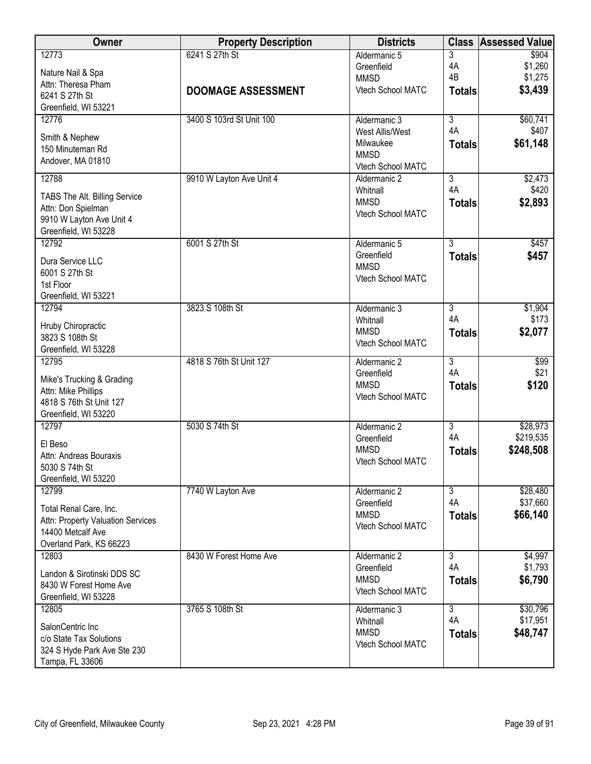| Owner                                                                                                       | <b>Property Description</b> | <b>Districts</b>                                                 | <b>Class</b>                    | <b>Assessed Value</b>       |
|-------------------------------------------------------------------------------------------------------------|-----------------------------|------------------------------------------------------------------|---------------------------------|-----------------------------|
| 12773<br>Nature Nail & Spa                                                                                  | 6241 S 27th St              | Aldermanic 5<br>Greenfield<br><b>MMSD</b>                        | 3<br>4A<br>4B                   | \$904<br>\$1,260<br>\$1,275 |
| Attn: Theresa Pham<br>6241 S 27th St<br>Greenfield, WI 53221                                                | <b>DOOMAGE ASSESSMENT</b>   | Vtech School MATC                                                | <b>Totals</b>                   | \$3,439                     |
| 12776                                                                                                       | 3400 S 103rd St Unit 100    | Aldermanic 3                                                     | $\overline{\overline{3}}$<br>4A | \$60,741                    |
| Smith & Nephew<br>150 Minuteman Rd<br>Andover, MA 01810                                                     |                             | West Allis/West<br>Milwaukee<br><b>MMSD</b><br>Vtech School MATC | <b>Totals</b>                   | \$407<br>\$61,148           |
| 12788                                                                                                       | 9910 W Layton Ave Unit 4    | Aldermanic 2<br>Whitnall                                         | $\overline{3}$<br>4A            | \$2,473<br>\$420            |
| TABS The Alt. Billing Service<br>Attn: Don Spielman<br>9910 W Layton Ave Unit 4<br>Greenfield, WI 53228     |                             | <b>MMSD</b><br>Vtech School MATC                                 | <b>Totals</b>                   | \$2,893                     |
| 12792                                                                                                       | 6001 S 27th St              | Aldermanic 5<br>Greenfield                                       | $\overline{3}$                  | \$457                       |
| Dura Service LLC<br>6001 S 27th St<br>1st Floor<br>Greenfield, WI 53221                                     |                             | <b>MMSD</b><br>Vtech School MATC                                 | <b>Totals</b>                   | \$457                       |
| 12794                                                                                                       | 3823 S 108th St             | Aldermanic 3                                                     | $\overline{3}$                  | \$1,904                     |
| Hruby Chiropractic<br>3823 S 108th St<br>Greenfield, WI 53228                                               |                             | Whitnall<br><b>MMSD</b><br>Vtech School MATC                     | 4A<br><b>Totals</b>             | \$173<br>\$2,077            |
| 12795                                                                                                       | 4818 S 76th St Unit 127     | Aldermanic 2                                                     | $\overline{3}$                  | \$99                        |
| Mike's Trucking & Grading<br>Attn: Mike Phillips<br>4818 S 76th St Unit 127<br>Greenfield, WI 53220         |                             | Greenfield<br><b>MMSD</b><br>Vtech School MATC                   | 4A<br><b>Totals</b>             | \$21<br>\$120               |
| 12797                                                                                                       | 5030 S 74th St              | Aldermanic 2                                                     | $\overline{3}$<br>4A            | \$28,973                    |
| El Beso<br>Attn: Andreas Bouraxis<br>5030 S 74th St<br>Greenfield, WI 53220                                 |                             | Greenfield<br><b>MMSD</b><br>Vtech School MATC                   | <b>Totals</b>                   | \$219,535<br>\$248,508      |
| 12799                                                                                                       | 7740 W Layton Ave           | Aldermanic 2                                                     | $\overline{3}$                  | \$28,480                    |
| Total Renal Care, Inc.<br>Attn: Property Valuation Services<br>14400 Metcalf Ave<br>Overland Park, KS 66223 |                             | Greenfield<br><b>MMSD</b><br>Vtech School MATC                   | 4A<br><b>Totals</b>             | \$37,660<br>\$66,140        |
| 12803                                                                                                       | 8430 W Forest Home Ave      | Aldermanic 2<br>Greenfield                                       | $\overline{3}$<br>4A            | \$4,997<br>\$1,793          |
| Landon & Sirotinski DDS SC<br>8430 W Forest Home Ave<br>Greenfield, WI 53228                                |                             | <b>MMSD</b><br>Vtech School MATC                                 | <b>Totals</b>                   | \$6,790                     |
| 12805                                                                                                       | 3765 S 108th St             | Aldermanic 3                                                     | $\overline{3}$<br>4A            | \$30,796                    |
| SalonCentric Inc<br>c/o State Tax Solutions<br>324 S Hyde Park Ave Ste 230<br>Tampa, FL 33606               |                             | Whitnall<br><b>MMSD</b><br>Vtech School MATC                     | <b>Totals</b>                   | \$17,951<br>\$48,747        |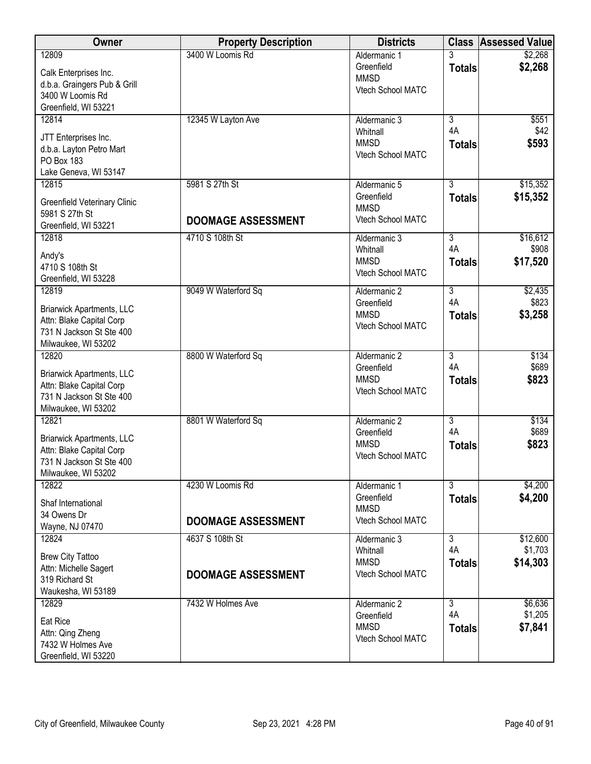| Owner                                                        | <b>Property Description</b> | <b>Districts</b>         | <b>Class</b>              | <b>Assessed Value</b> |
|--------------------------------------------------------------|-----------------------------|--------------------------|---------------------------|-----------------------|
| 12809                                                        | 3400 W Loomis Rd            | Aldermanic 1             | 3                         | \$2,268               |
| Calk Enterprises Inc.                                        |                             | Greenfield               | <b>Totals</b>             | \$2,268               |
| d.b.a. Graingers Pub & Grill                                 |                             | <b>MMSD</b>              |                           |                       |
| 3400 W Loomis Rd                                             |                             | Vtech School MATC        |                           |                       |
| Greenfield, WI 53221                                         |                             |                          |                           |                       |
| 12814                                                        | 12345 W Layton Ave          | Aldermanic 3             | $\overline{3}$            | \$551                 |
| JTT Enterprises Inc.                                         |                             | Whitnall                 | 4A                        | \$42                  |
| d.b.a. Layton Petro Mart                                     |                             | <b>MMSD</b>              | <b>Totals</b>             | \$593                 |
| PO Box 183                                                   |                             | Vtech School MATC        |                           |                       |
| Lake Geneva, WI 53147                                        |                             |                          |                           |                       |
| 12815                                                        | 5981 S 27th St              | Aldermanic 5             | $\overline{3}$            | \$15,352              |
|                                                              |                             | Greenfield               | <b>Totals</b>             | \$15,352              |
| Greenfield Veterinary Clinic                                 |                             | <b>MMSD</b>              |                           |                       |
| 5981 S 27th St                                               | <b>DOOMAGE ASSESSMENT</b>   | Vtech School MATC        |                           |                       |
| Greenfield, WI 53221                                         |                             |                          |                           |                       |
| 12818                                                        | 4710 S 108th St             | Aldermanic 3<br>Whitnall | $\overline{3}$<br>4A      | \$16,612<br>\$908     |
| Andy's                                                       |                             | <b>MMSD</b>              |                           | \$17,520              |
| 4710 S 108th St                                              |                             | Vtech School MATC        | <b>Totals</b>             |                       |
| Greenfield, WI 53228                                         |                             |                          |                           |                       |
| 12819                                                        | 9049 W Waterford Sq         | Aldermanic 2             | $\overline{3}$            | \$2,435               |
| <b>Briarwick Apartments, LLC</b>                             |                             | Greenfield               | 4A                        | \$823                 |
| Attn: Blake Capital Corp                                     |                             | <b>MMSD</b>              | <b>Totals</b>             | \$3,258               |
| 731 N Jackson St Ste 400                                     |                             | Vtech School MATC        |                           |                       |
| Milwaukee, WI 53202                                          |                             |                          |                           |                       |
| 12820                                                        | 8800 W Waterford Sq         | Aldermanic 2             | $\overline{3}$            | \$134                 |
|                                                              |                             | Greenfield               | 4A                        | \$689                 |
| <b>Briarwick Apartments, LLC</b><br>Attn: Blake Capital Corp |                             | <b>MMSD</b>              | <b>Totals</b>             | \$823                 |
| 731 N Jackson St Ste 400                                     |                             | Vtech School MATC        |                           |                       |
| Milwaukee, WI 53202                                          |                             |                          |                           |                       |
| 12821                                                        | 8801 W Waterford Sq         | Aldermanic 2             | $\overline{3}$            | \$134                 |
|                                                              |                             | Greenfield               | 4A                        | \$689                 |
| <b>Briarwick Apartments, LLC</b>                             |                             | <b>MMSD</b>              | <b>Totals</b>             | \$823                 |
| Attn: Blake Capital Corp                                     |                             | Vtech School MATC        |                           |                       |
| 731 N Jackson St Ste 400                                     |                             |                          |                           |                       |
| Milwaukee, WI 53202<br>12822                                 | 4230 W Loomis Rd            | Aldermanic 1             | $\overline{\overline{3}}$ | \$4,200               |
|                                                              |                             | Greenfield               |                           | \$4,200               |
| Shaf International                                           |                             | <b>MMSD</b>              | <b>Totals</b>             |                       |
| 34 Owens Dr                                                  | <b>DOOMAGE ASSESSMENT</b>   | Vtech School MATC        |                           |                       |
| Wayne, NJ 07470                                              |                             |                          |                           |                       |
| 12824                                                        | 4637 S 108th St             | Aldermanic 3             | $\overline{3}$            | \$12,600              |
| <b>Brew City Tattoo</b>                                      |                             | Whitnall                 | 4A                        | \$1,703               |
| Attn: Michelle Sagert                                        |                             | <b>MMSD</b>              | <b>Totals</b>             | \$14,303              |
| 319 Richard St                                               | <b>DOOMAGE ASSESSMENT</b>   | Vtech School MATC        |                           |                       |
| Waukesha, WI 53189                                           |                             |                          |                           |                       |
| 12829                                                        | 7432 W Holmes Ave           | Aldermanic 2             | $\overline{3}$            | \$6,636               |
| Eat Rice                                                     |                             | Greenfield               | 4A                        | \$1,205               |
| Attn: Qing Zheng                                             |                             | <b>MMSD</b>              | <b>Totals</b>             | \$7,841               |
| 7432 W Holmes Ave                                            |                             | Vtech School MATC        |                           |                       |
| Greenfield, WI 53220                                         |                             |                          |                           |                       |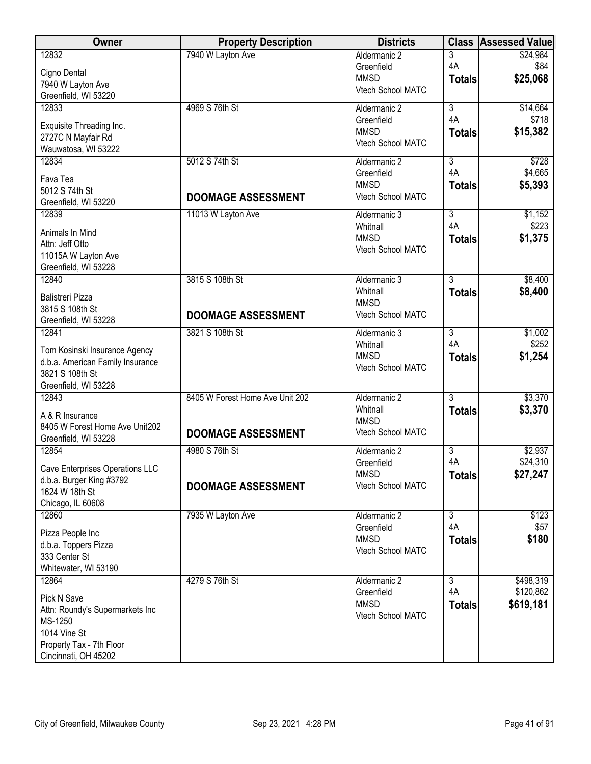| <b>Owner</b>                                        | <b>Property Description</b>     | <b>Districts</b>                 | <b>Class</b>   | <b>Assessed Value</b> |
|-----------------------------------------------------|---------------------------------|----------------------------------|----------------|-----------------------|
| 12832                                               | 7940 W Layton Ave               | Aldermanic 2                     | 3              | \$24,984              |
| Cigno Dental                                        |                                 | Greenfield                       | 4A             | \$84                  |
| 7940 W Layton Ave                                   |                                 | <b>MMSD</b><br>Vtech School MATC | <b>Totals</b>  | \$25,068              |
| Greenfield, WI 53220                                |                                 |                                  |                |                       |
| 12833                                               | 4969 S 76th St                  | Aldermanic 2                     | $\overline{3}$ | \$14,664              |
| Exquisite Threading Inc.                            |                                 | Greenfield                       | 4A             | \$718                 |
| 2727C N Mayfair Rd                                  |                                 | <b>MMSD</b>                      | <b>Totals</b>  | \$15,382              |
| Wauwatosa, WI 53222                                 |                                 | Vtech School MATC                |                |                       |
| 12834                                               | 5012 S 74th St                  | Aldermanic 2                     | 3              | \$728                 |
|                                                     |                                 | Greenfield                       | 4A             | \$4,665               |
| Fava Tea                                            |                                 | <b>MMSD</b>                      | <b>Totals</b>  | \$5,393               |
| 5012 S 74th St                                      | <b>DOOMAGE ASSESSMENT</b>       | Vtech School MATC                |                |                       |
| Greenfield, WI 53220                                |                                 |                                  |                |                       |
| 12839                                               | 11013 W Layton Ave              | Aldermanic 3                     | $\overline{3}$ | \$1,152               |
| Animals In Mind                                     |                                 | Whitnall                         | 4A             | \$223                 |
| Attn: Jeff Otto                                     |                                 | <b>MMSD</b><br>Vtech School MATC | <b>Totals</b>  | \$1,375               |
| 11015A W Layton Ave                                 |                                 |                                  |                |                       |
| Greenfield, WI 53228                                |                                 |                                  |                |                       |
| 12840                                               | 3815 S 108th St                 | Aldermanic 3                     | $\overline{3}$ | \$8,400               |
| Balistreri Pizza                                    |                                 | Whitnall                         | <b>Totals</b>  | \$8,400               |
| 3815 S 108th St                                     |                                 | <b>MMSD</b>                      |                |                       |
| Greenfield, WI 53228                                | <b>DOOMAGE ASSESSMENT</b>       | Vtech School MATC                |                |                       |
| 12841                                               | 3821 S 108th St                 | Aldermanic 3                     | $\overline{3}$ | \$1,002               |
|                                                     |                                 | Whitnall                         | 4A             | \$252                 |
| Tom Kosinski Insurance Agency                       |                                 | <b>MMSD</b>                      | <b>Totals</b>  | \$1,254               |
| d.b.a. American Family Insurance<br>3821 S 108th St |                                 | Vtech School MATC                |                |                       |
| Greenfield, WI 53228                                |                                 |                                  |                |                       |
| 12843                                               | 8405 W Forest Home Ave Unit 202 | Aldermanic 2                     | $\overline{3}$ | \$3,370               |
|                                                     |                                 | Whitnall                         | <b>Totals</b>  | \$3,370               |
| A & R Insurance                                     |                                 | <b>MMSD</b>                      |                |                       |
| 8405 W Forest Home Ave Unit202                      | <b>DOOMAGE ASSESSMENT</b>       | Vtech School MATC                |                |                       |
| Greenfield, WI 53228                                |                                 |                                  |                |                       |
| 12854                                               | 4980 S 76th St                  | Aldermanic 2                     | $\overline{3}$ | \$2,937               |
| Cave Enterprises Operations LLC                     |                                 | Greenfield                       | 4A             | \$24,310              |
| d.b.a. Burger King #3792                            |                                 | <b>MMSD</b>                      | <b>Totals</b>  | \$27,247              |
| 1624 W 18th St                                      | <b>DOOMAGE ASSESSMENT</b>       | Vtech School MATC                |                |                       |
| Chicago, IL 60608                                   |                                 |                                  |                |                       |
| 12860                                               | 7935 W Layton Ave               | Aldermanic 2                     | 3              | \$123                 |
| Pizza People Inc                                    |                                 | Greenfield                       | 4A             | \$57                  |
| d.b.a. Toppers Pizza                                |                                 | <b>MMSD</b>                      | <b>Totals</b>  | \$180                 |
| 333 Center St                                       |                                 | Vtech School MATC                |                |                       |
| Whitewater, WI 53190                                |                                 |                                  |                |                       |
| 12864                                               | 4279 S 76th St                  | Aldermanic 2                     | $\overline{3}$ | \$498,319             |
|                                                     |                                 | Greenfield                       | 4A             | \$120,862             |
| Pick N Save                                         |                                 | <b>MMSD</b>                      | <b>Totals</b>  | \$619,181             |
| Attn: Roundy's Supermarkets Inc<br>MS-1250          |                                 | Vtech School MATC                |                |                       |
| 1014 Vine St                                        |                                 |                                  |                |                       |
| Property Tax - 7th Floor                            |                                 |                                  |                |                       |
| Cincinnati, OH 45202                                |                                 |                                  |                |                       |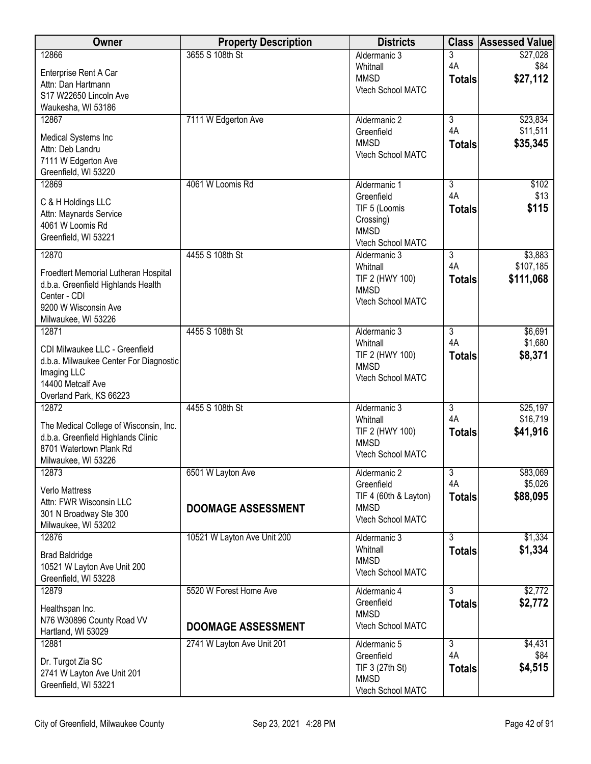| Owner                                                                        | <b>Property Description</b> | <b>Districts</b>                     | <b>Class</b>        | <b>Assessed Value</b>  |
|------------------------------------------------------------------------------|-----------------------------|--------------------------------------|---------------------|------------------------|
| 12866                                                                        | 3655 S 108th St             | Aldermanic 3                         | 3                   | \$27,028               |
| Enterprise Rent A Car                                                        |                             | Whitnall<br><b>MMSD</b>              | 4A<br><b>Totals</b> | \$84<br>\$27,112       |
| Attn: Dan Hartmann                                                           |                             | Vtech School MATC                    |                     |                        |
| S17 W22650 Lincoln Ave<br>Waukesha, WI 53186                                 |                             |                                      |                     |                        |
| 12867                                                                        | 7111 W Edgerton Ave         | Aldermanic 2                         | $\overline{3}$      | \$23,834               |
|                                                                              |                             | Greenfield                           | 4A                  | \$11,511               |
| Medical Systems Inc<br>Attn: Deb Landru                                      |                             | <b>MMSD</b>                          | <b>Totals</b>       | \$35,345               |
| 7111 W Edgerton Ave                                                          |                             | Vtech School MATC                    |                     |                        |
| Greenfield, WI 53220                                                         |                             |                                      |                     |                        |
| 12869                                                                        | 4061 W Loomis Rd            | Aldermanic 1                         | 3                   | \$102                  |
| C & H Holdings LLC                                                           |                             | Greenfield<br>TIF 5 (Loomis          | 4A<br><b>Totals</b> | \$13<br>\$115          |
| Attn: Maynards Service                                                       |                             | Crossing)                            |                     |                        |
| 4061 W Loomis Rd                                                             |                             | <b>MMSD</b>                          |                     |                        |
| Greenfield, WI 53221                                                         |                             | Vtech School MATC                    |                     |                        |
| 12870                                                                        | 4455 S 108th St             | Aldermanic 3                         | $\overline{3}$      | \$3,883                |
| Froedtert Memorial Lutheran Hospital                                         |                             | Whitnall<br>TIF 2 (HWY 100)          | 4A<br><b>Totals</b> | \$107,185<br>\$111,068 |
| d.b.a. Greenfield Highlands Health                                           |                             | <b>MMSD</b>                          |                     |                        |
| Center - CDI<br>9200 W Wisconsin Ave                                         |                             | Vtech School MATC                    |                     |                        |
| Milwaukee, WI 53226                                                          |                             |                                      |                     |                        |
| 12871                                                                        | 4455 S 108th St             | Aldermanic 3                         | 3                   | \$6,691                |
| CDI Milwaukee LLC - Greenfield                                               |                             | Whitnall                             | 4A                  | \$1,680                |
| d.b.a. Milwaukee Center For Diagnostic                                       |                             | TIF 2 (HWY 100)                      | <b>Totals</b>       | \$8,371                |
| Imaging LLC                                                                  |                             | <b>MMSD</b><br>Vtech School MATC     |                     |                        |
| 14400 Metcalf Ave                                                            |                             |                                      |                     |                        |
| Overland Park, KS 66223<br>12872                                             | 4455 S 108th St             | Aldermanic 3                         | $\overline{3}$      | \$25,197               |
|                                                                              |                             | Whitnall                             | 4A                  | \$16,719               |
| The Medical College of Wisconsin, Inc.<br>d.b.a. Greenfield Highlands Clinic |                             | TIF 2 (HWY 100)                      | <b>Totals</b>       | \$41,916               |
| 8701 Watertown Plank Rd                                                      |                             | <b>MMSD</b>                          |                     |                        |
| Milwaukee, WI 53226                                                          |                             | Vtech School MATC                    |                     |                        |
| 12873                                                                        | 6501 W Layton Ave           | Aldermanic 2                         | 3                   | \$83,069               |
| Verlo Mattress                                                               |                             | Greenfield                           | 4A                  | \$5,026                |
| Attn: FWR Wisconsin LLC                                                      | <b>DOOMAGE ASSESSMENT</b>   | TIF 4 (60th & Layton)<br><b>MMSD</b> | <b>Totals</b>       | \$88,095               |
| 301 N Broadway Ste 300                                                       |                             | Vtech School MATC                    |                     |                        |
| Milwaukee, WI 53202<br>12876                                                 | 10521 W Layton Ave Unit 200 | Aldermanic 3                         | $\overline{3}$      | \$1,334                |
|                                                                              |                             | Whitnall                             | <b>Totals</b>       | \$1,334                |
| <b>Brad Baldridge</b>                                                        |                             | <b>MMSD</b>                          |                     |                        |
| 10521 W Layton Ave Unit 200<br>Greenfield, WI 53228                          |                             | Vtech School MATC                    |                     |                        |
| 12879                                                                        | 5520 W Forest Home Ave      | Aldermanic 4                         | $\overline{3}$      | \$2,772                |
| Healthspan Inc.                                                              |                             | Greenfield                           | <b>Totals</b>       | \$2,772                |
| N76 W30896 County Road VV                                                    |                             | <b>MMSD</b>                          |                     |                        |
| Hartland, WI 53029                                                           | <b>DOOMAGE ASSESSMENT</b>   | Vtech School MATC                    |                     |                        |
| 12881                                                                        | 2741 W Layton Ave Unit 201  | Aldermanic 5                         | 3                   | \$4,431                |
| Dr. Turgot Zia SC                                                            |                             | Greenfield                           | 4A                  | \$84                   |
| 2741 W Layton Ave Unit 201                                                   |                             | TIF 3 (27th St)<br><b>MMSD</b>       | <b>Totals</b>       | \$4,515                |
| Greenfield, WI 53221                                                         |                             | Vtech School MATC                    |                     |                        |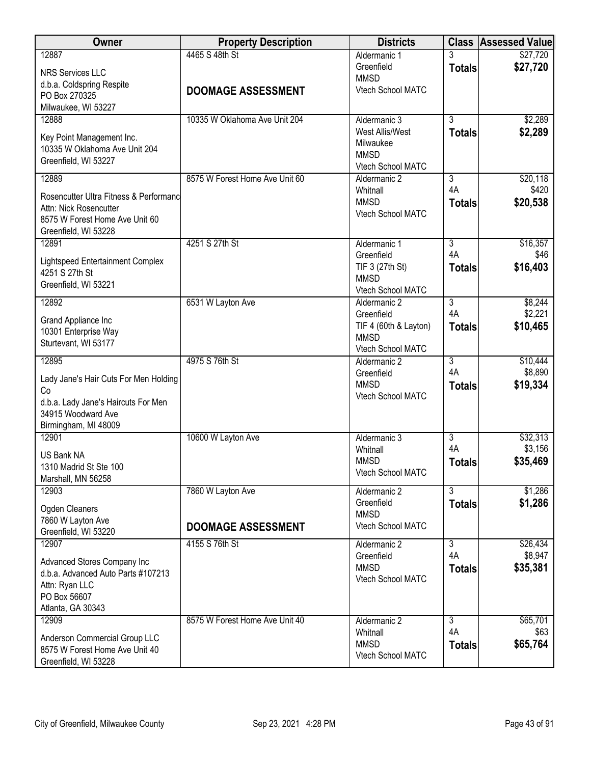| Owner                                  | <b>Property Description</b>    | <b>Districts</b>          |                      | <b>Class Assessed Value</b> |
|----------------------------------------|--------------------------------|---------------------------|----------------------|-----------------------------|
| 12887                                  | 4465 S 48th St                 | Aldermanic 1              | 3                    | \$27,720                    |
| <b>NRS Services LLC</b>                |                                | Greenfield                | <b>Totals</b>        | \$27,720                    |
| d.b.a. Coldspring Respite              |                                | <b>MMSD</b>               |                      |                             |
| PO Box 270325                          | <b>DOOMAGE ASSESSMENT</b>      | Vtech School MATC         |                      |                             |
| Milwaukee, WI 53227                    |                                |                           |                      |                             |
| 12888                                  | 10335 W Oklahoma Ave Unit 204  | Aldermanic 3              | $\overline{3}$       | \$2,289                     |
|                                        |                                | West Allis/West           | <b>Totals</b>        | \$2,289                     |
| Key Point Management Inc.              |                                | Milwaukee                 |                      |                             |
| 10335 W Oklahoma Ave Unit 204          |                                | <b>MMSD</b>               |                      |                             |
| Greenfield, WI 53227                   |                                | Vtech School MATC         |                      |                             |
| 12889                                  | 8575 W Forest Home Ave Unit 60 | Aldermanic 2              | $\overline{3}$       | \$20,118                    |
| Rosencutter Ultra Fitness & Performanc |                                | Whitnall                  | 4A                   | \$420                       |
| Attn: Nick Rosencutter                 |                                | <b>MMSD</b>               | <b>Totals</b>        | \$20,538                    |
| 8575 W Forest Home Ave Unit 60         |                                | Vtech School MATC         |                      |                             |
| Greenfield, WI 53228                   |                                |                           |                      |                             |
| 12891                                  | 4251 S 27th St                 | Aldermanic 1              | $\overline{3}$       | \$16,357                    |
|                                        |                                | Greenfield                | 4A                   | \$46                        |
| Lightspeed Entertainment Complex       |                                | TIF 3 (27th St)           | <b>Totals</b>        | \$16,403                    |
| 4251 S 27th St                         |                                | <b>MMSD</b>               |                      |                             |
| Greenfield, WI 53221                   |                                | Vtech School MATC         |                      |                             |
| 12892                                  | 6531 W Layton Ave              | Aldermanic 2              | $\overline{3}$       | \$8,244                     |
| Grand Appliance Inc                    |                                | Greenfield                | 4A                   | \$2,221                     |
| 10301 Enterprise Way                   |                                | TIF 4 (60th & Layton)     | <b>Totals</b>        | \$10,465                    |
| Sturtevant, WI 53177                   |                                | <b>MMSD</b>               |                      |                             |
|                                        |                                | Vtech School MATC         |                      |                             |
| 12895                                  | 4975 S 76th St                 | Aldermanic 2              | $\overline{3}$<br>4A | \$10,444                    |
| Lady Jane's Hair Cuts For Men Holding  |                                | Greenfield<br><b>MMSD</b> |                      | \$8,890                     |
| Co                                     |                                | Vtech School MATC         | <b>Totals</b>        | \$19,334                    |
| d.b.a. Lady Jane's Haircuts For Men    |                                |                           |                      |                             |
| 34915 Woodward Ave                     |                                |                           |                      |                             |
| Birmingham, MI 48009                   |                                |                           |                      |                             |
| 12901                                  | 10600 W Layton Ave             | Aldermanic 3              | $\overline{3}$       | \$32,313                    |
| US Bank NA                             |                                | Whitnall                  | 4A                   | \$3,156                     |
| 1310 Madrid St Ste 100                 |                                | <b>MMSD</b>               | <b>Totals</b>        | \$35,469                    |
| Marshall, MN 56258                     |                                | Vtech School MATC         |                      |                             |
| 12903                                  | 7860 W Layton Ave              | Aldermanic 2              | $\overline{3}$       | \$1,286                     |
| Ogden Cleaners                         |                                | Greenfield                | <b>Totals</b>        | \$1,286                     |
| 7860 W Layton Ave                      |                                | <b>MMSD</b>               |                      |                             |
| Greenfield, WI 53220                   | <b>DOOMAGE ASSESSMENT</b>      | Vtech School MATC         |                      |                             |
| 12907                                  | 4155 S 76th St                 | Aldermanic 2              | $\overline{3}$       | \$26,434                    |
|                                        |                                | Greenfield                | 4A                   | \$8,947                     |
| Advanced Stores Company Inc            |                                | <b>MMSD</b>               | <b>Totals</b>        | \$35,381                    |
| d.b.a. Advanced Auto Parts #107213     |                                | Vtech School MATC         |                      |                             |
| Attn: Ryan LLC<br>PO Box 56607         |                                |                           |                      |                             |
| Atlanta, GA 30343                      |                                |                           |                      |                             |
| 12909                                  | 8575 W Forest Home Ave Unit 40 | Aldermanic 2              | $\overline{3}$       | \$65,701                    |
|                                        |                                | Whitnall                  | 4A                   | \$63                        |
| Anderson Commercial Group LLC          |                                | <b>MMSD</b>               | <b>Totals</b>        | \$65,764                    |
| 8575 W Forest Home Ave Unit 40         |                                | Vtech School MATC         |                      |                             |
| Greenfield, WI 53228                   |                                |                           |                      |                             |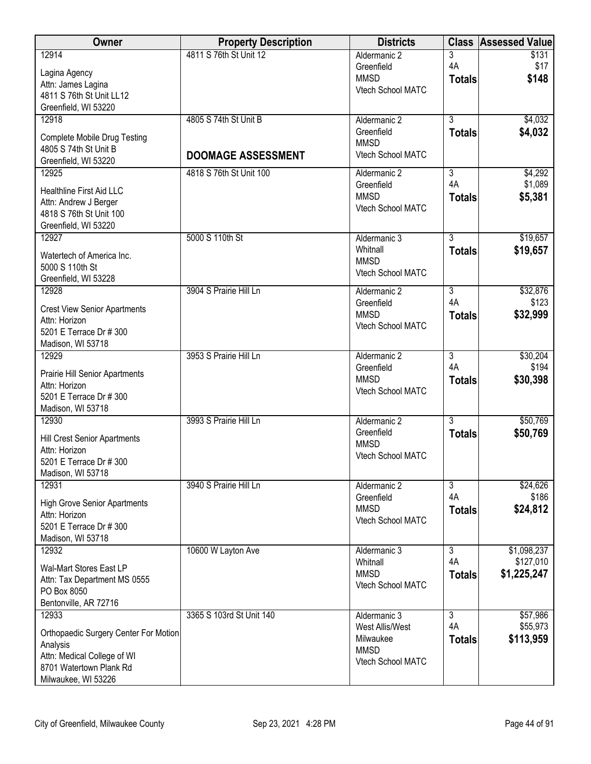| 3<br>4A<br>\$17<br>Greenfield<br>Lagina Agency<br>\$148<br><b>MMSD</b><br><b>Totals</b><br>Attn: James Lagina<br>Vtech School MATC<br>4811 S 76th St Unit LL12<br>Greenfield, WI 53220<br>4805 S 74th St Unit B<br>$\overline{3}$<br>\$4,032<br>12918<br>Aldermanic 2<br>\$4,032<br>Greenfield<br><b>Totals</b><br><b>Complete Mobile Drug Testing</b><br><b>MMSD</b><br>4805 S 74th St Unit B<br>Vtech School MATC<br><b>DOOMAGE ASSESSMENT</b><br>Greenfield, WI 53220<br>4818 S 76th St Unit 100<br>$\overline{3}$<br>\$4,292<br>12925<br>Aldermanic 2<br>4A<br>\$1,089<br>Greenfield<br>Healthline First Aid LLC<br><b>MMSD</b><br>\$5,381<br><b>Totals</b><br>Attn: Andrew J Berger<br>Vtech School MATC<br>4818 S 76th St Unit 100<br>Greenfield, WI 53220<br>$\overline{3}$<br>5000 S 110th St<br>12927<br>Aldermanic 3<br>\$19,657<br>Whitnall<br>\$19,657<br><b>Totals</b><br>Watertech of America Inc.<br><b>MMSD</b><br>5000 S 110th St<br>Vtech School MATC<br>Greenfield, WI 53228<br>12928<br>3904 S Prairie Hill Ln<br>\$32,876<br>Aldermanic 2<br>3<br>4A<br>\$123<br>Greenfield<br><b>Crest View Senior Apartments</b><br>\$32,999<br><b>MMSD</b><br><b>Totals</b><br>Attn: Horizon<br>Vtech School MATC<br>5201 E Terrace Dr # 300<br>Madison, WI 53718<br>\$30,204<br>12929<br>3953 S Prairie Hill Ln<br>Aldermanic 2<br>$\overline{3}$<br>4A<br>\$194<br>Greenfield<br>Prairie Hill Senior Apartments<br><b>MMSD</b><br>\$30,398<br><b>Totals</b><br>Attn: Horizon<br>Vtech School MATC<br>5201 E Terrace Dr # 300<br>Madison, WI 53718<br>12930<br>$\overline{3}$<br>\$50,769<br>3993 S Prairie Hill Ln<br>Aldermanic 2<br>\$50,769<br>Greenfield<br><b>Totals</b><br>Hill Crest Senior Apartments<br><b>MMSD</b><br>Attn: Horizon<br>Vtech School MATC<br>5201 E Terrace Dr # 300<br>Madison, WI 53718<br>3940 S Prairie Hill Ln<br>$\overline{3}$<br>\$24,626<br>12931<br>Aldermanic 2<br>4A<br>\$186<br>Greenfield<br><b>High Grove Senior Apartments</b><br><b>MMSD</b><br>\$24,812<br><b>Totals</b><br>Attn: Horizon<br>Vtech School MATC<br>5201 E Terrace Dr # 300<br>Madison, WI 53718<br>$\overline{3}$<br>12932<br>10600 W Layton Ave<br>\$1,098,237<br>Aldermanic 3<br>4A<br>\$127,010<br>Whitnall<br>Wal-Mart Stores East LP<br>\$1,225,247<br><b>MMSD</b><br><b>Totals</b><br>Attn: Tax Department MS 0555<br>Vtech School MATC | Owner       | <b>Property Description</b> | <b>Districts</b> | <b>Class Assessed Value</b> |
|-------------------------------------------------------------------------------------------------------------------------------------------------------------------------------------------------------------------------------------------------------------------------------------------------------------------------------------------------------------------------------------------------------------------------------------------------------------------------------------------------------------------------------------------------------------------------------------------------------------------------------------------------------------------------------------------------------------------------------------------------------------------------------------------------------------------------------------------------------------------------------------------------------------------------------------------------------------------------------------------------------------------------------------------------------------------------------------------------------------------------------------------------------------------------------------------------------------------------------------------------------------------------------------------------------------------------------------------------------------------------------------------------------------------------------------------------------------------------------------------------------------------------------------------------------------------------------------------------------------------------------------------------------------------------------------------------------------------------------------------------------------------------------------------------------------------------------------------------------------------------------------------------------------------------------------------------------------------------------------------------------------------------------------------------------------------------------------------------------------------------------------------------------------------------------------------------------------------------------------------------------------------------------------------------------------------------------------------------------------------|-------------|-----------------------------|------------------|-----------------------------|
|                                                                                                                                                                                                                                                                                                                                                                                                                                                                                                                                                                                                                                                                                                                                                                                                                                                                                                                                                                                                                                                                                                                                                                                                                                                                                                                                                                                                                                                                                                                                                                                                                                                                                                                                                                                                                                                                                                                                                                                                                                                                                                                                                                                                                                                                                                                                                                   | 12914       | 4811 S 76th St Unit 12      | Aldermanic 2     | \$131                       |
|                                                                                                                                                                                                                                                                                                                                                                                                                                                                                                                                                                                                                                                                                                                                                                                                                                                                                                                                                                                                                                                                                                                                                                                                                                                                                                                                                                                                                                                                                                                                                                                                                                                                                                                                                                                                                                                                                                                                                                                                                                                                                                                                                                                                                                                                                                                                                                   |             |                             |                  |                             |
|                                                                                                                                                                                                                                                                                                                                                                                                                                                                                                                                                                                                                                                                                                                                                                                                                                                                                                                                                                                                                                                                                                                                                                                                                                                                                                                                                                                                                                                                                                                                                                                                                                                                                                                                                                                                                                                                                                                                                                                                                                                                                                                                                                                                                                                                                                                                                                   |             |                             |                  |                             |
|                                                                                                                                                                                                                                                                                                                                                                                                                                                                                                                                                                                                                                                                                                                                                                                                                                                                                                                                                                                                                                                                                                                                                                                                                                                                                                                                                                                                                                                                                                                                                                                                                                                                                                                                                                                                                                                                                                                                                                                                                                                                                                                                                                                                                                                                                                                                                                   |             |                             |                  |                             |
|                                                                                                                                                                                                                                                                                                                                                                                                                                                                                                                                                                                                                                                                                                                                                                                                                                                                                                                                                                                                                                                                                                                                                                                                                                                                                                                                                                                                                                                                                                                                                                                                                                                                                                                                                                                                                                                                                                                                                                                                                                                                                                                                                                                                                                                                                                                                                                   |             |                             |                  |                             |
|                                                                                                                                                                                                                                                                                                                                                                                                                                                                                                                                                                                                                                                                                                                                                                                                                                                                                                                                                                                                                                                                                                                                                                                                                                                                                                                                                                                                                                                                                                                                                                                                                                                                                                                                                                                                                                                                                                                                                                                                                                                                                                                                                                                                                                                                                                                                                                   |             |                             |                  |                             |
|                                                                                                                                                                                                                                                                                                                                                                                                                                                                                                                                                                                                                                                                                                                                                                                                                                                                                                                                                                                                                                                                                                                                                                                                                                                                                                                                                                                                                                                                                                                                                                                                                                                                                                                                                                                                                                                                                                                                                                                                                                                                                                                                                                                                                                                                                                                                                                   |             |                             |                  |                             |
|                                                                                                                                                                                                                                                                                                                                                                                                                                                                                                                                                                                                                                                                                                                                                                                                                                                                                                                                                                                                                                                                                                                                                                                                                                                                                                                                                                                                                                                                                                                                                                                                                                                                                                                                                                                                                                                                                                                                                                                                                                                                                                                                                                                                                                                                                                                                                                   |             |                             |                  |                             |
|                                                                                                                                                                                                                                                                                                                                                                                                                                                                                                                                                                                                                                                                                                                                                                                                                                                                                                                                                                                                                                                                                                                                                                                                                                                                                                                                                                                                                                                                                                                                                                                                                                                                                                                                                                                                                                                                                                                                                                                                                                                                                                                                                                                                                                                                                                                                                                   |             |                             |                  |                             |
|                                                                                                                                                                                                                                                                                                                                                                                                                                                                                                                                                                                                                                                                                                                                                                                                                                                                                                                                                                                                                                                                                                                                                                                                                                                                                                                                                                                                                                                                                                                                                                                                                                                                                                                                                                                                                                                                                                                                                                                                                                                                                                                                                                                                                                                                                                                                                                   |             |                             |                  |                             |
|                                                                                                                                                                                                                                                                                                                                                                                                                                                                                                                                                                                                                                                                                                                                                                                                                                                                                                                                                                                                                                                                                                                                                                                                                                                                                                                                                                                                                                                                                                                                                                                                                                                                                                                                                                                                                                                                                                                                                                                                                                                                                                                                                                                                                                                                                                                                                                   |             |                             |                  |                             |
|                                                                                                                                                                                                                                                                                                                                                                                                                                                                                                                                                                                                                                                                                                                                                                                                                                                                                                                                                                                                                                                                                                                                                                                                                                                                                                                                                                                                                                                                                                                                                                                                                                                                                                                                                                                                                                                                                                                                                                                                                                                                                                                                                                                                                                                                                                                                                                   |             |                             |                  |                             |
|                                                                                                                                                                                                                                                                                                                                                                                                                                                                                                                                                                                                                                                                                                                                                                                                                                                                                                                                                                                                                                                                                                                                                                                                                                                                                                                                                                                                                                                                                                                                                                                                                                                                                                                                                                                                                                                                                                                                                                                                                                                                                                                                                                                                                                                                                                                                                                   |             |                             |                  |                             |
|                                                                                                                                                                                                                                                                                                                                                                                                                                                                                                                                                                                                                                                                                                                                                                                                                                                                                                                                                                                                                                                                                                                                                                                                                                                                                                                                                                                                                                                                                                                                                                                                                                                                                                                                                                                                                                                                                                                                                                                                                                                                                                                                                                                                                                                                                                                                                                   |             |                             |                  |                             |
|                                                                                                                                                                                                                                                                                                                                                                                                                                                                                                                                                                                                                                                                                                                                                                                                                                                                                                                                                                                                                                                                                                                                                                                                                                                                                                                                                                                                                                                                                                                                                                                                                                                                                                                                                                                                                                                                                                                                                                                                                                                                                                                                                                                                                                                                                                                                                                   |             |                             |                  |                             |
|                                                                                                                                                                                                                                                                                                                                                                                                                                                                                                                                                                                                                                                                                                                                                                                                                                                                                                                                                                                                                                                                                                                                                                                                                                                                                                                                                                                                                                                                                                                                                                                                                                                                                                                                                                                                                                                                                                                                                                                                                                                                                                                                                                                                                                                                                                                                                                   |             |                             |                  |                             |
|                                                                                                                                                                                                                                                                                                                                                                                                                                                                                                                                                                                                                                                                                                                                                                                                                                                                                                                                                                                                                                                                                                                                                                                                                                                                                                                                                                                                                                                                                                                                                                                                                                                                                                                                                                                                                                                                                                                                                                                                                                                                                                                                                                                                                                                                                                                                                                   |             |                             |                  |                             |
|                                                                                                                                                                                                                                                                                                                                                                                                                                                                                                                                                                                                                                                                                                                                                                                                                                                                                                                                                                                                                                                                                                                                                                                                                                                                                                                                                                                                                                                                                                                                                                                                                                                                                                                                                                                                                                                                                                                                                                                                                                                                                                                                                                                                                                                                                                                                                                   |             |                             |                  |                             |
|                                                                                                                                                                                                                                                                                                                                                                                                                                                                                                                                                                                                                                                                                                                                                                                                                                                                                                                                                                                                                                                                                                                                                                                                                                                                                                                                                                                                                                                                                                                                                                                                                                                                                                                                                                                                                                                                                                                                                                                                                                                                                                                                                                                                                                                                                                                                                                   |             |                             |                  |                             |
|                                                                                                                                                                                                                                                                                                                                                                                                                                                                                                                                                                                                                                                                                                                                                                                                                                                                                                                                                                                                                                                                                                                                                                                                                                                                                                                                                                                                                                                                                                                                                                                                                                                                                                                                                                                                                                                                                                                                                                                                                                                                                                                                                                                                                                                                                                                                                                   |             |                             |                  |                             |
|                                                                                                                                                                                                                                                                                                                                                                                                                                                                                                                                                                                                                                                                                                                                                                                                                                                                                                                                                                                                                                                                                                                                                                                                                                                                                                                                                                                                                                                                                                                                                                                                                                                                                                                                                                                                                                                                                                                                                                                                                                                                                                                                                                                                                                                                                                                                                                   |             |                             |                  |                             |
|                                                                                                                                                                                                                                                                                                                                                                                                                                                                                                                                                                                                                                                                                                                                                                                                                                                                                                                                                                                                                                                                                                                                                                                                                                                                                                                                                                                                                                                                                                                                                                                                                                                                                                                                                                                                                                                                                                                                                                                                                                                                                                                                                                                                                                                                                                                                                                   |             |                             |                  |                             |
|                                                                                                                                                                                                                                                                                                                                                                                                                                                                                                                                                                                                                                                                                                                                                                                                                                                                                                                                                                                                                                                                                                                                                                                                                                                                                                                                                                                                                                                                                                                                                                                                                                                                                                                                                                                                                                                                                                                                                                                                                                                                                                                                                                                                                                                                                                                                                                   |             |                             |                  |                             |
|                                                                                                                                                                                                                                                                                                                                                                                                                                                                                                                                                                                                                                                                                                                                                                                                                                                                                                                                                                                                                                                                                                                                                                                                                                                                                                                                                                                                                                                                                                                                                                                                                                                                                                                                                                                                                                                                                                                                                                                                                                                                                                                                                                                                                                                                                                                                                                   |             |                             |                  |                             |
|                                                                                                                                                                                                                                                                                                                                                                                                                                                                                                                                                                                                                                                                                                                                                                                                                                                                                                                                                                                                                                                                                                                                                                                                                                                                                                                                                                                                                                                                                                                                                                                                                                                                                                                                                                                                                                                                                                                                                                                                                                                                                                                                                                                                                                                                                                                                                                   |             |                             |                  |                             |
|                                                                                                                                                                                                                                                                                                                                                                                                                                                                                                                                                                                                                                                                                                                                                                                                                                                                                                                                                                                                                                                                                                                                                                                                                                                                                                                                                                                                                                                                                                                                                                                                                                                                                                                                                                                                                                                                                                                                                                                                                                                                                                                                                                                                                                                                                                                                                                   |             |                             |                  |                             |
|                                                                                                                                                                                                                                                                                                                                                                                                                                                                                                                                                                                                                                                                                                                                                                                                                                                                                                                                                                                                                                                                                                                                                                                                                                                                                                                                                                                                                                                                                                                                                                                                                                                                                                                                                                                                                                                                                                                                                                                                                                                                                                                                                                                                                                                                                                                                                                   |             |                             |                  |                             |
|                                                                                                                                                                                                                                                                                                                                                                                                                                                                                                                                                                                                                                                                                                                                                                                                                                                                                                                                                                                                                                                                                                                                                                                                                                                                                                                                                                                                                                                                                                                                                                                                                                                                                                                                                                                                                                                                                                                                                                                                                                                                                                                                                                                                                                                                                                                                                                   |             |                             |                  |                             |
|                                                                                                                                                                                                                                                                                                                                                                                                                                                                                                                                                                                                                                                                                                                                                                                                                                                                                                                                                                                                                                                                                                                                                                                                                                                                                                                                                                                                                                                                                                                                                                                                                                                                                                                                                                                                                                                                                                                                                                                                                                                                                                                                                                                                                                                                                                                                                                   |             |                             |                  |                             |
|                                                                                                                                                                                                                                                                                                                                                                                                                                                                                                                                                                                                                                                                                                                                                                                                                                                                                                                                                                                                                                                                                                                                                                                                                                                                                                                                                                                                                                                                                                                                                                                                                                                                                                                                                                                                                                                                                                                                                                                                                                                                                                                                                                                                                                                                                                                                                                   |             |                             |                  |                             |
|                                                                                                                                                                                                                                                                                                                                                                                                                                                                                                                                                                                                                                                                                                                                                                                                                                                                                                                                                                                                                                                                                                                                                                                                                                                                                                                                                                                                                                                                                                                                                                                                                                                                                                                                                                                                                                                                                                                                                                                                                                                                                                                                                                                                                                                                                                                                                                   |             |                             |                  |                             |
|                                                                                                                                                                                                                                                                                                                                                                                                                                                                                                                                                                                                                                                                                                                                                                                                                                                                                                                                                                                                                                                                                                                                                                                                                                                                                                                                                                                                                                                                                                                                                                                                                                                                                                                                                                                                                                                                                                                                                                                                                                                                                                                                                                                                                                                                                                                                                                   |             |                             |                  |                             |
|                                                                                                                                                                                                                                                                                                                                                                                                                                                                                                                                                                                                                                                                                                                                                                                                                                                                                                                                                                                                                                                                                                                                                                                                                                                                                                                                                                                                                                                                                                                                                                                                                                                                                                                                                                                                                                                                                                                                                                                                                                                                                                                                                                                                                                                                                                                                                                   |             |                             |                  |                             |
|                                                                                                                                                                                                                                                                                                                                                                                                                                                                                                                                                                                                                                                                                                                                                                                                                                                                                                                                                                                                                                                                                                                                                                                                                                                                                                                                                                                                                                                                                                                                                                                                                                                                                                                                                                                                                                                                                                                                                                                                                                                                                                                                                                                                                                                                                                                                                                   |             |                             |                  |                             |
|                                                                                                                                                                                                                                                                                                                                                                                                                                                                                                                                                                                                                                                                                                                                                                                                                                                                                                                                                                                                                                                                                                                                                                                                                                                                                                                                                                                                                                                                                                                                                                                                                                                                                                                                                                                                                                                                                                                                                                                                                                                                                                                                                                                                                                                                                                                                                                   |             |                             |                  |                             |
|                                                                                                                                                                                                                                                                                                                                                                                                                                                                                                                                                                                                                                                                                                                                                                                                                                                                                                                                                                                                                                                                                                                                                                                                                                                                                                                                                                                                                                                                                                                                                                                                                                                                                                                                                                                                                                                                                                                                                                                                                                                                                                                                                                                                                                                                                                                                                                   |             |                             |                  |                             |
|                                                                                                                                                                                                                                                                                                                                                                                                                                                                                                                                                                                                                                                                                                                                                                                                                                                                                                                                                                                                                                                                                                                                                                                                                                                                                                                                                                                                                                                                                                                                                                                                                                                                                                                                                                                                                                                                                                                                                                                                                                                                                                                                                                                                                                                                                                                                                                   |             |                             |                  |                             |
|                                                                                                                                                                                                                                                                                                                                                                                                                                                                                                                                                                                                                                                                                                                                                                                                                                                                                                                                                                                                                                                                                                                                                                                                                                                                                                                                                                                                                                                                                                                                                                                                                                                                                                                                                                                                                                                                                                                                                                                                                                                                                                                                                                                                                                                                                                                                                                   |             |                             |                  |                             |
|                                                                                                                                                                                                                                                                                                                                                                                                                                                                                                                                                                                                                                                                                                                                                                                                                                                                                                                                                                                                                                                                                                                                                                                                                                                                                                                                                                                                                                                                                                                                                                                                                                                                                                                                                                                                                                                                                                                                                                                                                                                                                                                                                                                                                                                                                                                                                                   | PO Box 8050 |                             |                  |                             |
| Bentonville, AR 72716                                                                                                                                                                                                                                                                                                                                                                                                                                                                                                                                                                                                                                                                                                                                                                                                                                                                                                                                                                                                                                                                                                                                                                                                                                                                                                                                                                                                                                                                                                                                                                                                                                                                                                                                                                                                                                                                                                                                                                                                                                                                                                                                                                                                                                                                                                                                             |             |                             |                  |                             |
| 3365 S 103rd St Unit 140<br>12933<br>Aldermanic 3<br>$\overline{3}$<br>\$57,986<br>4A<br>\$55,973<br>West Allis/West                                                                                                                                                                                                                                                                                                                                                                                                                                                                                                                                                                                                                                                                                                                                                                                                                                                                                                                                                                                                                                                                                                                                                                                                                                                                                                                                                                                                                                                                                                                                                                                                                                                                                                                                                                                                                                                                                                                                                                                                                                                                                                                                                                                                                                              |             |                             |                  |                             |
| Orthopaedic Surgery Center For Motion<br>\$113,959<br>Milwaukee<br><b>Totals</b>                                                                                                                                                                                                                                                                                                                                                                                                                                                                                                                                                                                                                                                                                                                                                                                                                                                                                                                                                                                                                                                                                                                                                                                                                                                                                                                                                                                                                                                                                                                                                                                                                                                                                                                                                                                                                                                                                                                                                                                                                                                                                                                                                                                                                                                                                  |             |                             |                  |                             |
| Analysis<br><b>MMSD</b>                                                                                                                                                                                                                                                                                                                                                                                                                                                                                                                                                                                                                                                                                                                                                                                                                                                                                                                                                                                                                                                                                                                                                                                                                                                                                                                                                                                                                                                                                                                                                                                                                                                                                                                                                                                                                                                                                                                                                                                                                                                                                                                                                                                                                                                                                                                                           |             |                             |                  |                             |
| Attn: Medical College of WI<br>Vtech School MATC<br>8701 Watertown Plank Rd                                                                                                                                                                                                                                                                                                                                                                                                                                                                                                                                                                                                                                                                                                                                                                                                                                                                                                                                                                                                                                                                                                                                                                                                                                                                                                                                                                                                                                                                                                                                                                                                                                                                                                                                                                                                                                                                                                                                                                                                                                                                                                                                                                                                                                                                                       |             |                             |                  |                             |
| Milwaukee, WI 53226                                                                                                                                                                                                                                                                                                                                                                                                                                                                                                                                                                                                                                                                                                                                                                                                                                                                                                                                                                                                                                                                                                                                                                                                                                                                                                                                                                                                                                                                                                                                                                                                                                                                                                                                                                                                                                                                                                                                                                                                                                                                                                                                                                                                                                                                                                                                               |             |                             |                  |                             |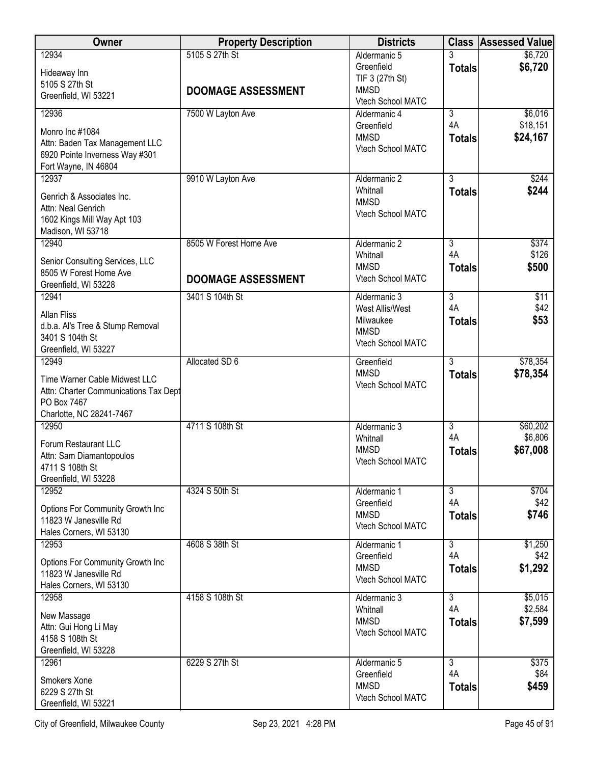| Owner                                                     | <b>Property Description</b> | <b>Districts</b>                 | <b>Class</b>         | <b>Assessed Value</b> |
|-----------------------------------------------------------|-----------------------------|----------------------------------|----------------------|-----------------------|
| 12934                                                     | 5105 S 27th St              | Aldermanic 5                     |                      | \$6,720               |
| Hideaway Inn                                              |                             | Greenfield                       | <b>Totals</b>        | \$6,720               |
| 5105 S 27th St                                            | <b>DOOMAGE ASSESSMENT</b>   | TIF 3 (27th St)<br><b>MMSD</b>   |                      |                       |
| Greenfield, WI 53221                                      |                             | Vtech School MATC                |                      |                       |
| 12936                                                     | 7500 W Layton Ave           | Aldermanic 4                     | 3                    | \$6,016               |
| Monro Inc #1084                                           |                             | Greenfield                       | 4A                   | \$18,151              |
| Attn: Baden Tax Management LLC                            |                             | <b>MMSD</b>                      | <b>Totals</b>        | \$24,167              |
| 6920 Pointe Inverness Way #301                            |                             | Vtech School MATC                |                      |                       |
| Fort Wayne, IN 46804                                      |                             |                                  |                      |                       |
| 12937                                                     | 9910 W Layton Ave           | Aldermanic 2<br>Whitnall         | $\overline{3}$       | \$244                 |
| Genrich & Associates Inc.                                 |                             | <b>MMSD</b>                      | <b>Totals</b>        | \$244                 |
| Attn: Neal Genrich                                        |                             | Vtech School MATC                |                      |                       |
| 1602 Kings Mill Way Apt 103<br>Madison, WI 53718          |                             |                                  |                      |                       |
| 12940                                                     | 8505 W Forest Home Ave      | Aldermanic 2                     | $\overline{3}$       | \$374                 |
|                                                           |                             | Whitnall                         | 4A                   | \$126                 |
| Senior Consulting Services, LLC<br>8505 W Forest Home Ave |                             | <b>MMSD</b>                      | <b>Totals</b>        | \$500                 |
| Greenfield, WI 53228                                      | <b>DOOMAGE ASSESSMENT</b>   | Vtech School MATC                |                      |                       |
| 12941                                                     | 3401 S 104th St             | Aldermanic 3                     | 3                    | \$11                  |
| <b>Allan Fliss</b>                                        |                             | West Allis/West                  | 4A                   | \$42                  |
| d.b.a. Al's Tree & Stump Removal                          |                             | Milwaukee                        | <b>Totals</b>        | \$53                  |
| 3401 S 104th St                                           |                             | <b>MMSD</b><br>Vtech School MATC |                      |                       |
| Greenfield, WI 53227                                      |                             |                                  |                      |                       |
| 12949                                                     | Allocated SD 6              | Greenfield<br><b>MMSD</b>        | $\overline{3}$       | \$78,354              |
| Time Warner Cable Midwest LLC                             |                             | Vtech School MATC                | <b>Totals</b>        | \$78,354              |
| Attn: Charter Communications Tax Dept                     |                             |                                  |                      |                       |
| PO Box 7467<br>Charlotte, NC 28241-7467                   |                             |                                  |                      |                       |
| 12950                                                     | 4711 S 108th St             | Aldermanic 3                     | 3                    | \$60,202              |
| Forum Restaurant LLC                                      |                             | Whitnall                         | 4A                   | \$6,806               |
| Attn: Sam Diamantopoulos                                  |                             | <b>MMSD</b>                      | <b>Totals</b>        | \$67,008              |
| 4711 S 108th St                                           |                             | <b>Vtech School MATC</b>         |                      |                       |
| Greenfield, WI 53228                                      |                             |                                  |                      |                       |
| 12952                                                     | 4324 S 50th St              | Aldermanic 1                     | $\overline{3}$<br>4A | \$704<br>\$42         |
| Options For Community Growth Inc                          |                             | Greenfield<br><b>MMSD</b>        | <b>Totals</b>        | \$746                 |
| 11823 W Janesville Rd                                     |                             | Vtech School MATC                |                      |                       |
| Hales Corners, WI 53130<br>12953                          | 4608 S 38th St              | Aldermanic 1                     | $\overline{3}$       | \$1,250               |
|                                                           |                             | Greenfield                       | 4A                   | \$42                  |
| Options For Community Growth Inc<br>11823 W Janesville Rd |                             | <b>MMSD</b>                      | <b>Totals</b>        | \$1,292               |
| Hales Corners, WI 53130                                   |                             | Vtech School MATC                |                      |                       |
| 12958                                                     | 4158 S 108th St             | Aldermanic 3                     | 3                    | \$5,015               |
| New Massage                                               |                             | Whitnall                         | 4A                   | \$2,584               |
| Attn: Gui Hong Li May                                     |                             | <b>MMSD</b>                      | <b>Totals</b>        | \$7,599               |
| 4158 S 108th St                                           |                             | Vtech School MATC                |                      |                       |
| Greenfield, WI 53228                                      |                             |                                  |                      |                       |
| 12961                                                     | 6229 S 27th St              | Aldermanic 5<br>Greenfield       | $\overline{3}$<br>4A | \$375<br>\$84         |
| Smokers Xone                                              |                             | <b>MMSD</b>                      | <b>Totals</b>        | \$459                 |
| 6229 S 27th St                                            |                             | Vtech School MATC                |                      |                       |
| Greenfield, WI 53221                                      |                             |                                  |                      |                       |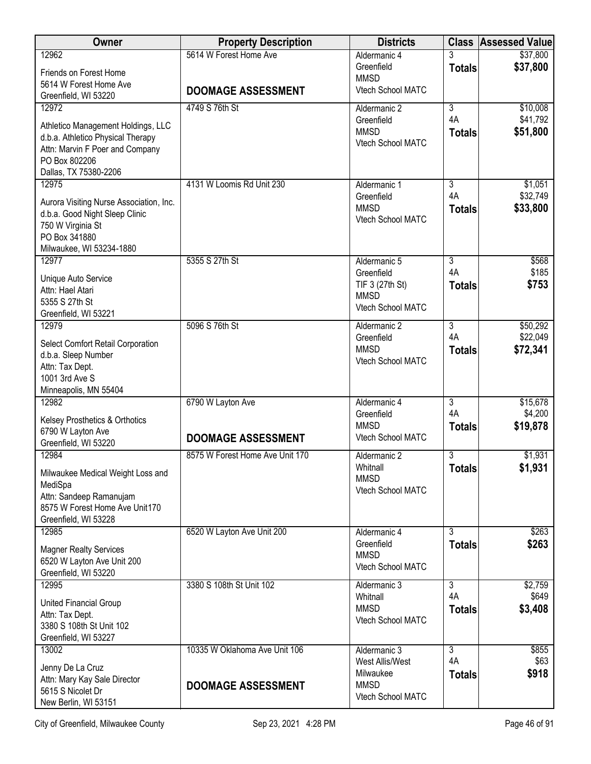| Owner                                                                     | <b>Property Description</b>     | <b>Districts</b>                 | <b>Class</b>         | <b>Assessed Value</b> |
|---------------------------------------------------------------------------|---------------------------------|----------------------------------|----------------------|-----------------------|
| 12962                                                                     | 5614 W Forest Home Ave          | Aldermanic 4                     |                      | \$37,800              |
| Friends on Forest Home                                                    |                                 | Greenfield<br><b>MMSD</b>        | <b>Totals</b>        | \$37,800              |
| 5614 W Forest Home Ave                                                    | <b>DOOMAGE ASSESSMENT</b>       | Vtech School MATC                |                      |                       |
| Greenfield, WI 53220                                                      |                                 |                                  |                      |                       |
| 12972                                                                     | 4749 S 76th St                  | Aldermanic 2<br>Greenfield       | $\overline{3}$<br>4A | \$10,008<br>\$41,792  |
| Athletico Management Holdings, LLC                                        |                                 | <b>MMSD</b>                      | <b>Totals</b>        | \$51,800              |
| d.b.a. Athletico Physical Therapy                                         |                                 | Vtech School MATC                |                      |                       |
| Attn: Marvin F Poer and Company<br>PO Box 802206                          |                                 |                                  |                      |                       |
| Dallas, TX 75380-2206                                                     |                                 |                                  |                      |                       |
| 12975                                                                     | 4131 W Loomis Rd Unit 230       | Aldermanic 1                     | $\overline{3}$       | \$1,051               |
|                                                                           |                                 | Greenfield                       | 4A                   | \$32,749              |
| Aurora Visiting Nurse Association, Inc.<br>d.b.a. Good Night Sleep Clinic |                                 | <b>MMSD</b>                      | <b>Totals</b>        | \$33,800              |
| 750 W Virginia St                                                         |                                 | Vtech School MATC                |                      |                       |
| PO Box 341880                                                             |                                 |                                  |                      |                       |
| Milwaukee, WI 53234-1880                                                  |                                 |                                  |                      |                       |
| 12977                                                                     | 5355 S 27th St                  | Aldermanic 5                     | $\overline{3}$       | \$568                 |
| Unique Auto Service                                                       |                                 | Greenfield<br>TIF 3 (27th St)    | 4A                   | \$185<br>\$753        |
| Attn: Hael Atari                                                          |                                 | <b>MMSD</b>                      | <b>Totals</b>        |                       |
| 5355 S 27th St                                                            |                                 | Vtech School MATC                |                      |                       |
| Greenfield, WI 53221<br>12979                                             | 5096 S 76th St                  | Aldermanic 2                     | $\overline{3}$       | \$50,292              |
|                                                                           |                                 | Greenfield                       | 4A                   | \$22,049              |
| Select Comfort Retail Corporation                                         |                                 | <b>MMSD</b>                      | <b>Totals</b>        | \$72,341              |
| d.b.a. Sleep Number<br>Attn: Tax Dept.                                    |                                 | Vtech School MATC                |                      |                       |
| 1001 3rd Ave S                                                            |                                 |                                  |                      |                       |
| Minneapolis, MN 55404                                                     |                                 |                                  |                      |                       |
| 12982                                                                     | 6790 W Layton Ave               | Aldermanic 4                     | $\overline{3}$       | \$15,678              |
| Kelsey Prosthetics & Orthotics                                            |                                 | Greenfield                       | 4A                   | \$4,200               |
| 6790 W Layton Ave                                                         |                                 | <b>MMSD</b><br>Vtech School MATC | <b>Totals</b>        | \$19,878              |
| Greenfield, WI 53220                                                      | <b>DOOMAGE ASSESSMENT</b>       |                                  |                      |                       |
| 12984                                                                     | 8575 W Forest Home Ave Unit 170 | Aldermanic 2                     | $\overline{3}$       | \$1,931               |
| Milwaukee Medical Weight Loss and                                         |                                 | Whitnall<br><b>MMSD</b>          | <b>Totals</b>        | \$1,931               |
| MediSpa                                                                   |                                 | Vtech School MATC                |                      |                       |
| Attn: Sandeep Ramanujam                                                   |                                 |                                  |                      |                       |
| 8575 W Forest Home Ave Unit170<br>Greenfield, WI 53228                    |                                 |                                  |                      |                       |
| 12985                                                                     | 6520 W Layton Ave Unit 200      | Aldermanic 4                     | $\overline{3}$       | \$263                 |
|                                                                           |                                 | Greenfield                       | <b>Totals</b>        | \$263                 |
| <b>Magner Realty Services</b><br>6520 W Layton Ave Unit 200               |                                 | <b>MMSD</b>                      |                      |                       |
| Greenfield, WI 53220                                                      |                                 | Vtech School MATC                |                      |                       |
| 12995                                                                     | 3380 S 108th St Unit 102        | Aldermanic 3                     | $\overline{3}$       | \$2,759               |
| United Financial Group                                                    |                                 | Whitnall                         | 4A                   | \$649                 |
| Attn: Tax Dept.                                                           |                                 | <b>MMSD</b>                      | <b>Totals</b>        | \$3,408               |
| 3380 S 108th St Unit 102                                                  |                                 | Vtech School MATC                |                      |                       |
| Greenfield, WI 53227                                                      |                                 |                                  |                      |                       |
| 13002                                                                     | 10335 W Oklahoma Ave Unit 106   | Aldermanic 3                     | $\overline{3}$       | \$855                 |
| Jenny De La Cruz                                                          |                                 | West Allis/West                  | 4A                   | \$63                  |
| Attn: Mary Kay Sale Director                                              | <b>DOOMAGE ASSESSMENT</b>       | Milwaukee<br><b>MMSD</b>         | <b>Totals</b>        | \$918                 |
| 5615 S Nicolet Dr                                                         |                                 | Vtech School MATC                |                      |                       |
| New Berlin, WI 53151                                                      |                                 |                                  |                      |                       |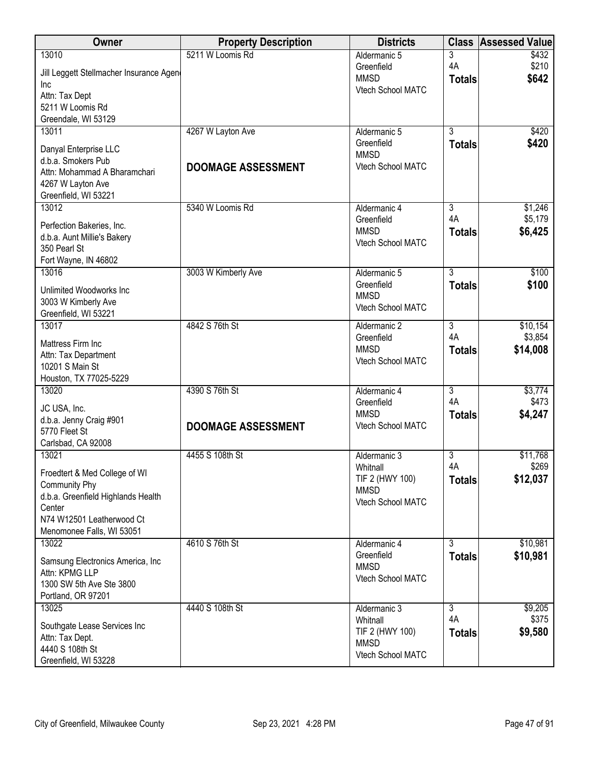| Owner                                                                                                                    | <b>Property Description</b> | <b>Districts</b>                                                | <b>Class</b>              | <b>Assessed Value</b>   |
|--------------------------------------------------------------------------------------------------------------------------|-----------------------------|-----------------------------------------------------------------|---------------------------|-------------------------|
| 13010<br>Jill Leggett Stellmacher Insurance Agen<br>Inc<br>Attn: Tax Dept                                                | 5211 W Loomis Rd            | Aldermanic 5<br>Greenfield<br><b>MMSD</b><br>Vtech School MATC  | 3<br>4A<br><b>Totals</b>  | \$432<br>\$210<br>\$642 |
| 5211 W Loomis Rd<br>Greendale, WI 53129                                                                                  |                             |                                                                 |                           |                         |
| 13011                                                                                                                    | 4267 W Layton Ave           | Aldermanic 5                                                    | $\overline{3}$            | \$420                   |
| Danyal Enterprise LLC<br>d.b.a. Smokers Pub<br>Attn: Mohammad A Bharamchari<br>4267 W Layton Ave<br>Greenfield, WI 53221 | <b>DOOMAGE ASSESSMENT</b>   | Greenfield<br><b>MMSD</b><br>Vtech School MATC                  | <b>Totals</b>             | \$420                   |
| 13012                                                                                                                    | 5340 W Loomis Rd            | Aldermanic 4                                                    | 3                         | \$1,246                 |
| Perfection Bakeries, Inc.<br>d.b.a. Aunt Millie's Bakery<br>350 Pearl St<br>Fort Wayne, IN 46802                         |                             | Greenfield<br><b>MMSD</b><br>Vtech School MATC                  | 4A<br><b>Totals</b>       | \$5,179<br>\$6,425      |
| 13016                                                                                                                    | 3003 W Kimberly Ave         | Aldermanic 5                                                    | $\overline{3}$            | \$100                   |
| Unlimited Woodworks Inc<br>3003 W Kimberly Ave<br>Greenfield, WI 53221                                                   |                             | Greenfield<br><b>MMSD</b><br>Vtech School MATC                  | <b>Totals</b>             | \$100                   |
| 13017                                                                                                                    | 4842 S 76th St              | Aldermanic 2                                                    | $\overline{3}$            | \$10,154                |
| Mattress Firm Inc<br>Attn: Tax Department<br>10201 S Main St<br>Houston, TX 77025-5229                                   |                             | Greenfield<br><b>MMSD</b><br>Vtech School MATC                  | 4A<br><b>Totals</b>       | \$3,854<br>\$14,008     |
| 13020                                                                                                                    | 4390 S 76th St              | Aldermanic 4                                                    | $\overline{3}$            | \$3,774                 |
| JC USA, Inc.                                                                                                             |                             | Greenfield                                                      | 4A                        | \$473                   |
| d.b.a. Jenny Craig #901<br>5770 Fleet St<br>Carlsbad, CA 92008                                                           | <b>DOOMAGE ASSESSMENT</b>   | <b>MMSD</b><br>Vtech School MATC                                | <b>Totals</b>             | \$4,247                 |
| 13021                                                                                                                    | 4455 S 108th St             | Aldermanic 3                                                    | 3                         | \$11,768                |
| Froedtert & Med College of WI<br>Community Phy                                                                           |                             | Whitnall<br>TIF 2 (HWY 100)<br><b>MMSD</b>                      | 4A<br><b>Totals</b>       | \$269<br>\$12,037       |
| d.b.a. Greenfield Highlands Health<br>Center<br>N74 W12501 Leatherwood Ct                                                |                             | Vtech School MATC                                               |                           |                         |
| Menomonee Falls, WI 53051                                                                                                |                             |                                                                 |                           |                         |
| 13022                                                                                                                    | 4610 S 76th St              | Aldermanic 4                                                    | $\overline{\overline{3}}$ | \$10,981                |
| Samsung Electronics America, Inc<br>Attn: KPMG LLP<br>1300 SW 5th Ave Ste 3800<br>Portland, OR 97201                     |                             | Greenfield<br><b>MMSD</b><br>Vtech School MATC                  | <b>Totals</b>             | \$10,981                |
| 13025                                                                                                                    | 4440 S 108th St             | Aldermanic 3                                                    | 3                         | \$9,205                 |
| Southgate Lease Services Inc<br>Attn: Tax Dept.<br>4440 S 108th St<br>Greenfield, WI 53228                               |                             | Whitnall<br>TIF 2 (HWY 100)<br><b>MMSD</b><br>Vtech School MATC | 4A<br><b>Totals</b>       | \$375<br>\$9,580        |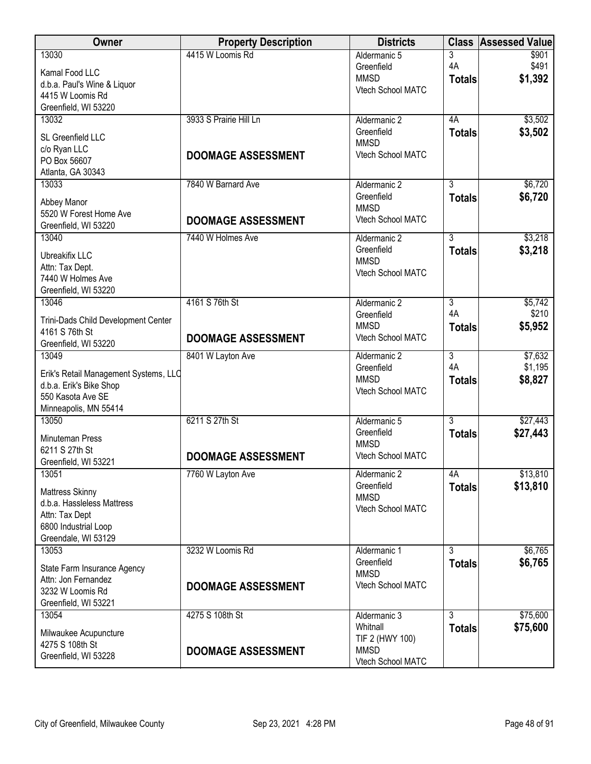| Owner                                 | <b>Property Description</b> | <b>Districts</b>  |                | <b>Class Assessed Value</b> |
|---------------------------------------|-----------------------------|-------------------|----------------|-----------------------------|
| 13030                                 | 4415 W Loomis Rd            | Aldermanic 5      | 3              | \$901                       |
| Kamal Food LLC                        |                             | Greenfield        | 4A             | \$491                       |
| d.b.a. Paul's Wine & Liquor           |                             | <b>MMSD</b>       | <b>Totals</b>  | \$1,392                     |
| 4415 W Loomis Rd                      |                             | Vtech School MATC |                |                             |
| Greenfield, WI 53220                  |                             |                   |                |                             |
| 13032                                 | 3933 S Prairie Hill Ln      | Aldermanic 2      | 4A             | \$3,502                     |
|                                       |                             | Greenfield        | <b>Totals</b>  | \$3,502                     |
| SL Greenfield LLC                     |                             | <b>MMSD</b>       |                |                             |
| c/o Ryan LLC                          | <b>DOOMAGE ASSESSMENT</b>   | Vtech School MATC |                |                             |
| PO Box 56607                          |                             |                   |                |                             |
| Atlanta, GA 30343                     |                             |                   |                |                             |
| 13033                                 | 7840 W Barnard Ave          | Aldermanic 2      | $\overline{3}$ | \$6,720                     |
| Abbey Manor                           |                             | Greenfield        | <b>Totals</b>  | \$6,720                     |
| 5520 W Forest Home Ave                |                             | <b>MMSD</b>       |                |                             |
| Greenfield, WI 53220                  | <b>DOOMAGE ASSESSMENT</b>   | Vtech School MATC |                |                             |
| 13040                                 | 7440 W Holmes Ave           | Aldermanic 2      | $\overline{3}$ | \$3,218                     |
|                                       |                             | Greenfield        | <b>Totals</b>  | \$3,218                     |
| <b>Ubreakifix LLC</b>                 |                             | <b>MMSD</b>       |                |                             |
| Attn: Tax Dept.                       |                             | Vtech School MATC |                |                             |
| 7440 W Holmes Ave                     |                             |                   |                |                             |
| Greenfield, WI 53220                  |                             |                   |                |                             |
| 13046                                 | 4161 S 76th St              | Aldermanic 2      | $\overline{3}$ | \$5,742                     |
| Trini-Dads Child Development Center   |                             | Greenfield        | 4A             | \$210                       |
| 4161 S 76th St                        |                             | <b>MMSD</b>       | <b>Totals</b>  | \$5,952                     |
| Greenfield, WI 53220                  | <b>DOOMAGE ASSESSMENT</b>   | Vtech School MATC |                |                             |
| 13049                                 | 8401 W Layton Ave           | Aldermanic 2      | $\overline{3}$ | \$7,632                     |
|                                       |                             | Greenfield        | 4A             | \$1,195                     |
| Erik's Retail Management Systems, LLC |                             | <b>MMSD</b>       | <b>Totals</b>  | \$8,827                     |
| d.b.a. Erik's Bike Shop               |                             | Vtech School MATC |                |                             |
| 550 Kasota Ave SE                     |                             |                   |                |                             |
| Minneapolis, MN 55414<br>13050        | 6211 S 27th St              | Aldermanic 5      | $\overline{3}$ | \$27,443                    |
|                                       |                             | Greenfield        |                |                             |
| Minuteman Press                       |                             | <b>MMSD</b>       | <b>Totals</b>  | \$27,443                    |
| 6211 S 27th St                        |                             | Vtech School MATC |                |                             |
| Greenfield, WI 53221                  | <b>DOOMAGE ASSESSMENT</b>   |                   |                |                             |
| 13051                                 | 7760 W Layton Ave           | Aldermanic 2      | 4A             | \$13,810                    |
| Mattress Skinny                       |                             | Greenfield        | <b>Totals</b>  | \$13,810                    |
| d.b.a. Hassleless Mattress            |                             | <b>MMSD</b>       |                |                             |
| Attn: Tax Dept                        |                             | Vtech School MATC |                |                             |
| 6800 Industrial Loop                  |                             |                   |                |                             |
| Greendale, WI 53129                   |                             |                   |                |                             |
| 13053                                 | 3232 W Loomis Rd            | Aldermanic 1      | 3              | \$6,765                     |
|                                       |                             | Greenfield        | <b>Totals</b>  | \$6,765                     |
| State Farm Insurance Agency           |                             | <b>MMSD</b>       |                |                             |
| Attn: Jon Fernandez                   | <b>DOOMAGE ASSESSMENT</b>   | Vtech School MATC |                |                             |
| 3232 W Loomis Rd                      |                             |                   |                |                             |
| Greenfield, WI 53221                  |                             |                   |                |                             |
| 13054                                 | 4275 S 108th St             | Aldermanic 3      | 3              | \$75,600                    |
| Milwaukee Acupuncture                 |                             | Whitnall          | <b>Totals</b>  | \$75,600                    |
| 4275 S 108th St                       |                             | TIF 2 (HWY 100)   |                |                             |
| Greenfield, WI 53228                  | <b>DOOMAGE ASSESSMENT</b>   | <b>MMSD</b>       |                |                             |
|                                       |                             | Vtech School MATC |                |                             |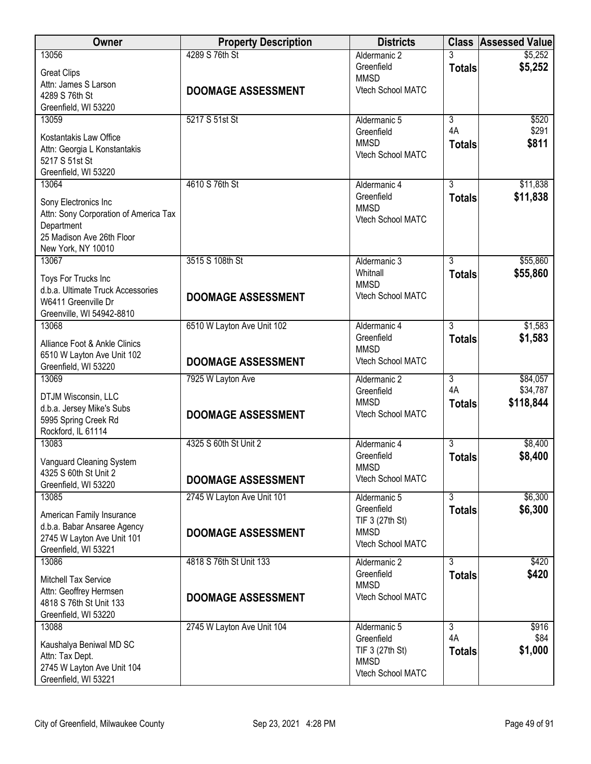| Owner                                                    | <b>Property Description</b> | <b>Districts</b>                 |                           | <b>Class Assessed Value</b> |
|----------------------------------------------------------|-----------------------------|----------------------------------|---------------------------|-----------------------------|
| 13056                                                    | 4289 S 76th St              | Aldermanic 2                     |                           | \$5,252                     |
| <b>Great Clips</b>                                       |                             | Greenfield<br><b>MMSD</b>        | <b>Totals</b>             | \$5,252                     |
| Attn: James S Larson                                     | <b>DOOMAGE ASSESSMENT</b>   | Vtech School MATC                |                           |                             |
| 4289 S 76th St<br>Greenfield, WI 53220                   |                             |                                  |                           |                             |
| 13059                                                    | 5217 S 51st St              | Aldermanic 5                     | $\overline{3}$            | \$520                       |
| Kostantakis Law Office                                   |                             | Greenfield                       | 4A                        | \$291                       |
| Attn: Georgia L Konstantakis                             |                             | <b>MMSD</b>                      | <b>Totals</b>             | \$811                       |
| 5217 S 51st St                                           |                             | Vtech School MATC                |                           |                             |
| Greenfield, WI 53220                                     |                             |                                  |                           |                             |
| 13064                                                    | 4610 S 76th St              | Aldermanic 4<br>Greenfield       | $\overline{3}$            | \$11,838                    |
| Sony Electronics Inc                                     |                             | <b>MMSD</b>                      | <b>Totals</b>             | \$11,838                    |
| Attn: Sony Corporation of America Tax                    |                             | Vtech School MATC                |                           |                             |
| Department<br>25 Madison Ave 26th Floor                  |                             |                                  |                           |                             |
| New York, NY 10010                                       |                             |                                  |                           |                             |
| 13067                                                    | 3515 S 108th St             | Aldermanic 3                     | $\overline{3}$            | \$55,860                    |
| Toys For Trucks Inc                                      |                             | Whitnall                         | <b>Totals</b>             | \$55,860                    |
| d.b.a. Ultimate Truck Accessories                        | <b>DOOMAGE ASSESSMENT</b>   | <b>MMSD</b><br>Vtech School MATC |                           |                             |
| W6411 Greenville Dr                                      |                             |                                  |                           |                             |
| Greenville, WI 54942-8810<br>13068                       |                             | Aldermanic 4                     | $\overline{3}$            | \$1,583                     |
|                                                          | 6510 W Layton Ave Unit 102  | Greenfield                       | <b>Totals</b>             | \$1,583                     |
| Alliance Foot & Ankle Clinics                            |                             | <b>MMSD</b>                      |                           |                             |
| 6510 W Layton Ave Unit 102<br>Greenfield, WI 53220       | <b>DOOMAGE ASSESSMENT</b>   | Vtech School MATC                |                           |                             |
| 13069                                                    | 7925 W Layton Ave           | Aldermanic 2                     | $\overline{3}$            | \$84,057                    |
| DTJM Wisconsin, LLC                                      |                             | Greenfield                       | 4A                        | \$34,787                    |
| d.b.a. Jersey Mike's Subs                                |                             | <b>MMSD</b>                      | <b>Totals</b>             | \$118,844                   |
| 5995 Spring Creek Rd                                     | <b>DOOMAGE ASSESSMENT</b>   | Vtech School MATC                |                           |                             |
| Rockford, IL 61114                                       |                             |                                  |                           |                             |
| 13083                                                    | 4325 S 60th St Unit 2       | Aldermanic 4<br>Greenfield       | $\overline{3}$            | \$8,400<br>\$8,400          |
| Vanguard Cleaning System                                 |                             | <b>MMSD</b>                      | <b>Totals</b>             |                             |
| 4325 S 60th St Unit 2<br>Greenfield, WI 53220            | <b>DOOMAGE ASSESSMENT</b>   | Vtech School MATC                |                           |                             |
| 13085                                                    | 2745 W Layton Ave Unit 101  | Aldermanic 5                     | $\overline{\overline{3}}$ | \$6,300                     |
|                                                          |                             | Greenfield                       | <b>Totals</b>             | \$6,300                     |
| American Family Insurance<br>d.b.a. Babar Ansaree Agency |                             | TIF 3 (27th St)                  |                           |                             |
| 2745 W Layton Ave Unit 101                               | <b>DOOMAGE ASSESSMENT</b>   | <b>MMSD</b><br>Vtech School MATC |                           |                             |
| Greenfield, WI 53221                                     |                             |                                  |                           |                             |
| 13086                                                    | 4818 S 76th St Unit 133     | Aldermanic 2                     | 3                         | \$420                       |
| Mitchell Tax Service                                     |                             | Greenfield<br><b>MMSD</b>        | <b>Totals</b>             | \$420                       |
| Attn: Geoffrey Hermsen                                   | <b>DOOMAGE ASSESSMENT</b>   | Vtech School MATC                |                           |                             |
| 4818 S 76th St Unit 133<br>Greenfield, WI 53220          |                             |                                  |                           |                             |
| 13088                                                    | 2745 W Layton Ave Unit 104  | Aldermanic 5                     | $\overline{3}$            | \$916                       |
| Kaushalya Beniwal MD SC                                  |                             | Greenfield                       | 4A                        | \$84                        |
| Attn: Tax Dept.                                          |                             | TIF 3 (27th St)                  | <b>Totals</b>             | \$1,000                     |
| 2745 W Layton Ave Unit 104                               |                             | <b>MMSD</b><br>Vtech School MATC |                           |                             |
| Greenfield, WI 53221                                     |                             |                                  |                           |                             |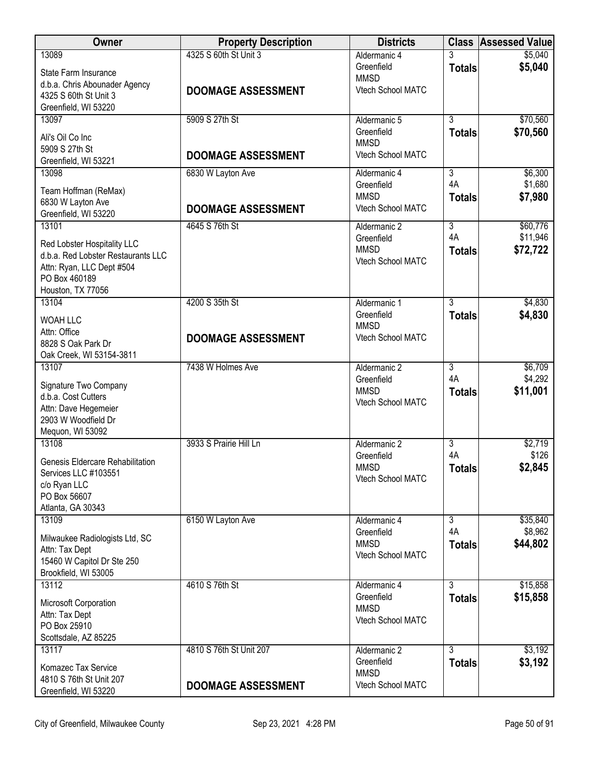| Owner                                                                                                                                | <b>Property Description</b> | <b>Districts</b>                               |                     | <b>Class Assessed Value</b> |
|--------------------------------------------------------------------------------------------------------------------------------------|-----------------------------|------------------------------------------------|---------------------|-----------------------------|
| 13089<br>State Farm Insurance                                                                                                        | 4325 S 60th St Unit 3       | Aldermanic 4<br>Greenfield                     | <b>Totals</b>       | \$5,040<br>\$5,040          |
| d.b.a. Chris Abounader Agency<br>4325 S 60th St Unit 3<br>Greenfield, WI 53220                                                       | <b>DOOMAGE ASSESSMENT</b>   | <b>MMSD</b><br>Vtech School MATC               |                     |                             |
| 13097                                                                                                                                | 5909 S 27th St              | Aldermanic 5                                   | $\overline{3}$      | \$70,560                    |
| Ali's Oil Co Inc<br>5909 S 27th St<br>Greenfield, WI 53221                                                                           | <b>DOOMAGE ASSESSMENT</b>   | Greenfield<br><b>MMSD</b><br>Vtech School MATC | <b>Totals</b>       | \$70,560                    |
| 13098                                                                                                                                | 6830 W Layton Ave           | Aldermanic 4                                   | 3                   | \$6,300                     |
| Team Hoffman (ReMax)<br>6830 W Layton Ave<br>Greenfield, WI 53220                                                                    | <b>DOOMAGE ASSESSMENT</b>   | Greenfield<br><b>MMSD</b><br>Vtech School MATC | 4A<br><b>Totals</b> | \$1,680<br>\$7,980          |
| 13101                                                                                                                                | 4645 S 76th St              | Aldermanic 2                                   | $\overline{3}$      | \$60,776                    |
| Red Lobster Hospitality LLC<br>d.b.a. Red Lobster Restaurants LLC<br>Attn: Ryan, LLC Dept #504<br>PO Box 460189<br>Houston, TX 77056 |                             | Greenfield<br><b>MMSD</b><br>Vtech School MATC | 4A<br><b>Totals</b> | \$11,946<br>\$72,722        |
| 13104                                                                                                                                | 4200 S 35th St              | Aldermanic 1                                   | $\overline{3}$      | \$4,830                     |
| <b>WOAH LLC</b>                                                                                                                      |                             | Greenfield                                     | <b>Totals</b>       | \$4,830                     |
| Attn: Office<br>8828 S Oak Park Dr<br>Oak Creek, WI 53154-3811                                                                       | <b>DOOMAGE ASSESSMENT</b>   | <b>MMSD</b><br>Vtech School MATC               |                     |                             |
| 13107                                                                                                                                | 7438 W Holmes Ave           | Aldermanic 2                                   | $\overline{3}$      | \$6,709                     |
| Signature Two Company<br>d.b.a. Cost Cutters<br>Attn: Dave Hegemeier<br>2903 W Woodfield Dr<br>Mequon, WI 53092                      |                             | Greenfield<br><b>MMSD</b><br>Vtech School MATC | 4A<br><b>Totals</b> | \$4,292<br>\$11,001         |
| 13108                                                                                                                                | 3933 S Prairie Hill Ln      | Aldermanic 2                                   | 3                   | \$2,719                     |
| Genesis Eldercare Rehabilitation<br>Services LLC #103551<br>c/o Ryan LLC<br>PO Box 56607<br>Atlanta, GA 30343                        |                             | Greenfield<br><b>MMSD</b><br>Vtech School MATC | 4A<br><b>Totals</b> | \$126<br>\$2,845            |
| 13109                                                                                                                                | 6150 W Layton Ave           | Aldermanic 4                                   | $\overline{3}$      | \$35,840                    |
| Milwaukee Radiologists Ltd, SC<br>Attn: Tax Dept<br>15460 W Capitol Dr Ste 250<br>Brookfield, WI 53005                               |                             | Greenfield<br><b>MMSD</b><br>Vtech School MATC | 4A<br><b>Totals</b> | \$8,962<br>\$44,802         |
| 13112                                                                                                                                | 4610 S 76th St              | Aldermanic 4                                   | $\overline{3}$      | \$15,858                    |
| Microsoft Corporation<br>Attn: Tax Dept<br>PO Box 25910<br>Scottsdale, AZ 85225                                                      |                             | Greenfield<br><b>MMSD</b><br>Vtech School MATC | <b>Totals</b>       | \$15,858                    |
| 13117                                                                                                                                | 4810 S 76th St Unit 207     | Aldermanic 2                                   | $\overline{3}$      | \$3,192                     |
| Komazec Tax Service                                                                                                                  |                             | Greenfield<br><b>MMSD</b>                      | <b>Totals</b>       | \$3,192                     |
| 4810 S 76th St Unit 207<br>Greenfield, WI 53220                                                                                      | <b>DOOMAGE ASSESSMENT</b>   | Vtech School MATC                              |                     |                             |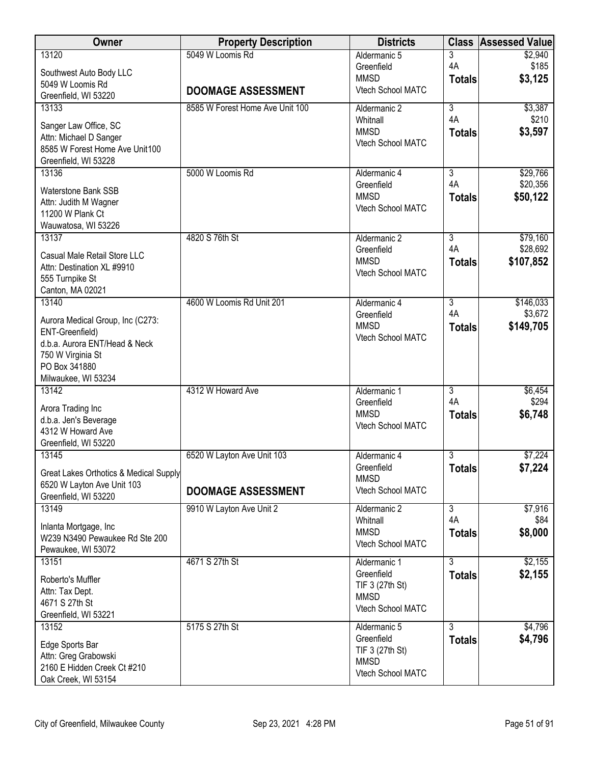| Owner                                               | <b>Property Description</b>     | <b>Districts</b>                 | <b>Class</b>         | <b>Assessed Value</b> |
|-----------------------------------------------------|---------------------------------|----------------------------------|----------------------|-----------------------|
| 13120                                               | 5049 W Loomis Rd                | Aldermanic 5                     | 3                    | \$2,940               |
| Southwest Auto Body LLC                             |                                 | Greenfield<br><b>MMSD</b>        | 4A                   | \$185<br>\$3,125      |
| 5049 W Loomis Rd                                    | <b>DOOMAGE ASSESSMENT</b>       | Vtech School MATC                | <b>Totals</b>        |                       |
| Greenfield, WI 53220                                |                                 |                                  |                      |                       |
| 13133                                               | 8585 W Forest Home Ave Unit 100 | Aldermanic 2                     | $\overline{3}$<br>4A | \$3,387<br>\$210      |
| Sanger Law Office, SC                               |                                 | Whitnall<br><b>MMSD</b>          | <b>Totals</b>        | \$3,597               |
| Attn: Michael D Sanger                              |                                 | Vtech School MATC                |                      |                       |
| 8585 W Forest Home Ave Unit100                      |                                 |                                  |                      |                       |
| Greenfield, WI 53228<br>13136                       | 5000 W Loomis Rd                | Aldermanic 4                     | 3                    | \$29,766              |
|                                                     |                                 | Greenfield                       | 4A                   | \$20,356              |
| <b>Waterstone Bank SSB</b>                          |                                 | <b>MMSD</b>                      | <b>Totals</b>        | \$50,122              |
| Attn: Judith M Wagner<br>11200 W Plank Ct           |                                 | Vtech School MATC                |                      |                       |
| Wauwatosa, WI 53226                                 |                                 |                                  |                      |                       |
| 13137                                               | 4820 S 76th St                  | Aldermanic 2                     | $\overline{3}$       | \$79,160              |
| Casual Male Retail Store LLC                        |                                 | Greenfield                       | 4A                   | \$28,692              |
| Attn: Destination XL #9910                          |                                 | <b>MMSD</b>                      | <b>Totals</b>        | \$107,852             |
| 555 Turnpike St                                     |                                 | Vtech School MATC                |                      |                       |
| Canton, MA 02021                                    |                                 |                                  |                      |                       |
| 13140                                               | 4600 W Loomis Rd Unit 201       | Aldermanic 4                     | $\overline{3}$       | \$146,033             |
| Aurora Medical Group, Inc (C273:                    |                                 | Greenfield                       | 4A                   | \$3,672               |
| ENT-Greenfield)                                     |                                 | <b>MMSD</b><br>Vtech School MATC | <b>Totals</b>        | \$149,705             |
| d.b.a. Aurora ENT/Head & Neck                       |                                 |                                  |                      |                       |
| 750 W Virginia St                                   |                                 |                                  |                      |                       |
| PO Box 341880<br>Milwaukee, WI 53234                |                                 |                                  |                      |                       |
| 13142                                               | 4312 W Howard Ave               | Aldermanic 1                     | $\overline{3}$       | \$6,454               |
|                                                     |                                 | Greenfield                       | 4A                   | \$294                 |
| Arora Trading Inc<br>d.b.a. Jen's Beverage          |                                 | <b>MMSD</b>                      | <b>Totals</b>        | \$6,748               |
| 4312 W Howard Ave                                   |                                 | Vtech School MATC                |                      |                       |
| Greenfield, WI 53220                                |                                 |                                  |                      |                       |
| 13145                                               | 6520 W Layton Ave Unit 103      | Aldermanic 4                     | 3                    | \$7,224               |
| Great Lakes Orthotics & Medical Supply              |                                 | Greenfield                       | <b>Totals</b>        | \$7,224               |
| 6520 W Layton Ave Unit 103                          |                                 | <b>MMSD</b>                      |                      |                       |
| Greenfield, WI 53220                                | <b>DOOMAGE ASSESSMENT</b>       | Vtech School MATC                |                      |                       |
| 13149                                               | 9910 W Layton Ave Unit 2        | Aldermanic 2                     | $\overline{3}$       | \$7,916               |
| Inlanta Mortgage, Inc                               |                                 | Whitnall                         | 4A                   | \$84                  |
| W239 N3490 Pewaukee Rd Ste 200                      |                                 | <b>MMSD</b><br>Vtech School MATC | <b>Totals</b>        | \$8,000               |
| Pewaukee, WI 53072                                  |                                 |                                  |                      |                       |
| 13151                                               | 4671 S 27th St                  | Aldermanic 1                     | $\overline{3}$       | \$2,155               |
| Roberto's Muffler                                   |                                 | Greenfield<br>TIF 3 (27th St)    | <b>Totals</b>        | \$2,155               |
| Attn: Tax Dept.                                     |                                 | <b>MMSD</b>                      |                      |                       |
| 4671 S 27th St                                      |                                 | Vtech School MATC                |                      |                       |
| Greenfield, WI 53221<br>13152                       | 5175 S 27th St                  | Aldermanic 5                     | 3                    | \$4,796               |
|                                                     |                                 | Greenfield                       | <b>Totals</b>        | \$4,796               |
| Edge Sports Bar                                     |                                 | TIF 3 (27th St)                  |                      |                       |
| Attn: Greg Grabowski<br>2160 E Hidden Creek Ct #210 |                                 | <b>MMSD</b>                      |                      |                       |
| Oak Creek, WI 53154                                 |                                 | Vtech School MATC                |                      |                       |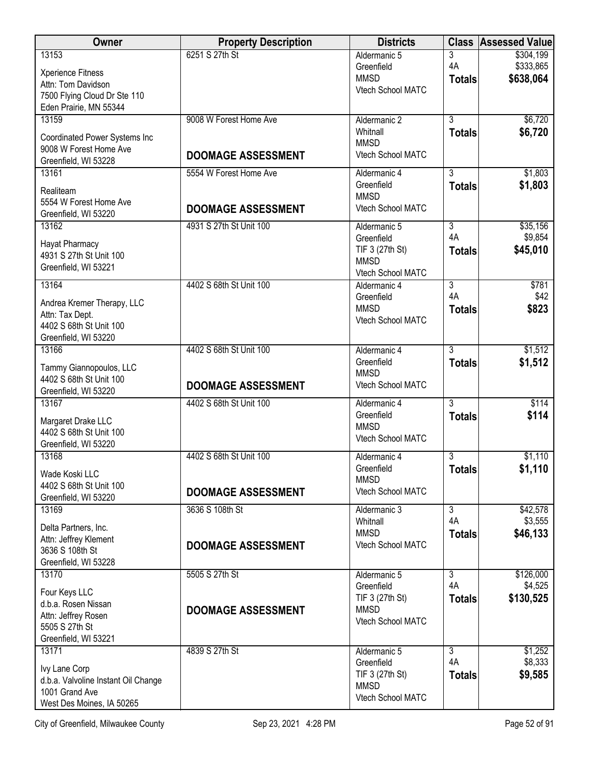| Owner                                                 | <b>Property Description</b> | <b>Districts</b>                 |                      | <b>Class Assessed Value</b> |
|-------------------------------------------------------|-----------------------------|----------------------------------|----------------------|-----------------------------|
| 13153                                                 | 6251 S 27th St              | Aldermanic 5                     | 3<br>4A              | \$304,199                   |
| <b>Xperience Fitness</b>                              |                             | Greenfield<br><b>MMSD</b>        | <b>Totals</b>        | \$333,865<br>\$638,064      |
| Attn: Tom Davidson<br>7500 Flying Cloud Dr Ste 110    |                             | Vtech School MATC                |                      |                             |
| Eden Prairie, MN 55344                                |                             |                                  |                      |                             |
| 13159                                                 | 9008 W Forest Home Ave      | Aldermanic 2                     | $\overline{3}$       | \$6,720                     |
| Coordinated Power Systems Inc                         |                             | Whitnall                         | <b>Totals</b>        | \$6,720                     |
| 9008 W Forest Home Ave                                |                             | <b>MMSD</b><br>Vtech School MATC |                      |                             |
| Greenfield, WI 53228                                  | <b>DOOMAGE ASSESSMENT</b>   |                                  |                      |                             |
| 13161                                                 | 5554 W Forest Home Ave      | Aldermanic 4                     | 3                    | \$1,803                     |
| Realiteam                                             |                             | Greenfield<br><b>MMSD</b>        | <b>Totals</b>        | \$1,803                     |
| 5554 W Forest Home Ave                                | <b>DOOMAGE ASSESSMENT</b>   | Vtech School MATC                |                      |                             |
| Greenfield, WI 53220<br>13162                         | 4931 S 27th St Unit 100     | Aldermanic 5                     | $\overline{3}$       | \$35,156                    |
|                                                       |                             | Greenfield                       | 4A                   | \$9,854                     |
| Hayat Pharmacy<br>4931 S 27th St Unit 100             |                             | TIF 3 (27th St)                  | <b>Totals</b>        | \$45,010                    |
| Greenfield, WI 53221                                  |                             | <b>MMSD</b><br>Vtech School MATC |                      |                             |
| 13164                                                 | 4402 S 68th St Unit 100     | Aldermanic 4                     | $\overline{3}$       | \$781                       |
|                                                       |                             | Greenfield                       | 4A                   | \$42                        |
| Andrea Kremer Therapy, LLC<br>Attn: Tax Dept.         |                             | <b>MMSD</b>                      | <b>Totals</b>        | \$823                       |
| 4402 S 68th St Unit 100                               |                             | Vtech School MATC                |                      |                             |
| Greenfield, WI 53220                                  |                             |                                  |                      |                             |
| 13166                                                 | 4402 S 68th St Unit 100     | Aldermanic 4<br>Greenfield       | $\overline{3}$       | \$1,512                     |
| Tammy Giannopoulos, LLC                               |                             | <b>MMSD</b>                      | <b>Totals</b>        | \$1,512                     |
| 4402 S 68th St Unit 100<br>Greenfield, WI 53220       | <b>DOOMAGE ASSESSMENT</b>   | Vtech School MATC                |                      |                             |
| 13167                                                 | 4402 S 68th St Unit 100     | Aldermanic 4                     | $\overline{3}$       | \$114                       |
| Margaret Drake LLC                                    |                             | Greenfield                       | <b>Totals</b>        | \$114                       |
| 4402 S 68th St Unit 100                               |                             | <b>MMSD</b>                      |                      |                             |
| Greenfield, WI 53220                                  |                             | Vtech School MATC                |                      |                             |
| 13168                                                 | 4402 S 68th St Unit 100     | Aldermanic 4                     | $\overline{3}$       | \$1,110                     |
| Wade Koski LLC                                        |                             | Greenfield<br><b>MMSD</b>        | <b>Totals</b>        | \$1,110                     |
| 4402 S 68th St Unit 100<br>Greenfield, WI 53220       | <b>DOOMAGE ASSESSMENT</b>   | Vtech School MATC                |                      |                             |
| 13169                                                 | 3636 S 108th St             | Aldermanic 3                     | $\overline{3}$       | \$42,578                    |
| Delta Partners, Inc.                                  |                             | Whitnall                         | 4A                   | \$3,555                     |
| Attn: Jeffrey Klement                                 |                             | <b>MMSD</b>                      | <b>Totals</b>        | \$46,133                    |
| 3636 S 108th St                                       | <b>DOOMAGE ASSESSMENT</b>   | Vtech School MATC                |                      |                             |
| Greenfield, WI 53228                                  |                             |                                  |                      |                             |
| 13170                                                 | 5505 S 27th St              | Aldermanic 5<br>Greenfield       | 3<br>4A              | \$126,000<br>\$4,525        |
| Four Keys LLC                                         |                             | TIF 3 (27th St)                  | <b>Totals</b>        | \$130,525                   |
| d.b.a. Rosen Nissan<br>Attn: Jeffrey Rosen            | <b>DOOMAGE ASSESSMENT</b>   | <b>MMSD</b>                      |                      |                             |
| 5505 S 27th St                                        |                             | Vtech School MATC                |                      |                             |
| Greenfield, WI 53221                                  |                             |                                  |                      |                             |
| 13171                                                 | 4839 S 27th St              | Aldermanic 5<br>Greenfield       | $\overline{3}$<br>4A | \$1,252<br>\$8,333          |
| Ivy Lane Corp                                         |                             | TIF 3 (27th St)                  | <b>Totals</b>        | \$9,585                     |
| d.b.a. Valvoline Instant Oil Change<br>1001 Grand Ave |                             | <b>MMSD</b>                      |                      |                             |
| West Des Moines, IA 50265                             |                             | Vtech School MATC                |                      |                             |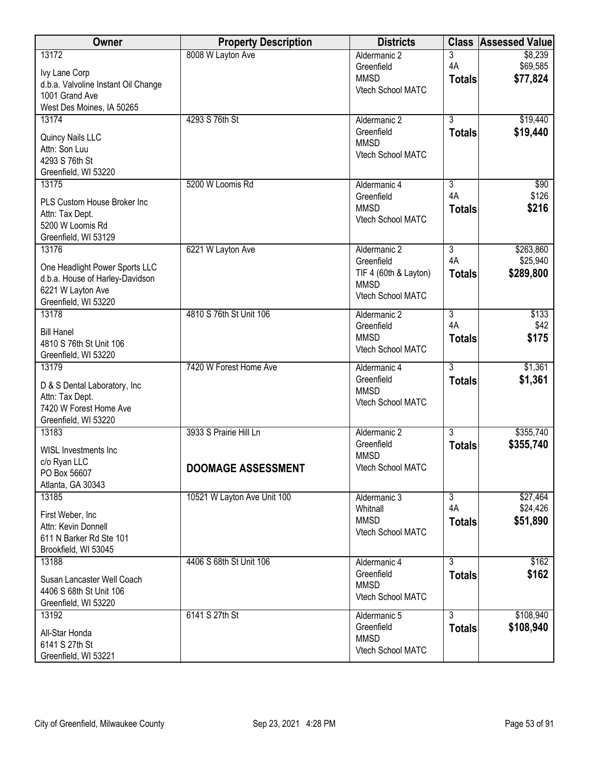| Owner                                    | <b>Property Description</b> | <b>Districts</b>                 | <b>Class</b>   | <b>Assessed Value</b> |
|------------------------------------------|-----------------------------|----------------------------------|----------------|-----------------------|
| 13172                                    | 8008 W Layton Ave           | Aldermanic 2                     | 3              | \$8,239               |
| Ivy Lane Corp                            |                             | Greenfield                       | 4A             | \$69,585              |
| d.b.a. Valvoline Instant Oil Change      |                             | <b>MMSD</b>                      | <b>Totals</b>  | \$77,824              |
| 1001 Grand Ave                           |                             | Vtech School MATC                |                |                       |
| West Des Moines, IA 50265                |                             |                                  |                |                       |
| 13174                                    | 4293 S 76th St              | Aldermanic 2                     | $\overline{3}$ | \$19,440              |
| Quincy Nails LLC                         |                             | Greenfield                       | <b>Totals</b>  | \$19,440              |
| Attn: Son Luu                            |                             | <b>MMSD</b>                      |                |                       |
| 4293 S 76th St                           |                             | Vtech School MATC                |                |                       |
| Greenfield, WI 53220                     |                             |                                  |                |                       |
| 13175                                    | 5200 W Loomis Rd            | Aldermanic 4                     | 3              | \$90                  |
|                                          |                             | Greenfield                       | 4A             | \$126                 |
| PLS Custom House Broker Inc              |                             | <b>MMSD</b>                      | <b>Totals</b>  | \$216                 |
| Attn: Tax Dept.                          |                             | Vtech School MATC                |                |                       |
| 5200 W Loomis Rd<br>Greenfield, WI 53129 |                             |                                  |                |                       |
| 13176                                    | 6221 W Layton Ave           | Aldermanic 2                     | $\overline{3}$ | \$263,860             |
|                                          |                             | Greenfield                       | 4A             | \$25,940              |
| One Headlight Power Sports LLC           |                             | TIF 4 (60th & Layton)            | <b>Totals</b>  | \$289,800             |
| d.b.a. House of Harley-Davidson          |                             | <b>MMSD</b>                      |                |                       |
| 6221 W Layton Ave                        |                             | Vtech School MATC                |                |                       |
| Greenfield, WI 53220                     |                             |                                  |                |                       |
| 13178                                    | 4810 S 76th St Unit 106     | Aldermanic 2                     | $\overline{3}$ | \$133                 |
| <b>Bill Hanel</b>                        |                             | Greenfield                       | 4A             | \$42                  |
| 4810 S 76th St Unit 106                  |                             | <b>MMSD</b>                      | <b>Totals</b>  | \$175                 |
| Greenfield, WI 53220                     |                             | Vtech School MATC                |                |                       |
| 13179                                    | 7420 W Forest Home Ave      | Aldermanic 4                     | $\overline{3}$ | \$1,361               |
| D & S Dental Laboratory, Inc.            |                             | Greenfield                       | <b>Totals</b>  | \$1,361               |
| Attn: Tax Dept.                          |                             | <b>MMSD</b>                      |                |                       |
| 7420 W Forest Home Ave                   |                             | Vtech School MATC                |                |                       |
| Greenfield, WI 53220                     |                             |                                  |                |                       |
| 13183                                    | 3933 S Prairie Hill Ln      | Aldermanic 2                     | $\overline{3}$ | \$355,740             |
|                                          |                             | Greenfield                       | <b>Totals</b>  | \$355,740             |
| <b>WISL Investments Inc</b>              |                             | <b>MMSD</b>                      |                |                       |
| c/o Ryan LLC                             | <b>DOOMAGE ASSESSMENT</b>   | Vtech School MATC                |                |                       |
| PO Box 56607<br>Atlanta, GA 30343        |                             |                                  |                |                       |
| 13185                                    | 10521 W Layton Ave Unit 100 | Aldermanic 3                     | $\overline{3}$ | \$27,464              |
|                                          |                             | Whitnall                         | 4A             | \$24,426              |
| First Weber, Inc                         |                             | <b>MMSD</b>                      | <b>Totals</b>  | \$51,890              |
| Attn: Kevin Donnell                      |                             | Vtech School MATC                |                |                       |
| 611 N Barker Rd Ste 101                  |                             |                                  |                |                       |
| Brookfield, WI 53045                     |                             |                                  |                |                       |
| 13188                                    | 4406 S 68th St Unit 106     | Aldermanic 4                     | 3              | \$162                 |
| Susan Lancaster Well Coach               |                             | Greenfield                       | <b>Totals</b>  | \$162                 |
| 4406 S 68th St Unit 106                  |                             | <b>MMSD</b><br>Vtech School MATC |                |                       |
| Greenfield, WI 53220                     |                             |                                  |                |                       |
| 13192                                    | 6141 S 27th St              | Aldermanic 5                     | $\overline{3}$ | \$108,940             |
| All-Star Honda                           |                             | Greenfield                       | <b>Totals</b>  | \$108,940             |
| 6141 S 27th St                           |                             | <b>MMSD</b>                      |                |                       |
| Greenfield, WI 53221                     |                             | Vtech School MATC                |                |                       |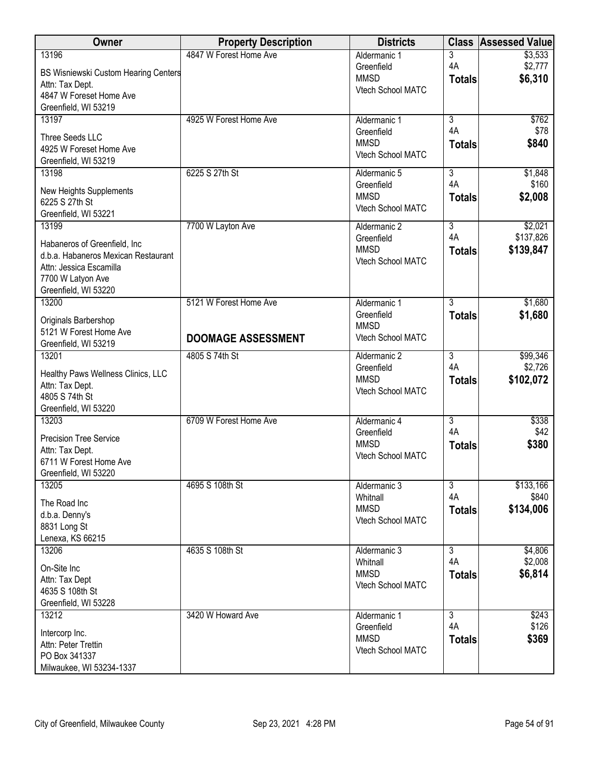| Owner                                       | <b>Property Description</b> | <b>Districts</b>  | <b>Class</b>   | <b>Assessed Value</b> |
|---------------------------------------------|-----------------------------|-------------------|----------------|-----------------------|
| 13196                                       | 4847 W Forest Home Ave      | Aldermanic 1      | 3              | \$3,533               |
| <b>BS Wisniewski Custom Hearing Centers</b> |                             | Greenfield        | 4A             | \$2,777               |
| Attn: Tax Dept.                             |                             | <b>MMSD</b>       | <b>Totals</b>  | \$6,310               |
| 4847 W Foreset Home Ave                     |                             | Vtech School MATC |                |                       |
| Greenfield, WI 53219                        |                             |                   |                |                       |
| 13197                                       | 4925 W Forest Home Ave      | Aldermanic 1      | $\overline{3}$ | \$762                 |
| Three Seeds LLC                             |                             | Greenfield        | 4A             | \$78                  |
| 4925 W Foreset Home Ave                     |                             | <b>MMSD</b>       | <b>Totals</b>  | \$840                 |
| Greenfield, WI 53219                        |                             | Vtech School MATC |                |                       |
| 13198                                       | 6225 S 27th St              | Aldermanic 5      | $\overline{3}$ | \$1,848               |
|                                             |                             | Greenfield        | 4A             | \$160                 |
| New Heights Supplements                     |                             | <b>MMSD</b>       | <b>Totals</b>  | \$2,008               |
| 6225 S 27th St                              |                             | Vtech School MATC |                |                       |
| Greenfield, WI 53221                        |                             |                   |                |                       |
| 13199                                       | 7700 W Layton Ave           | Aldermanic 2      | $\overline{3}$ | \$2,021               |
| Habaneros of Greenfield, Inc                |                             | Greenfield        | 4A             | \$137,826             |
| d.b.a. Habaneros Mexican Restaurant         |                             | <b>MMSD</b>       | <b>Totals</b>  | \$139,847             |
| Attn: Jessica Escamilla                     |                             | Vtech School MATC |                |                       |
| 7700 W Latyon Ave                           |                             |                   |                |                       |
| Greenfield, WI 53220                        |                             |                   |                |                       |
| 13200                                       | 5121 W Forest Home Ave      | Aldermanic 1      | $\overline{3}$ | \$1,680               |
| Originals Barbershop                        |                             | Greenfield        | <b>Totals</b>  | \$1,680               |
| 5121 W Forest Home Ave                      |                             | <b>MMSD</b>       |                |                       |
| Greenfield, WI 53219                        | <b>DOOMAGE ASSESSMENT</b>   | Vtech School MATC |                |                       |
| 13201                                       | 4805 S 74th St              | Aldermanic 2      | 3              | \$99,346              |
|                                             |                             | Greenfield        | 4A             | \$2,726               |
| Healthy Paws Wellness Clinics, LLC          |                             | <b>MMSD</b>       | <b>Totals</b>  | \$102,072             |
| Attn: Tax Dept.                             |                             | Vtech School MATC |                |                       |
| 4805 S 74th St                              |                             |                   |                |                       |
| Greenfield, WI 53220                        | 6709 W Forest Home Ave      | Aldermanic 4      | $\overline{3}$ | \$338                 |
| 13203                                       |                             | Greenfield        | 4A             | \$42                  |
| <b>Precision Tree Service</b>               |                             | <b>MMSD</b>       |                | \$380                 |
| Attn: Tax Dept.                             |                             | Vtech School MATC | <b>Totals</b>  |                       |
| 6711 W Forest Home Ave                      |                             |                   |                |                       |
| Greenfield, WI 53220                        |                             |                   |                |                       |
| 13205                                       | 4695 S 108th St             | Aldermanic 3      | $\overline{3}$ | \$133,166             |
| The Road Inc                                |                             | Whitnall          | 4A             | \$840                 |
| d.b.a. Denny's                              |                             | <b>MMSD</b>       | <b>Totals</b>  | \$134,006             |
| 8831 Long St                                |                             | Vtech School MATC |                |                       |
| Lenexa, KS 66215                            |                             |                   |                |                       |
| 13206                                       | 4635 S 108th St             | Aldermanic 3      | $\overline{3}$ | \$4,806               |
| On-Site Inc                                 |                             | Whitnall          | 4A             | \$2,008               |
| Attn: Tax Dept                              |                             | <b>MMSD</b>       | <b>Totals</b>  | \$6,814               |
| 4635 S 108th St                             |                             | Vtech School MATC |                |                       |
| Greenfield, WI 53228                        |                             |                   |                |                       |
| 13212                                       | 3420 W Howard Ave           | Aldermanic 1      | $\overline{3}$ | \$243                 |
|                                             |                             | Greenfield        | 4A             | \$126                 |
| Intercorp Inc.                              |                             | <b>MMSD</b>       | <b>Totals</b>  | \$369                 |
| Attn: Peter Trettin                         |                             | Vtech School MATC |                |                       |
| PO Box 341337                               |                             |                   |                |                       |
| Milwaukee, WI 53234-1337                    |                             |                   |                |                       |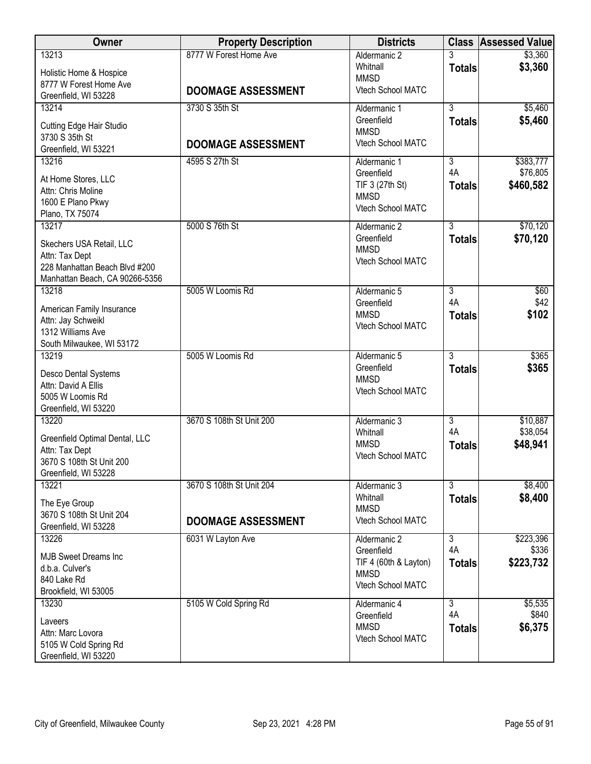| Owner                                       | <b>Property Description</b> | <b>Districts</b>                 |                | <b>Class Assessed Value</b> |
|---------------------------------------------|-----------------------------|----------------------------------|----------------|-----------------------------|
| 13213                                       | 8777 W Forest Home Ave      | Aldermanic 2                     | 3              | \$3,360                     |
| Holistic Home & Hospice                     |                             | Whitnall                         | <b>Totals</b>  | \$3,360                     |
| 8777 W Forest Home Ave                      |                             | <b>MMSD</b><br>Vtech School MATC |                |                             |
| Greenfield, WI 53228                        | <b>DOOMAGE ASSESSMENT</b>   |                                  |                |                             |
| 13214                                       | 3730 S 35th St              | Aldermanic 1                     | $\overline{3}$ | \$5,460                     |
| Cutting Edge Hair Studio                    |                             | Greenfield                       | <b>Totals</b>  | \$5,460                     |
| 3730 S 35th St                              |                             | <b>MMSD</b>                      |                |                             |
| Greenfield, WI 53221                        | <b>DOOMAGE ASSESSMENT</b>   | Vtech School MATC                |                |                             |
| 13216                                       | 4595 S 27th St              | Aldermanic 1                     | $\overline{3}$ | \$383,777                   |
| At Home Stores, LLC                         |                             | Greenfield                       | 4A             | \$76,805                    |
| Attn: Chris Moline                          |                             | TIF 3 (27th St)                  | <b>Totals</b>  | \$460,582                   |
| 1600 E Plano Pkwy                           |                             | <b>MMSD</b>                      |                |                             |
| Plano, TX 75074                             |                             | Vtech School MATC                |                |                             |
| 13217                                       | 5000 S 76th St              | Aldermanic 2                     | $\overline{3}$ | \$70,120                    |
| Skechers USA Retail, LLC                    |                             | Greenfield                       | <b>Totals</b>  | \$70,120                    |
| Attn: Tax Dept                              |                             | <b>MMSD</b>                      |                |                             |
| 228 Manhattan Beach Blvd #200               |                             | Vtech School MATC                |                |                             |
| Manhattan Beach, CA 90266-5356              |                             |                                  |                |                             |
| 13218                                       | 5005 W Loomis Rd            | Aldermanic 5                     | $\overline{3}$ | \$60                        |
| American Family Insurance                   |                             | Greenfield                       | 4A             | \$42                        |
| Attn: Jay Schweikl                          |                             | <b>MMSD</b>                      | <b>Totals</b>  | \$102                       |
| 1312 Williams Ave                           |                             | Vtech School MATC                |                |                             |
| South Milwaukee, WI 53172                   |                             |                                  |                |                             |
| 13219                                       | 5005 W Loomis Rd            | Aldermanic 5                     | $\overline{3}$ | \$365                       |
|                                             |                             | Greenfield                       | <b>Totals</b>  | \$365                       |
| Desco Dental Systems<br>Attn: David A Ellis |                             | <b>MMSD</b>                      |                |                             |
| 5005 W Loomis Rd                            |                             | Vtech School MATC                |                |                             |
| Greenfield, WI 53220                        |                             |                                  |                |                             |
| 13220                                       | 3670 S 108th St Unit 200    | Aldermanic 3                     | $\overline{3}$ | \$10,887                    |
|                                             |                             | Whitnall                         | 4A             | \$38,054                    |
| Greenfield Optimal Dental, LLC              |                             | <b>MMSD</b>                      | <b>Totals</b>  | \$48,941                    |
| Attn: Tax Dept<br>3670 S 108th St Unit 200  |                             | Vtech School MATC                |                |                             |
| Greenfield, WI 53228                        |                             |                                  |                |                             |
| 13221                                       | 3670 S 108th St Unit 204    | Aldermanic 3                     | $\overline{3}$ | \$8,400                     |
|                                             |                             | Whitnall                         | <b>Totals</b>  | \$8,400                     |
| The Eye Group<br>3670 S 108th St Unit 204   |                             | <b>MMSD</b>                      |                |                             |
| Greenfield, WI 53228                        | <b>DOOMAGE ASSESSMENT</b>   | Vtech School MATC                |                |                             |
| 13226                                       | 6031 W Layton Ave           | Aldermanic 2                     | $\overline{3}$ | \$223,396                   |
|                                             |                             | Greenfield                       | 4A             | \$336                       |
| <b>MJB Sweet Dreams Inc</b>                 |                             | TIF 4 (60th & Layton)            | <b>Totals</b>  | \$223,732                   |
| d.b.a. Culver's<br>840 Lake Rd              |                             | <b>MMSD</b>                      |                |                             |
| Brookfield, WI 53005                        |                             | Vtech School MATC                |                |                             |
| 13230                                       | 5105 W Cold Spring Rd       | Aldermanic 4                     | $\overline{3}$ | \$5,535                     |
|                                             |                             | Greenfield                       | 4A             | \$840                       |
| Laveers                                     |                             | <b>MMSD</b>                      | <b>Totals</b>  | \$6,375                     |
| Attn: Marc Lovora<br>5105 W Cold Spring Rd  |                             | Vtech School MATC                |                |                             |
| Greenfield, WI 53220                        |                             |                                  |                |                             |
|                                             |                             |                                  |                |                             |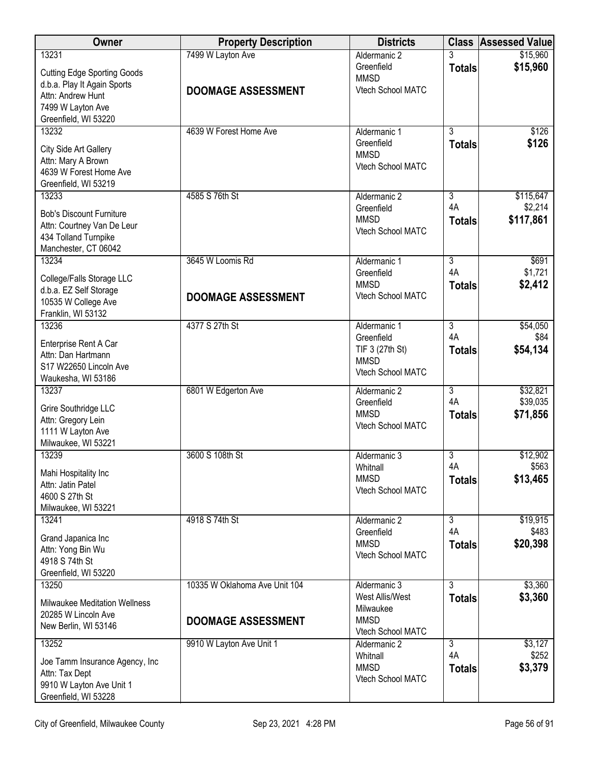| 13231<br>\$15,960<br>7499 W Layton Ave<br>Aldermanic 2<br>\$15,960<br>Greenfield<br><b>Totals</b><br><b>Cutting Edge Sporting Goods</b><br><b>MMSD</b><br>d.b.a. Play It Again Sports<br>Vtech School MATC<br><b>DOOMAGE ASSESSMENT</b><br>Attn: Andrew Hunt<br>7499 W Layton Ave<br>Greenfield, WI 53220<br>13232<br>$\overline{3}$<br>\$126<br>4639 W Forest Home Ave<br>Aldermanic 1<br>\$126<br>Greenfield<br><b>Totals</b><br>City Side Art Gallery<br><b>MMSD</b><br>Attn: Mary A Brown<br>Vtech School MATC<br>4639 W Forest Home Ave<br>Greenfield, WI 53219<br>\$115,647<br>4585 S 76th St<br>$\overline{3}$<br>13233<br>Aldermanic 2<br>4A<br>\$2,214<br>Greenfield<br><b>Bob's Discount Furniture</b><br><b>MMSD</b><br>\$117,861<br><b>Totals</b><br>Attn: Courtney Van De Leur<br>Vtech School MATC<br>434 Tolland Turnpike<br>Manchester, CT 06042<br>13234<br>3645 W Loomis Rd<br>$\overline{3}$<br>\$691<br>Aldermanic 1<br>4A<br>\$1,721<br>Greenfield<br>College/Falls Storage LLC<br>\$2,412<br><b>MMSD</b><br><b>Totals</b><br>d.b.a. EZ Self Storage<br>Vtech School MATC<br><b>DOOMAGE ASSESSMENT</b><br>10535 W College Ave<br>Franklin, WI 53132<br>4377 S 27th St<br>Aldermanic 1<br>$\overline{3}$<br>\$54,050<br>13236<br>4A<br>\$84<br>Greenfield<br>Enterprise Rent A Car<br>\$54,134<br>TIF 3 (27th St)<br><b>Totals</b><br>Attn: Dan Hartmann<br><b>MMSD</b><br>S17 W22650 Lincoln Ave<br>Vtech School MATC<br>Waukesha, WI 53186<br>\$32,821<br>13237<br>6801 W Edgerton Ave<br>3<br>Aldermanic 2<br>4A<br>\$39,035<br>Greenfield<br>Grire Southridge LLC<br>\$71,856<br><b>MMSD</b><br><b>Totals</b><br>Attn: Gregory Lein<br>Vtech School MATC<br>1111 W Layton Ave<br>Milwaukee, WI 53221<br>13239<br>3600 S 108th St<br>$\overline{3}$<br>\$12,902<br>Aldermanic 3<br>\$563<br>4A<br>Whitnall<br>Mahi Hospitality Inc<br>\$13,465<br><b>MMSD</b><br><b>Totals</b><br>Attn: Jatin Patel<br>Vtech School MATC<br>4600 S 27th St<br>Milwaukee, WI 53221<br>4918 S 74th St<br>$\overline{3}$<br>13241<br>\$19,915<br>Aldermanic 2<br>4A<br>\$483<br>Greenfield<br>Grand Japanica Inc<br><b>MMSD</b><br>\$20,398<br><b>Totals</b><br>Attn: Yong Bin Wu<br>Vtech School MATC<br>4918 S 74th St<br>Greenfield, WI 53220<br>$\overline{3}$<br>\$3,360<br>13250<br>10335 W Oklahoma Ave Unit 104<br>Aldermanic 3<br>\$3,360<br>West Allis/West<br><b>Totals</b><br><b>Milwaukee Meditation Wellness</b><br>Milwaukee<br>20285 W Lincoln Ave<br><b>MMSD</b><br><b>DOOMAGE ASSESSMENT</b><br>New Berlin, WI 53146<br>Vtech School MATC<br>13252<br>\$3,127<br>9910 W Layton Ave Unit 1<br>Aldermanic 2<br>3<br>4A<br>\$252<br>Whitnall<br>Joe Tamm Insurance Agency, Inc<br><b>MMSD</b><br>\$3,379<br><b>Totals</b><br>Attn: Tax Dept<br>Vtech School MATC<br>9910 W Layton Ave Unit 1 | Owner                | <b>Property Description</b> | <b>Districts</b> | <b>Class</b> | <b>Assessed Value</b> |
|-----------------------------------------------------------------------------------------------------------------------------------------------------------------------------------------------------------------------------------------------------------------------------------------------------------------------------------------------------------------------------------------------------------------------------------------------------------------------------------------------------------------------------------------------------------------------------------------------------------------------------------------------------------------------------------------------------------------------------------------------------------------------------------------------------------------------------------------------------------------------------------------------------------------------------------------------------------------------------------------------------------------------------------------------------------------------------------------------------------------------------------------------------------------------------------------------------------------------------------------------------------------------------------------------------------------------------------------------------------------------------------------------------------------------------------------------------------------------------------------------------------------------------------------------------------------------------------------------------------------------------------------------------------------------------------------------------------------------------------------------------------------------------------------------------------------------------------------------------------------------------------------------------------------------------------------------------------------------------------------------------------------------------------------------------------------------------------------------------------------------------------------------------------------------------------------------------------------------------------------------------------------------------------------------------------------------------------------------------------------------------------------------------------------------------------------------------------------------------------------------------------------------------------------------------------------------------------------------------------------------------------------------------------------------------------------------------------------------------------------------------------------------------------------------------------------|----------------------|-----------------------------|------------------|--------------|-----------------------|
|                                                                                                                                                                                                                                                                                                                                                                                                                                                                                                                                                                                                                                                                                                                                                                                                                                                                                                                                                                                                                                                                                                                                                                                                                                                                                                                                                                                                                                                                                                                                                                                                                                                                                                                                                                                                                                                                                                                                                                                                                                                                                                                                                                                                                                                                                                                                                                                                                                                                                                                                                                                                                                                                                                                                                                                                                 |                      |                             |                  |              |                       |
|                                                                                                                                                                                                                                                                                                                                                                                                                                                                                                                                                                                                                                                                                                                                                                                                                                                                                                                                                                                                                                                                                                                                                                                                                                                                                                                                                                                                                                                                                                                                                                                                                                                                                                                                                                                                                                                                                                                                                                                                                                                                                                                                                                                                                                                                                                                                                                                                                                                                                                                                                                                                                                                                                                                                                                                                                 |                      |                             |                  |              |                       |
|                                                                                                                                                                                                                                                                                                                                                                                                                                                                                                                                                                                                                                                                                                                                                                                                                                                                                                                                                                                                                                                                                                                                                                                                                                                                                                                                                                                                                                                                                                                                                                                                                                                                                                                                                                                                                                                                                                                                                                                                                                                                                                                                                                                                                                                                                                                                                                                                                                                                                                                                                                                                                                                                                                                                                                                                                 |                      |                             |                  |              |                       |
|                                                                                                                                                                                                                                                                                                                                                                                                                                                                                                                                                                                                                                                                                                                                                                                                                                                                                                                                                                                                                                                                                                                                                                                                                                                                                                                                                                                                                                                                                                                                                                                                                                                                                                                                                                                                                                                                                                                                                                                                                                                                                                                                                                                                                                                                                                                                                                                                                                                                                                                                                                                                                                                                                                                                                                                                                 |                      |                             |                  |              |                       |
|                                                                                                                                                                                                                                                                                                                                                                                                                                                                                                                                                                                                                                                                                                                                                                                                                                                                                                                                                                                                                                                                                                                                                                                                                                                                                                                                                                                                                                                                                                                                                                                                                                                                                                                                                                                                                                                                                                                                                                                                                                                                                                                                                                                                                                                                                                                                                                                                                                                                                                                                                                                                                                                                                                                                                                                                                 |                      |                             |                  |              |                       |
|                                                                                                                                                                                                                                                                                                                                                                                                                                                                                                                                                                                                                                                                                                                                                                                                                                                                                                                                                                                                                                                                                                                                                                                                                                                                                                                                                                                                                                                                                                                                                                                                                                                                                                                                                                                                                                                                                                                                                                                                                                                                                                                                                                                                                                                                                                                                                                                                                                                                                                                                                                                                                                                                                                                                                                                                                 |                      |                             |                  |              |                       |
|                                                                                                                                                                                                                                                                                                                                                                                                                                                                                                                                                                                                                                                                                                                                                                                                                                                                                                                                                                                                                                                                                                                                                                                                                                                                                                                                                                                                                                                                                                                                                                                                                                                                                                                                                                                                                                                                                                                                                                                                                                                                                                                                                                                                                                                                                                                                                                                                                                                                                                                                                                                                                                                                                                                                                                                                                 |                      |                             |                  |              |                       |
|                                                                                                                                                                                                                                                                                                                                                                                                                                                                                                                                                                                                                                                                                                                                                                                                                                                                                                                                                                                                                                                                                                                                                                                                                                                                                                                                                                                                                                                                                                                                                                                                                                                                                                                                                                                                                                                                                                                                                                                                                                                                                                                                                                                                                                                                                                                                                                                                                                                                                                                                                                                                                                                                                                                                                                                                                 |                      |                             |                  |              |                       |
|                                                                                                                                                                                                                                                                                                                                                                                                                                                                                                                                                                                                                                                                                                                                                                                                                                                                                                                                                                                                                                                                                                                                                                                                                                                                                                                                                                                                                                                                                                                                                                                                                                                                                                                                                                                                                                                                                                                                                                                                                                                                                                                                                                                                                                                                                                                                                                                                                                                                                                                                                                                                                                                                                                                                                                                                                 |                      |                             |                  |              |                       |
|                                                                                                                                                                                                                                                                                                                                                                                                                                                                                                                                                                                                                                                                                                                                                                                                                                                                                                                                                                                                                                                                                                                                                                                                                                                                                                                                                                                                                                                                                                                                                                                                                                                                                                                                                                                                                                                                                                                                                                                                                                                                                                                                                                                                                                                                                                                                                                                                                                                                                                                                                                                                                                                                                                                                                                                                                 |                      |                             |                  |              |                       |
|                                                                                                                                                                                                                                                                                                                                                                                                                                                                                                                                                                                                                                                                                                                                                                                                                                                                                                                                                                                                                                                                                                                                                                                                                                                                                                                                                                                                                                                                                                                                                                                                                                                                                                                                                                                                                                                                                                                                                                                                                                                                                                                                                                                                                                                                                                                                                                                                                                                                                                                                                                                                                                                                                                                                                                                                                 |                      |                             |                  |              |                       |
|                                                                                                                                                                                                                                                                                                                                                                                                                                                                                                                                                                                                                                                                                                                                                                                                                                                                                                                                                                                                                                                                                                                                                                                                                                                                                                                                                                                                                                                                                                                                                                                                                                                                                                                                                                                                                                                                                                                                                                                                                                                                                                                                                                                                                                                                                                                                                                                                                                                                                                                                                                                                                                                                                                                                                                                                                 |                      |                             |                  |              |                       |
|                                                                                                                                                                                                                                                                                                                                                                                                                                                                                                                                                                                                                                                                                                                                                                                                                                                                                                                                                                                                                                                                                                                                                                                                                                                                                                                                                                                                                                                                                                                                                                                                                                                                                                                                                                                                                                                                                                                                                                                                                                                                                                                                                                                                                                                                                                                                                                                                                                                                                                                                                                                                                                                                                                                                                                                                                 |                      |                             |                  |              |                       |
|                                                                                                                                                                                                                                                                                                                                                                                                                                                                                                                                                                                                                                                                                                                                                                                                                                                                                                                                                                                                                                                                                                                                                                                                                                                                                                                                                                                                                                                                                                                                                                                                                                                                                                                                                                                                                                                                                                                                                                                                                                                                                                                                                                                                                                                                                                                                                                                                                                                                                                                                                                                                                                                                                                                                                                                                                 |                      |                             |                  |              |                       |
|                                                                                                                                                                                                                                                                                                                                                                                                                                                                                                                                                                                                                                                                                                                                                                                                                                                                                                                                                                                                                                                                                                                                                                                                                                                                                                                                                                                                                                                                                                                                                                                                                                                                                                                                                                                                                                                                                                                                                                                                                                                                                                                                                                                                                                                                                                                                                                                                                                                                                                                                                                                                                                                                                                                                                                                                                 |                      |                             |                  |              |                       |
|                                                                                                                                                                                                                                                                                                                                                                                                                                                                                                                                                                                                                                                                                                                                                                                                                                                                                                                                                                                                                                                                                                                                                                                                                                                                                                                                                                                                                                                                                                                                                                                                                                                                                                                                                                                                                                                                                                                                                                                                                                                                                                                                                                                                                                                                                                                                                                                                                                                                                                                                                                                                                                                                                                                                                                                                                 |                      |                             |                  |              |                       |
|                                                                                                                                                                                                                                                                                                                                                                                                                                                                                                                                                                                                                                                                                                                                                                                                                                                                                                                                                                                                                                                                                                                                                                                                                                                                                                                                                                                                                                                                                                                                                                                                                                                                                                                                                                                                                                                                                                                                                                                                                                                                                                                                                                                                                                                                                                                                                                                                                                                                                                                                                                                                                                                                                                                                                                                                                 |                      |                             |                  |              |                       |
|                                                                                                                                                                                                                                                                                                                                                                                                                                                                                                                                                                                                                                                                                                                                                                                                                                                                                                                                                                                                                                                                                                                                                                                                                                                                                                                                                                                                                                                                                                                                                                                                                                                                                                                                                                                                                                                                                                                                                                                                                                                                                                                                                                                                                                                                                                                                                                                                                                                                                                                                                                                                                                                                                                                                                                                                                 |                      |                             |                  |              |                       |
|                                                                                                                                                                                                                                                                                                                                                                                                                                                                                                                                                                                                                                                                                                                                                                                                                                                                                                                                                                                                                                                                                                                                                                                                                                                                                                                                                                                                                                                                                                                                                                                                                                                                                                                                                                                                                                                                                                                                                                                                                                                                                                                                                                                                                                                                                                                                                                                                                                                                                                                                                                                                                                                                                                                                                                                                                 |                      |                             |                  |              |                       |
|                                                                                                                                                                                                                                                                                                                                                                                                                                                                                                                                                                                                                                                                                                                                                                                                                                                                                                                                                                                                                                                                                                                                                                                                                                                                                                                                                                                                                                                                                                                                                                                                                                                                                                                                                                                                                                                                                                                                                                                                                                                                                                                                                                                                                                                                                                                                                                                                                                                                                                                                                                                                                                                                                                                                                                                                                 |                      |                             |                  |              |                       |
|                                                                                                                                                                                                                                                                                                                                                                                                                                                                                                                                                                                                                                                                                                                                                                                                                                                                                                                                                                                                                                                                                                                                                                                                                                                                                                                                                                                                                                                                                                                                                                                                                                                                                                                                                                                                                                                                                                                                                                                                                                                                                                                                                                                                                                                                                                                                                                                                                                                                                                                                                                                                                                                                                                                                                                                                                 |                      |                             |                  |              |                       |
|                                                                                                                                                                                                                                                                                                                                                                                                                                                                                                                                                                                                                                                                                                                                                                                                                                                                                                                                                                                                                                                                                                                                                                                                                                                                                                                                                                                                                                                                                                                                                                                                                                                                                                                                                                                                                                                                                                                                                                                                                                                                                                                                                                                                                                                                                                                                                                                                                                                                                                                                                                                                                                                                                                                                                                                                                 |                      |                             |                  |              |                       |
|                                                                                                                                                                                                                                                                                                                                                                                                                                                                                                                                                                                                                                                                                                                                                                                                                                                                                                                                                                                                                                                                                                                                                                                                                                                                                                                                                                                                                                                                                                                                                                                                                                                                                                                                                                                                                                                                                                                                                                                                                                                                                                                                                                                                                                                                                                                                                                                                                                                                                                                                                                                                                                                                                                                                                                                                                 |                      |                             |                  |              |                       |
|                                                                                                                                                                                                                                                                                                                                                                                                                                                                                                                                                                                                                                                                                                                                                                                                                                                                                                                                                                                                                                                                                                                                                                                                                                                                                                                                                                                                                                                                                                                                                                                                                                                                                                                                                                                                                                                                                                                                                                                                                                                                                                                                                                                                                                                                                                                                                                                                                                                                                                                                                                                                                                                                                                                                                                                                                 |                      |                             |                  |              |                       |
|                                                                                                                                                                                                                                                                                                                                                                                                                                                                                                                                                                                                                                                                                                                                                                                                                                                                                                                                                                                                                                                                                                                                                                                                                                                                                                                                                                                                                                                                                                                                                                                                                                                                                                                                                                                                                                                                                                                                                                                                                                                                                                                                                                                                                                                                                                                                                                                                                                                                                                                                                                                                                                                                                                                                                                                                                 |                      |                             |                  |              |                       |
|                                                                                                                                                                                                                                                                                                                                                                                                                                                                                                                                                                                                                                                                                                                                                                                                                                                                                                                                                                                                                                                                                                                                                                                                                                                                                                                                                                                                                                                                                                                                                                                                                                                                                                                                                                                                                                                                                                                                                                                                                                                                                                                                                                                                                                                                                                                                                                                                                                                                                                                                                                                                                                                                                                                                                                                                                 |                      |                             |                  |              |                       |
|                                                                                                                                                                                                                                                                                                                                                                                                                                                                                                                                                                                                                                                                                                                                                                                                                                                                                                                                                                                                                                                                                                                                                                                                                                                                                                                                                                                                                                                                                                                                                                                                                                                                                                                                                                                                                                                                                                                                                                                                                                                                                                                                                                                                                                                                                                                                                                                                                                                                                                                                                                                                                                                                                                                                                                                                                 |                      |                             |                  |              |                       |
|                                                                                                                                                                                                                                                                                                                                                                                                                                                                                                                                                                                                                                                                                                                                                                                                                                                                                                                                                                                                                                                                                                                                                                                                                                                                                                                                                                                                                                                                                                                                                                                                                                                                                                                                                                                                                                                                                                                                                                                                                                                                                                                                                                                                                                                                                                                                                                                                                                                                                                                                                                                                                                                                                                                                                                                                                 |                      |                             |                  |              |                       |
|                                                                                                                                                                                                                                                                                                                                                                                                                                                                                                                                                                                                                                                                                                                                                                                                                                                                                                                                                                                                                                                                                                                                                                                                                                                                                                                                                                                                                                                                                                                                                                                                                                                                                                                                                                                                                                                                                                                                                                                                                                                                                                                                                                                                                                                                                                                                                                                                                                                                                                                                                                                                                                                                                                                                                                                                                 |                      |                             |                  |              |                       |
|                                                                                                                                                                                                                                                                                                                                                                                                                                                                                                                                                                                                                                                                                                                                                                                                                                                                                                                                                                                                                                                                                                                                                                                                                                                                                                                                                                                                                                                                                                                                                                                                                                                                                                                                                                                                                                                                                                                                                                                                                                                                                                                                                                                                                                                                                                                                                                                                                                                                                                                                                                                                                                                                                                                                                                                                                 |                      |                             |                  |              |                       |
|                                                                                                                                                                                                                                                                                                                                                                                                                                                                                                                                                                                                                                                                                                                                                                                                                                                                                                                                                                                                                                                                                                                                                                                                                                                                                                                                                                                                                                                                                                                                                                                                                                                                                                                                                                                                                                                                                                                                                                                                                                                                                                                                                                                                                                                                                                                                                                                                                                                                                                                                                                                                                                                                                                                                                                                                                 |                      |                             |                  |              |                       |
|                                                                                                                                                                                                                                                                                                                                                                                                                                                                                                                                                                                                                                                                                                                                                                                                                                                                                                                                                                                                                                                                                                                                                                                                                                                                                                                                                                                                                                                                                                                                                                                                                                                                                                                                                                                                                                                                                                                                                                                                                                                                                                                                                                                                                                                                                                                                                                                                                                                                                                                                                                                                                                                                                                                                                                                                                 |                      |                             |                  |              |                       |
|                                                                                                                                                                                                                                                                                                                                                                                                                                                                                                                                                                                                                                                                                                                                                                                                                                                                                                                                                                                                                                                                                                                                                                                                                                                                                                                                                                                                                                                                                                                                                                                                                                                                                                                                                                                                                                                                                                                                                                                                                                                                                                                                                                                                                                                                                                                                                                                                                                                                                                                                                                                                                                                                                                                                                                                                                 |                      |                             |                  |              |                       |
|                                                                                                                                                                                                                                                                                                                                                                                                                                                                                                                                                                                                                                                                                                                                                                                                                                                                                                                                                                                                                                                                                                                                                                                                                                                                                                                                                                                                                                                                                                                                                                                                                                                                                                                                                                                                                                                                                                                                                                                                                                                                                                                                                                                                                                                                                                                                                                                                                                                                                                                                                                                                                                                                                                                                                                                                                 |                      |                             |                  |              |                       |
|                                                                                                                                                                                                                                                                                                                                                                                                                                                                                                                                                                                                                                                                                                                                                                                                                                                                                                                                                                                                                                                                                                                                                                                                                                                                                                                                                                                                                                                                                                                                                                                                                                                                                                                                                                                                                                                                                                                                                                                                                                                                                                                                                                                                                                                                                                                                                                                                                                                                                                                                                                                                                                                                                                                                                                                                                 |                      |                             |                  |              |                       |
|                                                                                                                                                                                                                                                                                                                                                                                                                                                                                                                                                                                                                                                                                                                                                                                                                                                                                                                                                                                                                                                                                                                                                                                                                                                                                                                                                                                                                                                                                                                                                                                                                                                                                                                                                                                                                                                                                                                                                                                                                                                                                                                                                                                                                                                                                                                                                                                                                                                                                                                                                                                                                                                                                                                                                                                                                 |                      |                             |                  |              |                       |
|                                                                                                                                                                                                                                                                                                                                                                                                                                                                                                                                                                                                                                                                                                                                                                                                                                                                                                                                                                                                                                                                                                                                                                                                                                                                                                                                                                                                                                                                                                                                                                                                                                                                                                                                                                                                                                                                                                                                                                                                                                                                                                                                                                                                                                                                                                                                                                                                                                                                                                                                                                                                                                                                                                                                                                                                                 |                      |                             |                  |              |                       |
|                                                                                                                                                                                                                                                                                                                                                                                                                                                                                                                                                                                                                                                                                                                                                                                                                                                                                                                                                                                                                                                                                                                                                                                                                                                                                                                                                                                                                                                                                                                                                                                                                                                                                                                                                                                                                                                                                                                                                                                                                                                                                                                                                                                                                                                                                                                                                                                                                                                                                                                                                                                                                                                                                                                                                                                                                 |                      |                             |                  |              |                       |
|                                                                                                                                                                                                                                                                                                                                                                                                                                                                                                                                                                                                                                                                                                                                                                                                                                                                                                                                                                                                                                                                                                                                                                                                                                                                                                                                                                                                                                                                                                                                                                                                                                                                                                                                                                                                                                                                                                                                                                                                                                                                                                                                                                                                                                                                                                                                                                                                                                                                                                                                                                                                                                                                                                                                                                                                                 |                      |                             |                  |              |                       |
|                                                                                                                                                                                                                                                                                                                                                                                                                                                                                                                                                                                                                                                                                                                                                                                                                                                                                                                                                                                                                                                                                                                                                                                                                                                                                                                                                                                                                                                                                                                                                                                                                                                                                                                                                                                                                                                                                                                                                                                                                                                                                                                                                                                                                                                                                                                                                                                                                                                                                                                                                                                                                                                                                                                                                                                                                 |                      |                             |                  |              |                       |
|                                                                                                                                                                                                                                                                                                                                                                                                                                                                                                                                                                                                                                                                                                                                                                                                                                                                                                                                                                                                                                                                                                                                                                                                                                                                                                                                                                                                                                                                                                                                                                                                                                                                                                                                                                                                                                                                                                                                                                                                                                                                                                                                                                                                                                                                                                                                                                                                                                                                                                                                                                                                                                                                                                                                                                                                                 |                      |                             |                  |              |                       |
|                                                                                                                                                                                                                                                                                                                                                                                                                                                                                                                                                                                                                                                                                                                                                                                                                                                                                                                                                                                                                                                                                                                                                                                                                                                                                                                                                                                                                                                                                                                                                                                                                                                                                                                                                                                                                                                                                                                                                                                                                                                                                                                                                                                                                                                                                                                                                                                                                                                                                                                                                                                                                                                                                                                                                                                                                 |                      |                             |                  |              |                       |
|                                                                                                                                                                                                                                                                                                                                                                                                                                                                                                                                                                                                                                                                                                                                                                                                                                                                                                                                                                                                                                                                                                                                                                                                                                                                                                                                                                                                                                                                                                                                                                                                                                                                                                                                                                                                                                                                                                                                                                                                                                                                                                                                                                                                                                                                                                                                                                                                                                                                                                                                                                                                                                                                                                                                                                                                                 |                      |                             |                  |              |                       |
|                                                                                                                                                                                                                                                                                                                                                                                                                                                                                                                                                                                                                                                                                                                                                                                                                                                                                                                                                                                                                                                                                                                                                                                                                                                                                                                                                                                                                                                                                                                                                                                                                                                                                                                                                                                                                                                                                                                                                                                                                                                                                                                                                                                                                                                                                                                                                                                                                                                                                                                                                                                                                                                                                                                                                                                                                 |                      |                             |                  |              |                       |
|                                                                                                                                                                                                                                                                                                                                                                                                                                                                                                                                                                                                                                                                                                                                                                                                                                                                                                                                                                                                                                                                                                                                                                                                                                                                                                                                                                                                                                                                                                                                                                                                                                                                                                                                                                                                                                                                                                                                                                                                                                                                                                                                                                                                                                                                                                                                                                                                                                                                                                                                                                                                                                                                                                                                                                                                                 |                      |                             |                  |              |                       |
|                                                                                                                                                                                                                                                                                                                                                                                                                                                                                                                                                                                                                                                                                                                                                                                                                                                                                                                                                                                                                                                                                                                                                                                                                                                                                                                                                                                                                                                                                                                                                                                                                                                                                                                                                                                                                                                                                                                                                                                                                                                                                                                                                                                                                                                                                                                                                                                                                                                                                                                                                                                                                                                                                                                                                                                                                 |                      |                             |                  |              |                       |
|                                                                                                                                                                                                                                                                                                                                                                                                                                                                                                                                                                                                                                                                                                                                                                                                                                                                                                                                                                                                                                                                                                                                                                                                                                                                                                                                                                                                                                                                                                                                                                                                                                                                                                                                                                                                                                                                                                                                                                                                                                                                                                                                                                                                                                                                                                                                                                                                                                                                                                                                                                                                                                                                                                                                                                                                                 |                      |                             |                  |              |                       |
|                                                                                                                                                                                                                                                                                                                                                                                                                                                                                                                                                                                                                                                                                                                                                                                                                                                                                                                                                                                                                                                                                                                                                                                                                                                                                                                                                                                                                                                                                                                                                                                                                                                                                                                                                                                                                                                                                                                                                                                                                                                                                                                                                                                                                                                                                                                                                                                                                                                                                                                                                                                                                                                                                                                                                                                                                 | Greenfield, WI 53228 |                             |                  |              |                       |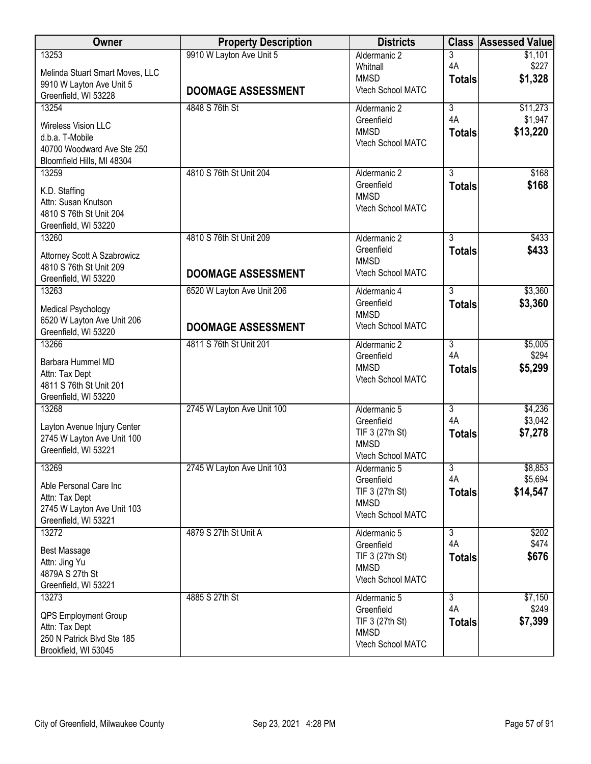| Owner                                                                                                       | <b>Property Description</b>                             | <b>Districts</b>                                                                  |                                       | <b>Class Assessed Value</b>     |
|-------------------------------------------------------------------------------------------------------------|---------------------------------------------------------|-----------------------------------------------------------------------------------|---------------------------------------|---------------------------------|
| 13253<br>Melinda Stuart Smart Moves, LLC<br>9910 W Layton Ave Unit 5<br>Greenfield, WI 53228                | 9910 W Layton Ave Unit 5<br><b>DOOMAGE ASSESSMENT</b>   | Aldermanic 2<br>Whitnall<br><b>MMSD</b><br><b>Vtech School MATC</b>               | 3<br>4A<br><b>Totals</b>              | \$1,101<br>\$227<br>\$1,328     |
| 13254<br>Wireless Vision LLC<br>d.b.a. T-Mobile<br>40700 Woodward Ave Ste 250<br>Bloomfield Hills, MI 48304 | 4848 S 76th St                                          | Aldermanic 2<br>Greenfield<br><b>MMSD</b><br>Vtech School MATC                    | $\overline{3}$<br>4A<br><b>Totals</b> | \$11,273<br>\$1,947<br>\$13,220 |
| 13259<br>K.D. Staffing<br>Attn: Susan Knutson<br>4810 S 76th St Unit 204<br>Greenfield, WI 53220            | 4810 S 76th St Unit 204                                 | Aldermanic 2<br>Greenfield<br><b>MMSD</b><br>Vtech School MATC                    | $\overline{3}$<br><b>Totals</b>       | \$168<br>\$168                  |
| 13260<br>Attorney Scott A Szabrowicz<br>4810 S 76th St Unit 209<br>Greenfield, WI 53220                     | 4810 S 76th St Unit 209<br><b>DOOMAGE ASSESSMENT</b>    | Aldermanic 2<br>Greenfield<br><b>MMSD</b><br>Vtech School MATC                    | $\overline{3}$<br><b>Totals</b>       | \$433<br>\$433                  |
| 13263<br>Medical Psychology<br>6520 W Layton Ave Unit 206<br>Greenfield, WI 53220                           | 6520 W Layton Ave Unit 206<br><b>DOOMAGE ASSESSMENT</b> | Aldermanic 4<br>Greenfield<br><b>MMSD</b><br>Vtech School MATC                    | $\overline{3}$<br><b>Totals</b>       | \$3,360<br>\$3,360              |
| 13266<br>Barbara Hummel MD<br>Attn: Tax Dept<br>4811 S 76th St Unit 201<br>Greenfield, WI 53220             | 4811 S 76th St Unit 201                                 | Aldermanic 2<br>Greenfield<br><b>MMSD</b><br>Vtech School MATC                    | $\overline{3}$<br>4A<br><b>Totals</b> | \$5,005<br>\$294<br>\$5,299     |
| 13268<br>Layton Avenue Injury Center<br>2745 W Layton Ave Unit 100<br>Greenfield, WI 53221                  | 2745 W Layton Ave Unit 100                              | Aldermanic 5<br>Greenfield<br>TIF 3 (27th St)<br><b>MMSD</b><br>Vtech School MATC | $\overline{3}$<br>4A<br><b>Totals</b> | \$4,236<br>\$3,042<br>\$7,278   |
| 13269<br>Able Personal Care Inc<br>Attn: Tax Dept<br>2745 W Layton Ave Unit 103<br>Greenfield, WI 53221     | 2745 W Layton Ave Unit 103                              | Aldermanic 5<br>Greenfield<br>TIF 3 (27th St)<br><b>MMSD</b><br>Vtech School MATC | 3<br>4A<br><b>Totals</b>              | \$8,853<br>\$5,694<br>\$14,547  |
| 13272<br><b>Best Massage</b><br>Attn: Jing Yu<br>4879A S 27th St<br>Greenfield, WI 53221                    | 4879 S 27th St Unit A                                   | Aldermanic 5<br>Greenfield<br>TIF 3 (27th St)<br><b>MMSD</b><br>Vtech School MATC | $\overline{3}$<br>4A<br><b>Totals</b> | \$202<br>\$474<br>\$676         |
| 13273<br>QPS Employment Group<br>Attn: Tax Dept<br>250 N Patrick Blvd Ste 185<br>Brookfield, WI 53045       | 4885 S 27th St                                          | Aldermanic 5<br>Greenfield<br>TIF 3 (27th St)<br><b>MMSD</b><br>Vtech School MATC | $\overline{3}$<br>4A<br><b>Totals</b> | \$7,150<br>\$249<br>\$7,399     |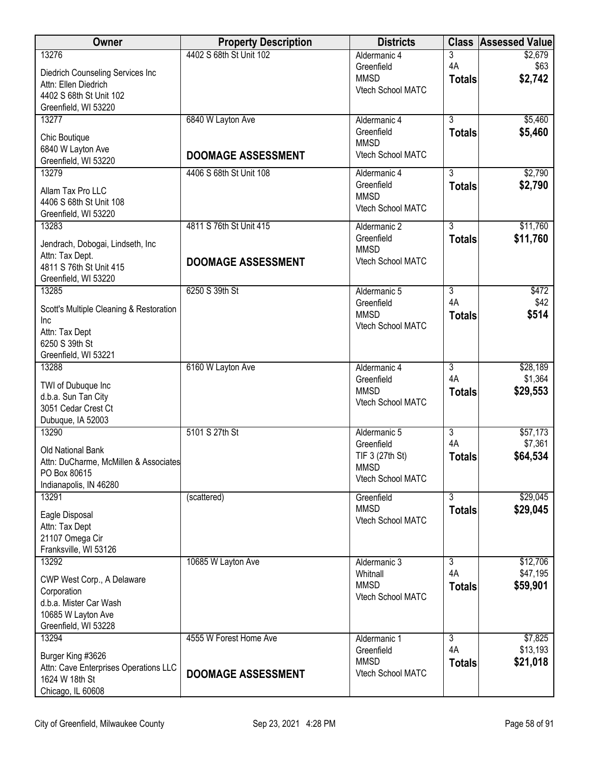| Owner                                                   | <b>Property Description</b> | <b>Districts</b>                 | <b>Class</b>         | <b>Assessed Value</b> |
|---------------------------------------------------------|-----------------------------|----------------------------------|----------------------|-----------------------|
| 13276                                                   | 4402 S 68th St Unit 102     | Aldermanic 4                     | 3                    | \$2,679               |
| Diedrich Counseling Services Inc                        |                             | Greenfield<br><b>MMSD</b>        | 4A<br><b>Totals</b>  | \$63<br>\$2,742       |
| Attn: Ellen Diedrich<br>4402 S 68th St Unit 102         |                             | Vtech School MATC                |                      |                       |
| Greenfield, WI 53220                                    |                             |                                  |                      |                       |
| 13277                                                   | 6840 W Layton Ave           | Aldermanic 4                     | $\overline{3}$       | \$5,460               |
| Chic Boutique                                           |                             | Greenfield                       | <b>Totals</b>        | \$5,460               |
| 6840 W Layton Ave                                       |                             | <b>MMSD</b>                      |                      |                       |
| Greenfield, WI 53220                                    | <b>DOOMAGE ASSESSMENT</b>   | Vtech School MATC                |                      |                       |
| 13279                                                   | 4406 S 68th St Unit 108     | Aldermanic 4                     | $\overline{3}$       | \$2,790               |
| Allam Tax Pro LLC                                       |                             | Greenfield<br><b>MMSD</b>        | <b>Totals</b>        | \$2,790               |
| 4406 S 68th St Unit 108                                 |                             | Vtech School MATC                |                      |                       |
| Greenfield, WI 53220                                    |                             |                                  | $\overline{3}$       |                       |
| 13283                                                   | 4811 S 76th St Unit 415     | Aldermanic 2<br>Greenfield       | <b>Totals</b>        | \$11,760<br>\$11,760  |
| Jendrach, Dobogai, Lindseth, Inc.                       |                             | <b>MMSD</b>                      |                      |                       |
| Attn: Tax Dept.<br>4811 S 76th St Unit 415              | <b>DOOMAGE ASSESSMENT</b>   | Vtech School MATC                |                      |                       |
| Greenfield, WI 53220                                    |                             |                                  |                      |                       |
| 13285                                                   | 6250 S 39th St              | Aldermanic 5                     | 3                    | \$472                 |
| Scott's Multiple Cleaning & Restoration                 |                             | Greenfield                       | 4A                   | \$42                  |
| Inc                                                     |                             | <b>MMSD</b><br>Vtech School MATC | <b>Totals</b>        | \$514                 |
| Attn: Tax Dept                                          |                             |                                  |                      |                       |
| 6250 S 39th St<br>Greenfield, WI 53221                  |                             |                                  |                      |                       |
| 13288                                                   | 6160 W Layton Ave           | Aldermanic 4                     | $\overline{3}$       | \$28,189              |
| TWI of Dubuque Inc                                      |                             | Greenfield                       | 4A                   | \$1,364               |
| d.b.a. Sun Tan City                                     |                             | <b>MMSD</b>                      | <b>Totals</b>        | \$29,553              |
| 3051 Cedar Crest Ct                                     |                             | Vtech School MATC                |                      |                       |
| Dubuque, IA 52003                                       |                             |                                  |                      |                       |
| 13290                                                   | 5101 S 27th St              | Aldermanic 5<br>Greenfield       | $\overline{3}$<br>4A | \$57,173<br>\$7,361   |
| Old National Bank                                       |                             | TIF 3 (27th St)                  | <b>Totals</b>        | \$64,534              |
| Attn: DuCharme, McMillen & Associates<br>PO Box 80615   |                             | <b>MMSD</b>                      |                      |                       |
| Indianapolis, IN 46280                                  |                             | Vtech School MATC                |                      |                       |
| 13291                                                   | (scattered)                 | Greenfield                       | $\overline{3}$       | \$29,045              |
| Eagle Disposal                                          |                             | <b>MMSD</b>                      | <b>Totals</b>        | \$29,045              |
| Attn: Tax Dept                                          |                             | Vtech School MATC                |                      |                       |
| 21107 Omega Cir                                         |                             |                                  |                      |                       |
| Franksville, WI 53126<br>13292                          | 10685 W Layton Ave          | Aldermanic 3                     | 3                    | \$12,706              |
|                                                         |                             | Whitnall                         | 4A                   | \$47,195              |
| CWP West Corp., A Delaware<br>Corporation               |                             | <b>MMSD</b>                      | <b>Totals</b>        | \$59,901              |
| d.b.a. Mister Car Wash                                  |                             | Vtech School MATC                |                      |                       |
| 10685 W Layton Ave                                      |                             |                                  |                      |                       |
| Greenfield, WI 53228                                    |                             |                                  |                      |                       |
| 13294                                                   | 4555 W Forest Home Ave      | Aldermanic 1<br>Greenfield       | 3<br>4A              | \$7,825<br>\$13,193   |
| Burger King #3626                                       |                             | <b>MMSD</b>                      | <b>Totals</b>        | \$21,018              |
| Attn: Cave Enterprises Operations LLC<br>1624 W 18th St | <b>DOOMAGE ASSESSMENT</b>   | Vtech School MATC                |                      |                       |
| Chicago, IL 60608                                       |                             |                                  |                      |                       |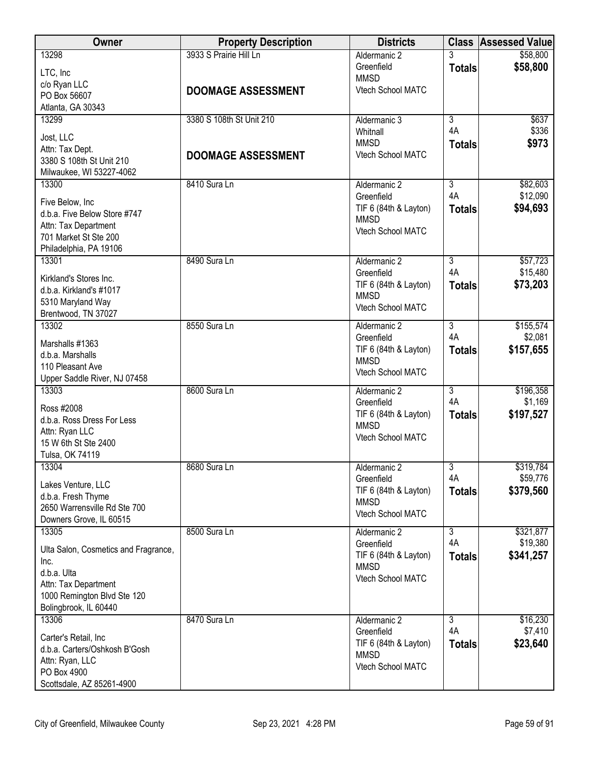| <b>Owner</b>                                                                                                                                | <b>Property Description</b> | <b>Districts</b>                                                                         | <b>Class</b>             | <b>Assessed Value</b>           |
|---------------------------------------------------------------------------------------------------------------------------------------------|-----------------------------|------------------------------------------------------------------------------------------|--------------------------|---------------------------------|
| 13298<br>LTC, Inc                                                                                                                           | 3933 S Prairie Hill Ln      | Aldermanic 2<br>Greenfield<br><b>MMSD</b>                                                | 3<br><b>Totals</b>       | \$58,800<br>\$58,800            |
| c/o Ryan LLC<br>PO Box 56607<br>Atlanta, GA 30343                                                                                           | <b>DOOMAGE ASSESSMENT</b>   | Vtech School MATC                                                                        |                          |                                 |
| 13299                                                                                                                                       | 3380 S 108th St Unit 210    | Aldermanic 3                                                                             | $\overline{3}$           | \$637                           |
| Jost, LLC                                                                                                                                   |                             | Whitnall                                                                                 | 4A                       | \$336                           |
| Attn: Tax Dept.<br>3380 S 108th St Unit 210<br>Milwaukee, WI 53227-4062                                                                     | <b>DOOMAGE ASSESSMENT</b>   | <b>MMSD</b><br><b>Vtech School MATC</b>                                                  | <b>Totals</b>            | \$973                           |
| 13300                                                                                                                                       | 8410 Sura Ln                | Aldermanic 2                                                                             | $\overline{3}$<br>4A     | \$82,603                        |
| Five Below, Inc<br>d.b.a. Five Below Store #747<br>Attn: Tax Department<br>701 Market St Ste 200                                            |                             | Greenfield<br>TIF 6 (84th & Layton)<br><b>MMSD</b><br>Vtech School MATC                  | <b>Totals</b>            | \$12,090<br>\$94,693            |
| Philadelphia, PA 19106<br>13301                                                                                                             | 8490 Sura Ln                | Aldermanic 2                                                                             | $\overline{3}$           | \$57,723                        |
| Kirkland's Stores Inc.<br>d.b.a. Kirkland's #1017<br>5310 Maryland Way<br>Brentwood, TN 37027                                               |                             | Greenfield<br>TIF 6 (84th & Layton)<br><b>MMSD</b><br>Vtech School MATC                  | 4A<br><b>Totals</b>      | \$15,480<br>\$73,203            |
| 13302                                                                                                                                       | 8550 Sura Ln                | Aldermanic 2                                                                             | $\overline{3}$           | \$155,574                       |
| Marshalls #1363<br>d.b.a. Marshalls<br>110 Pleasant Ave<br>Upper Saddle River, NJ 07458                                                     |                             | Greenfield<br>TIF 6 (84th & Layton)<br><b>MMSD</b><br>Vtech School MATC                  | 4A<br><b>Totals</b>      | \$2,081<br>\$157,655            |
| 13303                                                                                                                                       | 8600 Sura Ln                | Aldermanic 2                                                                             | $\overline{3}$           | \$196,358                       |
| Ross #2008<br>d.b.a. Ross Dress For Less<br>Attn: Ryan LLC<br>15 W 6th St Ste 2400<br>Tulsa, OK 74119                                       |                             | Greenfield<br>TIF 6 (84th & Layton)<br><b>MMSD</b><br>Vtech School MATC                  | 4A<br><b>Totals</b>      | \$1,169<br>\$197,527            |
| 13304                                                                                                                                       | 8680 Sura Ln                | Aldermanic 2                                                                             | $\overline{3}$           | \$319,784                       |
| Lakes Venture, LLC<br>d.b.a. Fresh Thyme<br>2650 Warrensville Rd Ste 700<br>Downers Grove, IL 60515                                         |                             | Greenfield<br>TIF 6 (84th & Layton)<br><b>MMSD</b><br>Vtech School MATC                  | 4A<br><b>Totals</b>      | \$59,776<br>\$379,560           |
| 13305                                                                                                                                       | 8500 Sura Ln                | Aldermanic 2                                                                             | $\overline{3}$           | \$321,877                       |
| Ulta Salon, Cosmetics and Fragrance,<br>Inc.<br>d.b.a. Ulta<br>Attn: Tax Department<br>1000 Remington Blvd Ste 120<br>Bolingbrook, IL 60440 |                             | Greenfield<br>TIF 6 (84th & Layton)<br><b>MMSD</b><br>Vtech School MATC                  | 4A<br><b>Totals</b>      | \$19,380<br>\$341,257           |
| 13306<br>Carter's Retail, Inc<br>d.b.a. Carters/Oshkosh B'Gosh<br>Attn: Ryan, LLC<br>PO Box 4900<br>Scottsdale, AZ 85261-4900               | 8470 Sura Ln                | Aldermanic 2<br>Greenfield<br>TIF $6(84th & Layton)$<br><b>MMSD</b><br>Vtech School MATC | 3<br>4A<br><b>Totals</b> | \$16,230<br>\$7,410<br>\$23,640 |
|                                                                                                                                             |                             |                                                                                          |                          |                                 |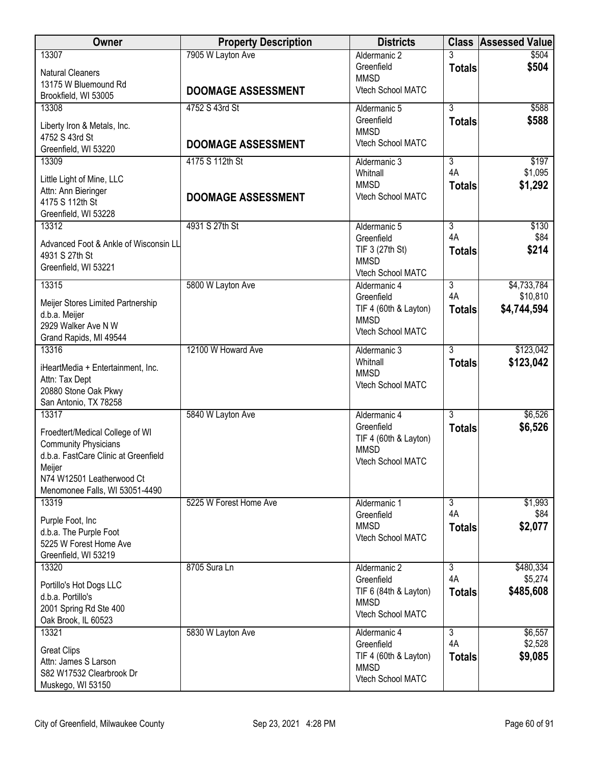| Owner                                                               | <b>Property Description</b> | <b>Districts</b>                    | <b>Class</b>   | <b>Assessed Value</b>   |
|---------------------------------------------------------------------|-----------------------------|-------------------------------------|----------------|-------------------------|
| 13307                                                               | 7905 W Layton Ave           | Aldermanic 2                        |                | \$504                   |
| <b>Natural Cleaners</b>                                             |                             | Greenfield<br><b>MMSD</b>           | <b>Totals</b>  | \$504                   |
| 13175 W Bluemound Rd                                                | <b>DOOMAGE ASSESSMENT</b>   | Vtech School MATC                   |                |                         |
| Brookfield, WI 53005<br>13308                                       | 4752 S 43rd St              | Aldermanic 5                        | $\overline{3}$ | \$588                   |
|                                                                     |                             | Greenfield                          | <b>Totals</b>  | \$588                   |
| Liberty Iron & Metals, Inc.<br>4752 S 43rd St                       |                             | <b>MMSD</b>                         |                |                         |
| Greenfield, WI 53220                                                | <b>DOOMAGE ASSESSMENT</b>   | Vtech School MATC                   |                |                         |
| 13309                                                               | 4175 S 112th St             | Aldermanic 3                        | $\overline{3}$ | \$197                   |
| Little Light of Mine, LLC                                           |                             | Whitnall                            | 4A             | \$1,095                 |
| Attn: Ann Bieringer                                                 |                             | <b>MMSD</b><br>Vtech School MATC    | <b>Totals</b>  | \$1,292                 |
| 4175 S 112th St                                                     | <b>DOOMAGE ASSESSMENT</b>   |                                     |                |                         |
| Greenfield, WI 53228                                                | 4931 S 27th St              |                                     | $\overline{3}$ |                         |
| 13312                                                               |                             | Aldermanic 5<br>Greenfield          | 4A             | \$130<br>\$84           |
| Advanced Foot & Ankle of Wisconsin LL                               |                             | TIF 3 (27th St)                     | <b>Totals</b>  | \$214                   |
| 4931 S 27th St<br>Greenfield, WI 53221                              |                             | <b>MMSD</b>                         |                |                         |
|                                                                     |                             | Vtech School MATC                   |                |                         |
| 13315                                                               | 5800 W Layton Ave           | Aldermanic 4<br>Greenfield          | 3<br>4A        | \$4,733,784<br>\$10,810 |
| Meijer Stores Limited Partnership                                   |                             | TIF 4 (60th & Layton)               | <b>Totals</b>  | \$4,744,594             |
| d.b.a. Meijer<br>2929 Walker Ave N W                                |                             | <b>MMSD</b>                         |                |                         |
| Grand Rapids, MI 49544                                              |                             | Vtech School MATC                   |                |                         |
| 13316                                                               | 12100 W Howard Ave          | Aldermanic 3                        | $\overline{3}$ | \$123,042               |
| iHeartMedia + Entertainment, Inc.                                   |                             | Whitnall                            | <b>Totals</b>  | \$123,042               |
| Attn: Tax Dept                                                      |                             | <b>MMSD</b><br>Vtech School MATC    |                |                         |
| 20880 Stone Oak Pkwy                                                |                             |                                     |                |                         |
| San Antonio, TX 78258                                               |                             | Aldermanic 4                        | 3              |                         |
| 13317                                                               | 5840 W Layton Ave           | Greenfield                          | <b>Totals</b>  | \$6,526<br>\$6,526      |
| Froedtert/Medical College of WI                                     |                             | TIF 4 (60th & Layton)               |                |                         |
| <b>Community Physicians</b><br>d.b.a. FastCare Clinic at Greenfield |                             | <b>MMSD</b>                         |                |                         |
| Meijer                                                              |                             | Vtech School MATC                   |                |                         |
| N74 W12501 Leatherwood Ct                                           |                             |                                     |                |                         |
| Menomonee Falls, WI 53051-4490<br>13319                             | 5225 W Forest Home Ave      | Aldermanic 1                        | $\overline{3}$ | \$1,993                 |
|                                                                     |                             | Greenfield                          | 4A             | \$84                    |
| Purple Foot, Inc.<br>d.b.a. The Purple Foot                         |                             | <b>MMSD</b>                         | <b>Totals</b>  | \$2,077                 |
| 5225 W Forest Home Ave                                              |                             | Vtech School MATC                   |                |                         |
| Greenfield, WI 53219                                                |                             |                                     |                |                         |
| 13320                                                               | 8705 Sura Ln                | Aldermanic 2                        | $\overline{3}$ | \$480,334               |
| Portillo's Hot Dogs LLC                                             |                             | Greenfield<br>TIF 6 (84th & Layton) | 4A             | \$5,274<br>\$485,608    |
| d.b.a. Portillo's                                                   |                             | <b>MMSD</b>                         | <b>Totals</b>  |                         |
| 2001 Spring Rd Ste 400<br>Oak Brook, IL 60523                       |                             | Vtech School MATC                   |                |                         |
| 13321                                                               | 5830 W Layton Ave           | Aldermanic 4                        | 3              | \$6,557                 |
| <b>Great Clips</b>                                                  |                             | Greenfield                          | 4A             | \$2,528                 |
| Attn: James S Larson                                                |                             | TIF 4 (60th & Layton)               | <b>Totals</b>  | \$9,085                 |
| S82 W17532 Clearbrook Dr                                            |                             | <b>MMSD</b><br>Vtech School MATC    |                |                         |
| Muskego, WI 53150                                                   |                             |                                     |                |                         |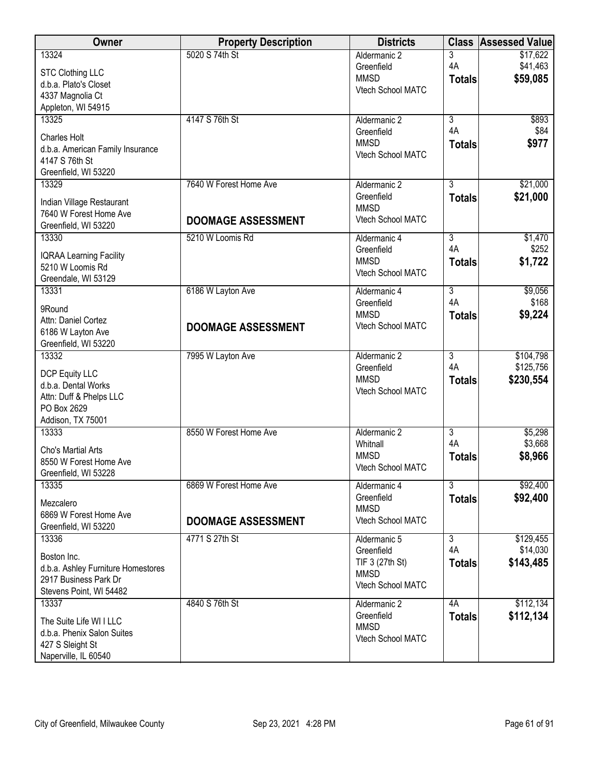| Owner                                  | <b>Property Description</b> | <b>Districts</b>               | <b>Class</b>   | <b>Assessed Value</b> |
|----------------------------------------|-----------------------------|--------------------------------|----------------|-----------------------|
| 13324                                  | 5020 S 74th St              | Aldermanic 2                   | 3              | \$17,622              |
| <b>STC Clothing LLC</b>                |                             | Greenfield                     | 4A             | \$41,463              |
| d.b.a. Plato's Closet                  |                             | <b>MMSD</b>                    | <b>Totals</b>  | \$59,085              |
| 4337 Magnolia Ct                       |                             | Vtech School MATC              |                |                       |
| Appleton, WI 54915                     |                             |                                |                |                       |
| 13325                                  | 4147 S 76th St              | Aldermanic 2                   | $\overline{3}$ | \$893                 |
|                                        |                             | Greenfield                     | 4A             | \$84                  |
| <b>Charles Holt</b>                    |                             | <b>MMSD</b>                    | <b>Totals</b>  | \$977                 |
| d.b.a. American Family Insurance       |                             | Vtech School MATC              |                |                       |
| 4147 S 76th St<br>Greenfield, WI 53220 |                             |                                |                |                       |
| 13329                                  | 7640 W Forest Home Ave      | Aldermanic 2                   | $\overline{3}$ | \$21,000              |
|                                        |                             | Greenfield                     |                | \$21,000              |
| Indian Village Restaurant              |                             | <b>MMSD</b>                    | <b>Totals</b>  |                       |
| 7640 W Forest Home Ave                 | <b>DOOMAGE ASSESSMENT</b>   | Vtech School MATC              |                |                       |
| Greenfield, WI 53220                   |                             |                                |                |                       |
| 13330                                  | 5210 W Loomis Rd            | Aldermanic 4                   | $\overline{3}$ | \$1,470               |
| <b>IQRAA Learning Facility</b>         |                             | Greenfield                     | 4A             | \$252                 |
| 5210 W Loomis Rd                       |                             | <b>MMSD</b>                    | <b>Totals</b>  | \$1,722               |
| Greendale, WI 53129                    |                             | Vtech School MATC              |                |                       |
| 13331                                  | 6186 W Layton Ave           | Aldermanic 4                   | $\overline{3}$ | \$9,056               |
|                                        |                             | Greenfield                     | 4A             | \$168                 |
| 9Round                                 |                             | <b>MMSD</b>                    | <b>Totals</b>  | \$9,224               |
| Attn: Daniel Cortez                    | <b>DOOMAGE ASSESSMENT</b>   | Vtech School MATC              |                |                       |
| 6186 W Layton Ave                      |                             |                                |                |                       |
| Greenfield, WI 53220                   |                             |                                |                |                       |
| 13332                                  | 7995 W Layton Ave           | Aldermanic 2                   | $\overline{3}$ | \$104,798             |
| <b>DCP Equity LLC</b>                  |                             | Greenfield                     | 4A             | \$125,756             |
| d.b.a. Dental Works                    |                             | <b>MMSD</b>                    | <b>Totals</b>  | \$230,554             |
| Attn: Duff & Phelps LLC                |                             | Vtech School MATC              |                |                       |
| PO Box 2629                            |                             |                                |                |                       |
| Addison, TX 75001                      |                             |                                |                |                       |
| 13333                                  | 8550 W Forest Home Ave      | Aldermanic 2                   | $\overline{3}$ | \$5,298               |
| Cho's Martial Arts                     |                             | Whitnall                       | 4A             | \$3,668               |
| 8550 W Forest Home Ave                 |                             | <b>MMSD</b>                    | <b>Totals</b>  | \$8,966               |
| Greenfield, WI 53228                   |                             | Vtech School MATC              |                |                       |
| 13335                                  | 6869 W Forest Home Ave      | Aldermanic 4                   | $\overline{3}$ | \$92,400              |
|                                        |                             | Greenfield                     | <b>Totals</b>  | \$92,400              |
| Mezcalero                              |                             | <b>MMSD</b>                    |                |                       |
| 6869 W Forest Home Ave                 | <b>DOOMAGE ASSESSMENT</b>   | Vtech School MATC              |                |                       |
| Greenfield, WI 53220                   |                             |                                |                |                       |
| 13336                                  | 4771 S 27th St              | Aldermanic 5                   | 3              | \$129,455             |
| Boston Inc.                            |                             | Greenfield                     | 4A             | \$14,030              |
| d.b.a. Ashley Furniture Homestores     |                             | TIF 3 (27th St)<br><b>MMSD</b> | <b>Totals</b>  | \$143,485             |
| 2917 Business Park Dr                  |                             | Vtech School MATC              |                |                       |
| Stevens Point, WI 54482                |                             |                                |                |                       |
| 13337                                  | 4840 S 76th St              | Aldermanic 2                   | 4A             | \$112,134             |
| The Suite Life WI I LLC                |                             | Greenfield                     | <b>Totals</b>  | \$112,134             |
| d.b.a. Phenix Salon Suites             |                             | <b>MMSD</b>                    |                |                       |
| 427 S Sleight St                       |                             | Vtech School MATC              |                |                       |
| Naperville, IL 60540                   |                             |                                |                |                       |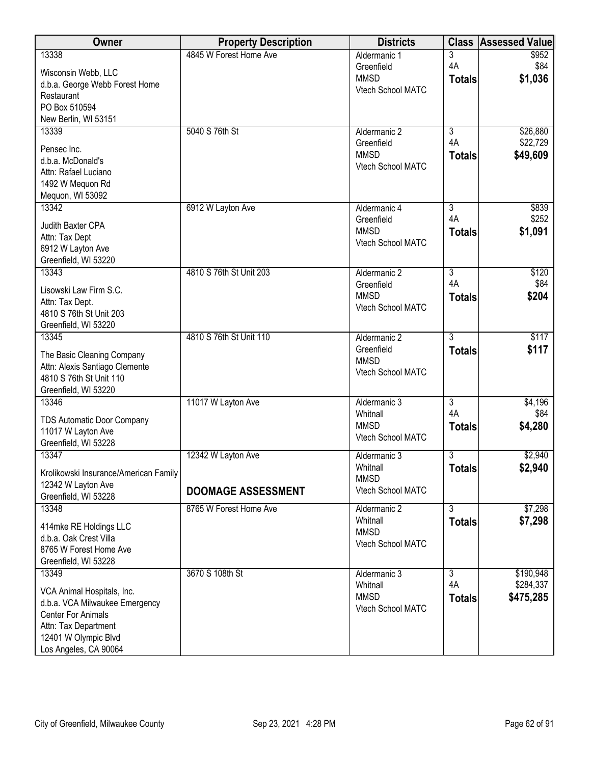| Owner                                 | <b>Property Description</b> | <b>Districts</b>        | <b>Class</b>   | <b>Assessed Value</b> |
|---------------------------------------|-----------------------------|-------------------------|----------------|-----------------------|
| 13338                                 | 4845 W Forest Home Ave      | Aldermanic 1            | 3              | \$952                 |
| Wisconsin Webb, LLC                   |                             | Greenfield              | 4A             | \$84                  |
| d.b.a. George Webb Forest Home        |                             | <b>MMSD</b>             | <b>Totals</b>  | \$1,036               |
| Restaurant                            |                             | Vtech School MATC       |                |                       |
| PO Box 510594                         |                             |                         |                |                       |
| New Berlin, WI 53151                  |                             |                         |                |                       |
| 13339                                 | 5040 S 76th St              | Aldermanic 2            | 3              | \$26,880              |
| Pensec Inc.                           |                             | Greenfield              | 4A             | \$22,729              |
| d.b.a. McDonald's                     |                             | <b>MMSD</b>             | <b>Totals</b>  | \$49,609              |
| Attn: Rafael Luciano                  |                             | Vtech School MATC       |                |                       |
| 1492 W Mequon Rd                      |                             |                         |                |                       |
| Mequon, WI 53092                      |                             |                         |                |                       |
| 13342                                 | 6912 W Layton Ave           | Aldermanic 4            | $\overline{3}$ | \$839                 |
| Judith Baxter CPA                     |                             | Greenfield              | 4A             | \$252                 |
| Attn: Tax Dept                        |                             | <b>MMSD</b>             | <b>Totals</b>  | \$1,091               |
| 6912 W Layton Ave                     |                             | Vtech School MATC       |                |                       |
| Greenfield, WI 53220                  |                             |                         |                |                       |
| 13343                                 | 4810 S 76th St Unit 203     | Aldermanic 2            | $\overline{3}$ | \$120                 |
| Lisowski Law Firm S.C.                |                             | Greenfield              | 4A             | \$84                  |
| Attn: Tax Dept.                       |                             | <b>MMSD</b>             | <b>Totals</b>  | \$204                 |
| 4810 S 76th St Unit 203               |                             | Vtech School MATC       |                |                       |
| Greenfield, WI 53220                  |                             |                         |                |                       |
| 13345                                 | 4810 S 76th St Unit 110     | Aldermanic 2            | $\overline{3}$ | \$117                 |
|                                       |                             | Greenfield              | <b>Totals</b>  | \$117                 |
| The Basic Cleaning Company            |                             | <b>MMSD</b>             |                |                       |
| Attn: Alexis Santiago Clemente        |                             | Vtech School MATC       |                |                       |
| 4810 S 76th St Unit 110               |                             |                         |                |                       |
| Greenfield, WI 53220<br>13346         | 11017 W Layton Ave          | Aldermanic 3            | $\overline{3}$ | \$4,196               |
|                                       |                             | Whitnall                | 4A             | \$84                  |
| <b>TDS Automatic Door Company</b>     |                             | <b>MMSD</b>             | <b>Totals</b>  | \$4,280               |
| 11017 W Layton Ave                    |                             | Vtech School MATC       |                |                       |
| Greenfield, WI 53228                  |                             |                         |                |                       |
| 13347                                 | 12342 W Layton Ave          | Aldermanic 3            | $\overline{3}$ | \$2,940               |
| Krolikowski Insurance/American Family |                             | Whitnall<br><b>MMSD</b> | <b>Totals</b>  | \$2,940               |
| 12342 W Layton Ave                    |                             | Vtech School MATC       |                |                       |
| Greenfield, WI 53228                  | <b>DOOMAGE ASSESSMENT</b>   |                         |                |                       |
| 13348                                 | 8765 W Forest Home Ave      | Aldermanic 2            | $\overline{3}$ | \$7,298               |
| 414mke RE Holdings LLC                |                             | Whitnall                | <b>Totals</b>  | \$7,298               |
| d.b.a. Oak Crest Villa                |                             | <b>MMSD</b>             |                |                       |
| 8765 W Forest Home Ave                |                             | Vtech School MATC       |                |                       |
| Greenfield, WI 53228                  |                             |                         |                |                       |
| 13349                                 | 3670 S 108th St             | Aldermanic 3            | $\overline{3}$ | \$190,948             |
| VCA Animal Hospitals, Inc.            |                             | Whitnall                | 4A             | \$284,337             |
| d.b.a. VCA Milwaukee Emergency        |                             | <b>MMSD</b>             | <b>Totals</b>  | \$475,285             |
| <b>Center For Animals</b>             |                             | Vtech School MATC       |                |                       |
| Attn: Tax Department                  |                             |                         |                |                       |
| 12401 W Olympic Blvd                  |                             |                         |                |                       |
| Los Angeles, CA 90064                 |                             |                         |                |                       |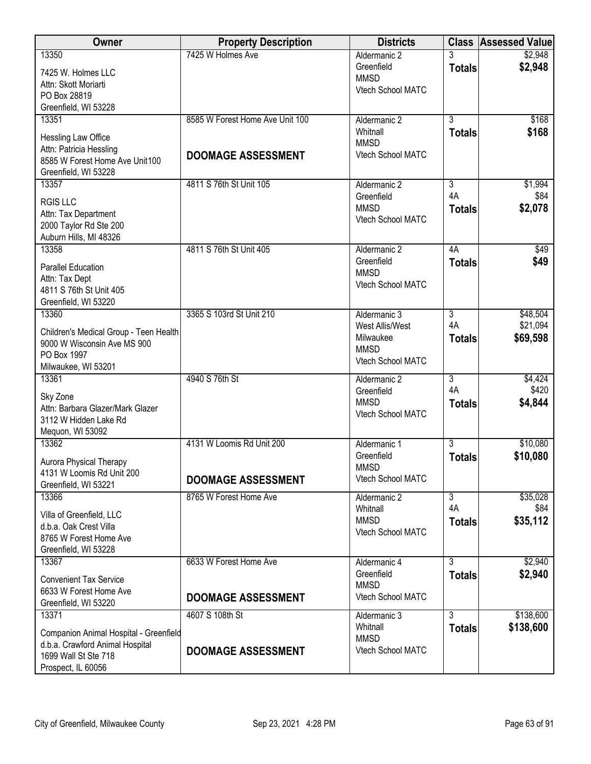| Owner                                                                 | <b>Property Description</b>     | <b>Districts</b>                 |                | <b>Class Assessed Value</b> |
|-----------------------------------------------------------------------|---------------------------------|----------------------------------|----------------|-----------------------------|
| 13350                                                                 | 7425 W Holmes Ave               | Aldermanic 2                     |                | \$2,948                     |
| 7425 W. Holmes LLC                                                    |                                 | Greenfield<br><b>MMSD</b>        | <b>Totals</b>  | \$2,948                     |
| Attn: Skott Moriarti                                                  |                                 | Vtech School MATC                |                |                             |
| PO Box 28819                                                          |                                 |                                  |                |                             |
| Greenfield, WI 53228<br>13351                                         | 8585 W Forest Home Ave Unit 100 | Aldermanic 2                     | $\overline{3}$ | \$168                       |
|                                                                       |                                 | Whitnall                         | <b>Totals</b>  | \$168                       |
| Hessling Law Office                                                   |                                 | <b>MMSD</b>                      |                |                             |
| Attn: Patricia Hessling<br>8585 W Forest Home Ave Unit100             | <b>DOOMAGE ASSESSMENT</b>       | Vtech School MATC                |                |                             |
| Greenfield, WI 53228                                                  |                                 |                                  |                |                             |
| 13357                                                                 | 4811 S 76th St Unit 105         | Aldermanic 2                     | $\overline{3}$ | \$1,994                     |
| <b>RGIS LLC</b>                                                       |                                 | Greenfield                       | 4A             | \$84                        |
| Attn: Tax Department                                                  |                                 | <b>MMSD</b>                      | <b>Totals</b>  | \$2,078                     |
| 2000 Taylor Rd Ste 200                                                |                                 | Vtech School MATC                |                |                             |
| Auburn Hills, MI 48326                                                |                                 |                                  |                |                             |
| 13358                                                                 | 4811 S 76th St Unit 405         | Aldermanic 2                     | 4A             | \$49                        |
| <b>Parallel Education</b>                                             |                                 | Greenfield<br><b>MMSD</b>        | <b>Totals</b>  | \$49                        |
| Attn: Tax Dept                                                        |                                 | Vtech School MATC                |                |                             |
| 4811 S 76th St Unit 405<br>Greenfield, WI 53220                       |                                 |                                  |                |                             |
| 13360                                                                 | 3365 S 103rd St Unit 210        | Aldermanic 3                     | $\overline{3}$ | \$48,504                    |
|                                                                       |                                 | West Allis/West                  | 4A             | \$21,094                    |
| Children's Medical Group - Teen Health<br>9000 W Wisconsin Ave MS 900 |                                 | Milwaukee                        | <b>Totals</b>  | \$69,598                    |
| PO Box 1997                                                           |                                 | <b>MMSD</b>                      |                |                             |
| Milwaukee, WI 53201                                                   |                                 | Vtech School MATC                |                |                             |
| 13361                                                                 | 4940 S 76th St                  | Aldermanic 2                     | $\overline{3}$ | \$4,424                     |
| Sky Zone                                                              |                                 | Greenfield                       | 4A             | \$420                       |
| Attn: Barbara Glazer/Mark Glazer                                      |                                 | <b>MMSD</b><br>Vtech School MATC | <b>Totals</b>  | \$4,844                     |
| 3112 W Hidden Lake Rd                                                 |                                 |                                  |                |                             |
| Mequon, WI 53092                                                      |                                 |                                  |                |                             |
| 13362                                                                 | 4131 W Loomis Rd Unit 200       | Aldermanic 1<br>Greenfield       | $\overline{3}$ | \$10,080<br>\$10,080        |
| <b>Aurora Physical Therapy</b>                                        |                                 | <b>MMSD</b>                      | <b>Totals</b>  |                             |
| 4131 W Loomis Rd Unit 200                                             | <b>DOOMAGE ASSESSMENT</b>       | Vtech School MATC                |                |                             |
| Greenfield, WI 53221<br>13366                                         | 8765 W Forest Home Ave          | Aldermanic 2                     | $\overline{3}$ | \$35,028                    |
|                                                                       |                                 | Whitnall                         | 4A             | \$84                        |
| Villa of Greenfield, LLC<br>d.b.a. Oak Crest Villa                    |                                 | <b>MMSD</b>                      | <b>Totals</b>  | \$35,112                    |
| 8765 W Forest Home Ave                                                |                                 | Vtech School MATC                |                |                             |
| Greenfield, WI 53228                                                  |                                 |                                  |                |                             |
| 13367                                                                 | 6633 W Forest Home Ave          | Aldermanic 4                     | $\overline{3}$ | \$2,940                     |
| <b>Convenient Tax Service</b>                                         |                                 | Greenfield                       | <b>Totals</b>  | \$2,940                     |
| 6633 W Forest Home Ave                                                |                                 | <b>MMSD</b><br>Vtech School MATC |                |                             |
| Greenfield, WI 53220                                                  | <b>DOOMAGE ASSESSMENT</b>       |                                  |                |                             |
| 13371                                                                 | 4607 S 108th St                 | Aldermanic 3                     | $\overline{3}$ | \$138,600                   |
| Companion Animal Hospital - Greenfield                                |                                 | Whitnall<br><b>MMSD</b>          | <b>Totals</b>  | \$138,600                   |
| d.b.a. Crawford Animal Hospital                                       | <b>DOOMAGE ASSESSMENT</b>       | Vtech School MATC                |                |                             |
| 1699 Wall St Ste 718                                                  |                                 |                                  |                |                             |
| Prospect, IL 60056                                                    |                                 |                                  |                |                             |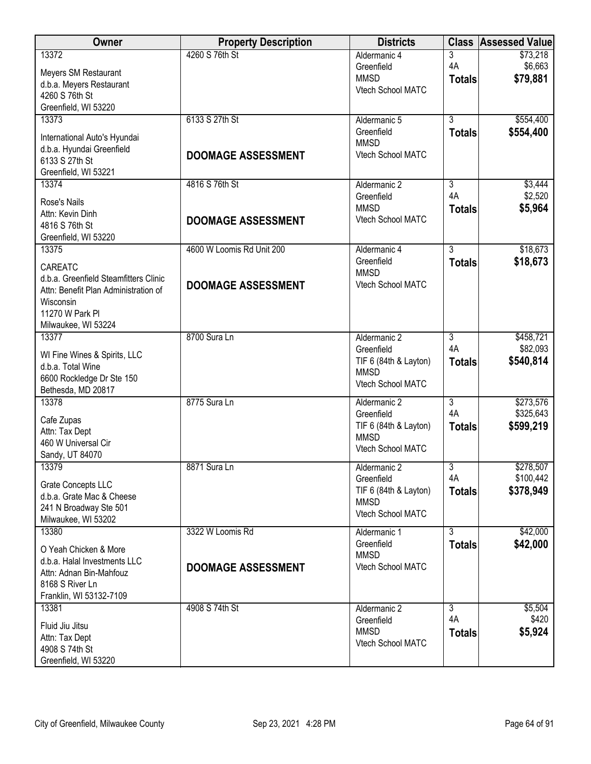| Owner                                                     | <b>Property Description</b> | <b>Districts</b>                 |                           | <b>Class Assessed Value</b> |
|-----------------------------------------------------------|-----------------------------|----------------------------------|---------------------------|-----------------------------|
| 13372                                                     | 4260 S 76th St              | Aldermanic 4                     | 3                         | \$73,218                    |
| Meyers SM Restaurant                                      |                             | Greenfield                       | 4A                        | \$6,663                     |
| d.b.a. Meyers Restaurant                                  |                             | <b>MMSD</b>                      | <b>Totals</b>             | \$79,881                    |
| 4260 S 76th St                                            |                             | Vtech School MATC                |                           |                             |
| Greenfield, WI 53220                                      |                             |                                  |                           |                             |
| 13373                                                     | 6133 S 27th St              | Aldermanic 5                     | $\overline{3}$            | \$554,400                   |
|                                                           |                             | Greenfield                       | <b>Totals</b>             | \$554,400                   |
| International Auto's Hyundai<br>d.b.a. Hyundai Greenfield |                             | <b>MMSD</b>                      |                           |                             |
| 6133 S 27th St                                            | <b>DOOMAGE ASSESSMENT</b>   | Vtech School MATC                |                           |                             |
| Greenfield, WI 53221                                      |                             |                                  |                           |                             |
| 13374                                                     | 4816 S 76th St              | Aldermanic 2                     | 3                         | \$3,444                     |
|                                                           |                             | Greenfield                       | 4A                        | \$2,520                     |
| Rose's Nails                                              |                             | <b>MMSD</b>                      | <b>Totals</b>             | \$5,964                     |
| Attn: Kevin Dinh                                          | <b>DOOMAGE ASSESSMENT</b>   | Vtech School MATC                |                           |                             |
| 4816 S 76th St<br>Greenfield, WI 53220                    |                             |                                  |                           |                             |
| 13375                                                     | 4600 W Loomis Rd Unit 200   | Aldermanic 4                     | $\overline{3}$            | \$18,673                    |
|                                                           |                             | Greenfield                       | <b>Totals</b>             | \$18,673                    |
| CAREATC                                                   |                             | <b>MMSD</b>                      |                           |                             |
| d.b.a. Greenfield Steamfitters Clinic                     | <b>DOOMAGE ASSESSMENT</b>   | Vtech School MATC                |                           |                             |
| Attn: Benefit Plan Administration of                      |                             |                                  |                           |                             |
| Wisconsin                                                 |                             |                                  |                           |                             |
| 11270 W Park PI                                           |                             |                                  |                           |                             |
| Milwaukee, WI 53224<br>13377                              | 8700 Sura Ln                |                                  | $\overline{3}$            |                             |
|                                                           |                             | Aldermanic 2<br>Greenfield       | 4A                        | \$458,721<br>\$82,093       |
| WI Fine Wines & Spirits, LLC                              |                             | TIF 6 (84th & Layton)            | <b>Totals</b>             | \$540,814                   |
| d.b.a. Total Wine                                         |                             | <b>MMSD</b>                      |                           |                             |
| 6600 Rockledge Dr Ste 150                                 |                             | Vtech School MATC                |                           |                             |
| Bethesda, MD 20817                                        |                             |                                  |                           |                             |
| 13378                                                     | 8775 Sura Ln                | Aldermanic 2                     | $\overline{3}$            | \$273,576                   |
| Cafe Zupas                                                |                             | Greenfield                       | 4A                        | \$325,643                   |
| Attn: Tax Dept                                            |                             | TIF 6 (84th & Layton)            | <b>Totals</b>             | \$599,219                   |
| 460 W Universal Cir                                       |                             | <b>MMSD</b><br>Vtech School MATC |                           |                             |
| Sandy, UT 84070                                           |                             |                                  |                           |                             |
| 13379                                                     | 8871 Sura Ln                | Aldermanic 2                     | $\overline{\overline{3}}$ | \$278,507                   |
| Grate Concepts LLC                                        |                             | Greenfield                       | 4A                        | \$100,442                   |
| d.b.a. Grate Mac & Cheese                                 |                             | TIF 6 (84th & Layton)            | <b>Totals</b>             | \$378,949                   |
| 241 N Broadway Ste 501                                    |                             | <b>MMSD</b>                      |                           |                             |
| Milwaukee, WI 53202                                       |                             | Vtech School MATC                |                           |                             |
| 13380                                                     | 3322 W Loomis Rd            | Aldermanic 1                     | $\overline{3}$            | \$42,000                    |
| O Yeah Chicken & More                                     |                             | Greenfield                       | <b>Totals</b>             | \$42,000                    |
| d.b.a. Halal Investments LLC                              |                             | <b>MMSD</b>                      |                           |                             |
| Attn: Adnan Bin-Mahfouz                                   | DOOMAGE ASSESSMENT          | Vtech School MATC                |                           |                             |
| 8168 S River Ln                                           |                             |                                  |                           |                             |
| Franklin, WI 53132-7109                                   |                             |                                  |                           |                             |
| 13381                                                     | 4908 S 74th St              | Aldermanic 2                     | $\overline{3}$            | \$5,504                     |
|                                                           |                             | Greenfield                       | 4A                        | \$420                       |
| Fluid Jiu Jitsu                                           |                             | <b>MMSD</b>                      | <b>Totals</b>             | \$5,924                     |
| Attn: Tax Dept                                            |                             | Vtech School MATC                |                           |                             |
| 4908 S 74th St                                            |                             |                                  |                           |                             |
| Greenfield, WI 53220                                      |                             |                                  |                           |                             |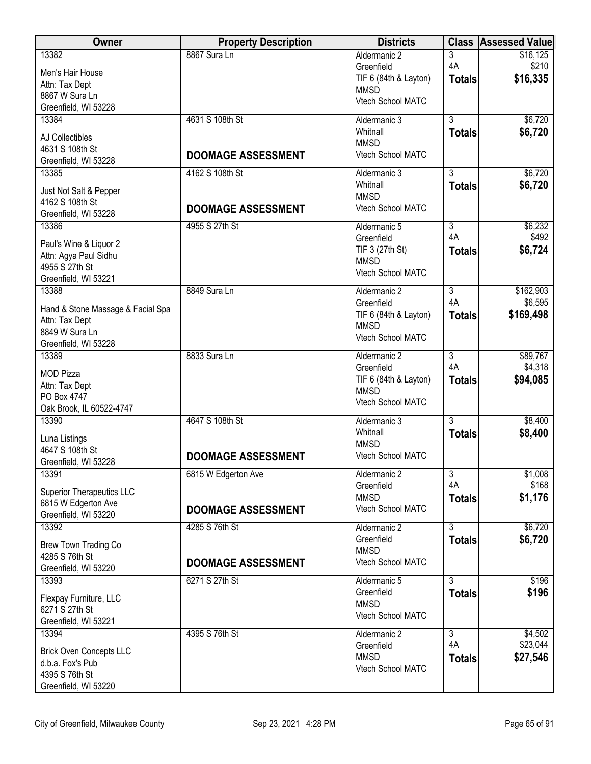| Owner                                   | <b>Property Description</b> | <b>Districts</b>                        |                      | <b>Class Assessed Value</b> |
|-----------------------------------------|-----------------------------|-----------------------------------------|----------------------|-----------------------------|
| 13382                                   | 8867 Sura Ln                | Aldermanic 2                            | $\overline{3}$       | \$16, 125                   |
| Men's Hair House                        |                             | Greenfield<br>TIF 6 (84th & Layton)     | 4A                   | \$210<br>\$16,335           |
| Attn: Tax Dept                          |                             | <b>MMSD</b>                             | <b>Totals</b>        |                             |
| 8867 W Sura Ln<br>Greenfield, WI 53228  |                             | Vtech School MATC                       |                      |                             |
| 13384                                   | 4631 S 108th St             | Aldermanic 3                            | $\overline{3}$       | \$6,720                     |
| AJ Collectibles                         |                             | Whitnall                                | <b>Totals</b>        | \$6,720                     |
| 4631 S 108th St                         |                             | <b>MMSD</b>                             |                      |                             |
| Greenfield, WI 53228                    | <b>DOOMAGE ASSESSMENT</b>   | Vtech School MATC                       |                      |                             |
| 13385                                   | 4162 S 108th St             | Aldermanic 3                            | $\overline{3}$       | \$6,720                     |
| Just Not Salt & Pepper                  |                             | Whitnall                                | <b>Totals</b>        | \$6,720                     |
| 4162 S 108th St                         | <b>DOOMAGE ASSESSMENT</b>   | <b>MMSD</b><br><b>Vtech School MATC</b> |                      |                             |
| Greenfield, WI 53228                    |                             |                                         |                      |                             |
| 13386                                   | 4955 S 27th St              | Aldermanic 5<br>Greenfield              | $\overline{3}$<br>4A | \$6,232<br>\$492            |
| Paul's Wine & Liquor 2                  |                             | TIF 3 (27th St)                         | <b>Totals</b>        | \$6,724                     |
| Attn: Agya Paul Sidhu<br>4955 S 27th St |                             | <b>MMSD</b>                             |                      |                             |
| Greenfield, WI 53221                    |                             | Vtech School MATC                       |                      |                             |
| 13388                                   | 8849 Sura Ln                | Aldermanic 2                            | $\overline{3}$       | \$162,903                   |
| Hand & Stone Massage & Facial Spa       |                             | Greenfield                              | 4A                   | \$6,595                     |
| Attn: Tax Dept                          |                             | TIF 6 (84th & Layton)                   | <b>Totals</b>        | \$169,498                   |
| 8849 W Sura Ln                          |                             | <b>MMSD</b><br>Vtech School MATC        |                      |                             |
| Greenfield, WI 53228                    |                             |                                         |                      |                             |
| 13389                                   | 8833 Sura Ln                | Aldermanic 2<br>Greenfield              | $\overline{3}$<br>4A | \$89,767<br>\$4,318         |
| <b>MOD Pizza</b>                        |                             | TIF 6 (84th & Layton)                   | <b>Totals</b>        | \$94,085                    |
| Attn: Tax Dept<br>PO Box 4747           |                             | <b>MMSD</b>                             |                      |                             |
| Oak Brook, IL 60522-4747                |                             | Vtech School MATC                       |                      |                             |
| 13390                                   | 4647 S 108th St             | Aldermanic 3                            | $\overline{3}$       | \$8,400                     |
| Luna Listings                           |                             | Whitnall                                | <b>Totals</b>        | \$8,400                     |
| 4647 S 108th St                         |                             | <b>MMSD</b>                             |                      |                             |
| Greenfield, WI 53228                    | <b>DOOMAGE ASSESSMENT</b>   | Vtech School MATC                       |                      |                             |
| 13391                                   | 6815 W Edgerton Ave         | Aldermanic 2                            | $\overline{3}$       | \$1,008                     |
| <b>Superior Therapeutics LLC</b>        |                             | Greenfield<br><b>MMSD</b>               | 4A<br><b>Totals</b>  | \$168<br>\$1,176            |
| 6815 W Edgerton Ave                     | <b>DOOMAGE ASSESSMENT</b>   | Vtech School MATC                       |                      |                             |
| Greenfield, WI 53220<br>13392           | 4285 S 76th St              | Aldermanic 2                            | $\overline{3}$       | \$6,720                     |
|                                         |                             | Greenfield                              | <b>Totals</b>        | \$6,720                     |
| Brew Town Trading Co<br>4285 S 76th St  |                             | <b>MMSD</b>                             |                      |                             |
| Greenfield, WI 53220                    | <b>DOOMAGE ASSESSMENT</b>   | Vtech School MATC                       |                      |                             |
| 13393                                   | 6271 S 27th St              | Aldermanic 5                            | $\overline{3}$       | \$196                       |
| Flexpay Furniture, LLC                  |                             | Greenfield                              | <b>Totals</b>        | \$196                       |
| 6271 S 27th St                          |                             | <b>MMSD</b><br>Vtech School MATC        |                      |                             |
| Greenfield, WI 53221                    |                             |                                         |                      |                             |
| 13394                                   | 4395 S 76th St              | Aldermanic 2                            | $\overline{3}$       | \$4,502                     |
| <b>Brick Oven Concepts LLC</b>          |                             | Greenfield<br><b>MMSD</b>               | 4A                   | \$23,044<br>\$27,546        |
| d.b.a. Fox's Pub                        |                             | Vtech School MATC                       | <b>Totals</b>        |                             |
| 4395 S 76th St<br>Greenfield, WI 53220  |                             |                                         |                      |                             |
|                                         |                             |                                         |                      |                             |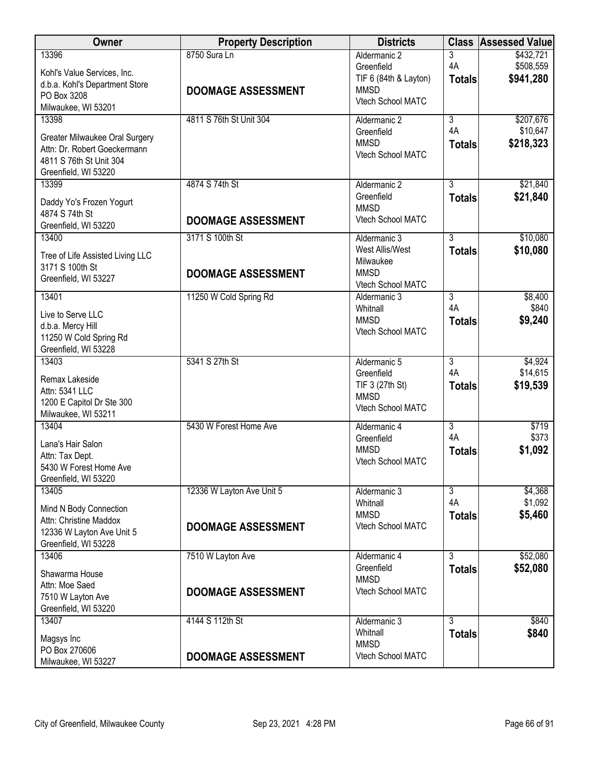| Owner                                       | <b>Property Description</b> | <b>Districts</b>                 |                | <b>Class Assessed Value</b> |
|---------------------------------------------|-----------------------------|----------------------------------|----------------|-----------------------------|
| 13396                                       | 8750 Sura Ln                | Aldermanic 2                     | 3              | \$432,721                   |
| Kohl's Value Services, Inc.                 |                             | Greenfield                       | 4A             | \$508,559                   |
| d.b.a. Kohl's Department Store              |                             | TIF 6 (84th & Layton)            | <b>Totals</b>  | \$941,280                   |
| PO Box 3208                                 | <b>DOOMAGE ASSESSMENT</b>   | <b>MMSD</b><br>Vtech School MATC |                |                             |
| Milwaukee, WI 53201                         |                             |                                  |                |                             |
| 13398                                       | 4811 S 76th St Unit 304     | Aldermanic 2                     | $\overline{3}$ | \$207,676                   |
| Greater Milwaukee Oral Surgery              |                             | Greenfield                       | 4A             | \$10,647                    |
| Attn: Dr. Robert Goeckermann                |                             | <b>MMSD</b>                      | <b>Totals</b>  | \$218,323                   |
| 4811 S 76th St Unit 304                     |                             | Vtech School MATC                |                |                             |
| Greenfield, WI 53220                        |                             |                                  |                |                             |
| 13399                                       | 4874 S 74th St              | Aldermanic 2                     | $\overline{3}$ | \$21,840                    |
|                                             |                             | Greenfield                       | <b>Totals</b>  | \$21,840                    |
| Daddy Yo's Frozen Yogurt<br>4874 S 74th St  |                             | <b>MMSD</b>                      |                |                             |
| Greenfield, WI 53220                        | <b>DOOMAGE ASSESSMENT</b>   | Vtech School MATC                |                |                             |
| 13400                                       | 3171 S 100th St             | Aldermanic 3                     | $\overline{3}$ | \$10,080                    |
|                                             |                             | West Allis/West                  | <b>Totals</b>  | \$10,080                    |
| Tree of Life Assisted Living LLC            |                             | Milwaukee                        |                |                             |
| 3171 S 100th St                             | <b>DOOMAGE ASSESSMENT</b>   | <b>MMSD</b>                      |                |                             |
| Greenfield, WI 53227                        |                             | Vtech School MATC                |                |                             |
| 13401                                       | 11250 W Cold Spring Rd      | Aldermanic 3                     | 3              | \$8,400                     |
|                                             |                             | Whitnall                         | 4A             | \$840                       |
| Live to Serve LLC                           |                             | <b>MMSD</b>                      | <b>Totals</b>  | \$9,240                     |
| d.b.a. Mercy Hill<br>11250 W Cold Spring Rd |                             | Vtech School MATC                |                |                             |
| Greenfield, WI 53228                        |                             |                                  |                |                             |
| 13403                                       | 5341 S 27th St              | Aldermanic 5                     | $\overline{3}$ | \$4,924                     |
|                                             |                             | Greenfield                       | 4A             | \$14,615                    |
| Remax Lakeside                              |                             | TIF 3 (27th St)                  | <b>Totals</b>  | \$19,539                    |
| Attn: 5341 LLC                              |                             | <b>MMSD</b>                      |                |                             |
| 1200 E Capitol Dr Ste 300                   |                             | Vtech School MATC                |                |                             |
| Milwaukee, WI 53211                         |                             |                                  |                |                             |
| 13404                                       | 5430 W Forest Home Ave      | Aldermanic 4                     | 3<br>4A        | \$719<br>\$373              |
| Lana's Hair Salon                           |                             | Greenfield<br><b>MMSD</b>        |                | \$1,092                     |
| Attn: Tax Dept.                             |                             | Vtech School MATC                | <b>Totals</b>  |                             |
| 5430 W Forest Home Ave                      |                             |                                  |                |                             |
| Greenfield, WI 53220                        |                             |                                  |                |                             |
| 13405                                       | 12336 W Layton Ave Unit 5   | Aldermanic 3                     | $\overline{3}$ | \$4,368                     |
| Mind N Body Connection                      |                             | Whitnall                         | 4A             | \$1,092                     |
| Attn: Christine Maddox                      |                             | <b>MMSD</b>                      | <b>Totals</b>  | \$5,460                     |
| 12336 W Layton Ave Unit 5                   | <b>DOOMAGE ASSESSMENT</b>   | Vtech School MATC                |                |                             |
| Greenfield, WI 53228                        |                             |                                  |                |                             |
| 13406                                       | 7510 W Layton Ave           | Aldermanic 4                     | $\overline{3}$ | \$52,080                    |
| Shawarma House                              |                             | Greenfield                       | <b>Totals</b>  | \$52,080                    |
| Attn: Moe Saed                              |                             | <b>MMSD</b>                      |                |                             |
| 7510 W Layton Ave                           | <b>DOOMAGE ASSESSMENT</b>   | Vtech School MATC                |                |                             |
| Greenfield, WI 53220                        |                             |                                  |                |                             |
| 13407                                       | 4144 S 112th St             | Aldermanic 3                     | 3              | \$840                       |
|                                             |                             | Whitnall                         | <b>Totals</b>  | \$840                       |
| Magsys Inc<br>PO Box 270606                 |                             | <b>MMSD</b>                      |                |                             |
| Milwaukee, WI 53227                         | <b>DOOMAGE ASSESSMENT</b>   | Vtech School MATC                |                |                             |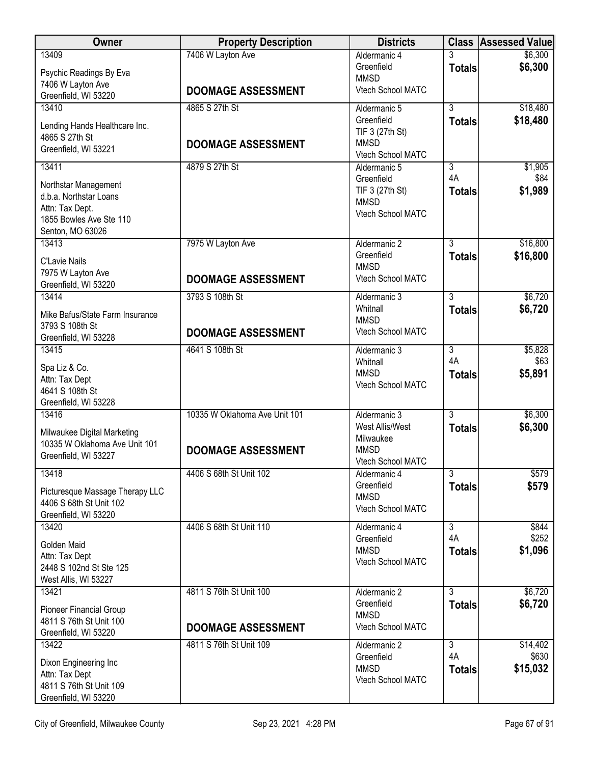| Owner                                           | <b>Property Description</b>   | <b>Districts</b>                  | <b>Class</b>         | <b>Assessed Value</b> |
|-------------------------------------------------|-------------------------------|-----------------------------------|----------------------|-----------------------|
| 13409                                           | 7406 W Layton Ave             | Aldermanic 4                      | 3                    | \$6,300               |
| Psychic Readings By Eva                         |                               | Greenfield<br><b>MMSD</b>         | <b>Totals</b>        | \$6,300               |
| 7406 W Layton Ave                               | <b>DOOMAGE ASSESSMENT</b>     | Vtech School MATC                 |                      |                       |
| Greenfield, WI 53220<br>13410                   | 4865 S 27th St                | Aldermanic 5                      | $\overline{3}$       | \$18,480              |
|                                                 |                               | Greenfield                        | <b>Totals</b>        | \$18,480              |
| Lending Hands Healthcare Inc.<br>4865 S 27th St |                               | TIF 3 (27th St)                   |                      |                       |
| Greenfield, WI 53221                            | <b>DOOMAGE ASSESSMENT</b>     | <b>MMSD</b>                       |                      |                       |
| 13411                                           | 4879 S 27th St                | Vtech School MATC<br>Aldermanic 5 | $\overline{3}$       | \$1,905               |
|                                                 |                               | Greenfield                        | 4A                   | \$84                  |
| Northstar Management<br>d.b.a. Northstar Loans  |                               | TIF 3 (27th St)                   | <b>Totals</b>        | \$1,989               |
| Attn: Tax Dept.                                 |                               | <b>MMSD</b>                       |                      |                       |
| 1855 Bowles Ave Ste 110                         |                               | Vtech School MATC                 |                      |                       |
| Senton, MO 63026                                |                               |                                   |                      |                       |
| 13413                                           | 7975 W Layton Ave             | Aldermanic 2<br>Greenfield        | 3<br><b>Totals</b>   | \$16,800<br>\$16,800  |
| <b>C'Lavie Nails</b>                            |                               | <b>MMSD</b>                       |                      |                       |
| 7975 W Layton Ave<br>Greenfield, WI 53220       | <b>DOOMAGE ASSESSMENT</b>     | Vtech School MATC                 |                      |                       |
| 13414                                           | 3793 S 108th St               | Aldermanic 3                      | $\overline{3}$       | \$6,720               |
| Mike Bafus/State Farm Insurance                 |                               | Whitnall                          | <b>Totals</b>        | \$6,720               |
| 3793 S 108th St                                 |                               | <b>MMSD</b>                       |                      |                       |
| Greenfield, WI 53228                            | <b>DOOMAGE ASSESSMENT</b>     | Vtech School MATC                 |                      |                       |
| 13415                                           | 4641 S 108th St               | Aldermanic 3                      | $\overline{3}$       | \$5,828               |
| Spa Liz & Co.                                   |                               | Whitnall<br><b>MMSD</b>           | 4A<br><b>Totals</b>  | \$63<br>\$5,891       |
| Attn: Tax Dept                                  |                               | Vtech School MATC                 |                      |                       |
| 4641 S 108th St<br>Greenfield, WI 53228         |                               |                                   |                      |                       |
| 13416                                           | 10335 W Oklahoma Ave Unit 101 | Aldermanic 3                      | $\overline{3}$       | \$6,300               |
| Milwaukee Digital Marketing                     |                               | West Allis/West                   | <b>Totals</b>        | \$6,300               |
| 10335 W Oklahoma Ave Unit 101                   |                               | Milwaukee<br><b>MMSD</b>          |                      |                       |
| Greenfield, WI 53227                            | <b>DOOMAGE ASSESSMENT</b>     | Vtech School MATC                 |                      |                       |
| 13418                                           | 4406 S 68th St Unit 102       | Aldermanic 4                      | $\overline{3}$       | \$579                 |
| Picturesque Massage Therapy LLC                 |                               | Greenfield                        | <b>Totals</b>        | \$579                 |
| 4406 S 68th St Unit 102                         |                               | <b>MMSD</b><br>Vtech School MATC  |                      |                       |
| Greenfield, WI 53220                            |                               |                                   |                      |                       |
| 13420                                           | 4406 S 68th St Unit 110       | Aldermanic 4<br>Greenfield        | $\overline{3}$<br>4A | \$844<br>\$252        |
| Golden Maid                                     |                               | <b>MMSD</b>                       | <b>Totals</b>        | \$1,096               |
| Attn: Tax Dept<br>2448 S 102nd St Ste 125       |                               | Vtech School MATC                 |                      |                       |
| West Allis, WI 53227                            |                               |                                   |                      |                       |
| 13421                                           | 4811 S 76th St Unit 100       | Aldermanic 2                      | $\overline{3}$       | \$6,720               |
| Pioneer Financial Group                         |                               | Greenfield                        | <b>Totals</b>        | \$6,720               |
| 4811 S 76th St Unit 100                         | <b>DOOMAGE ASSESSMENT</b>     | <b>MMSD</b><br>Vtech School MATC  |                      |                       |
| Greenfield, WI 53220                            |                               |                                   |                      |                       |
| 13422                                           | 4811 S 76th St Unit 109       | Aldermanic 2<br>Greenfield        | $\overline{3}$<br>4A | \$14,402<br>\$630     |
| Dixon Engineering Inc                           |                               | <b>MMSD</b>                       | <b>Totals</b>        | \$15,032              |
| Attn: Tax Dept<br>4811 S 76th St Unit 109       |                               | Vtech School MATC                 |                      |                       |
| Greenfield, WI 53220                            |                               |                                   |                      |                       |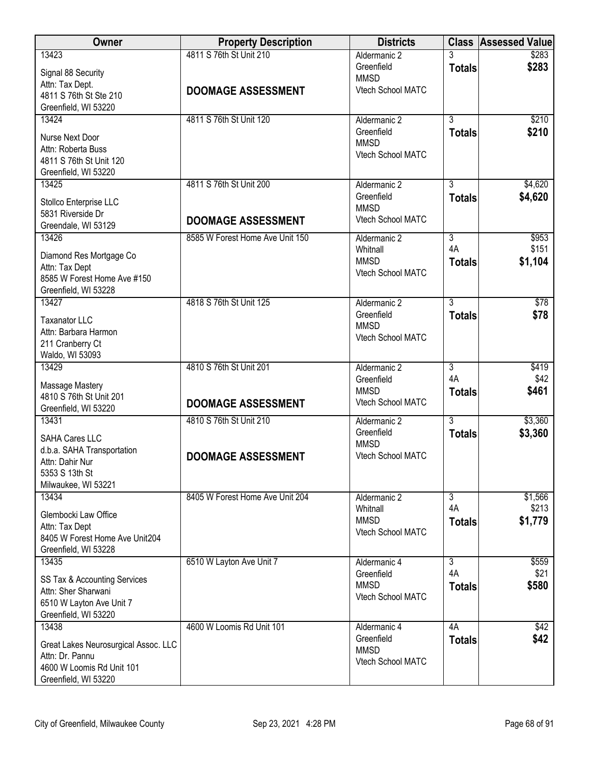| <b>Owner</b>                                                                                                 | <b>Property Description</b>                          | <b>Districts</b>                                               |                      | <b>Class Assessed Value</b> |
|--------------------------------------------------------------------------------------------------------------|------------------------------------------------------|----------------------------------------------------------------|----------------------|-----------------------------|
| 13423<br>Signal 88 Security<br>Attn: Tax Dept.                                                               | 4811 S 76th St Unit 210<br><b>DOOMAGE ASSESSMENT</b> | Aldermanic 2<br>Greenfield<br><b>MMSD</b><br>Vtech School MATC | <b>Totals</b>        | \$283<br>\$283              |
| 4811 S 76th St Ste 210<br>Greenfield, WI 53220                                                               |                                                      |                                                                |                      |                             |
| 13424                                                                                                        | 4811 S 76th St Unit 120                              | Aldermanic 2                                                   | $\overline{3}$       | \$210                       |
| Nurse Next Door<br>Attn: Roberta Buss<br>4811 S 76th St Unit 120<br>Greenfield, WI 53220                     |                                                      | Greenfield<br><b>MMSD</b><br>Vtech School MATC                 | <b>Totals</b>        | \$210                       |
| 13425                                                                                                        | 4811 S 76th St Unit 200                              | Aldermanic 2<br>Greenfield                                     | $\overline{3}$       | \$4,620<br>\$4,620          |
| Stollco Enterprise LLC<br>5831 Riverside Dr<br>Greendale, WI 53129                                           | <b>DOOMAGE ASSESSMENT</b>                            | <b>MMSD</b><br>Vtech School MATC                               | <b>Totals</b>        |                             |
| 13426                                                                                                        | 8585 W Forest Home Ave Unit 150                      | Aldermanic 2                                                   | $\overline{3}$       | \$953                       |
| Diamond Res Mortgage Co<br>Attn: Tax Dept<br>8585 W Forest Home Ave #150<br>Greenfield, WI 53228             |                                                      | Whitnall<br><b>MMSD</b><br>Vtech School MATC                   | 4A<br><b>Totals</b>  | \$151<br>\$1,104            |
| 13427                                                                                                        | 4818 S 76th St Unit 125                              | Aldermanic 2                                                   | $\overline{3}$       | \$78                        |
| <b>Taxanator LLC</b><br>Attn: Barbara Harmon<br>211 Cranberry Ct<br>Waldo, WI 53093                          |                                                      | Greenfield<br><b>MMSD</b><br>Vtech School MATC                 | <b>Totals</b>        | \$78                        |
| 13429                                                                                                        | 4810 S 76th St Unit 201                              | Aldermanic 2                                                   | $\overline{3}$<br>4A | \$419                       |
| Massage Mastery<br>4810 S 76th St Unit 201<br>Greenfield, WI 53220                                           | <b>DOOMAGE ASSESSMENT</b>                            | Greenfield<br><b>MMSD</b><br>Vtech School MATC                 | <b>Totals</b>        | \$42<br>\$461               |
| 13431                                                                                                        | 4810 S 76th St Unit 210                              | Aldermanic 2                                                   | $\overline{3}$       | \$3,360                     |
| <b>SAHA Cares LLC</b><br>d.b.a. SAHA Transportation<br>Attn: Dahir Nur                                       | <b>DOOMAGE ASSESSMENT</b>                            | Greenfield<br><b>MMSD</b><br>Vtech School MATC                 | <b>Totals</b>        | \$3,360                     |
| 5353 S 13th St<br>Milwaukee, WI 53221                                                                        |                                                      |                                                                |                      |                             |
| 13434                                                                                                        | 8405 W Forest Home Ave Unit 204                      | Aldermanic 2<br>Whitnall                                       | $\overline{3}$<br>4A | \$1,566<br>\$213            |
| Glembocki Law Office<br>Attn: Tax Dept<br>8405 W Forest Home Ave Unit204<br>Greenfield, WI 53228             |                                                      | <b>MMSD</b><br>Vtech School MATC                               | <b>Totals</b>        | \$1,779                     |
| 13435                                                                                                        | 6510 W Layton Ave Unit 7                             | Aldermanic 4                                                   | 3                    | \$559                       |
| SS Tax & Accounting Services<br>Attn: Sher Sharwani<br>6510 W Layton Ave Unit 7<br>Greenfield, WI 53220      |                                                      | Greenfield<br><b>MMSD</b><br>Vtech School MATC                 | 4A<br><b>Totals</b>  | \$21<br>\$580               |
| 13438                                                                                                        | 4600 W Loomis Rd Unit 101                            | Aldermanic 4                                                   | 4A                   | \$42                        |
| Great Lakes Neurosurgical Assoc. LLC<br>Attn: Dr. Pannu<br>4600 W Loomis Rd Unit 101<br>Greenfield, WI 53220 |                                                      | Greenfield<br><b>MMSD</b><br>Vtech School MATC                 | <b>Totals</b>        | \$42                        |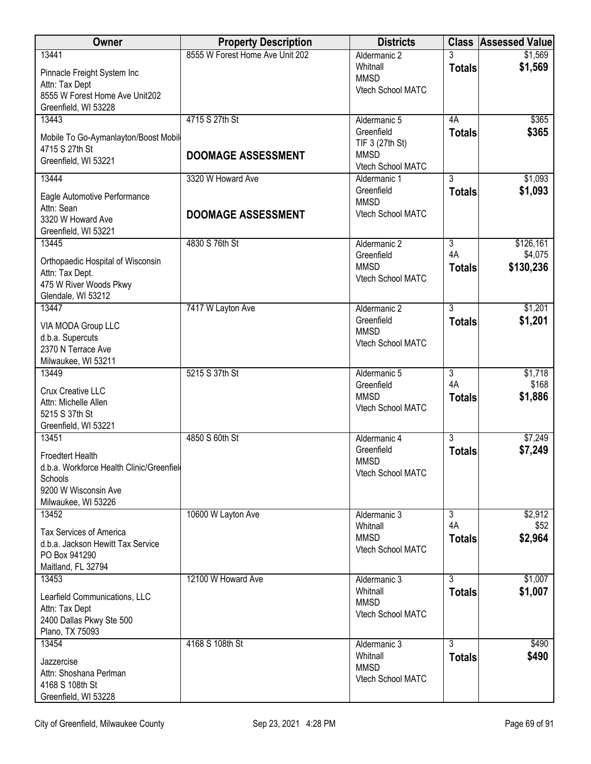| Owner                                     | <b>Property Description</b>     | <b>Districts</b>                 | <b>Class</b>   | <b>Assessed Value</b> |
|-------------------------------------------|---------------------------------|----------------------------------|----------------|-----------------------|
| 13441                                     | 8555 W Forest Home Ave Unit 202 | Aldermanic 2                     |                | \$1,569               |
| Pinnacle Freight System Inc               |                                 | Whitnall<br><b>MMSD</b>          | <b>Totals</b>  | \$1,569               |
| Attn: Tax Dept                            |                                 | Vtech School MATC                |                |                       |
| 8555 W Forest Home Ave Unit202            |                                 |                                  |                |                       |
| Greenfield, WI 53228<br>13443             | 4715 S 27th St                  | Aldermanic 5                     | 4A             | \$365                 |
|                                           |                                 | Greenfield                       | <b>Totals</b>  | \$365                 |
| Mobile To Go-Aymanlayton/Boost Mobil      |                                 | TIF 3 (27th St)                  |                |                       |
| 4715 S 27th St<br>Greenfield, WI 53221    | <b>DOOMAGE ASSESSMENT</b>       | <b>MMSD</b>                      |                |                       |
|                                           |                                 | Vtech School MATC                |                |                       |
| 13444                                     | 3320 W Howard Ave               | Aldermanic 1                     | $\overline{3}$ | \$1,093               |
| Eagle Automotive Performance              |                                 | Greenfield<br><b>MMSD</b>        | <b>Totals</b>  | \$1,093               |
| Attn: Sean                                | <b>DOOMAGE ASSESSMENT</b>       | Vtech School MATC                |                |                       |
| 3320 W Howard Ave                         |                                 |                                  |                |                       |
| Greenfield, WI 53221<br>13445             | 4830 S 76th St                  | Aldermanic 2                     | $\overline{3}$ | \$126,161             |
|                                           |                                 | Greenfield                       | 4A             | \$4,075               |
| Orthopaedic Hospital of Wisconsin         |                                 | <b>MMSD</b>                      | <b>Totals</b>  | \$130,236             |
| Attn: Tax Dept.<br>475 W River Woods Pkwy |                                 | Vtech School MATC                |                |                       |
| Glendale, WI 53212                        |                                 |                                  |                |                       |
| 13447                                     | 7417 W Layton Ave               | Aldermanic 2                     | $\overline{3}$ | \$1,201               |
|                                           |                                 | Greenfield                       | <b>Totals</b>  | \$1,201               |
| VIA MODA Group LLC<br>d.b.a. Supercuts    |                                 | <b>MMSD</b>                      |                |                       |
| 2370 N Terrace Ave                        |                                 | Vtech School MATC                |                |                       |
| Milwaukee, WI 53211                       |                                 |                                  |                |                       |
| 13449                                     | 5215 S 37th St                  | Aldermanic 5                     | $\overline{3}$ | \$1,718               |
| Crux Creative LLC                         |                                 | Greenfield                       | 4A             | \$168                 |
| Attn: Michelle Allen                      |                                 | <b>MMSD</b><br>Vtech School MATC | <b>Totals</b>  | \$1,886               |
| 5215 S 37th St                            |                                 |                                  |                |                       |
| Greenfield, WI 53221                      |                                 |                                  |                |                       |
| 13451                                     | 4850 S 60th St                  | Aldermanic 4<br>Greenfield       | $\overline{3}$ | \$7,249<br>\$7,249    |
| <b>Froedtert Health</b>                   |                                 | <b>MMSD</b>                      | <b>Totals</b>  |                       |
| d.b.a. Workforce Health Clinic/Greenfiel  |                                 | Vtech School MATC                |                |                       |
| Schools<br>9200 W Wisconsin Ave           |                                 |                                  |                |                       |
| Milwaukee, WI 53226                       |                                 |                                  |                |                       |
| 13452                                     | 10600 W Layton Ave              | Aldermanic 3                     | $\overline{3}$ | \$2,912               |
| <b>Tax Services of America</b>            |                                 | Whitnall                         | 4A             | \$52                  |
| d.b.a. Jackson Hewitt Tax Service         |                                 | <b>MMSD</b>                      | <b>Totals</b>  | \$2,964               |
| PO Box 941290                             |                                 | Vtech School MATC                |                |                       |
| Maitland, FL 32794                        |                                 |                                  |                |                       |
| 13453                                     | 12100 W Howard Ave              | Aldermanic 3                     | $\overline{3}$ | \$1,007               |
| Learfield Communications, LLC             |                                 | Whitnall<br><b>MMSD</b>          | <b>Totals</b>  | \$1,007               |
| Attn: Tax Dept                            |                                 | Vtech School MATC                |                |                       |
| 2400 Dallas Pkwy Ste 500                  |                                 |                                  |                |                       |
| Plano, TX 75093                           | 4168 S 108th St                 | Aldermanic 3                     | $\overline{3}$ | \$490                 |
| 13454                                     |                                 | Whitnall                         | <b>Totals</b>  | \$490                 |
| Jazzercise                                |                                 | <b>MMSD</b>                      |                |                       |
| Attn: Shoshana Perlman                    |                                 | Vtech School MATC                |                |                       |
| 4168 S 108th St<br>Greenfield, WI 53228   |                                 |                                  |                |                       |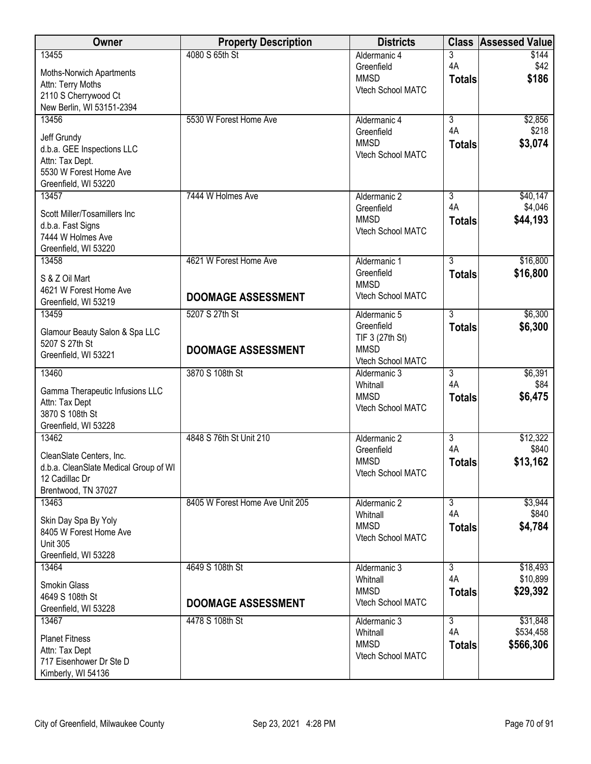| Owner                                          | <b>Property Description</b>     | <b>Districts</b>                 | <b>Class</b>         | <b>Assessed Value</b>  |
|------------------------------------------------|---------------------------------|----------------------------------|----------------------|------------------------|
| 13455                                          | 4080 S 65th St                  | Aldermanic 4                     | 3                    | \$144                  |
| Moths-Norwich Apartments                       |                                 | Greenfield<br><b>MMSD</b>        | 4A                   | \$42<br>\$186          |
| Attn: Terry Moths                              |                                 | Vtech School MATC                | <b>Totals</b>        |                        |
| 2110 S Cherrywood Ct                           |                                 |                                  |                      |                        |
| New Berlin, WI 53151-2394                      |                                 |                                  |                      |                        |
| 13456                                          | 5530 W Forest Home Ave          | Aldermanic 4<br>Greenfield       | $\overline{3}$<br>4A | \$2,856<br>\$218       |
| Jeff Grundy                                    |                                 | <b>MMSD</b>                      | <b>Totals</b>        | \$3,074                |
| d.b.a. GEE Inspections LLC                     |                                 | Vtech School MATC                |                      |                        |
| Attn: Tax Dept.<br>5530 W Forest Home Ave      |                                 |                                  |                      |                        |
| Greenfield, WI 53220                           |                                 |                                  |                      |                        |
| 13457                                          | 7444 W Holmes Ave               | Aldermanic 2                     | $\overline{3}$       | \$40,147               |
| Scott Miller/Tosamillers Inc                   |                                 | Greenfield                       | 4A                   | \$4,046                |
| d.b.a. Fast Signs                              |                                 | <b>MMSD</b>                      | <b>Totals</b>        | \$44,193               |
| 7444 W Holmes Ave                              |                                 | Vtech School MATC                |                      |                        |
| Greenfield, WI 53220                           |                                 |                                  |                      |                        |
| 13458                                          | 4621 W Forest Home Ave          | Aldermanic 1                     | $\overline{3}$       | \$16,800               |
| S & Z Oil Mart                                 |                                 | Greenfield                       | <b>Totals</b>        | \$16,800               |
| 4621 W Forest Home Ave                         | <b>DOOMAGE ASSESSMENT</b>       | <b>MMSD</b><br>Vtech School MATC |                      |                        |
| Greenfield, WI 53219                           |                                 |                                  |                      |                        |
| 13459                                          | 5207 S 27th St                  | Aldermanic 5                     | $\overline{3}$       | \$6,300                |
| Glamour Beauty Salon & Spa LLC                 |                                 | Greenfield<br>TIF 3 (27th St)    | <b>Totals</b>        | \$6,300                |
| 5207 S 27th St                                 | <b>DOOMAGE ASSESSMENT</b>       | <b>MMSD</b>                      |                      |                        |
| Greenfield, WI 53221                           |                                 | Vtech School MATC                |                      |                        |
| 13460                                          | 3870 S 108th St                 | Aldermanic 3                     | $\overline{3}$       | \$6,391                |
| Gamma Therapeutic Infusions LLC                |                                 | Whitnall                         | 4A                   | \$84                   |
| Attn: Tax Dept                                 |                                 | <b>MMSD</b><br>Vtech School MATC | <b>Totals</b>        | \$6,475                |
| 3870 S 108th St                                |                                 |                                  |                      |                        |
| Greenfield, WI 53228                           |                                 |                                  |                      |                        |
| 13462                                          | 4848 S 76th St Unit 210         | Aldermanic 2<br>Greenfield       | $\overline{3}$<br>4A | \$12,322<br>\$840      |
| CleanSlate Centers, Inc.                       |                                 | <b>MMSD</b>                      | <b>Totals</b>        | \$13,162               |
| d.b.a. CleanSlate Medical Group of WI          |                                 | Vtech School MATC                |                      |                        |
| 12 Cadillac Dr<br>Brentwood, TN 37027          |                                 |                                  |                      |                        |
| 13463                                          | 8405 W Forest Home Ave Unit 205 | Aldermanic 2                     | $\overline{3}$       | \$3,944                |
|                                                |                                 | Whitnall                         | 4A                   | \$840                  |
| Skin Day Spa By Yoly<br>8405 W Forest Home Ave |                                 | <b>MMSD</b>                      | <b>Totals</b>        | \$4,784                |
| <b>Unit 305</b>                                |                                 | Vtech School MATC                |                      |                        |
| Greenfield, WI 53228                           |                                 |                                  |                      |                        |
| 13464                                          | 4649 S 108th St                 | Aldermanic 3                     | $\overline{3}$       | \$18,493               |
| Smokin Glass                                   |                                 | Whitnall                         | 4A                   | \$10,899               |
| 4649 S 108th St                                |                                 | <b>MMSD</b><br>Vtech School MATC | <b>Totals</b>        | \$29,392               |
| Greenfield, WI 53228                           | <b>DOOMAGE ASSESSMENT</b>       |                                  |                      |                        |
| 13467                                          | 4478 S 108th St                 | Aldermanic 3                     | 3                    | \$31,848               |
| <b>Planet Fitness</b>                          |                                 | Whitnall<br><b>MMSD</b>          | 4A                   | \$534,458<br>\$566,306 |
| Attn: Tax Dept                                 |                                 | Vtech School MATC                | <b>Totals</b>        |                        |
| 717 Eisenhower Dr Ste D                        |                                 |                                  |                      |                        |
| Kimberly, WI 54136                             |                                 |                                  |                      |                        |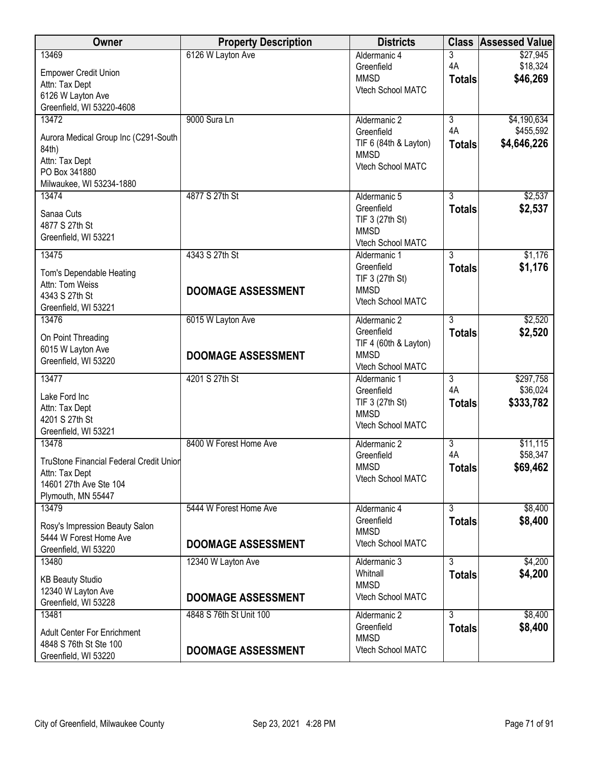| Owner                                          | <b>Property Description</b> | <b>Districts</b>                 |                | <b>Class Assessed Value</b> |
|------------------------------------------------|-----------------------------|----------------------------------|----------------|-----------------------------|
| 13469                                          | 6126 W Layton Ave           | Aldermanic 4                     | 3              | \$27,945                    |
| <b>Empower Credit Union</b>                    |                             | Greenfield                       | 4A             | \$18,324                    |
| Attn: Tax Dept                                 |                             | <b>MMSD</b>                      | <b>Totals</b>  | \$46,269                    |
| 6126 W Layton Ave                              |                             | Vtech School MATC                |                |                             |
| Greenfield, WI 53220-4608                      |                             |                                  |                |                             |
| 13472                                          | 9000 Sura Ln                | Aldermanic 2                     | $\overline{3}$ | \$4,190,634                 |
| Aurora Medical Group Inc (C291-South           |                             | Greenfield                       | 4A             | \$455,592                   |
| 84th)                                          |                             | TIF $6(84th & Layton)$           | <b>Totals</b>  | \$4,646,226                 |
| Attn: Tax Dept                                 |                             | <b>MMSD</b><br>Vtech School MATC |                |                             |
| PO Box 341880                                  |                             |                                  |                |                             |
| Milwaukee, WI 53234-1880                       |                             |                                  |                |                             |
| 13474                                          | 4877 S 27th St              | Aldermanic 5                     | $\overline{3}$ | \$2,537                     |
| Sanaa Cuts                                     |                             | Greenfield                       | <b>Totals</b>  | \$2,537                     |
| 4877 S 27th St                                 |                             | TIF 3 (27th St)<br><b>MMSD</b>   |                |                             |
| Greenfield, WI 53221                           |                             | Vtech School MATC                |                |                             |
| 13475                                          | 4343 S 27th St              | Aldermanic 1                     | 3              | \$1,176                     |
|                                                |                             | Greenfield                       | <b>Totals</b>  | \$1,176                     |
| Tom's Dependable Heating                       |                             | TIF 3 (27th St)                  |                |                             |
| Attn: Tom Weiss<br>4343 S 27th St              | <b>DOOMAGE ASSESSMENT</b>   | <b>MMSD</b>                      |                |                             |
| Greenfield, WI 53221                           |                             | Vtech School MATC                |                |                             |
| 13476                                          | 6015 W Layton Ave           | Aldermanic 2                     | 3              | \$2,520                     |
|                                                |                             | Greenfield                       | <b>Totals</b>  | \$2,520                     |
| On Point Threading                             |                             | TIF 4 (60th & Layton)            |                |                             |
| 6015 W Layton Ave                              | <b>DOOMAGE ASSESSMENT</b>   | <b>MMSD</b>                      |                |                             |
| Greenfield, WI 53220                           |                             | Vtech School MATC                |                |                             |
| 13477                                          | 4201 S 27th St              | Aldermanic 1                     | $\overline{3}$ | \$297,758                   |
| Lake Ford Inc                                  |                             | Greenfield                       | 4A             | \$36,024                    |
| Attn: Tax Dept                                 |                             | TIF 3 (27th St)                  | <b>Totals</b>  | \$333,782                   |
| 4201 S 27th St                                 |                             | <b>MMSD</b><br>Vtech School MATC |                |                             |
| Greenfield, WI 53221                           |                             |                                  |                |                             |
| 13478                                          | 8400 W Forest Home Ave      | Aldermanic 2                     | $\overline{3}$ | \$11,115                    |
| <b>TruStone Financial Federal Credit Union</b> |                             | Greenfield                       | 4A             | \$58,347                    |
| Attn: Tax Dept                                 |                             | <b>MMSD</b>                      | <b>Totals</b>  | \$69,462                    |
| 14601 27th Ave Ste 104                         |                             | Vtech School MATC                |                |                             |
| Plymouth, MN 55447                             |                             |                                  |                |                             |
| 13479                                          | 5444 W Forest Home Ave      | Aldermanic 4                     | $\overline{3}$ | \$8,400                     |
| Rosy's Impression Beauty Salon                 |                             | Greenfield                       | <b>Totals</b>  | \$8,400                     |
| 5444 W Forest Home Ave                         |                             | <b>MMSD</b>                      |                |                             |
| Greenfield, WI 53220                           | <b>DOOMAGE ASSESSMENT</b>   | Vtech School MATC                |                |                             |
| 13480                                          | 12340 W Layton Ave          | Aldermanic 3                     | $\overline{3}$ | \$4,200                     |
| <b>KB Beauty Studio</b>                        |                             | Whitnall                         | <b>Totals</b>  | \$4,200                     |
| 12340 W Layton Ave                             |                             | <b>MMSD</b>                      |                |                             |
| Greenfield, WI 53228                           | <b>DOOMAGE ASSESSMENT</b>   | Vtech School MATC                |                |                             |
| 13481                                          | 4848 S 76th St Unit 100     | Aldermanic 2                     | $\overline{3}$ | \$8,400                     |
| <b>Adult Center For Enrichment</b>             |                             | Greenfield                       | <b>Totals</b>  | \$8,400                     |
| 4848 S 76th St Ste 100                         |                             | <b>MMSD</b>                      |                |                             |
| Greenfield, WI 53220                           | <b>DOOMAGE ASSESSMENT</b>   | Vtech School MATC                |                |                             |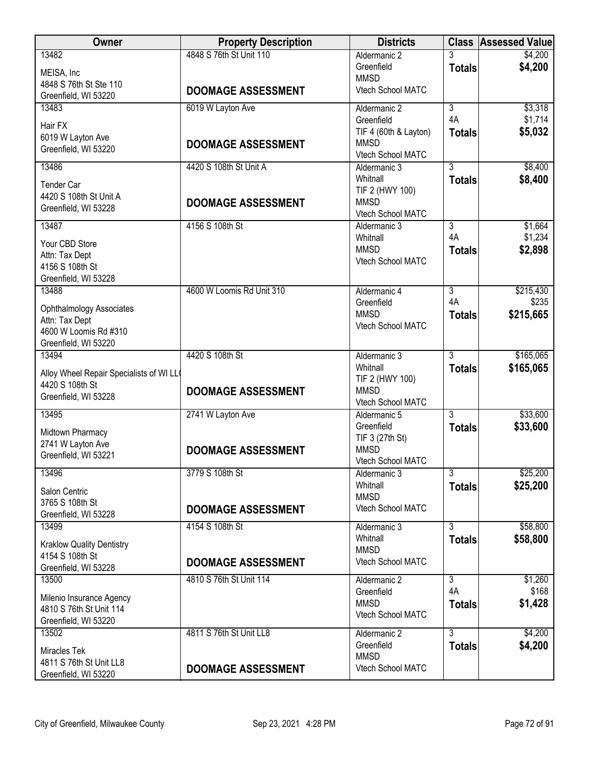| Owner                                               | <b>Property Description</b> | <b>Districts</b>                 |                                 | <b>Class Assessed Value</b> |
|-----------------------------------------------------|-----------------------------|----------------------------------|---------------------------------|-----------------------------|
| 13482                                               | 4848 S 76th St Unit 110     | Aldermanic 2                     |                                 | \$4,200                     |
| MEISA, Inc                                          |                             | Greenfield<br><b>MMSD</b>        | <b>Totals</b>                   | \$4,200                     |
| 4848 S 76th St Ste 110                              | <b>DOOMAGE ASSESSMENT</b>   | Vtech School MATC                |                                 |                             |
| Greenfield, WI 53220<br>13483                       | 6019 W Layton Ave           | Aldermanic 2                     | $\overline{3}$                  | \$3,318                     |
|                                                     |                             | Greenfield                       | 4A                              | \$1,714                     |
| Hair FX                                             |                             | TIF 4 (60th & Layton)            | <b>Totals</b>                   | \$5,032                     |
| 6019 W Layton Ave<br>Greenfield, WI 53220           | <b>DOOMAGE ASSESSMENT</b>   | <b>MMSD</b>                      |                                 |                             |
| 13486                                               | 4420 S 108th St Unit A      | Vtech School MATC                | $\overline{3}$                  | \$8,400                     |
|                                                     |                             | Aldermanic 3<br>Whitnall         | <b>Totals</b>                   | \$8,400                     |
| <b>Tender Car</b>                                   |                             | TIF 2 (HWY 100)                  |                                 |                             |
| 4420 S 108th St Unit A<br>Greenfield, WI 53228      | <b>DOOMAGE ASSESSMENT</b>   | <b>MMSD</b>                      |                                 |                             |
|                                                     |                             | Vtech School MATC                |                                 |                             |
| 13487                                               | 4156 S 108th St             | Aldermanic 3<br>Whitnall         | $\overline{3}$<br>4A            | \$1,664<br>\$1,234          |
| Your CBD Store                                      |                             | <b>MMSD</b>                      | <b>Totals</b>                   | \$2,898                     |
| Attn: Tax Dept<br>4156 S 108th St                   |                             | Vtech School MATC                |                                 |                             |
| Greenfield, WI 53228                                |                             |                                  |                                 |                             |
| 13488                                               | 4600 W Loomis Rd Unit 310   | Aldermanic 4                     | $\overline{3}$                  | \$215,430                   |
| <b>Ophthalmology Associates</b>                     |                             | Greenfield                       | 4A                              | \$235                       |
| Attn: Tax Dept                                      |                             | <b>MMSD</b>                      | <b>Totals</b>                   | \$215,665                   |
| 4600 W Loomis Rd #310                               |                             | Vtech School MATC                |                                 |                             |
| Greenfield, WI 53220                                |                             |                                  |                                 |                             |
| 13494                                               | 4420 S 108th St             | Aldermanic 3<br>Whitnall         | $\overline{3}$<br><b>Totals</b> | \$165,065<br>\$165,065      |
| Alloy Wheel Repair Specialists of WI LL             |                             | TIF 2 (HWY 100)                  |                                 |                             |
| 4420 S 108th St<br>Greenfield, WI 53228             | <b>DOOMAGE ASSESSMENT</b>   | <b>MMSD</b>                      |                                 |                             |
|                                                     |                             | Vtech School MATC                |                                 |                             |
| 13495                                               | 2741 W Layton Ave           | Aldermanic 5<br>Greenfield       | $\overline{3}$                  | \$33,600                    |
| Midtown Pharmacy                                    |                             | TIF 3 (27th St)                  | <b>Totals</b>                   | \$33,600                    |
| 2741 W Layton Ave<br>Greenfield, WI 53221           | <b>DOOMAGE ASSESSMENT</b>   | <b>MMSD</b>                      |                                 |                             |
|                                                     |                             | Vtech School MATC                |                                 |                             |
| 13496                                               | 3779 S 108th St             | Aldermanic 3<br>Whitnall         | $\overline{3}$                  | \$25,200                    |
| Salon Centric                                       |                             | <b>MMSD</b>                      | <b>Totals</b>                   | \$25,200                    |
| 3765 S 108th St<br>Greenfield, WI 53228             | <b>DOOMAGE ASSESSMENT</b>   | Vtech School MATC                |                                 |                             |
| 13499                                               | 4154 S 108th St             | Aldermanic 3                     | $\overline{3}$                  | \$58,800                    |
|                                                     |                             | Whitnall                         | <b>Totals</b>                   | \$58,800                    |
| <b>Kraklow Quality Dentistry</b><br>4154 S 108th St |                             | <b>MMSD</b>                      |                                 |                             |
| Greenfield, WI 53228                                | <b>DOOMAGE ASSESSMENT</b>   | Vtech School MATC                |                                 |                             |
| 13500                                               | 4810 S 76th St Unit 114     | Aldermanic 2                     | $\overline{3}$                  | \$1,260                     |
| Milenio Insurance Agency                            |                             | Greenfield                       | 4A                              | \$168                       |
| 4810 S 76th St Unit 114                             |                             | <b>MMSD</b><br>Vtech School MATC | <b>Totals</b>                   | \$1,428                     |
| Greenfield, WI 53220                                |                             |                                  |                                 |                             |
| 13502                                               | 4811 S 76th St Unit LL8     | Aldermanic 2<br>Greenfield       | $\overline{3}$                  | \$4,200<br>\$4,200          |
| Miracles Tek                                        |                             | <b>MMSD</b>                      | <b>Totals</b>                   |                             |
| 4811 S 76th St Unit LL8<br>Greenfield, WI 53220     | <b>DOOMAGE ASSESSMENT</b>   | Vtech School MATC                |                                 |                             |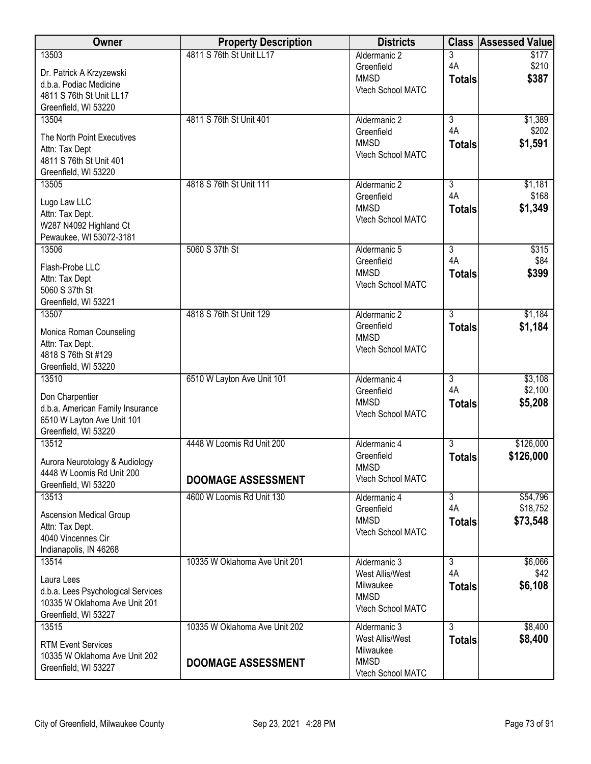| Owner                                                               | <b>Property Description</b>   | <b>Districts</b>  | <b>Class</b>   | <b>Assessed Value</b> |
|---------------------------------------------------------------------|-------------------------------|-------------------|----------------|-----------------------|
| 13503                                                               | 4811 S 76th St Unit LL17      | Aldermanic 2      | 3              | \$177                 |
| Dr. Patrick A Krzyzewski                                            |                               | Greenfield        | 4A             | \$210                 |
| d.b.a. Podiac Medicine                                              |                               | <b>MMSD</b>       | <b>Totals</b>  | \$387                 |
| 4811 S 76th St Unit LL17                                            |                               | Vtech School MATC |                |                       |
| Greenfield, WI 53220                                                |                               |                   |                |                       |
| 13504                                                               | 4811 S 76th St Unit 401       | Aldermanic 2      | $\overline{3}$ | \$1,389               |
| The North Point Executives                                          |                               | Greenfield        | 4A             | \$202                 |
| Attn: Tax Dept                                                      |                               | <b>MMSD</b>       | <b>Totals</b>  | \$1,591               |
| 4811 S 76th St Unit 401                                             |                               | Vtech School MATC |                |                       |
| Greenfield, WI 53220                                                |                               |                   |                |                       |
| 13505                                                               | 4818 S 76th St Unit 111       | Aldermanic 2      | 3              | \$1,181               |
| Lugo Law LLC                                                        |                               | Greenfield        | 4A             | \$168                 |
| Attn: Tax Dept.                                                     |                               | <b>MMSD</b>       | <b>Totals</b>  | \$1,349               |
| W287 N4092 Highland Ct                                              |                               | Vtech School MATC |                |                       |
| Pewaukee, WI 53072-3181                                             |                               |                   |                |                       |
| 13506                                                               | 5060 S 37th St                | Aldermanic 5      | $\overline{3}$ | \$315                 |
| Flash-Probe LLC                                                     |                               | Greenfield        | 4A             | \$84                  |
| Attn: Tax Dept                                                      |                               | <b>MMSD</b>       | <b>Totals</b>  | \$399                 |
| 5060 S 37th St                                                      |                               | Vtech School MATC |                |                       |
| Greenfield, WI 53221                                                |                               |                   |                |                       |
| 13507                                                               | 4818 S 76th St Unit 129       | Aldermanic 2      | $\overline{3}$ | \$1,184               |
| Monica Roman Counseling                                             |                               | Greenfield        | <b>Totals</b>  | \$1,184               |
| Attn: Tax Dept.                                                     |                               | <b>MMSD</b>       |                |                       |
| 4818 S 76th St #129                                                 |                               | Vtech School MATC |                |                       |
| Greenfield, WI 53220                                                |                               |                   |                |                       |
| 13510                                                               | 6510 W Layton Ave Unit 101    | Aldermanic 4      | $\overline{3}$ | \$3,108               |
| Don Charpentier                                                     |                               | Greenfield        | 4A             | \$2,100               |
| d.b.a. American Family Insurance                                    |                               | <b>MMSD</b>       | <b>Totals</b>  | \$5,208               |
| 6510 W Layton Ave Unit 101                                          |                               | Vtech School MATC |                |                       |
| Greenfield, WI 53220                                                |                               |                   |                |                       |
| 13512                                                               | 4448 W Loomis Rd Unit 200     | Aldermanic 4      | $\overline{3}$ | \$126,000             |
|                                                                     |                               | Greenfield        | <b>Totals</b>  | \$126,000             |
| Aurora Neurotology & Audiology<br>4448 W Loomis Rd Unit 200         |                               | <b>MMSD</b>       |                |                       |
| Greenfield, WI 53220                                                | <b>DOOMAGE ASSESSMENT</b>     | Vtech School MATC |                |                       |
| 13513                                                               | 4600 W Loomis Rd Unit 130     | Aldermanic 4      | $\overline{3}$ | \$54,796              |
|                                                                     |                               | Greenfield        | 4A             | \$18,752              |
| <b>Ascension Medical Group</b>                                      |                               | <b>MMSD</b>       | <b>Totals</b>  | \$73,548              |
| Attn: Tax Dept.<br>4040 Vincennes Cir                               |                               | Vtech School MATC |                |                       |
| Indianapolis, IN 46268                                              |                               |                   |                |                       |
| 13514                                                               | 10335 W Oklahoma Ave Unit 201 | Aldermanic 3      | $\overline{3}$ | \$6,066               |
|                                                                     |                               | West Allis/West   | 4A             | \$42                  |
| Laura Lees                                                          |                               | Milwaukee         | <b>Totals</b>  | \$6,108               |
| d.b.a. Lees Psychological Services<br>10335 W Oklahoma Ave Unit 201 |                               | <b>MMSD</b>       |                |                       |
| Greenfield, WI 53227                                                |                               | Vtech School MATC |                |                       |
| 13515                                                               | 10335 W Oklahoma Ave Unit 202 | Aldermanic 3      | 3              | \$8,400               |
|                                                                     |                               | West Allis/West   | <b>Totals</b>  | \$8,400               |
| <b>RTM Event Services</b>                                           |                               | Milwaukee         |                |                       |
| 10335 W Oklahoma Ave Unit 202                                       | <b>DOOMAGE ASSESSMENT</b>     | <b>MMSD</b>       |                |                       |
| Greenfield, WI 53227                                                |                               | Vtech School MATC |                |                       |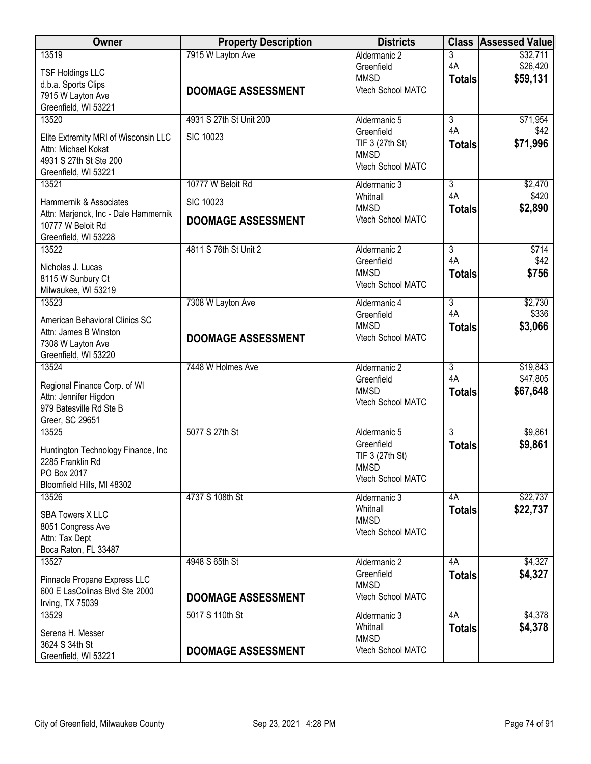| Owner                                          | <b>Property Description</b> | <b>Districts</b>                 |                      | <b>Class Assessed Value</b> |
|------------------------------------------------|-----------------------------|----------------------------------|----------------------|-----------------------------|
| 13519                                          | 7915 W Layton Ave           | Aldermanic 2<br>Greenfield       | 3<br>4A              | \$32,711<br>\$26,420        |
| <b>TSF Holdings LLC</b><br>d.b.a. Sports Clips |                             | <b>MMSD</b>                      | <b>Totals</b>        | \$59,131                    |
| 7915 W Layton Ave                              | <b>DOOMAGE ASSESSMENT</b>   | Vtech School MATC                |                      |                             |
| Greenfield, WI 53221                           |                             |                                  |                      |                             |
| 13520                                          | 4931 S 27th St Unit 200     | Aldermanic 5                     | $\overline{3}$       | \$71,954                    |
| Elite Extremity MRI of Wisconsin LLC           | <b>SIC 10023</b>            | Greenfield                       | 4A                   | \$42                        |
| Attn: Michael Kokat                            |                             | TIF 3 (27th St)                  | <b>Totals</b>        | \$71,996                    |
| 4931 S 27th St Ste 200                         |                             | <b>MMSD</b>                      |                      |                             |
| Greenfield, WI 53221                           |                             | Vtech School MATC                |                      |                             |
| 13521                                          | 10777 W Beloit Rd           | Aldermanic 3                     | $\overline{3}$       | \$2,470                     |
| Hammernik & Associates                         | <b>SIC 10023</b>            | Whitnall<br><b>MMSD</b>          | 4A<br><b>Totals</b>  | \$420<br>\$2,890            |
| Attn: Marjenck, Inc - Dale Hammernik           | <b>DOOMAGE ASSESSMENT</b>   | Vtech School MATC                |                      |                             |
| 10777 W Beloit Rd                              |                             |                                  |                      |                             |
| Greenfield, WI 53228                           | 4811 S 76th St Unit 2       |                                  | $\overline{3}$       |                             |
| 13522                                          |                             | Aldermanic 2<br>Greenfield       | 4A                   | \$714<br>\$42               |
| Nicholas J. Lucas                              |                             | <b>MMSD</b>                      | <b>Totals</b>        | \$756                       |
| 8115 W Sunbury Ct                              |                             | Vtech School MATC                |                      |                             |
| Milwaukee, WI 53219                            |                             |                                  |                      |                             |
| 13523                                          | 7308 W Layton Ave           | Aldermanic 4                     | $\overline{3}$<br>4A | \$2,730                     |
| American Behavioral Clinics SC                 |                             | Greenfield<br><b>MMSD</b>        |                      | \$336                       |
| Attn: James B Winston                          | <b>DOOMAGE ASSESSMENT</b>   | Vtech School MATC                | <b>Totals</b>        | \$3,066                     |
| 7308 W Layton Ave                              |                             |                                  |                      |                             |
| Greenfield, WI 53220                           |                             |                                  |                      |                             |
| 13524                                          | 7448 W Holmes Ave           | Aldermanic 2                     | $\overline{3}$       | \$19,843                    |
| Regional Finance Corp. of WI                   |                             | Greenfield<br><b>MMSD</b>        | 4A                   | \$47,805                    |
| Attn: Jennifer Higdon                          |                             | Vtech School MATC                | <b>Totals</b>        | \$67,648                    |
| 979 Batesville Rd Ste B                        |                             |                                  |                      |                             |
| Greer, SC 29651                                |                             |                                  |                      |                             |
| 13525                                          | 5077 S 27th St              | Aldermanic 5                     | $\overline{3}$       | \$9,861                     |
| Huntington Technology Finance, Inc             |                             | Greenfield                       | <b>Totals</b>        | \$9,861                     |
| 2285 Franklin Rd                               |                             | TIF 3 (27th St)<br><b>MMSD</b>   |                      |                             |
| PO Box 2017                                    |                             | Vtech School MATC                |                      |                             |
| Bloomfield Hills, MI 48302                     |                             |                                  |                      |                             |
| 13526                                          | 4737 S 108th St             | Aldermanic 3                     | 4A                   | \$22,737                    |
| <b>SBA Towers X LLC</b>                        |                             | Whitnall                         | <b>Totals</b>        | \$22,737                    |
| 8051 Congress Ave                              |                             | <b>MMSD</b><br>Vtech School MATC |                      |                             |
| Attn: Tax Dept                                 |                             |                                  |                      |                             |
| Boca Raton, FL 33487                           |                             |                                  |                      |                             |
| 13527                                          | 4948 S 65th St              | Aldermanic 2                     | 4A                   | \$4,327                     |
| Pinnacle Propane Express LLC                   |                             | Greenfield                       | <b>Totals</b>        | \$4,327                     |
| 600 E LasColinas Blvd Ste 2000                 |                             | <b>MMSD</b>                      |                      |                             |
| Irving, TX 75039                               | <b>DOOMAGE ASSESSMENT</b>   | Vtech School MATC                |                      |                             |
| 13529                                          | 5017 S 110th St             | Aldermanic 3                     | 4A                   | \$4,378                     |
| Serena H. Messer                               |                             | Whitnall                         | <b>Totals</b>        | \$4,378                     |
| 3624 S 34th St                                 |                             | <b>MMSD</b>                      |                      |                             |
| Greenfield, WI 53221                           | <b>DOOMAGE ASSESSMENT</b>   | Vtech School MATC                |                      |                             |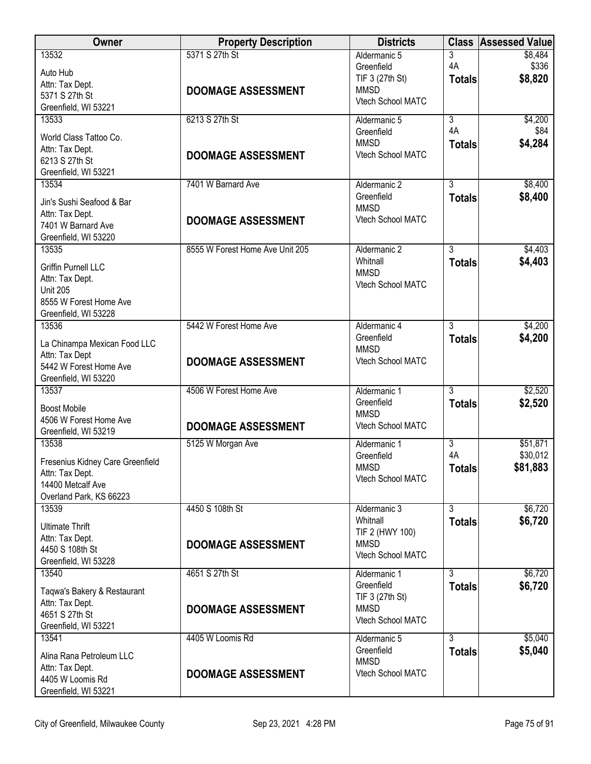| Owner                                          | <b>Property Description</b>     | <b>Districts</b>                 |                      | <b>Class Assessed Value</b> |
|------------------------------------------------|---------------------------------|----------------------------------|----------------------|-----------------------------|
| 13532                                          | 5371 S 27th St                  | Aldermanic 5                     | 3                    | \$8,484                     |
| Auto Hub                                       |                                 | Greenfield<br>TIF 3 (27th St)    | 4A                   | \$336<br>\$8,820            |
| Attn: Tax Dept.                                | <b>DOOMAGE ASSESSMENT</b>       | <b>MMSD</b>                      | <b>Totals</b>        |                             |
| 5371 S 27th St                                 |                                 | <b>Vtech School MATC</b>         |                      |                             |
| Greenfield, WI 53221                           |                                 |                                  |                      |                             |
| 13533                                          | 6213 S 27th St                  | Aldermanic 5<br>Greenfield       | $\overline{3}$<br>4A | \$4,200<br>\$84             |
| World Class Tattoo Co.                         |                                 | <b>MMSD</b>                      | <b>Totals</b>        | \$4,284                     |
| Attn: Tax Dept.                                | <b>DOOMAGE ASSESSMENT</b>       | Vtech School MATC                |                      |                             |
| 6213 S 27th St                                 |                                 |                                  |                      |                             |
| Greenfield, WI 53221<br>13534                  | 7401 W Barnard Ave              | Aldermanic 2                     | $\overline{3}$       | \$8,400                     |
|                                                |                                 | Greenfield                       | <b>Totals</b>        | \$8,400                     |
| Jin's Sushi Seafood & Bar                      |                                 | <b>MMSD</b>                      |                      |                             |
| Attn: Tax Dept.<br>7401 W Barnard Ave          | <b>DOOMAGE ASSESSMENT</b>       | Vtech School MATC                |                      |                             |
| Greenfield, WI 53220                           |                                 |                                  |                      |                             |
| 13535                                          | 8555 W Forest Home Ave Unit 205 | Aldermanic 2                     | $\overline{3}$       | \$4,403                     |
|                                                |                                 | Whitnall                         | <b>Totals</b>        | \$4,403                     |
| Griffin Purnell LLC<br>Attn: Tax Dept.         |                                 | <b>MMSD</b>                      |                      |                             |
| <b>Unit 205</b>                                |                                 | Vtech School MATC                |                      |                             |
| 8555 W Forest Home Ave                         |                                 |                                  |                      |                             |
| Greenfield, WI 53228                           |                                 |                                  |                      |                             |
| 13536                                          | 5442 W Forest Home Ave          | Aldermanic 4                     | $\overline{3}$       | \$4,200                     |
| La Chinampa Mexican Food LLC                   |                                 | Greenfield                       | <b>Totals</b>        | \$4,200                     |
| Attn: Tax Dept                                 |                                 | <b>MMSD</b>                      |                      |                             |
| 5442 W Forest Home Ave                         | <b>DOOMAGE ASSESSMENT</b>       | Vtech School MATC                |                      |                             |
| Greenfield, WI 53220                           |                                 |                                  |                      |                             |
| 13537                                          | 4506 W Forest Home Ave          | Aldermanic 1                     | $\overline{3}$       | \$2,520                     |
| <b>Boost Mobile</b>                            |                                 | Greenfield                       | <b>Totals</b>        | \$2,520                     |
| 4506 W Forest Home Ave                         | <b>DOOMAGE ASSESSMENT</b>       | <b>MMSD</b><br>Vtech School MATC |                      |                             |
| Greenfield, WI 53219                           |                                 |                                  |                      |                             |
| 13538                                          | 5125 W Morgan Ave               | Aldermanic 1                     | $\overline{3}$       | \$51,871                    |
| Fresenius Kidney Care Greenfield               |                                 | Greenfield<br><b>MMSD</b>        | 4A                   | \$30,012                    |
| Attn: Tax Dept.                                |                                 | Vtech School MATC                | <b>Totals</b>        | \$81,883                    |
| 14400 Metcalf Ave                              |                                 |                                  |                      |                             |
| Overland Park, KS 66223                        | 4450 S 108th St                 |                                  | $\overline{3}$       | \$6,720                     |
| 13539                                          |                                 | Aldermanic 3<br>Whitnall         | <b>Totals</b>        | \$6,720                     |
| <b>Ultimate Thrift</b>                         |                                 | TIF 2 (HWY 100)                  |                      |                             |
| Attn: Tax Dept.                                | <b>DOOMAGE ASSESSMENT</b>       | <b>MMSD</b>                      |                      |                             |
| 4450 S 108th St<br>Greenfield, WI 53228        |                                 | Vtech School MATC                |                      |                             |
| 13540                                          | 4651 S 27th St                  | Aldermanic 1                     | $\overline{3}$       | \$6,720                     |
|                                                |                                 | Greenfield                       | <b>Totals</b>        | \$6,720                     |
| Taqwa's Bakery & Restaurant<br>Attn: Tax Dept. |                                 | TIF 3 (27th St)                  |                      |                             |
| 4651 S 27th St                                 | <b>DOOMAGE ASSESSMENT</b>       | <b>MMSD</b>                      |                      |                             |
| Greenfield, WI 53221                           |                                 | Vtech School MATC                |                      |                             |
| 13541                                          | 4405 W Loomis Rd                | Aldermanic 5                     | $\overline{3}$       | \$5,040                     |
| Alina Rana Petroleum LLC                       |                                 | Greenfield                       | <b>Totals</b>        | \$5,040                     |
| Attn: Tax Dept.                                |                                 | <b>MMSD</b>                      |                      |                             |
| 4405 W Loomis Rd                               | <b>DOOMAGE ASSESSMENT</b>       | Vtech School MATC                |                      |                             |
| Greenfield, WI 53221                           |                                 |                                  |                      |                             |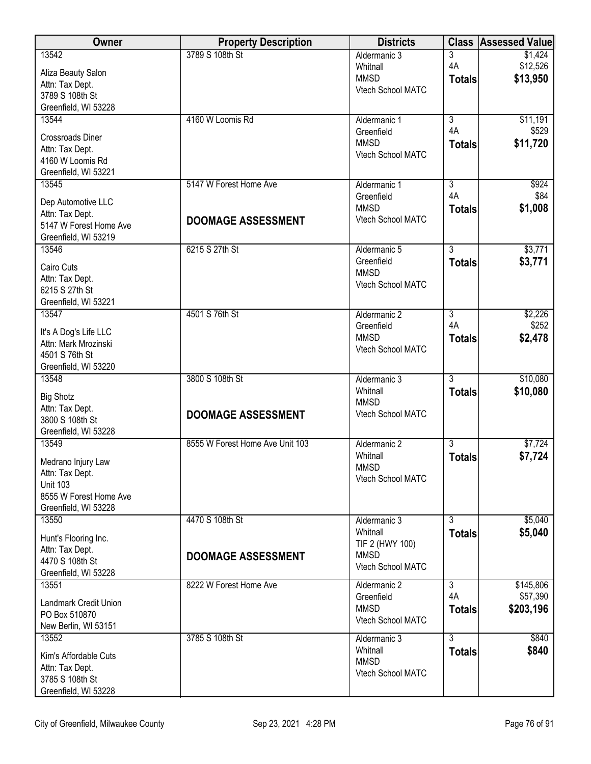| Owner                                     | <b>Property Description</b>     | <b>Districts</b>                 | <b>Class</b>                    | <b>Assessed Value</b> |
|-------------------------------------------|---------------------------------|----------------------------------|---------------------------------|-----------------------|
| 13542                                     | 3789 S 108th St                 | Aldermanic 3                     | 3                               | \$1,424               |
| Aliza Beauty Salon                        |                                 | Whitnall<br><b>MMSD</b>          | 4A<br><b>Totals</b>             | \$12,526<br>\$13,950  |
| Attn: Tax Dept.                           |                                 | Vtech School MATC                |                                 |                       |
| 3789 S 108th St<br>Greenfield, WI 53228   |                                 |                                  |                                 |                       |
| 13544                                     | 4160 W Loomis Rd                | Aldermanic 1                     | $\overline{3}$                  | \$11,191              |
| <b>Crossroads Diner</b>                   |                                 | Greenfield                       | 4A                              | \$529                 |
| Attn: Tax Dept.                           |                                 | <b>MMSD</b>                      | <b>Totals</b>                   | \$11,720              |
| 4160 W Loomis Rd                          |                                 | Vtech School MATC                |                                 |                       |
| Greenfield, WI 53221                      |                                 |                                  |                                 |                       |
| 13545                                     | 5147 W Forest Home Ave          | Aldermanic 1<br>Greenfield       | 3<br>4A                         | \$924<br>\$84         |
| Dep Automotive LLC                        |                                 | <b>MMSD</b>                      | <b>Totals</b>                   | \$1,008               |
| Attn: Tax Dept.<br>5147 W Forest Home Ave | <b>DOOMAGE ASSESSMENT</b>       | Vtech School MATC                |                                 |                       |
| Greenfield, WI 53219                      |                                 |                                  |                                 |                       |
| 13546                                     | 6215 S 27th St                  | Aldermanic 5                     | $\overline{3}$                  | \$3,771               |
| Cairo Cuts                                |                                 | Greenfield                       | <b>Totals</b>                   | \$3,771               |
| Attn: Tax Dept.                           |                                 | <b>MMSD</b><br>Vtech School MATC |                                 |                       |
| 6215 S 27th St                            |                                 |                                  |                                 |                       |
| Greenfield, WI 53221                      | 4501 S 76th St                  |                                  |                                 |                       |
| 13547                                     |                                 | Aldermanic 2<br>Greenfield       | $\overline{3}$<br>4A            | \$2,226<br>\$252      |
| It's A Dog's Life LLC                     |                                 | <b>MMSD</b>                      | <b>Totals</b>                   | \$2,478               |
| Attn: Mark Mrozinski<br>4501 S 76th St    |                                 | Vtech School MATC                |                                 |                       |
| Greenfield, WI 53220                      |                                 |                                  |                                 |                       |
| 13548                                     | 3800 S 108th St                 | Aldermanic 3                     | $\overline{3}$                  | \$10,080              |
| <b>Big Shotz</b>                          |                                 | Whitnall                         | <b>Totals</b>                   | \$10,080              |
| Attn: Tax Dept.                           | <b>DOOMAGE ASSESSMENT</b>       | <b>MMSD</b><br>Vtech School MATC |                                 |                       |
| 3800 S 108th St                           |                                 |                                  |                                 |                       |
| Greenfield, WI 53228<br>13549             | 8555 W Forest Home Ave Unit 103 | Aldermanic 2                     | $\overline{3}$                  | \$7,724               |
|                                           |                                 | Whitnall                         | <b>Totals</b>                   | \$7,724               |
| Medrano Injury Law<br>Attn: Tax Dept.     |                                 | <b>MMSD</b>                      |                                 |                       |
| <b>Unit 103</b>                           |                                 | Vtech School MATC                |                                 |                       |
| 8555 W Forest Home Ave                    |                                 |                                  |                                 |                       |
| Greenfield, WI 53228<br>13550             | 4470 S 108th St                 | Aldermanic 3                     | $\overline{3}$                  | \$5,040               |
|                                           |                                 | Whitnall                         | <b>Totals</b>                   | \$5,040               |
| Hunt's Flooring Inc.                      |                                 | TIF 2 (HWY 100)                  |                                 |                       |
| Attn: Tax Dept.<br>4470 S 108th St        | <b>DOOMAGE ASSESSMENT</b>       | <b>MMSD</b>                      |                                 |                       |
| Greenfield, WI 53228                      |                                 | Vtech School MATC                |                                 |                       |
| 13551                                     | 8222 W Forest Home Ave          | Aldermanic 2                     | $\overline{3}$                  | \$145,806             |
| Landmark Credit Union                     |                                 | Greenfield                       | 4A                              | \$57,390              |
| PO Box 510870                             |                                 | <b>MMSD</b><br>Vtech School MATC | <b>Totals</b>                   | \$203,196             |
| New Berlin, WI 53151                      |                                 |                                  |                                 |                       |
| 13552                                     | 3785 S 108th St                 | Aldermanic 3<br>Whitnall         | $\overline{3}$<br><b>Totals</b> | \$840<br>\$840        |
| Kim's Affordable Cuts                     |                                 | <b>MMSD</b>                      |                                 |                       |
| Attn: Tax Dept.<br>3785 S 108th St        |                                 | Vtech School MATC                |                                 |                       |
| Greenfield, WI 53228                      |                                 |                                  |                                 |                       |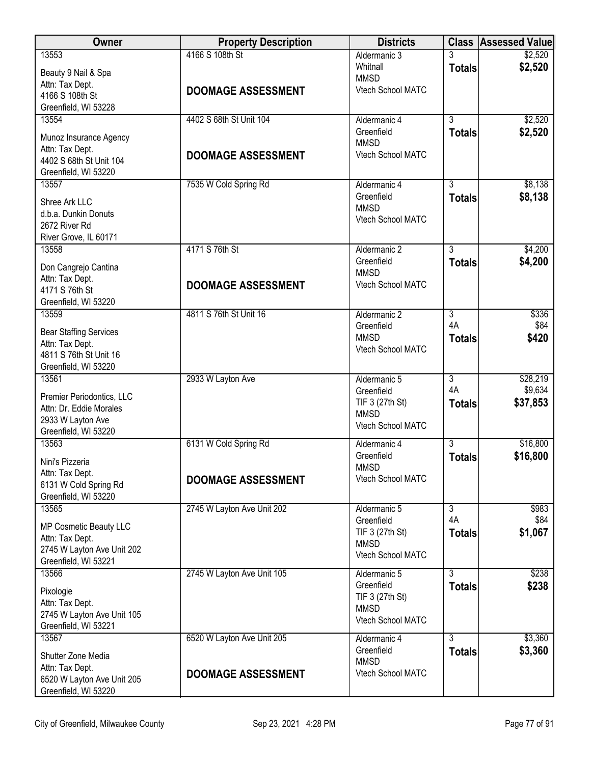| Owner                                            | <b>Property Description</b> | <b>Districts</b>                 |                                 | <b>Class Assessed Value</b> |
|--------------------------------------------------|-----------------------------|----------------------------------|---------------------------------|-----------------------------|
| 13553                                            | 4166 S 108th St             | Aldermanic 3                     |                                 | \$2,520                     |
| Beauty 9 Nail & Spa                              |                             | Whitnall<br><b>MMSD</b>          | <b>Totals</b>                   | \$2,520                     |
| Attn: Tax Dept.                                  | <b>DOOMAGE ASSESSMENT</b>   | Vtech School MATC                |                                 |                             |
| 4166 S 108th St<br>Greenfield, WI 53228          |                             |                                  |                                 |                             |
| 13554                                            | 4402 S 68th St Unit 104     | Aldermanic 4                     | $\overline{3}$                  | \$2,520                     |
|                                                  |                             | Greenfield                       | <b>Totals</b>                   | \$2,520                     |
| Munoz Insurance Agency<br>Attn: Tax Dept.        |                             | <b>MMSD</b>                      |                                 |                             |
| 4402 S 68th St Unit 104                          | <b>DOOMAGE ASSESSMENT</b>   | Vtech School MATC                |                                 |                             |
| Greenfield, WI 53220                             |                             |                                  |                                 |                             |
| 13557                                            | 7535 W Cold Spring Rd       | Aldermanic 4                     | 3                               | \$8,138                     |
| Shree Ark LLC                                    |                             | Greenfield                       | <b>Totals</b>                   | \$8,138                     |
| d.b.a. Dunkin Donuts                             |                             | <b>MMSD</b><br>Vtech School MATC |                                 |                             |
| 2672 River Rd                                    |                             |                                  |                                 |                             |
| River Grove, IL 60171                            |                             |                                  |                                 |                             |
| 13558                                            | 4171 S 76th St              | Aldermanic 2<br>Greenfield       | $\overline{3}$                  | \$4,200                     |
| Don Cangrejo Cantina                             |                             | <b>MMSD</b>                      | <b>Totals</b>                   | \$4,200                     |
| Attn: Tax Dept.                                  | <b>DOOMAGE ASSESSMENT</b>   | Vtech School MATC                |                                 |                             |
| 4171 S 76th St<br>Greenfield, WI 53220           |                             |                                  |                                 |                             |
| 13559                                            | 4811 S 76th St Unit 16      | Aldermanic 2                     | 3                               | \$336                       |
|                                                  |                             | Greenfield                       | 4A                              | \$84                        |
| <b>Bear Staffing Services</b><br>Attn: Tax Dept. |                             | <b>MMSD</b>                      | <b>Totals</b>                   | \$420                       |
| 4811 S 76th St Unit 16                           |                             | Vtech School MATC                |                                 |                             |
| Greenfield, WI 53220                             |                             |                                  |                                 |                             |
| 13561                                            | 2933 W Layton Ave           | Aldermanic 5                     | $\overline{3}$                  | \$28,219                    |
| Premier Periodontics, LLC                        |                             | Greenfield                       | 4A                              | \$9,634                     |
| Attn: Dr. Eddie Morales                          |                             | TIF 3 (27th St)<br><b>MMSD</b>   | <b>Totals</b>                   | \$37,853                    |
| 2933 W Layton Ave                                |                             | Vtech School MATC                |                                 |                             |
| Greenfield, WI 53220                             |                             |                                  |                                 |                             |
| 13563                                            | 6131 W Cold Spring Rd       | Aldermanic 4<br>Greenfield       | $\overline{3}$<br><b>Totals</b> | \$16,800<br>\$16,800        |
| Nini's Pizzeria                                  |                             | <b>MMSD</b>                      |                                 |                             |
| Attn: Tax Dept.                                  | <b>DOOMAGE ASSESSMENT</b>   | Vtech School MATC                |                                 |                             |
| 6131 W Cold Spring Rd<br>Greenfield, WI 53220    |                             |                                  |                                 |                             |
| 13565                                            | 2745 W Layton Ave Unit 202  | Aldermanic 5                     | 3                               | \$983                       |
| MP Cosmetic Beauty LLC                           |                             | Greenfield                       | 4A                              | \$84                        |
| Attn: Tax Dept.                                  |                             | TIF 3 (27th St)                  | <b>Totals</b>                   | \$1,067                     |
| 2745 W Layton Ave Unit 202                       |                             | <b>MMSD</b><br>Vtech School MATC |                                 |                             |
| Greenfield, WI 53221                             |                             |                                  |                                 |                             |
| 13566                                            | 2745 W Layton Ave Unit 105  | Aldermanic 5                     | 3                               | \$238                       |
| Pixologie                                        |                             | Greenfield                       | <b>Totals</b>                   | \$238                       |
| Attn: Tax Dept.                                  |                             | TIF 3 (27th St)<br><b>MMSD</b>   |                                 |                             |
| 2745 W Layton Ave Unit 105                       |                             | Vtech School MATC                |                                 |                             |
| Greenfield, WI 53221<br>13567                    | 6520 W Layton Ave Unit 205  | Aldermanic 4                     | 3                               | \$3,360                     |
|                                                  |                             | Greenfield                       | <b>Totals</b>                   | \$3,360                     |
| Shutter Zone Media                               |                             | <b>MMSD</b>                      |                                 |                             |
| Attn: Tax Dept.<br>6520 W Layton Ave Unit 205    | <b>DOOMAGE ASSESSMENT</b>   | Vtech School MATC                |                                 |                             |
| Greenfield, WI 53220                             |                             |                                  |                                 |                             |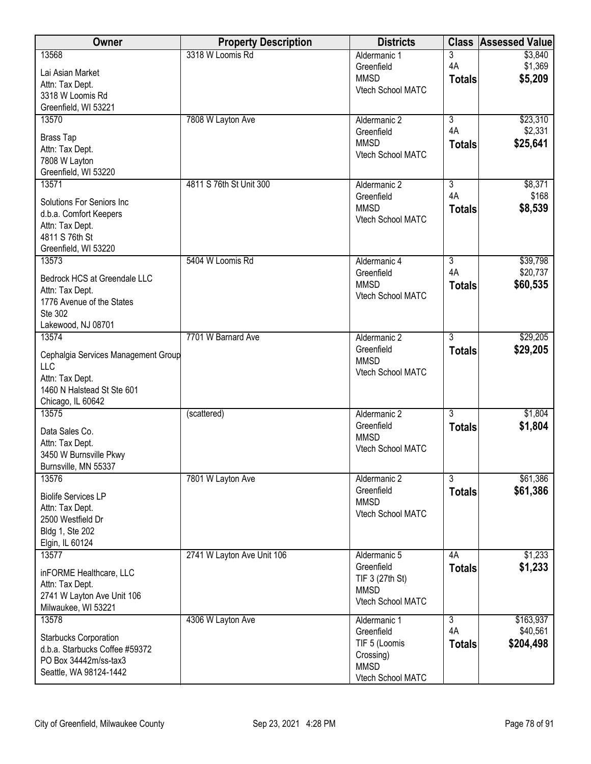| Owner                                           | <b>Property Description</b> | <b>Districts</b>                 | <b>Class</b>   | <b>Assessed Value</b> |
|-------------------------------------------------|-----------------------------|----------------------------------|----------------|-----------------------|
| 13568                                           | 3318 W Loomis Rd            | Aldermanic 1                     | 3              | \$3,840               |
| Lai Asian Market                                |                             | Greenfield                       | 4A             | \$1,369               |
| Attn: Tax Dept.                                 |                             | <b>MMSD</b>                      | <b>Totals</b>  | \$5,209               |
| 3318 W Loomis Rd                                |                             | Vtech School MATC                |                |                       |
| Greenfield, WI 53221                            |                             |                                  |                |                       |
| 13570                                           | 7808 W Layton Ave           | Aldermanic 2                     | $\overline{3}$ | \$23,310              |
| <b>Brass Tap</b>                                |                             | Greenfield                       | 4A             | \$2,331               |
| Attn: Tax Dept.                                 |                             | <b>MMSD</b><br>Vtech School MATC | <b>Totals</b>  | \$25,641              |
| 7808 W Layton                                   |                             |                                  |                |                       |
| Greenfield, WI 53220                            |                             |                                  |                |                       |
| 13571                                           | 4811 S 76th St Unit 300     | Aldermanic 2                     | $\overline{3}$ | \$8,371               |
| Solutions For Seniors Inc                       |                             | Greenfield                       | 4A             | \$168                 |
| d.b.a. Comfort Keepers                          |                             | <b>MMSD</b><br>Vtech School MATC | <b>Totals</b>  | \$8,539               |
| Attn: Tax Dept.                                 |                             |                                  |                |                       |
| 4811 S 76th St                                  |                             |                                  |                |                       |
| Greenfield, WI 53220                            |                             |                                  |                |                       |
| 13573                                           | 5404 W Loomis Rd            | Aldermanic 4                     | $\overline{3}$ | \$39,798              |
| Bedrock HCS at Greendale LLC                    |                             | Greenfield<br><b>MMSD</b>        | 4A             | \$20,737              |
| Attn: Tax Dept.                                 |                             | Vtech School MATC                | <b>Totals</b>  | \$60,535              |
| 1776 Avenue of the States                       |                             |                                  |                |                       |
| Ste 302                                         |                             |                                  |                |                       |
| Lakewood, NJ 08701                              |                             |                                  |                |                       |
| 13574                                           | 7701 W Barnard Ave          | Aldermanic 2<br>Greenfield       | $\overline{3}$ | \$29,205              |
| Cephalgia Services Management Group             |                             | <b>MMSD</b>                      | <b>Totals</b>  | \$29,205              |
| <b>LLC</b>                                      |                             | Vtech School MATC                |                |                       |
| Attn: Tax Dept.                                 |                             |                                  |                |                       |
| 1460 N Halstead St Ste 601<br>Chicago, IL 60642 |                             |                                  |                |                       |
| 13575                                           | (scattered)                 | Aldermanic 2                     | $\overline{3}$ | \$1,804               |
|                                                 |                             | Greenfield                       | <b>Totals</b>  | \$1,804               |
| Data Sales Co.                                  |                             | <b>MMSD</b>                      |                |                       |
| Attn: Tax Dept.<br>3450 W Burnsville Pkwy       |                             | Vtech School MATC                |                |                       |
| Burnsville, MN 55337                            |                             |                                  |                |                       |
| 13576                                           | 7801 W Layton Ave           | Aldermanic 2                     | 3              | \$61,386              |
|                                                 |                             | Greenfield                       | <b>Totals</b>  | \$61,386              |
| <b>Biolife Services LP</b>                      |                             | <b>MMSD</b>                      |                |                       |
| Attn: Tax Dept.<br>2500 Westfield Dr            |                             | Vtech School MATC                |                |                       |
| <b>Bldg 1, Ste 202</b>                          |                             |                                  |                |                       |
| Elgin, IL 60124                                 |                             |                                  |                |                       |
| 13577                                           | 2741 W Layton Ave Unit 106  | Aldermanic 5                     | 4A             | \$1,233               |
| inFORME Healthcare, LLC                         |                             | Greenfield                       | <b>Totals</b>  | \$1,233               |
| Attn: Tax Dept.                                 |                             | TIF 3 (27th St)                  |                |                       |
| 2741 W Layton Ave Unit 106                      |                             | <b>MMSD</b>                      |                |                       |
| Milwaukee, WI 53221                             |                             | Vtech School MATC                |                |                       |
| 13578                                           | 4306 W Layton Ave           | Aldermanic 1                     | 3              | \$163,937             |
| <b>Starbucks Corporation</b>                    |                             | Greenfield                       | 4A             | \$40,561              |
| d.b.a. Starbucks Coffee #59372                  |                             | TIF 5 (Loomis                    | <b>Totals</b>  | \$204,498             |
| PO Box 34442m/ss-tax3                           |                             | Crossing)                        |                |                       |
| Seattle, WA 98124-1442                          |                             | <b>MMSD</b><br>Vtech School MATC |                |                       |
|                                                 |                             |                                  |                |                       |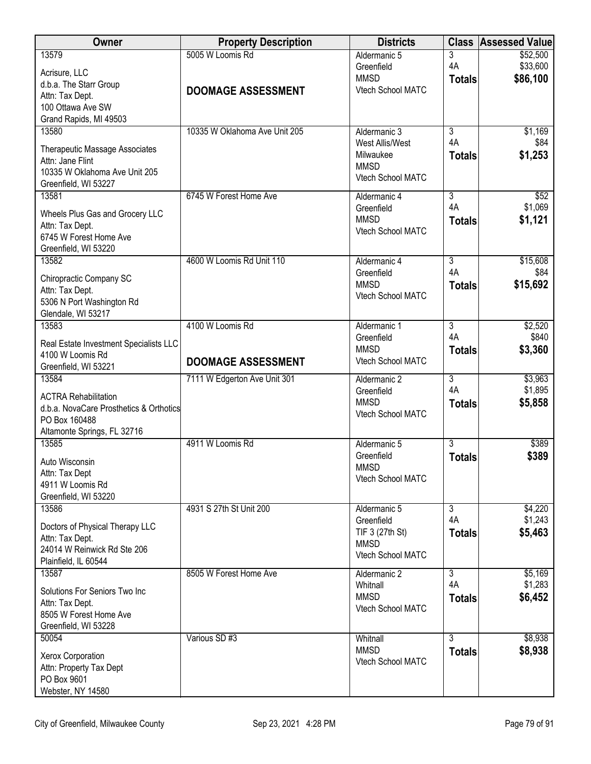| Owner                                              | <b>Property Description</b>   | <b>Districts</b>                 | <b>Class</b>         | <b>Assessed Value</b> |
|----------------------------------------------------|-------------------------------|----------------------------------|----------------------|-----------------------|
| 13579                                              | 5005 W Loomis Rd              | Aldermanic 5                     | 3                    | \$52,500              |
| Acrisure, LLC                                      |                               | Greenfield                       | 4A                   | \$33,600              |
| d.b.a. The Starr Group                             |                               | <b>MMSD</b><br>Vtech School MATC | <b>Totals</b>        | \$86,100              |
| Attn: Tax Dept.                                    | <b>DOOMAGE ASSESSMENT</b>     |                                  |                      |                       |
| 100 Ottawa Ave SW                                  |                               |                                  |                      |                       |
| Grand Rapids, MI 49503                             |                               |                                  |                      |                       |
| 13580                                              | 10335 W Oklahoma Ave Unit 205 | Aldermanic 3                     | 3<br>4A              | \$1,169               |
| Therapeutic Massage Associates                     |                               | West Allis/West<br>Milwaukee     |                      | \$84<br>\$1,253       |
| Attn: Jane Flint                                   |                               | <b>MMSD</b>                      | <b>Totals</b>        |                       |
| 10335 W Oklahoma Ave Unit 205                      |                               | Vtech School MATC                |                      |                       |
| Greenfield, WI 53227                               |                               |                                  |                      |                       |
| 13581                                              | 6745 W Forest Home Ave        | Aldermanic 4<br>Greenfield       | $\overline{3}$<br>4A | \$52<br>\$1,069       |
| Wheels Plus Gas and Grocery LLC                    |                               | <b>MMSD</b>                      | <b>Totals</b>        | \$1,121               |
| Attn: Tax Dept.                                    |                               | Vtech School MATC                |                      |                       |
| 6745 W Forest Home Ave                             |                               |                                  |                      |                       |
| Greenfield, WI 53220                               |                               |                                  | $\overline{3}$       |                       |
| 13582                                              | 4600 W Loomis Rd Unit 110     | Aldermanic 4<br>Greenfield       | 4A                   | \$15,608<br>\$84      |
| Chiropractic Company SC                            |                               | <b>MMSD</b>                      | <b>Totals</b>        | \$15,692              |
| Attn: Tax Dept.                                    |                               | Vtech School MATC                |                      |                       |
| 5306 N Port Washington Rd                          |                               |                                  |                      |                       |
| Glendale, WI 53217<br>13583                        | 4100 W Loomis Rd              | Aldermanic 1                     | $\overline{3}$       | \$2,520               |
|                                                    |                               | Greenfield                       | 4A                   | \$840                 |
| Real Estate Investment Specialists LLC             |                               | <b>MMSD</b>                      | <b>Totals</b>        | \$3,360               |
| 4100 W Loomis Rd                                   | <b>DOOMAGE ASSESSMENT</b>     | Vtech School MATC                |                      |                       |
| Greenfield, WI 53221<br>13584                      | 7111 W Edgerton Ave Unit 301  | Aldermanic 2                     | $\overline{3}$       | \$3,963               |
|                                                    |                               | Greenfield                       | 4A                   | \$1,895               |
| <b>ACTRA Rehabilitation</b>                        |                               | <b>MMSD</b>                      | <b>Totals</b>        | \$5,858               |
| d.b.a. NovaCare Prosthetics & Orthotics            |                               | <b>Vtech School MATC</b>         |                      |                       |
| PO Box 160488<br>Altamonte Springs, FL 32716       |                               |                                  |                      |                       |
| 13585                                              | 4911 W Loomis Rd              | Aldermanic 5                     | $\overline{3}$       | \$389                 |
|                                                    |                               | Greenfield                       | <b>Totals</b>        | \$389                 |
| Auto Wisconsin                                     |                               | <b>MMSD</b>                      |                      |                       |
| Attn: Tax Dept<br>4911 W Loomis Rd                 |                               | Vtech School MATC                |                      |                       |
| Greenfield, WI 53220                               |                               |                                  |                      |                       |
| 13586                                              | 4931 S 27th St Unit 200       | Aldermanic 5                     | $\overline{3}$       | \$4,220               |
|                                                    |                               | Greenfield                       | 4A                   | \$1,243               |
| Doctors of Physical Therapy LLC<br>Attn: Tax Dept. |                               | TIF 3 (27th St)                  | <b>Totals</b>        | \$5,463               |
| 24014 W Reinwick Rd Ste 206                        |                               | <b>MMSD</b>                      |                      |                       |
| Plainfield, IL 60544                               |                               | Vtech School MATC                |                      |                       |
| 13587                                              | 8505 W Forest Home Ave        | Aldermanic 2                     | $\overline{3}$       | \$5,169               |
| Solutions For Seniors Two Inc                      |                               | Whitnall                         | 4A                   | \$1,283               |
| Attn: Tax Dept.                                    |                               | <b>MMSD</b>                      | <b>Totals</b>        | \$6,452               |
| 8505 W Forest Home Ave                             |                               | Vtech School MATC                |                      |                       |
| Greenfield, WI 53228                               |                               |                                  |                      |                       |
| 50054                                              | Various SD #3                 | Whitnall                         | $\overline{3}$       | \$8,938               |
| Xerox Corporation                                  |                               | <b>MMSD</b>                      | <b>Totals</b>        | \$8,938               |
| Attn: Property Tax Dept                            |                               | Vtech School MATC                |                      |                       |
| PO Box 9601                                        |                               |                                  |                      |                       |
| Webster, NY 14580                                  |                               |                                  |                      |                       |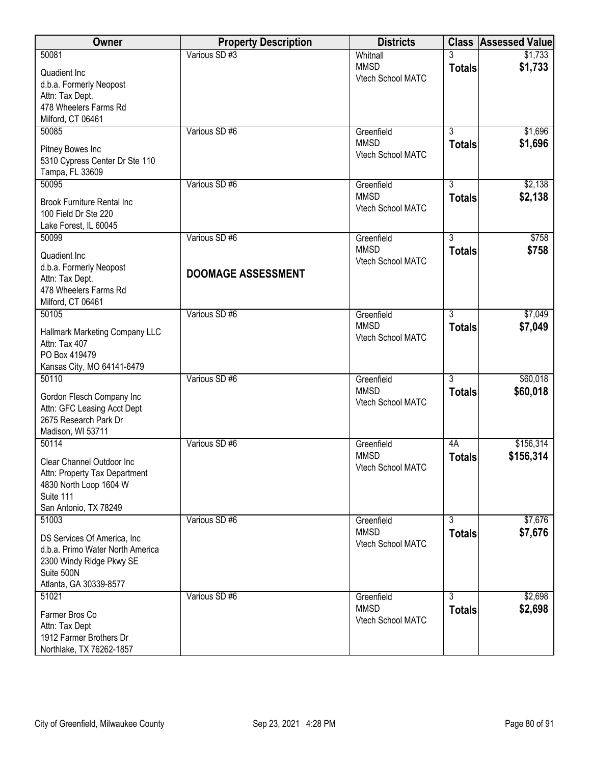| Owner                                                                                                                               | <b>Property Description</b> | <b>Districts</b>                               | <b>Class</b>                    | <b>Assessed Value</b> |
|-------------------------------------------------------------------------------------------------------------------------------------|-----------------------------|------------------------------------------------|---------------------------------|-----------------------|
| 50081<br>Quadient Inc                                                                                                               | Various SD #3               | Whitnall<br><b>MMSD</b><br>Vtech School MATC   | 3<br><b>Totals</b>              | \$1,733<br>\$1,733    |
| d.b.a. Formerly Neopost<br>Attn: Tax Dept.<br>478 Wheelers Farms Rd                                                                 |                             |                                                |                                 |                       |
| Milford, CT 06461                                                                                                                   |                             |                                                |                                 |                       |
| 50085                                                                                                                               | Various SD #6               | Greenfield                                     | $\overline{3}$                  | \$1,696               |
| Pitney Bowes Inc<br>5310 Cypress Center Dr Ste 110<br>Tampa, FL 33609                                                               |                             | <b>MMSD</b><br>Vtech School MATC               | <b>Totals</b>                   | \$1,696               |
| 50095                                                                                                                               | Various SD #6               | Greenfield                                     | $\overline{3}$                  | \$2,138               |
| <b>Brook Furniture Rental Inc</b><br>100 Field Dr Ste 220<br>Lake Forest, IL 60045                                                  |                             | <b>MMSD</b><br>Vtech School MATC               | <b>Totals</b>                   | \$2,138               |
| 50099                                                                                                                               | Various SD #6               | Greenfield                                     | $\overline{3}$                  | \$758                 |
| Quadient Inc<br>d.b.a. Formerly Neopost                                                                                             |                             | <b>MMSD</b><br>Vtech School MATC               | <b>Totals</b>                   | \$758                 |
| Attn: Tax Dept.                                                                                                                     | <b>DOOMAGE ASSESSMENT</b>   |                                                |                                 |                       |
| 478 Wheelers Farms Rd<br>Milford, CT 06461                                                                                          |                             |                                                |                                 |                       |
| 50105                                                                                                                               | Various SD #6               | Greenfield                                     | $\overline{3}$                  | \$7,049               |
| Hallmark Marketing Company LLC<br>Attn: Tax 407<br>PO Box 419479                                                                    |                             | <b>MMSD</b><br>Vtech School MATC               | <b>Totals</b>                   | \$7,049               |
| Kansas City, MO 64141-6479                                                                                                          |                             |                                                |                                 |                       |
| 50110<br>Gordon Flesch Company Inc<br>Attn: GFC Leasing Acct Dept<br>2675 Research Park Dr<br>Madison, WI 53711                     | Various SD #6               | Greenfield<br><b>MMSD</b><br>Vtech School MATC | $\overline{3}$<br><b>Totals</b> | \$60,018<br>\$60,018  |
| 50114                                                                                                                               | Various SD #6               | Greenfield                                     | 4A                              | \$156,314             |
| Clear Channel Outdoor Inc<br>Attn: Property Tax Department<br>4830 North Loop 1604 W<br>Suite 111<br>San Antonio, TX 78249          |                             | <b>MMSD</b><br>Vtech School MATC               | <b>Totals</b>                   | \$156,314             |
| 51003                                                                                                                               | Various SD #6               | Greenfield                                     | $\overline{3}$                  | \$7,676               |
| DS Services Of America, Inc<br>d.b.a. Primo Water North America<br>2300 Windy Ridge Pkwy SE<br>Suite 500N<br>Atlanta, GA 30339-8577 |                             | <b>MMSD</b><br>Vtech School MATC               | <b>Totals</b>                   | \$7,676               |
| 51021                                                                                                                               | Various SD #6               | Greenfield                                     | 3                               | \$2,698               |
| Farmer Bros Co<br>Attn: Tax Dept<br>1912 Farmer Brothers Dr<br>Northlake, TX 76262-1857                                             |                             | <b>MMSD</b><br>Vtech School MATC               | <b>Totals</b>                   | \$2,698               |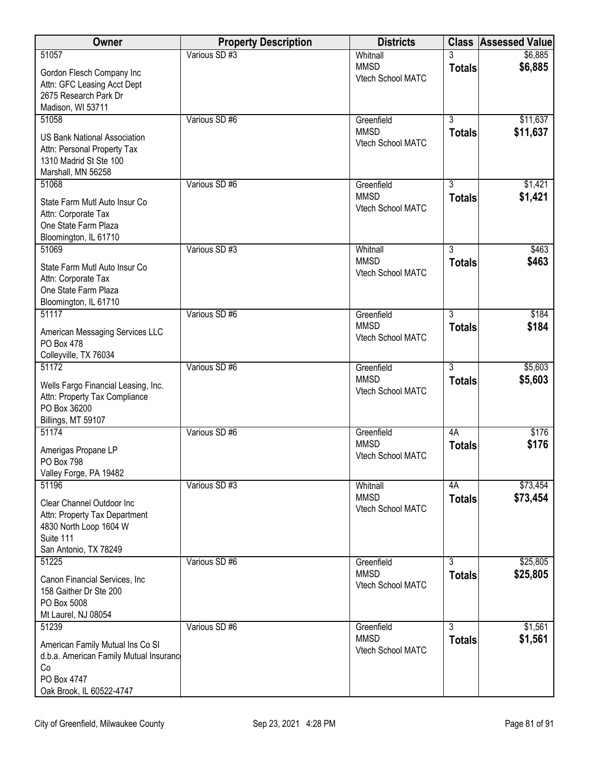| <b>Owner</b>                                                                                                                | <b>Property Description</b> | <b>Districts</b>                 |                | <b>Class Assessed Value</b> |
|-----------------------------------------------------------------------------------------------------------------------------|-----------------------------|----------------------------------|----------------|-----------------------------|
| 51057                                                                                                                       | Various SD #3               | Whitnall                         |                | \$6,885                     |
| Gordon Flesch Company Inc<br>Attn: GFC Leasing Acct Dept<br>2675 Research Park Dr<br>Madison, WI 53711                      |                             | <b>MMSD</b><br>Vtech School MATC | <b>Totals</b>  | \$6,885                     |
| 51058                                                                                                                       | Various SD #6               | Greenfield                       | $\overline{3}$ | \$11,637                    |
| <b>US Bank National Association</b><br>Attn: Personal Property Tax<br>1310 Madrid St Ste 100<br>Marshall, MN 56258          |                             | <b>MMSD</b><br>Vtech School MATC | <b>Totals</b>  | \$11,637                    |
| 51068                                                                                                                       | Various SD #6               | Greenfield<br><b>MMSD</b>        | 3              | \$1,421                     |
| State Farm Mutl Auto Insur Co<br>Attn: Corporate Tax<br>One State Farm Plaza<br>Bloomington, IL 61710                       |                             | Vtech School MATC                | <b>Totals</b>  | \$1,421                     |
| 51069                                                                                                                       | Various SD #3               | Whitnall                         | $\overline{3}$ | \$463                       |
| State Farm Mutl Auto Insur Co<br>Attn: Corporate Tax<br>One State Farm Plaza<br>Bloomington, IL 61710                       |                             | <b>MMSD</b><br>Vtech School MATC | <b>Totals</b>  | \$463                       |
| 51117                                                                                                                       | Various SD #6               | Greenfield                       | 3              | \$184                       |
| American Messaging Services LLC<br><b>PO Box 478</b><br>Colleyville, TX 76034                                               |                             | <b>MMSD</b><br>Vtech School MATC | <b>Totals</b>  | \$184                       |
| 51172                                                                                                                       | Various SD #6               | Greenfield                       | $\overline{3}$ | \$5,603                     |
| Wells Fargo Financial Leasing, Inc.<br>Attn: Property Tax Compliance<br>PO Box 36200<br>Billings, MT 59107                  |                             | <b>MMSD</b><br>Vtech School MATC | <b>Totals</b>  | \$5,603                     |
| 51174                                                                                                                       | Various SD #6               | Greenfield                       | 4A             | \$176                       |
| Amerigas Propane LP<br>PO Box 798<br>Valley Forge, PA 19482                                                                 |                             | <b>MMSD</b><br>Vtech School MATC | <b>Totals</b>  | \$176                       |
| 51196                                                                                                                       | Various SD #3               | Whitnall                         | 4A             | \$73,454                    |
| Clear Channel Outdoor Inc<br>Attn: Property Tax Department<br>4830 North Loop 1604 W<br>Suite 111<br>San Antonio, TX 78249  |                             | <b>MMSD</b><br>Vtech School MATC | <b>Totals</b>  | \$73,454                    |
| 51225                                                                                                                       | Various SD #6               | Greenfield                       | $\overline{3}$ | \$25,805                    |
| Canon Financial Services, Inc<br>158 Gaither Dr Ste 200<br>PO Box 5008<br>Mt Laurel, NJ 08054                               |                             | <b>MMSD</b><br>Vtech School MATC | <b>Totals</b>  | \$25,805                    |
| 51239                                                                                                                       | Various SD #6               | Greenfield<br><b>MMSD</b>        | 3              | \$1,561                     |
| American Family Mutual Ins Co SI<br>d.b.a. American Family Mutual Insuranc<br>Co<br>PO Box 4747<br>Oak Brook, IL 60522-4747 |                             | Vtech School MATC                | <b>Totals</b>  | \$1,561                     |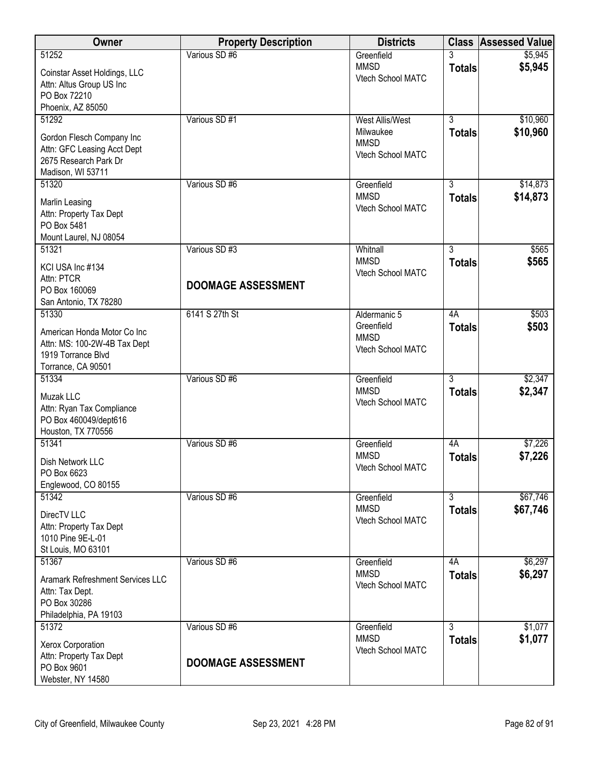| Owner                                                                                                   | <b>Property Description</b> | <b>Districts</b>                               |                | <b>Class Assessed Value</b> |
|---------------------------------------------------------------------------------------------------------|-----------------------------|------------------------------------------------|----------------|-----------------------------|
| 51252                                                                                                   | Various SD #6               | Greenfield<br><b>MMSD</b>                      | <b>Totals</b>  | \$5,945<br>\$5,945          |
| Coinstar Asset Holdings, LLC<br>Attn: Altus Group US Inc<br>PO Box 72210                                |                             | Vtech School MATC                              |                |                             |
| Phoenix, AZ 85050<br>51292                                                                              | Various SD #1               | <b>West Allis/West</b>                         | $\overline{3}$ | \$10,960                    |
| Gordon Flesch Company Inc<br>Attn: GFC Leasing Acct Dept<br>2675 Research Park Dr<br>Madison, WI 53711  |                             | Milwaukee<br><b>MMSD</b><br>Vtech School MATC  | <b>Totals</b>  | \$10,960                    |
| 51320                                                                                                   | Various SD #6               | Greenfield                                     | 3              | \$14,873                    |
| Marlin Leasing<br>Attn: Property Tax Dept<br>PO Box 5481<br>Mount Laurel, NJ 08054                      |                             | <b>MMSD</b><br>Vtech School MATC               | <b>Totals</b>  | \$14,873                    |
| 51321                                                                                                   | Various SD #3               | Whitnall                                       | $\overline{3}$ | \$565                       |
| KCI USA Inc #134                                                                                        |                             | <b>MMSD</b><br>Vtech School MATC               | <b>Totals</b>  | \$565                       |
| Attn: PTCR                                                                                              | <b>DOOMAGE ASSESSMENT</b>   |                                                |                |                             |
| PO Box 160069<br>San Antonio, TX 78280                                                                  |                             |                                                |                |                             |
| 51330                                                                                                   | 6141 S 27th St              | Aldermanic 5                                   | 4A             | \$503                       |
| American Honda Motor Co Inc<br>Attn: MS: 100-2W-4B Tax Dept<br>1919 Torrance Blvd<br>Torrance, CA 90501 |                             | Greenfield<br><b>MMSD</b><br>Vtech School MATC | <b>Totals</b>  | \$503                       |
| 51334                                                                                                   | Various SD #6               | Greenfield                                     | $\overline{3}$ | \$2,347                     |
| Muzak LLC<br>Attn: Ryan Tax Compliance<br>PO Box 460049/dept616<br>Houston, TX 770556                   |                             | <b>MMSD</b><br>Vtech School MATC               | <b>Totals</b>  | \$2,347                     |
| 51341                                                                                                   | Various SD #6               | Greenfield                                     | 4A             | \$7,226                     |
| Dish Network LLC<br>PO Box 6623<br>Englewood, CO 80155                                                  |                             | <b>MMSD</b><br>Vtech School MATC               | <b>Totals</b>  | \$7,226                     |
| 51342                                                                                                   | Various SD #6               | Greenfield                                     | $\overline{3}$ | \$67,746                    |
| DirecTV LLC<br>Attn: Property Tax Dept<br>1010 Pine 9E-L-01<br>St Louis, MO 63101                       |                             | <b>MMSD</b><br>Vtech School MATC               | <b>Totals</b>  | \$67,746                    |
| 51367                                                                                                   | Various SD #6               | Greenfield                                     | 4A             | \$6,297                     |
| Aramark Refreshment Services LLC<br>Attn: Tax Dept.<br>PO Box 30286<br>Philadelphia, PA 19103           |                             | <b>MMSD</b><br>Vtech School MATC               | <b>Totals</b>  | \$6,297                     |
| 51372                                                                                                   | Various SD #6               | Greenfield                                     | $\overline{3}$ | \$1,077                     |
| Xerox Corporation<br>Attn: Property Tax Dept<br>PO Box 9601<br>Webster, NY 14580                        | <b>DOOMAGE ASSESSMENT</b>   | <b>MMSD</b><br>Vtech School MATC               | <b>Totals</b>  | \$1,077                     |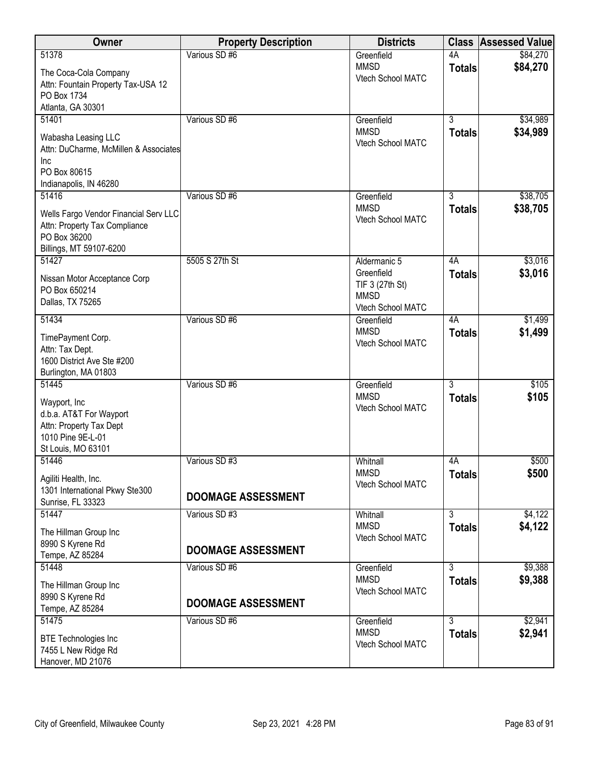| Owner                                                                                                                      | <b>Property Description</b>                | <b>Districts</b>                                                                  |                                 | <b>Class Assessed Value</b> |
|----------------------------------------------------------------------------------------------------------------------------|--------------------------------------------|-----------------------------------------------------------------------------------|---------------------------------|-----------------------------|
| 51378<br>The Coca-Cola Company<br>Attn: Fountain Property Tax-USA 12<br>PO Box 1734<br>Atlanta, GA 30301                   | Various SD #6                              | Greenfield<br><b>MMSD</b><br>Vtech School MATC                                    | 4A<br><b>Totals</b>             | \$84,270<br>\$84,270        |
| 51401<br>Wabasha Leasing LLC<br>Attn: DuCharme, McMillen & Associates<br>Inc<br>PO Box 80615<br>Indianapolis, IN 46280     | Various SD #6                              | Greenfield<br><b>MMSD</b><br>Vtech School MATC                                    | $\overline{3}$<br><b>Totals</b> | \$34,989<br>\$34,989        |
| 51416<br>Wells Fargo Vendor Financial Serv LLC<br>Attn: Property Tax Compliance<br>PO Box 36200<br>Billings, MT 59107-6200 | Various SD #6                              | Greenfield<br><b>MMSD</b><br>Vtech School MATC                                    | $\overline{3}$<br><b>Totals</b> | \$38,705<br>\$38,705        |
| 51427<br>Nissan Motor Acceptance Corp<br>PO Box 650214<br>Dallas, TX 75265                                                 | 5505 S 27th St                             | Aldermanic 5<br>Greenfield<br>TIF 3 (27th St)<br><b>MMSD</b><br>Vtech School MATC | 4A<br><b>Totals</b>             | \$3,016<br>\$3,016          |
| 51434<br>TimePayment Corp.<br>Attn: Tax Dept.<br>1600 District Ave Ste #200<br>Burlington, MA 01803                        | Various SD #6                              | Greenfield<br><b>MMSD</b><br>Vtech School MATC                                    | 4A<br><b>Totals</b>             | \$1,499<br>\$1,499          |
| 51445<br>Wayport, Inc<br>d.b.a. AT&T For Wayport<br>Attn: Property Tax Dept<br>1010 Pine 9E-L-01<br>St Louis, MO 63101     | Various SD #6                              | Greenfield<br><b>MMSD</b><br>Vtech School MATC                                    | $\overline{3}$<br><b>Totals</b> | \$105<br>\$105              |
| 51446<br>Agiliti Health, Inc.<br>1301 International Pkwy Ste300<br>Sunrise, FL 33323                                       | Various SD #3<br><b>DOOMAGE ASSESSMENT</b> | Whitnall<br><b>MMSD</b><br>Vtech School MATC                                      | 4A<br><b>Totals</b>             | \$500<br>\$500              |
| 51447<br>The Hillman Group Inc<br>8990 S Kyrene Rd<br>Tempe, AZ 85284                                                      | Various SD #3<br><b>DOOMAGE ASSESSMENT</b> | Whitnall<br><b>MMSD</b><br>Vtech School MATC                                      | $\overline{3}$<br><b>Totals</b> | \$4,122<br>\$4,122          |
| 51448<br>The Hillman Group Inc<br>8990 S Kyrene Rd<br>Tempe, AZ 85284                                                      | Various SD #6<br><b>DOOMAGE ASSESSMENT</b> | Greenfield<br><b>MMSD</b><br>Vtech School MATC                                    | $\overline{3}$<br><b>Totals</b> | \$9,388<br>\$9,388          |
| 51475<br><b>BTE Technologies Inc</b><br>7455 L New Ridge Rd<br>Hanover, MD 21076                                           | Various SD #6                              | Greenfield<br><b>MMSD</b><br>Vtech School MATC                                    | $\overline{3}$<br><b>Totals</b> | \$2,941<br>\$2,941          |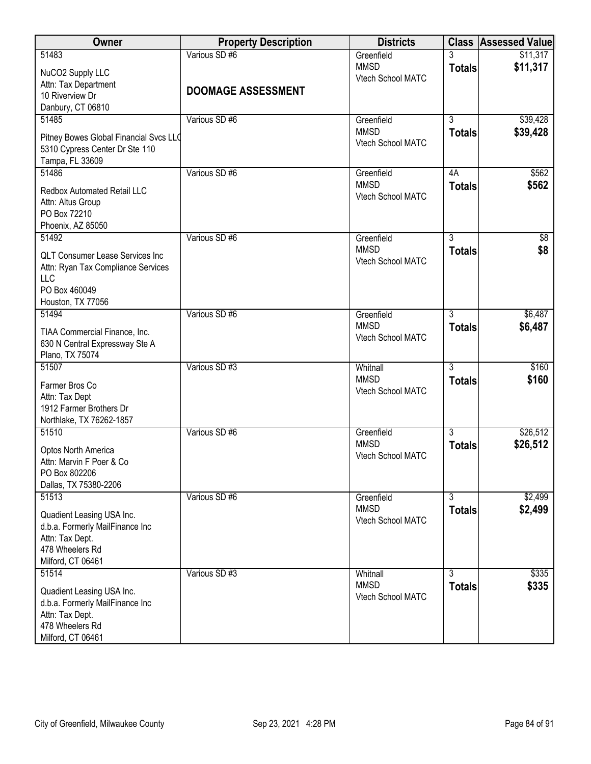| Owner                                                                                                                            | <b>Property Description</b> | <b>Districts</b>                               |                    | <b>Class Assessed Value</b> |
|----------------------------------------------------------------------------------------------------------------------------------|-----------------------------|------------------------------------------------|--------------------|-----------------------------|
| 51483<br>NuCO2 Supply LLC                                                                                                        | Various SD #6               | Greenfield<br><b>MMSD</b><br>Vtech School MATC | 3<br><b>Totals</b> | \$11,317<br>\$11,317        |
| Attn: Tax Department<br>10 Riverview Dr<br>Danbury, CT 06810                                                                     | <b>DOOMAGE ASSESSMENT</b>   |                                                |                    |                             |
| 51485                                                                                                                            | Various SD #6               | Greenfield                                     | $\overline{3}$     | \$39,428                    |
| Pitney Bowes Global Financial Svcs LLO<br>5310 Cypress Center Dr Ste 110<br>Tampa, FL 33609                                      |                             | <b>MMSD</b><br>Vtech School MATC               | <b>Totals</b>      | \$39,428                    |
| 51486                                                                                                                            | Various SD #6               | Greenfield                                     | 4A                 | \$562                       |
| <b>Redbox Automated Retail LLC</b><br>Attn: Altus Group<br>PO Box 72210<br>Phoenix, AZ 85050                                     |                             | <b>MMSD</b><br>Vtech School MATC               | <b>Totals</b>      | \$562                       |
| 51492                                                                                                                            | Various SD #6               | Greenfield                                     | $\overline{3}$     | $\sqrt[6]{8}$               |
| <b>QLT Consumer Lease Services Inc</b><br>Attn: Ryan Tax Compliance Services<br><b>LLC</b><br>PO Box 460049<br>Houston, TX 77056 |                             | <b>MMSD</b><br>Vtech School MATC               | <b>Totals</b>      | \$8                         |
| 51494                                                                                                                            | Various SD #6               | Greenfield                                     | $\overline{3}$     | \$6,487                     |
| TIAA Commercial Finance, Inc.<br>630 N Central Expressway Ste A<br>Plano, TX 75074                                               |                             | <b>MMSD</b><br>Vtech School MATC               | <b>Totals</b>      | \$6,487                     |
| 51507                                                                                                                            | Various SD #3               | Whitnall                                       | $\overline{3}$     | \$160                       |
| Farmer Bros Co<br>Attn: Tax Dept<br>1912 Farmer Brothers Dr<br>Northlake, TX 76262-1857                                          |                             | <b>MMSD</b><br>Vtech School MATC               | <b>Totals</b>      | \$160                       |
| 51510                                                                                                                            | Various SD #6               | Greenfield                                     | $\overline{3}$     | \$26,512                    |
| Optos North America<br>Attn: Marvin F Poer & Co<br>PO Box 802206<br>Dallas, TX 75380-2206                                        |                             | <b>MMSD</b><br>Vtech School MATC               | <b>Totals</b>      | \$26,512                    |
| 51513                                                                                                                            | Various SD #6               | Greenfield                                     | $\overline{3}$     | \$2,499                     |
| Quadient Leasing USA Inc.<br>d.b.a. Formerly MailFinance Inc<br>Attn: Tax Dept.<br>478 Wheelers Rd<br>Milford, CT 06461          |                             | <b>MMSD</b><br>Vtech School MATC               | <b>Totals</b>      | \$2,499                     |
| 51514                                                                                                                            | Various SD #3               | Whitnall                                       | $\overline{3}$     | \$335                       |
| Quadient Leasing USA Inc.<br>d.b.a. Formerly MailFinance Inc<br>Attn: Tax Dept.<br>478 Wheelers Rd<br>Milford, CT 06461          |                             | <b>MMSD</b><br>Vtech School MATC               | <b>Totals</b>      | \$335                       |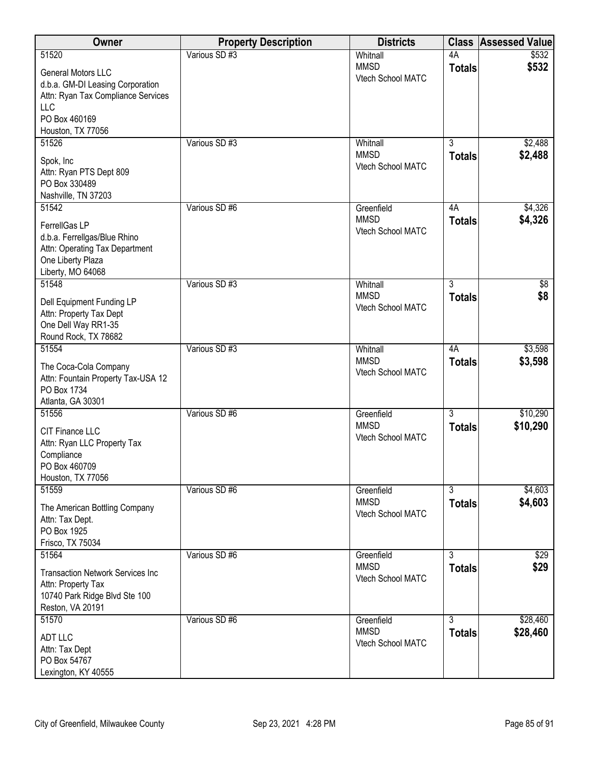| Owner                                                                                                                              | <b>Property Description</b> | <b>Districts</b>                               | <b>Class</b>                               | <b>Assessed Value</b> |
|------------------------------------------------------------------------------------------------------------------------------------|-----------------------------|------------------------------------------------|--------------------------------------------|-----------------------|
| 51520<br><b>General Motors LLC</b><br>d.b.a. GM-DI Leasing Corporation<br>Attn: Ryan Tax Compliance Services<br><b>LLC</b>         | Various SD #3               | Whitnall<br><b>MMSD</b><br>Vtech School MATC   | 4A<br><b>Totals</b>                        | \$532<br>\$532        |
| PO Box 460169<br>Houston, TX 77056                                                                                                 |                             |                                                |                                            |                       |
| 51526<br>Spok, Inc<br>Attn: Ryan PTS Dept 809<br>PO Box 330489<br>Nashville, TN 37203                                              | Various SD #3               | Whitnall<br><b>MMSD</b><br>Vtech School MATC   | $\overline{3}$<br><b>Totals</b>            | \$2,488<br>\$2,488    |
| 51542<br>FerrellGas LP<br>d.b.a. Ferrellgas/Blue Rhino<br>Attn: Operating Tax Department<br>One Liberty Plaza<br>Liberty, MO 64068 | Various SD #6               | Greenfield<br><b>MMSD</b><br>Vtech School MATC | 4A<br><b>Totals</b>                        | \$4,326<br>\$4,326    |
| 51548<br>Dell Equipment Funding LP<br>Attn: Property Tax Dept<br>One Dell Way RR1-35<br>Round Rock, TX 78682                       | Various SD #3               | Whitnall<br><b>MMSD</b><br>Vtech School MATC   | 3<br><b>Totals</b>                         | \$8<br>\$8            |
| 51554<br>The Coca-Cola Company<br>Attn: Fountain Property Tax-USA 12<br>PO Box 1734<br>Atlanta, GA 30301                           | Various SD #3               | Whitnall<br><b>MMSD</b><br>Vtech School MATC   | 4A<br><b>Totals</b>                        | \$3,598<br>\$3,598    |
| 51556<br>CIT Finance LLC<br>Attn: Ryan LLC Property Tax<br>Compliance<br>PO Box 460709<br>Houston, TX 77056                        | Various SD #6               | Greenfield<br><b>MMSD</b><br>Vtech School MATC | $\overline{3}$<br><b>Totals</b>            | \$10,290<br>\$10,290  |
| 51559<br>The American Bottling Company<br>Attn: Tax Dept.<br>PO Box 1925<br>Frisco, TX 75034                                       | Various SD #6               | Greenfield<br><b>MMSD</b><br>Vtech School MATC | 3<br><b>Totals</b>                         | \$4,603<br>\$4,603    |
| 51564<br><b>Transaction Network Services Inc</b><br>Attn: Property Tax<br>10740 Park Ridge Blvd Ste 100<br>Reston, VA 20191        | Various SD #6               | Greenfield<br><b>MMSD</b><br>Vtech School MATC | $\overline{\overline{3}}$<br><b>Totals</b> | \$29<br>\$29          |
| 51570<br>ADT LLC<br>Attn: Tax Dept<br>PO Box 54767<br>Lexington, KY 40555                                                          | Various SD #6               | Greenfield<br><b>MMSD</b><br>Vtech School MATC | $\overline{3}$<br><b>Totals</b>            | \$28,460<br>\$28,460  |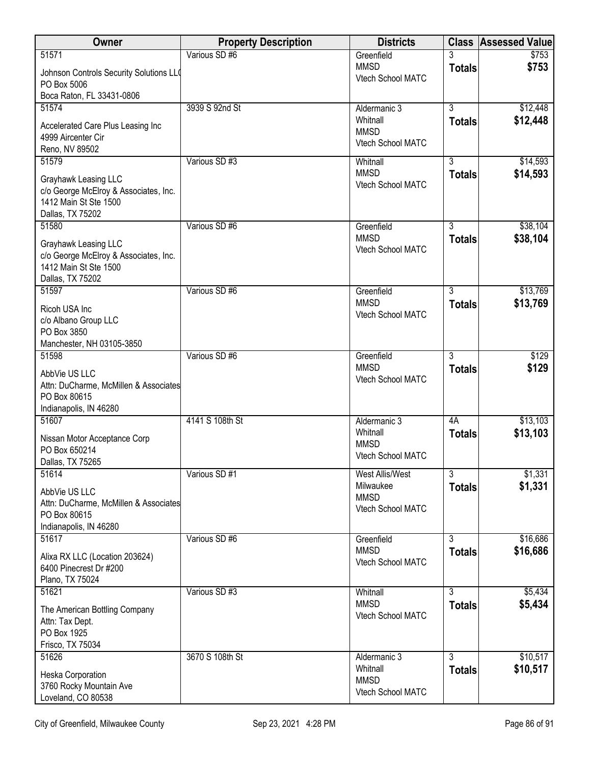| Owner                                                   | <b>Property Description</b> | <b>Districts</b>                 |                | <b>Class Assessed Value</b> |
|---------------------------------------------------------|-----------------------------|----------------------------------|----------------|-----------------------------|
| 51571                                                   | Various SD #6               | Greenfield                       |                | \$753                       |
| Johnson Controls Security Solutions LLO                 |                             | <b>MMSD</b><br>Vtech School MATC | <b>Totals</b>  | \$753                       |
| PO Box 5006                                             |                             |                                  |                |                             |
| Boca Raton, FL 33431-0806<br>51574                      | 3939 S 92nd St              | Aldermanic 3                     | $\overline{3}$ | \$12,448                    |
|                                                         |                             | Whitnall                         | <b>Totals</b>  | \$12,448                    |
| Accelerated Care Plus Leasing Inc<br>4999 Aircenter Cir |                             | <b>MMSD</b>                      |                |                             |
| Reno, NV 89502                                          |                             | Vtech School MATC                |                |                             |
| 51579                                                   | Various SD #3               | Whitnall                         | $\overline{3}$ | \$14,593                    |
| Grayhawk Leasing LLC                                    |                             | <b>MMSD</b>                      | <b>Totals</b>  | \$14,593                    |
| c/o George McElroy & Associates, Inc.                   |                             | Vtech School MATC                |                |                             |
| 1412 Main St Ste 1500                                   |                             |                                  |                |                             |
| Dallas, TX 75202                                        |                             |                                  |                |                             |
| 51580                                                   | Various SD #6               | Greenfield<br><b>MMSD</b>        | $\overline{3}$ | \$38,104                    |
| Grayhawk Leasing LLC                                    |                             | Vtech School MATC                | <b>Totals</b>  | \$38,104                    |
| c/o George McElroy & Associates, Inc.                   |                             |                                  |                |                             |
| 1412 Main St Ste 1500<br>Dallas, TX 75202               |                             |                                  |                |                             |
| 51597                                                   | Various SD #6               | Greenfield                       | $\overline{3}$ | \$13,769                    |
| Ricoh USA Inc                                           |                             | <b>MMSD</b>                      | <b>Totals</b>  | \$13,769                    |
| c/o Albano Group LLC                                    |                             | Vtech School MATC                |                |                             |
| PO Box 3850                                             |                             |                                  |                |                             |
| Manchester, NH 03105-3850                               |                             |                                  |                |                             |
| 51598                                                   | Various SD #6               | Greenfield                       | $\overline{3}$ | \$129                       |
| AbbVie US LLC                                           |                             | <b>MMSD</b><br>Vtech School MATC | <b>Totals</b>  | \$129                       |
| Attn: DuCharme, McMillen & Associates                   |                             |                                  |                |                             |
| PO Box 80615<br>Indianapolis, IN 46280                  |                             |                                  |                |                             |
| 51607                                                   | 4141 S 108th St             | Aldermanic 3                     | 4A             | \$13,103                    |
|                                                         |                             | Whitnall                         | <b>Totals</b>  | \$13,103                    |
| Nissan Motor Acceptance Corp<br>PO Box 650214           |                             | <b>MMSD</b>                      |                |                             |
| Dallas, TX 75265                                        |                             | Vtech School MATC                |                |                             |
| 51614                                                   | Various SD #1               | West Allis/West                  | $\overline{3}$ | \$1,331                     |
| AbbVie US LLC                                           |                             | Milwaukee                        | <b>Totals</b>  | \$1,331                     |
| Attn: DuCharme, McMillen & Associates                   |                             | <b>MMSD</b><br>Vtech School MATC |                |                             |
| PO Box 80615                                            |                             |                                  |                |                             |
| Indianapolis, IN 46280<br>51617                         | Various SD #6               | Greenfield                       | $\overline{3}$ | \$16,686                    |
|                                                         |                             | <b>MMSD</b>                      | <b>Totals</b>  | \$16,686                    |
| Alixa RX LLC (Location 203624)                          |                             | Vtech School MATC                |                |                             |
| 6400 Pinecrest Dr #200<br>Plano, TX 75024               |                             |                                  |                |                             |
| 51621                                                   | Various SD #3               | Whitnall                         | $\overline{3}$ | \$5,434                     |
| The American Bottling Company                           |                             | <b>MMSD</b>                      | <b>Totals</b>  | \$5,434                     |
| Attn: Tax Dept.                                         |                             | Vtech School MATC                |                |                             |
| PO Box 1925                                             |                             |                                  |                |                             |
| Frisco, TX 75034                                        |                             |                                  |                |                             |
| 51626                                                   | 3670 S 108th St             | Aldermanic 3                     | $\overline{3}$ | \$10,517                    |
| Heska Corporation                                       |                             | Whitnall<br><b>MMSD</b>          | <b>Totals</b>  | \$10,517                    |
| 3760 Rocky Mountain Ave                                 |                             | Vtech School MATC                |                |                             |
| Loveland, CO 80538                                      |                             |                                  |                |                             |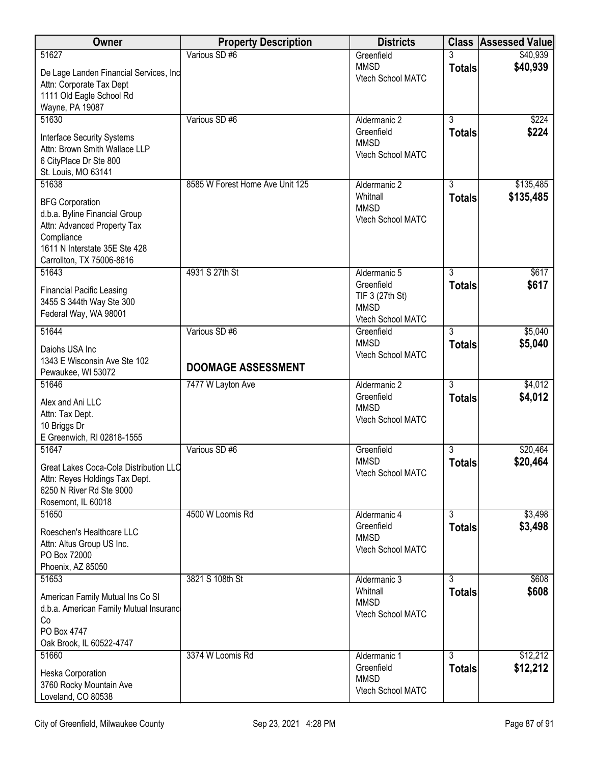| Owner                                                                                                                                                              | <b>Property Description</b>     | <b>Districts</b>                                                  |                | <b>Class Assessed Value</b> |
|--------------------------------------------------------------------------------------------------------------------------------------------------------------------|---------------------------------|-------------------------------------------------------------------|----------------|-----------------------------|
| 51627<br>De Lage Landen Financial Services, Inc                                                                                                                    | Various SD #6                   | Greenfield<br><b>MMSD</b>                                         | <b>Totals</b>  | \$40,939<br>\$40,939        |
| Attn: Corporate Tax Dept<br>1111 Old Eagle School Rd<br>Wayne, PA 19087                                                                                            |                                 | Vtech School MATC                                                 |                |                             |
| 51630                                                                                                                                                              | Various SD #6                   | Aldermanic 2                                                      | 3              | \$224                       |
| <b>Interface Security Systems</b><br>Attn: Brown Smith Wallace LLP<br>6 CityPlace Dr Ste 800<br>St. Louis, MO 63141                                                |                                 | Greenfield<br><b>MMSD</b><br>Vtech School MATC                    | <b>Totals</b>  | \$224                       |
| 51638                                                                                                                                                              | 8585 W Forest Home Ave Unit 125 | Aldermanic 2<br>Whitnall                                          | 3              | \$135,485                   |
| <b>BFG Corporation</b><br>d.b.a. Byline Financial Group<br>Attn: Advanced Property Tax<br>Compliance<br>1611 N Interstate 35E Ste 428<br>Carrollton, TX 75006-8616 |                                 | <b>MMSD</b><br>Vtech School MATC                                  | <b>Totals</b>  | \$135,485                   |
| 51643                                                                                                                                                              | 4931 S 27th St                  | Aldermanic 5                                                      | $\overline{3}$ | \$617                       |
| <b>Financial Pacific Leasing</b><br>3455 S 344th Way Ste 300<br>Federal Way, WA 98001                                                                              |                                 | Greenfield<br>TIF 3 (27th St)<br><b>MMSD</b><br>Vtech School MATC | <b>Totals</b>  | \$617                       |
| 51644                                                                                                                                                              | Various SD #6                   | Greenfield                                                        | 3              | \$5,040                     |
| Daiohs USA Inc<br>1343 E Wisconsin Ave Ste 102<br>Pewaukee, WI 53072                                                                                               | <b>DOOMAGE ASSESSMENT</b>       | <b>MMSD</b><br>Vtech School MATC                                  | <b>Totals</b>  | \$5,040                     |
| 51646                                                                                                                                                              | 7477 W Layton Ave               | Aldermanic 2                                                      | $\overline{3}$ | \$4,012                     |
| Alex and Ani LLC<br>Attn: Tax Dept.<br>10 Briggs Dr<br>E Greenwich, RI 02818-1555                                                                                  |                                 | Greenfield<br><b>MMSD</b><br>Vtech School MATC                    | <b>Totals</b>  | \$4,012                     |
| 51647                                                                                                                                                              | Various SD #6                   | Greenfield                                                        | 3              | \$20,464                    |
| Great Lakes Coca-Cola Distribution LLC<br>Attn: Reyes Holdings Tax Dept.<br>6250 N River Rd Ste 9000<br>Rosemont, IL 60018                                         |                                 | <b>MMSD</b><br>Vtech School MATC                                  | <b>Totals</b>  | \$20,464                    |
| 51650                                                                                                                                                              | 4500 W Loomis Rd                | Aldermanic 4                                                      | 3              | \$3,498                     |
| Roeschen's Healthcare LLC<br>Attn: Altus Group US Inc.<br>PO Box 72000<br>Phoenix, AZ 85050                                                                        |                                 | Greenfield<br><b>MMSD</b><br>Vtech School MATC                    | <b>Totals</b>  | \$3,498                     |
| 51653                                                                                                                                                              | 3821 S 108th St                 | Aldermanic 3                                                      | $\overline{3}$ | \$608                       |
| American Family Mutual Ins Co SI<br>d.b.a. American Family Mutual Insuranc<br>Co<br>PO Box 4747<br>Oak Brook, IL 60522-4747                                        |                                 | Whitnall<br><b>MMSD</b><br>Vtech School MATC                      | <b>Totals</b>  | \$608                       |
| 51660                                                                                                                                                              | 3374 W Loomis Rd                | Aldermanic 1                                                      | 3              | \$12,212                    |
| Heska Corporation<br>3760 Rocky Mountain Ave<br>Loveland, CO 80538                                                                                                 |                                 | Greenfield<br><b>MMSD</b><br>Vtech School MATC                    | <b>Totals</b>  | \$12,212                    |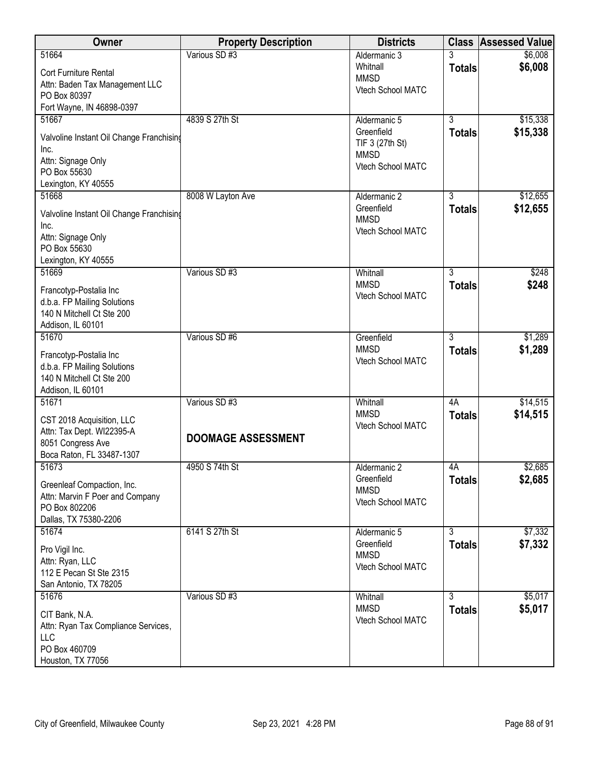| Owner                                                                                                                  | <b>Property Description</b> | <b>Districts</b>                                                                  |                                 | <b>Class Assessed Value</b> |
|------------------------------------------------------------------------------------------------------------------------|-----------------------------|-----------------------------------------------------------------------------------|---------------------------------|-----------------------------|
| 51664                                                                                                                  | Various SD #3               | Aldermanic 3                                                                      | 3                               | \$6,008                     |
| Cort Furniture Rental                                                                                                  |                             | Whitnall<br><b>MMSD</b>                                                           | <b>Totals</b>                   | \$6,008                     |
| Attn: Baden Tax Management LLC                                                                                         |                             | Vtech School MATC                                                                 |                                 |                             |
| PO Box 80397                                                                                                           |                             |                                                                                   |                                 |                             |
| Fort Wayne, IN 46898-0397                                                                                              |                             |                                                                                   |                                 |                             |
| 51667<br>Valvoline Instant Oil Change Franchising<br>Inc.<br>Attn: Signage Only<br>PO Box 55630<br>Lexington, KY 40555 | 4839 S 27th St              | Aldermanic 5<br>Greenfield<br>TIF 3 (27th St)<br><b>MMSD</b><br>Vtech School MATC | $\overline{3}$<br><b>Totals</b> | \$15,338<br>\$15,338        |
| 51668                                                                                                                  | 8008 W Layton Ave           | Aldermanic 2                                                                      | $\overline{3}$                  | \$12,655                    |
| Valvoline Instant Oil Change Franchising<br>Inc.<br>Attn: Signage Only<br>PO Box 55630<br>Lexington, KY 40555          |                             | Greenfield<br><b>MMSD</b><br>Vtech School MATC                                    | <b>Totals</b>                   | \$12,655                    |
| 51669                                                                                                                  | Various SD #3               | Whitnall                                                                          | $\overline{3}$                  | \$248                       |
| Francotyp-Postalia Inc<br>d.b.a. FP Mailing Solutions<br>140 N Mitchell Ct Ste 200<br>Addison, IL 60101                |                             | <b>MMSD</b><br>Vtech School MATC                                                  | <b>Totals</b>                   | \$248                       |
| 51670                                                                                                                  | Various SD #6               | Greenfield                                                                        | $\overline{3}$                  | \$1,289                     |
| Francotyp-Postalia Inc<br>d.b.a. FP Mailing Solutions<br>140 N Mitchell Ct Ste 200<br>Addison, IL 60101                |                             | <b>MMSD</b><br>Vtech School MATC                                                  | <b>Totals</b>                   | \$1,289                     |
| 51671                                                                                                                  | Various SD #3               | Whitnall                                                                          | 4A                              | \$14,515                    |
| CST 2018 Acquisition, LLC<br>Attn: Tax Dept. WI22395-A<br>8051 Congress Ave<br>Boca Raton, FL 33487-1307               | <b>DOOMAGE ASSESSMENT</b>   | <b>MMSD</b><br>Vtech School MATC                                                  | <b>Totals</b>                   | \$14,515                    |
| 51673                                                                                                                  | 4950 S 74th St              | Aldermanic 2                                                                      | 4A                              | \$2,685                     |
| Greenleaf Compaction, Inc.<br>Attn: Marvin F Poer and Company<br>PO Box 802206<br>Dallas, TX 75380-2206                |                             | Greenfield<br><b>MMSD</b><br>Vtech School MATC                                    | <b>Totals</b>                   | \$2,685                     |
| 51674                                                                                                                  | 6141 S 27th St              | Aldermanic 5                                                                      | $\overline{3}$                  | \$7,332                     |
| Pro Vigil Inc.<br>Attn: Ryan, LLC<br>112 E Pecan St Ste 2315<br>San Antonio, TX 78205                                  |                             | Greenfield<br><b>MMSD</b><br>Vtech School MATC                                    | <b>Totals</b>                   | \$7,332                     |
| 51676                                                                                                                  | Various SD #3               | Whitnall                                                                          | $\overline{3}$                  | \$5,017                     |
| CIT Bank, N.A.<br>Attn: Ryan Tax Compliance Services,<br>LLC<br>PO Box 460709<br>Houston, TX 77056                     |                             | <b>MMSD</b><br>Vtech School MATC                                                  | <b>Totals</b>                   | \$5,017                     |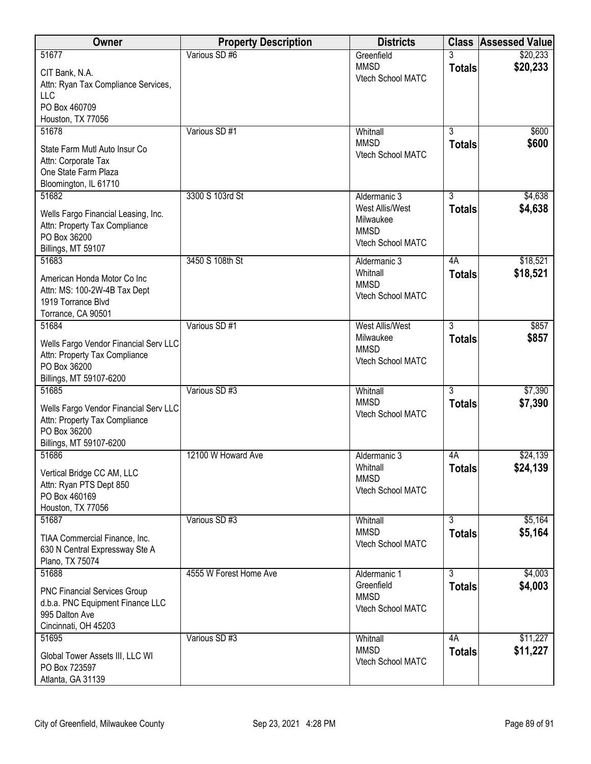| Owner                                                                                                                      | <b>Property Description</b> | <b>Districts</b>                                                                 |                                 | <b>Class Assessed Value</b> |
|----------------------------------------------------------------------------------------------------------------------------|-----------------------------|----------------------------------------------------------------------------------|---------------------------------|-----------------------------|
| 51677<br>CIT Bank, N.A.<br>Attn: Ryan Tax Compliance Services,<br><b>LLC</b><br>PO Box 460709                              | Various SD #6               | Greenfield<br><b>MMSD</b><br>Vtech School MATC                                   | <b>Totals</b>                   | \$20,233<br>\$20,233        |
| Houston, TX 77056                                                                                                          |                             |                                                                                  |                                 |                             |
| 51678<br>State Farm Mutl Auto Insur Co<br>Attn: Corporate Tax<br>One State Farm Plaza<br>Bloomington, IL 61710             | Various SD #1               | Whitnall<br><b>MMSD</b><br>Vtech School MATC                                     | 3<br><b>Totals</b>              | \$600<br>\$600              |
| 51682<br>Wells Fargo Financial Leasing, Inc.<br>Attn: Property Tax Compliance<br>PO Box 36200<br>Billings, MT 59107        | 3300 S 103rd St             | Aldermanic 3<br>West Allis/West<br>Milwaukee<br><b>MMSD</b><br>Vtech School MATC | 3<br><b>Totals</b>              | \$4,638<br>\$4,638          |
| 51683<br>American Honda Motor Co Inc<br>Attn: MS: 100-2W-4B Tax Dept<br>1919 Torrance Blvd<br>Torrance, CA 90501           | 3450 S 108th St             | Aldermanic 3<br>Whitnall<br><b>MMSD</b><br>Vtech School MATC                     | 4A<br><b>Totals</b>             | \$18,521<br>\$18,521        |
| 51684<br>Wells Fargo Vendor Financial Serv LLC<br>Attn: Property Tax Compliance<br>PO Box 36200<br>Billings, MT 59107-6200 | Various SD #1               | West Allis/West<br>Milwaukee<br><b>MMSD</b><br>Vtech School MATC                 | $\overline{3}$<br><b>Totals</b> | \$857<br>\$857              |
| 51685<br>Wells Fargo Vendor Financial Serv LLC<br>Attn: Property Tax Compliance<br>PO Box 36200<br>Billings, MT 59107-6200 | Various SD #3               | Whitnall<br><b>MMSD</b><br>Vtech School MATC                                     | $\overline{3}$<br><b>Totals</b> | \$7,390<br>\$7,390          |
| 51686<br>Vertical Bridge CC AM, LLC<br>Attn: Ryan PTS Dept 850<br>PO Box 460169<br>Houston, TX 77056                       | 12100 W Howard Ave          | Aldermanic 3<br>Whitnall<br><b>MMSD</b><br>Vtech School MATC                     | 4A<br><b>Totals</b>             | \$24,139<br>\$24,139        |
| 51687<br>TIAA Commercial Finance, Inc.<br>630 N Central Expressway Ste A<br>Plano, TX 75074                                | Various SD #3               | Whitnall<br><b>MMSD</b><br>Vtech School MATC                                     | $\overline{3}$<br><b>Totals</b> | \$5,164<br>\$5,164          |
| 51688<br><b>PNC Financial Services Group</b><br>d.b.a. PNC Equipment Finance LLC<br>995 Dalton Ave<br>Cincinnati, OH 45203 | 4555 W Forest Home Ave      | Aldermanic 1<br>Greenfield<br><b>MMSD</b><br>Vtech School MATC                   | 3<br><b>Totals</b>              | \$4,003<br>\$4,003          |
| 51695<br>Global Tower Assets III, LLC WI<br>PO Box 723597<br>Atlanta, GA 31139                                             | Various SD #3               | Whitnall<br><b>MMSD</b><br>Vtech School MATC                                     | 4A<br><b>Totals</b>             | \$11,227<br>\$11,227        |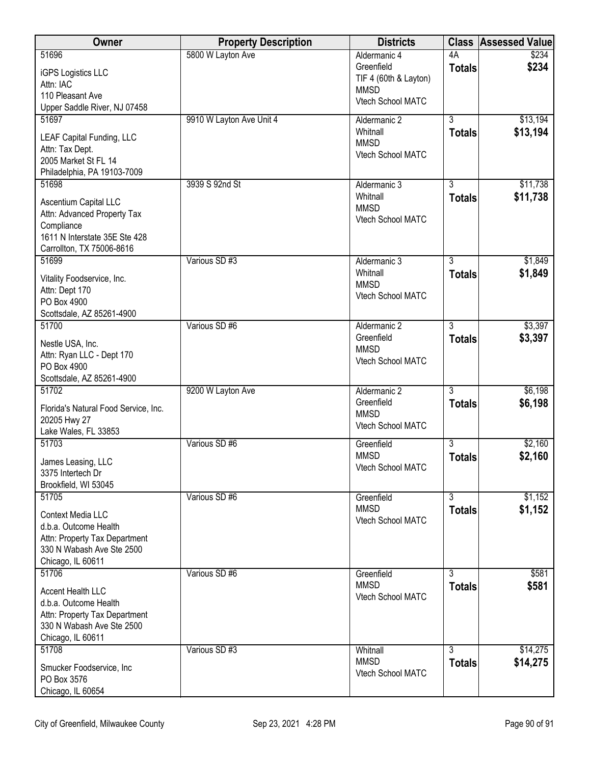|                                                                             | <b>Class</b>  | <b>Assessed Value</b> |
|-----------------------------------------------------------------------------|---------------|-----------------------|
| 51696<br>5800 W Layton Ave<br>4A<br>Aldermanic 4                            |               | \$234                 |
| Greenfield<br><b>iGPS Logistics LLC</b>                                     | <b>Totals</b> | \$234                 |
| TIF 4 (60th & Layton)<br>Attn: IAC<br><b>MMSD</b>                           |               |                       |
| 110 Pleasant Ave<br>Vtech School MATC                                       |               |                       |
| Upper Saddle River, NJ 07458                                                |               |                       |
| 51697<br>9910 W Layton Ave Unit 4<br>3<br>Aldermanic 2                      |               | \$13,194              |
| Whitnall<br>LEAF Capital Funding, LLC<br><b>MMSD</b>                        | <b>Totals</b> | \$13,194              |
| Attn: Tax Dept.<br>Vtech School MATC                                        |               |                       |
| 2005 Market St FL 14                                                        |               |                       |
| Philadelphia, PA 19103-7009<br>51698<br>3939 S 92nd St<br>3<br>Aldermanic 3 |               | \$11,738              |
| Whitnall                                                                    |               | \$11,738              |
| Ascentium Capital LLC<br><b>MMSD</b>                                        | <b>Totals</b> |                       |
| Attn: Advanced Property Tax<br>Vtech School MATC                            |               |                       |
| Compliance<br>1611 N Interstate 35E Ste 428                                 |               |                       |
| Carrollton, TX 75006-8616                                                   |               |                       |
| $\overline{3}$<br>51699<br>Various SD #3<br>Aldermanic 3                    |               | \$1,849               |
| Whitnall                                                                    | <b>Totals</b> | \$1,849               |
| Vitality Foodservice, Inc.<br><b>MMSD</b><br>Attn: Dept 170                 |               |                       |
| Vtech School MATC<br>PO Box 4900                                            |               |                       |
| Scottsdale, AZ 85261-4900                                                   |               |                       |
| Various SD #6<br>$\overline{3}$<br>51700<br>Aldermanic 2                    |               | \$3,397               |
| Greenfield<br>Nestle USA, Inc.                                              | <b>Totals</b> | \$3,397               |
| <b>MMSD</b><br>Attn: Ryan LLC - Dept 170                                    |               |                       |
| Vtech School MATC<br>PO Box 4900                                            |               |                       |
| Scottsdale, AZ 85261-4900                                                   |               |                       |
| $\overline{3}$<br>51702<br>Aldermanic 2<br>9200 W Layton Ave                |               | \$6,198               |
| Greenfield<br>Florida's Natural Food Service, Inc.                          | <b>Totals</b> | \$6,198               |
| <b>MMSD</b><br>20205 Hwy 27                                                 |               |                       |
| Vtech School MATC<br>Lake Wales, FL 33853                                   |               |                       |
| $\overline{3}$<br>51703<br>Various SD #6<br>Greenfield                      |               | \$2,160               |
| <b>MMSD</b><br>James Leasing, LLC                                           | <b>Totals</b> | \$2,160               |
| Vtech School MATC<br>3375 Intertech Dr                                      |               |                       |
| Brookfield, WI 53045                                                        |               |                       |
| $\overline{3}$<br>51705<br>Various SD #6<br>Greenfield                      |               | \$1,152               |
| <b>MMSD</b><br>Context Media LLC                                            | <b>Totals</b> | \$1,152               |
| Vtech School MATC<br>d.b.a. Outcome Health                                  |               |                       |
| Attn: Property Tax Department                                               |               |                       |
| 330 N Wabash Ave Ste 2500                                                   |               |                       |
| Chicago, IL 60611                                                           |               |                       |
| Various SD #6<br>3<br>51706<br>Greenfield<br><b>MMSD</b>                    |               | \$581                 |
| <b>Accent Health LLC</b><br>Vtech School MATC                               | <b>Totals</b> | \$581                 |
| d.b.a. Outcome Health                                                       |               |                       |
| Attn: Property Tax Department<br>330 N Wabash Ave Ste 2500                  |               |                       |
| Chicago, IL 60611                                                           |               |                       |
| 51708<br>Various SD #3<br>3<br>Whitnall                                     |               | \$14,275              |
| <b>MMSD</b>                                                                 | <b>Totals</b> | \$14,275              |
| Smucker Foodservice, Inc<br>Vtech School MATC<br>PO Box 3576                |               |                       |
| Chicago, IL 60654                                                           |               |                       |